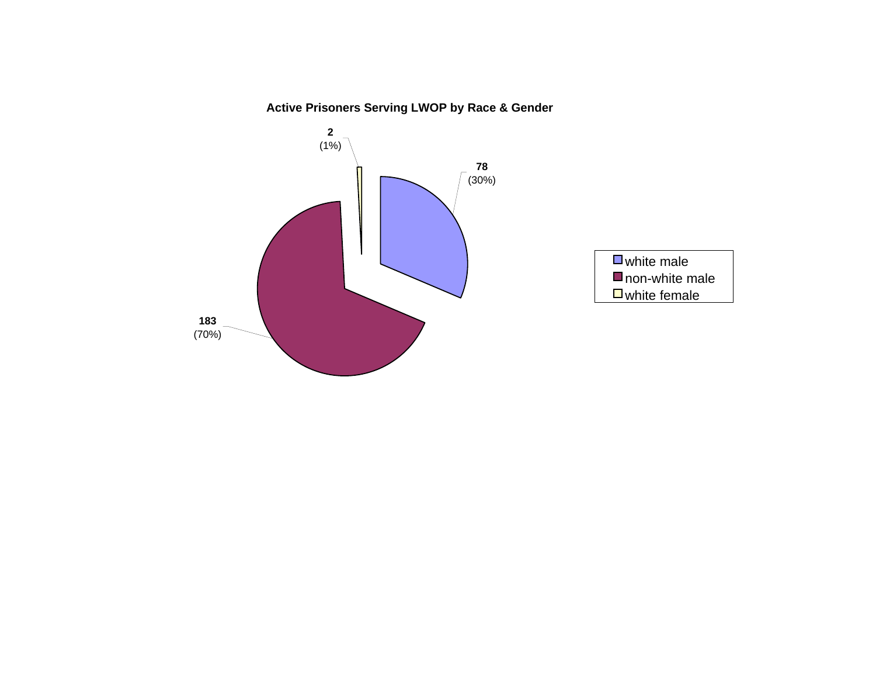# **Active Prisoners Serving LWOP by Race & Gender**

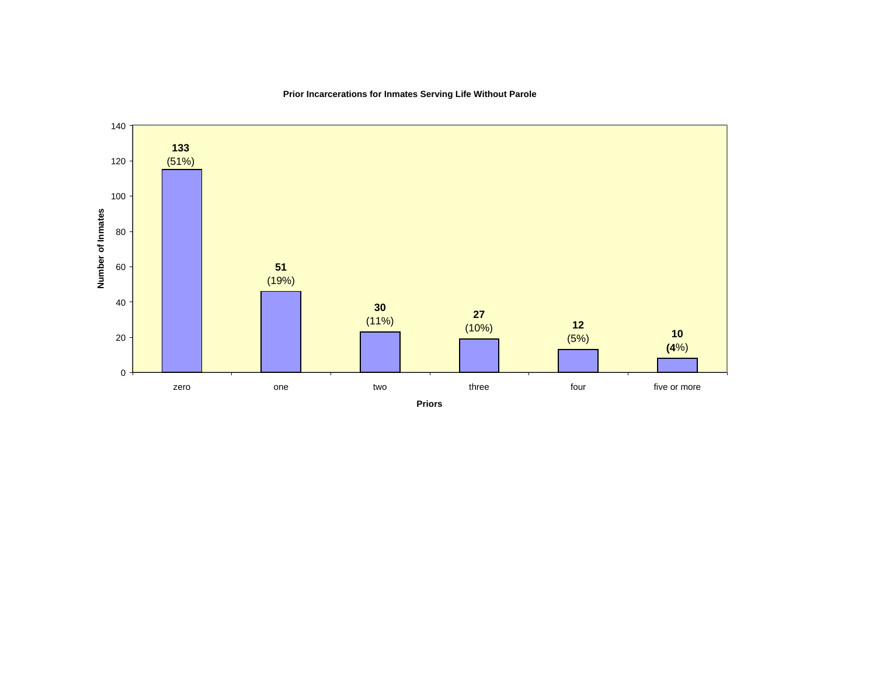**Prior Incarcerations for Inmates Serving Life Without Parole**

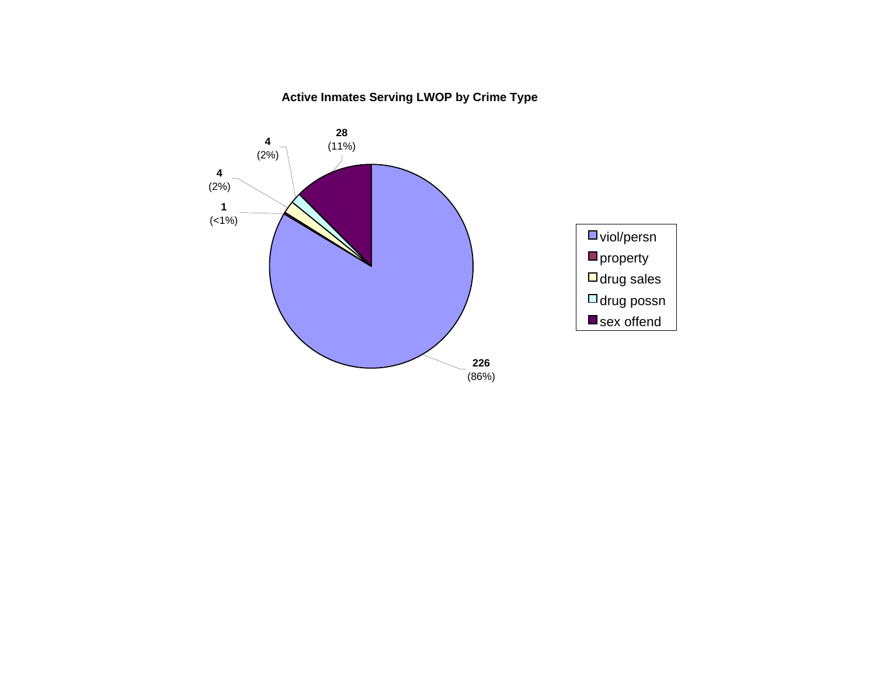# **Active Inmates Serving LWOP by Crime Type**

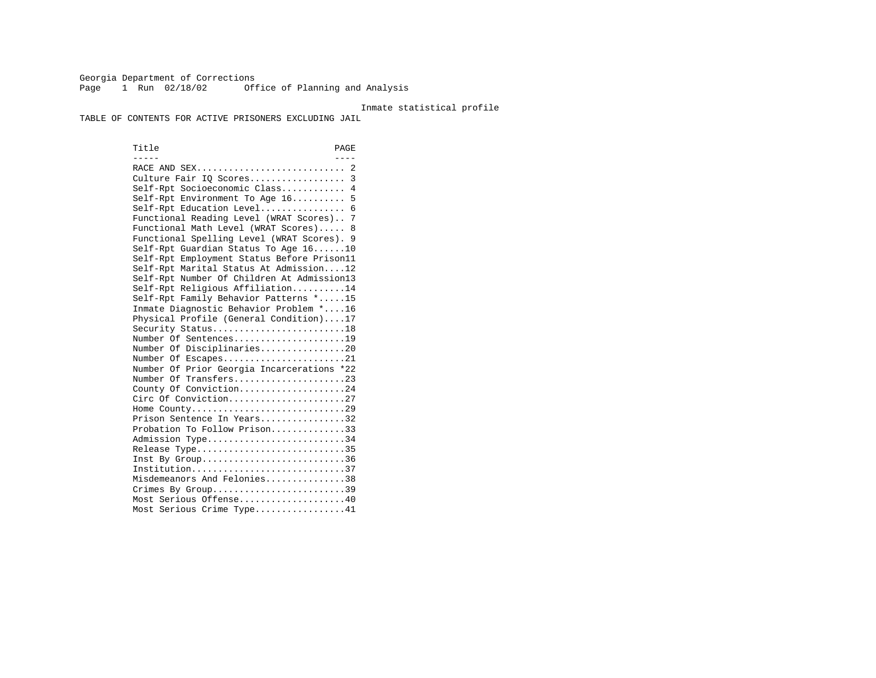Georgia Department of Corrections Page 1 Run 02/18/02 Office of Planning and Analysis

#### Inmate statistical profile

TABLE OF CONTENTS FOR ACTIVE PRISONERS EXCLUDING JAIL

Title PAGE ----- ---- RACE AND SEX............................ 2 Culture Fair IQ Scores.................. 3 Self-Rpt Socioeconomic Class............ 4 Self-Rpt Environment To Age 16.......... 5 Self-Rpt Education Level................ 6 Functional Reading Level (WRAT Scores).. 7 Functional Math Level (WRAT Scores)..... 8 Functional Spelling Level (WRAT Scores). 9 Self-Rpt Guardian Status To Age 16......10 Self-Rpt Employment Status Before Prison11 Self-Rpt Marital Status At Admission....12 Self-Rpt Number Of Children At Admission13 Self-Rpt Religious Affiliation..........14 Self-Rpt Family Behavior Patterns \*.....15 Inmate Diagnostic Behavior Problem \*....16 Physical Profile (General Condition)....17 Security Status...........................18 Number Of Sentences.....................19 Number Of Disciplinaries................20 Number Of Escapes........................21 Number Of Prior Georgia Incarcerations \*22 Number Of Transfers.....................23 County Of Conviction....................24 Circ Of Conviction......................27 Home County.............................29 Prison Sentence In Years................32 Probation To Follow Prison..............33Admission Type............................34 Release Type..............................35 Inst By Group..............................36 Institution.............................37 Misdemeanors And Felonies...............38 Crimes By Group.............................39 Most Serious Offense....................40 Most Serious Crime Type.................41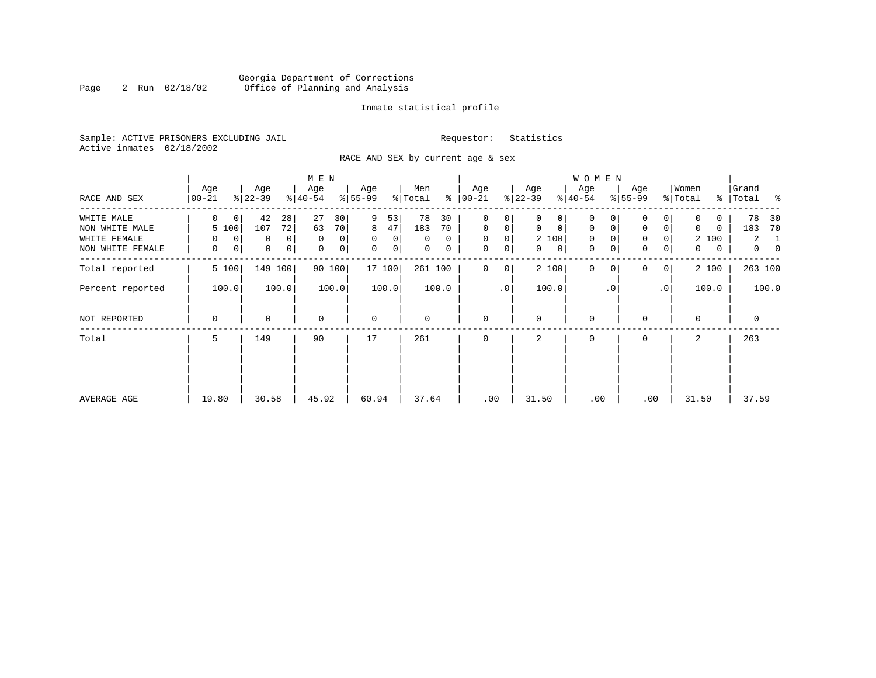### Georgia Department of Corrections Page 2 Run 02/18/02 Office of Planning and Analysis

#### Inmate statistical profile

Sample: ACTIVE PRISONERS EXCLUDING JAIL **Requestor:** Statistics Active inmates 02/18/2002

RACE AND SEX by current age & sex

|                  |                    |                            | M E N            |                          |                     |                  |                             | W O M E N                  |                            |                  |                                  |
|------------------|--------------------|----------------------------|------------------|--------------------------|---------------------|------------------|-----------------------------|----------------------------|----------------------------|------------------|----------------------------------|
| RACE AND SEX     | Age<br>$ 00 - 21 $ | Age<br>$ 22-39 $           | Age<br>$ 40-54 $ | Age<br>$ 55-99$          | Men<br>ႜ<br>% Total | Age<br>$ 00-21$  | Age<br>$ 22-39 $            | Age<br>$ 40-54 $           | Age<br>$8 55-99$           | Women<br>% Total | Grand<br>%   Total<br>ಿ          |
| WHITE MALE       | 0<br>0             | 42<br>28                   | 27<br>30         | 9<br>53                  | 78<br>30            | 0<br>0           | 0                           | 0                          |                            | 0                | 78<br>30                         |
| NON WHITE MALE   | 5 100              | 72<br>107                  | 63<br>70         | 8<br>47                  | 183<br>70           | $\mathbf 0$<br>0 | $\mathbf 0$<br>$\mathbf{0}$ | $\mathbf 0$<br>0           | $\mathbf 0$<br>0           | 0<br>0           | 183<br>70                        |
| WHITE FEMALE     | $\mathbf 0$<br>0   | $\Omega$<br>0              | $\mathbf 0$<br>0 | $\Omega$<br>$\mathbf{0}$ | $\Omega$<br>0       | $\mathbf 0$<br>0 | 2 100                       | $\mathbf 0$                | $\mathbf 0$<br>0           | 2 100            | $\overline{2}$<br>1              |
| NON WHITE FEMALE | 0<br>0             | $\mathbf 0$<br>$\mathbf 0$ | 0<br>0           | $\mathbf 0$<br> 0        | 0<br>0              | 0<br>$\mathbf 0$ | 0<br>$\mathbf{0}$           | $\mathbf 0$<br>$\mathbf 0$ | $\mathbf 0$<br>0           | 0<br>0           | $\overline{0}$<br>$\overline{0}$ |
| Total reported   | 5 100              | 149<br>100                 | 90 100           | 17 100                   | 261 100             | $\mathbf 0$<br>0 | 2 100                       | $\mathbf{0}$               | $\Omega$<br>0 <sup>1</sup> | 2 100            | 263 100                          |
| Percent reported | 100.0              | 100.0                      | 100.0            | 100.0                    | 100.0               | $\cdot$ 0        | 100.0                       | $\cdot$ 0                  | .0'                        | 100.0            | 100.0                            |
| NOT REPORTED     | 0                  | $\mathbf 0$                | $\mathbf 0$      | $\mathbf 0$              | 0                   | $\mathbf 0$      | $\mathbf 0$                 | $\mathbf 0$                | $\Omega$                   | $\mathbf 0$      | 0                                |
| Total            | 5                  | 149                        | 90               | 17                       | 261                 | $\mathbf 0$      | 2                           | 0                          | 0                          | 2                | 263                              |
|                  |                    |                            |                  |                          |                     |                  |                             |                            |                            |                  |                                  |
|                  |                    |                            |                  |                          |                     |                  |                             |                            |                            |                  |                                  |
| AVERAGE AGE      | 19.80              | 30.58                      | 45.92            | 60.94                    | 37.64               | .00              | 31.50                       | .00                        | .00                        | 31.50            | 37.59                            |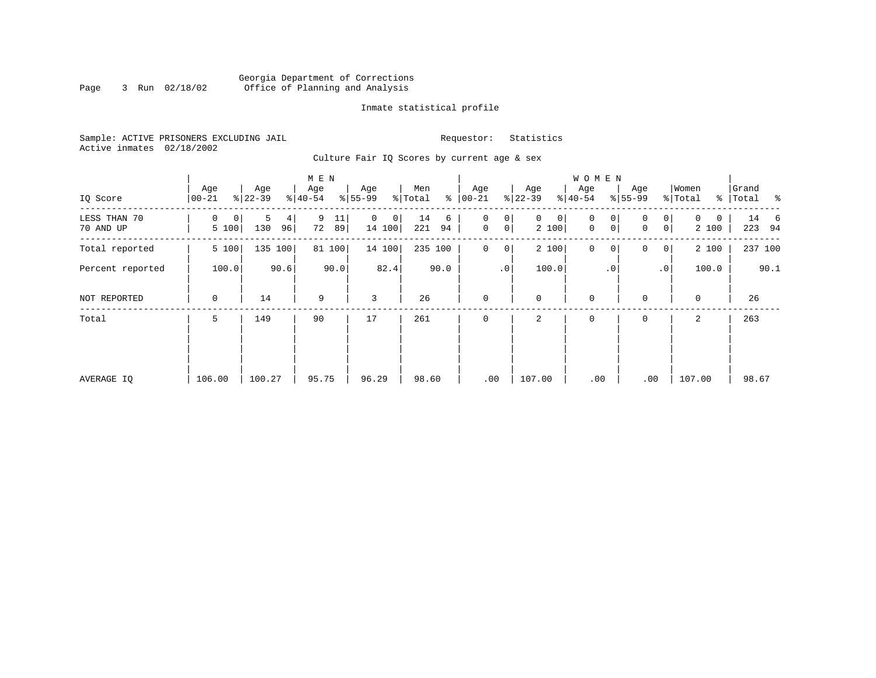### Georgia Department of Corrections Page 3 Run 02/18/02 Office of Planning and Analysis

#### Inmate statistical profile

Sample: ACTIVE PRISONERS EXCLUDING JAIL **Requestor:** Statistics Active inmates 02/18/2002

Culture Fair IQ Scores by current age & sex

|                           |                  |                     | M E N               |                             |                      |                                       |                            | W O M E N                            |                                         |                                   |                                 |
|---------------------------|------------------|---------------------|---------------------|-----------------------------|----------------------|---------------------------------------|----------------------------|--------------------------------------|-----------------------------------------|-----------------------------------|---------------------------------|
| IQ Score                  | Age<br>$00 - 21$ | Age<br>$ 22-39 $    | Age<br>$8 40-54$    | Age<br>$8 55-99$            | Men<br>ి<br>% Total  | Age<br>$ 00 - 21 $                    | Age<br>$ 22-39 $           | Age<br>$ 40-54 $                     | Age<br>$8 55-99$                        | Women<br>% Total<br>$\frac{8}{6}$ | Grand<br>$\sim$ $\sim$<br>Total |
| LESS THAN 70<br>70 AND UP | 0<br>0<br>5 100  | 5<br>4<br>130<br>96 | 9<br>11<br>72<br>89 | 0<br>$\mathsf{O}$<br>14 100 | 14<br>6<br>221<br>94 | 0<br>0<br>$\mathsf{O}$<br>$\mathbf 0$ | $\mathbf{0}$<br>0<br>2 100 | 0<br>0<br>$\mathbf 0$<br>$\mathbf 0$ | 0<br>0<br>0 <sup>1</sup><br>$\mathbf 0$ | $\Omega$<br>0<br>2 100            | 14 6<br>223 94                  |
| Total reported            | 5 100            | 135 100             | 100<br>81           | 14 100                      | 235 100              | $\mathbf 0$<br>0                      | 2 100                      | $\mathbf 0$<br>0                     | 0<br>0 <sup>1</sup>                     | 2 100                             | 237 100                         |
| Percent reported          | 100.0            | 90.6                | 90.0                | 82.4                        | 90.0                 | $\cdot$ 0                             | 100.0                      | $\cdot$ 0                            | .0'                                     | 100.0                             | 90.1                            |
| NOT REPORTED              | 0                | 14                  | 9                   | 3                           | 26                   | $\mathbf{0}$                          | $\mathbf 0$                | $\mathbf 0$                          | $\mathbf 0$                             | $\mathbf 0$                       | 26                              |
| Total                     | 5                | 149                 | 90                  | 17                          | 261                  | $\mathbf 0$                           | 2                          | 0                                    | 0                                       | 2                                 | 263                             |
|                           |                  |                     |                     |                             |                      |                                       |                            |                                      |                                         |                                   |                                 |
|                           |                  |                     |                     |                             |                      |                                       |                            |                                      |                                         |                                   |                                 |
| AVERAGE IQ                | 106.00           | 100.27              | 95.75               | 96.29                       | 98.60                | .00                                   | 107.00                     | .00                                  | .00                                     | 107.00                            | 98.67                           |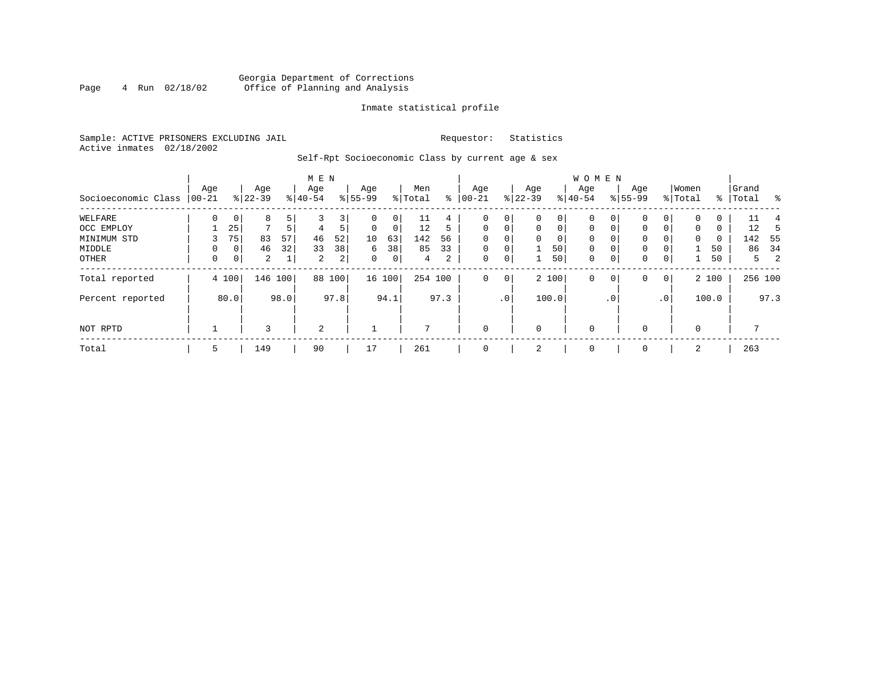### Georgia Department of Corrections<br>4 Run 02/18/02 Office of Planning and Analysis Page 4 Run 02/18/02 Office of Planning and Analysis

#### Inmate statistical profile

Sample: ACTIVE PRISONERS EXCLUDING JAIL **Requestor:** Statistics Active inmates 02/18/2002

Self-Rpt Socioeconomic Class by current age & sex

|                     |                 |             |                  |         | M E N            |                |                  |             |                |      |                   |                 |                  |             | <b>WOMEN</b>     |             |                    |                |                  |             |                |         |      |
|---------------------|-----------------|-------------|------------------|---------|------------------|----------------|------------------|-------------|----------------|------|-------------------|-----------------|------------------|-------------|------------------|-------------|--------------------|----------------|------------------|-------------|----------------|---------|------|
| Socioeconomic Class | Age<br>$ 00-21$ |             | Age<br>$8 22-39$ |         | Age<br>$8 40-54$ |                | Age<br>$8 55-99$ |             | Men<br>% Total | ႜ    | Age<br>$ 00 - 21$ |                 | Age<br>$ 22-39 $ |             | Age<br>$ 40-54 $ |             | Age<br>$8155 - 99$ |                | Women<br>% Total | $\approx$ 1 | Grand<br>Total |         | ಿ    |
| WELFARE             | 0               | 0           | 8                | 5       |                  | 3              | 0                | 0           | ᆂᆂ             | 4    |                   | 0 <sup>1</sup>  | 0                | 0           | 0                | 0           | 0                  | 0              | 0                | 0           |                | ⊥⊥      |      |
| OCC EMPLOY          |                 | 25          | 7                | 5       |                  | 5.             | 0                | $\mathbf 0$ | 12             | 5    | $\mathbf 0$       | $\overline{0}$  | 0                | $\mathbf 0$ | $\mathbf{0}$     | 0           | 0                  | 0              | $\mathbf 0$      | 0           |                | 12      |      |
| MINIMUM STD         |                 | 75          | 83               | 57      | 46               | 52             | 10               | 63          | 142            | 56   | $\Omega$          | $\Omega$        | $\Omega$         | 0           | $\mathbf 0$      |             | 0                  |                | $\mathbf 0$      | $\mathbf 0$ |                | 142     | - 55 |
| MIDDLE              | 0               | 0           | 46               | 32      | 33               | 38             | 6                | 38          | 85             | 33   | $\mathbf 0$       | 0               |                  | 50          | $\mathbf{0}$     | 0           | $\mathbf 0$        |                |                  | 50          |                | 86      | 34   |
| OTHER               | 0               | $\mathbf 0$ | $\overline{a}$   |         | $\overline{c}$   | $\overline{2}$ | $\mathbf 0$      | 0           | 4              | 2    | 0                 | $\circ$         |                  | 50          | $\mathbf 0$      | $\mathbf 0$ | 0                  | $\overline{0}$ |                  | 50          |                | 5       | 2    |
| Total reported      |                 | 4 100       |                  | 146 100 | 88               | 100            |                  | 16 100      | 254 100        |      | $\circ$           | 0 <sup>1</sup>  |                  | 2 100       | $\mathbf 0$      | 0           | 0                  | 0 <sup>1</sup> |                  | 2 100       |                | 256 100 |      |
| Percent reported    |                 | 80.0        |                  | 98.0    |                  | 97.8           |                  | 94.1        |                | 97.3 |                   | .0 <sup>1</sup> |                  | 100.0       |                  | . 0         |                    | $\cdot$ 0      |                  | 100.0       |                |         | 97.3 |
| NOT RPTD            |                 |             |                  |         | $\overline{2}$   |                |                  |             |                |      | $\Omega$          |                 | $\mathbf 0$      |             | $\mathbf 0$      |             | $\Omega$           |                | $\mathbf 0$      |             |                |         |      |
| Total               | 5               |             | 149              |         | 90               |                | 17               |             | 261            |      | 0                 |                 | 2                |             | 0                |             | 0                  |                | 2                |             |                | 263     |      |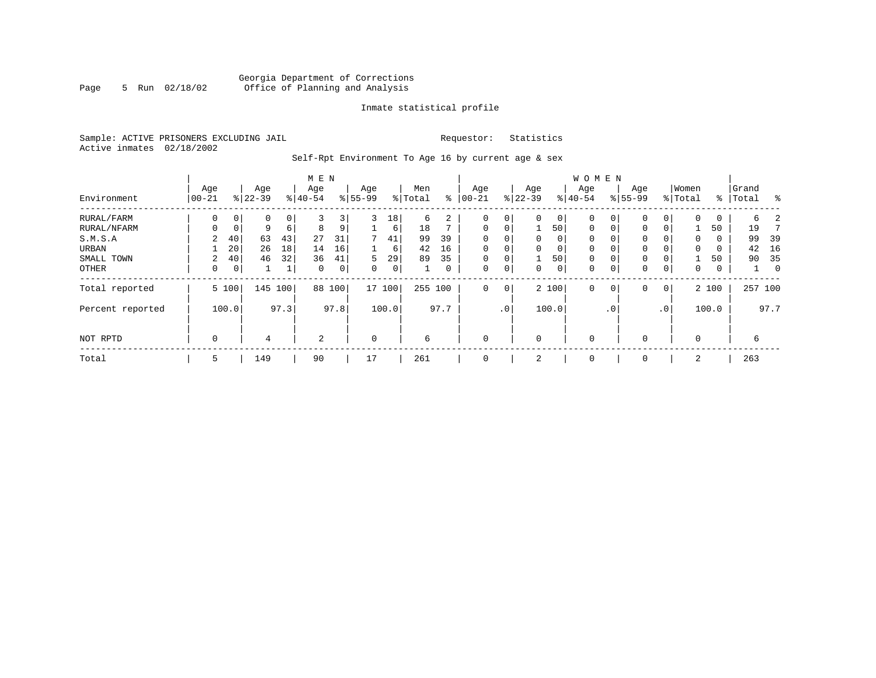### Georgia Department of Corrections Page 5 Run 02/18/02 Office of Planning and Analysis

#### Inmate statistical profile

Sample: ACTIVE PRISONERS EXCLUDING JAIL **Requestor:** Statistics Active inmates 02/18/2002

Self-Rpt Environment To Age 16 by current age & sex

|                  | M E N        |             |           |      |             |      |           |        |         |      |             |                 |          |       | <b>WOMEN</b> |                 |             |                |             |       |           |                |
|------------------|--------------|-------------|-----------|------|-------------|------|-----------|--------|---------|------|-------------|-----------------|----------|-------|--------------|-----------------|-------------|----------------|-------------|-------|-----------|----------------|
|                  | Age          |             | Age       |      | Age         |      | Age       |        | Men     |      | Age         |                 | Age      |       | Age          |                 | Age         |                | Women       |       | Grand     |                |
| Environment      | $00 - 21$    |             | $8 22-39$ |      | $8 40-54$   |      | $8 55-99$ |        | % Total | ి    | $00 - 21$   |                 | $ 22-39$ |       | $8 40-54$    |                 | $8155 - 99$ |                | % Total     |       | %   Total | ႜ              |
| RURAL/FARM       | 0            | 0           | 0         | 0    | 3           | 3    | 3         | 18     | 6       | 2    | 0           | 0               | 0        | 0     | $\mathbf 0$  | 0               | 0           | 0              | $\mathbf 0$ | 0     | б.        |                |
| RURAL/NFARM      | 0            | $\mathbf 0$ | 9         | 6    | 8           | 9    |           | 6      | 18      |      | $\mathbf 0$ | 0               |          | 50    | $\mathbf 0$  | $\mathbf 0$     | 0           | $\mathbf{0}$   |             | 50    | 19        |                |
| S.M.S.A          | $\mathbf{2}$ | 40          | 63        | 43   | 27          | 31   | 7         | 41     | 99      | 39   | 0           | $\Omega$        | $\Omega$ | 0     | $\Omega$     |                 | $\Omega$    |                | $\Omega$    | 0     | 99        | 39             |
| URBAN            |              | 20          | 26        | 18   | 14          | 16   |           | 6      | 42      | 16   | $\mathbf 0$ | 0               | $\Omega$ | 0     | $\Omega$     | $\Omega$        | $\Omega$    |                | $\Omega$    | 0     | 42        | 16             |
| SMALL TOWN       | 2            | 40          | 46        | 32   | 36          | 41   | 5         | 29     | 89      | 35   | $\mathbf 0$ | 0               |          | 50    | 0            | $\Omega$        | $\Omega$    | 0              |             | 50    | 90        | 35             |
| OTHER            | 0            | 0           |           | 1    | $\mathbf 0$ | 0    | $\Omega$  | 0      |         | 0    | $\mathbf 0$ | $\mathbf 0$     | 0        | 0     | 0            | $\mathbf 0$     | 0           | 0              | 0           | 0     |           | $\overline{0}$ |
| Total reported   |              | 5 100       | 145       | 100  | 88          | 100  |           | 17 100 | 255     | 100  | $\mathbf 0$ | $\mathbf 0$     |          | 2 100 | $\mathbf 0$  | $\mathbf 0$     | 0           | $\overline{0}$ |             | 2 100 |           | 257 100        |
| Percent reported |              | 100.0       |           | 97.3 |             | 97.8 |           | 100.0  |         | 97.7 |             | .0 <sup>°</sup> |          | 100.0 |              | .0 <sup>°</sup> |             | .0'            |             | 100.0 |           | 97.7           |
| NOT RPTD         | 0            |             | 4         |      | 2           |      | $\Omega$  |        | 6       |      | $\mathbf 0$ |                 | $\Omega$ |       | $\mathbf 0$  |                 | $\Omega$    |                | $\Omega$    |       | 6         |                |
| Total            | 5            |             | 149       |      | 90          |      | 17        |        | 261     |      | $\mathbf 0$ |                 |          |       | 0            |                 | $\Omega$    |                | 2           |       | 263       |                |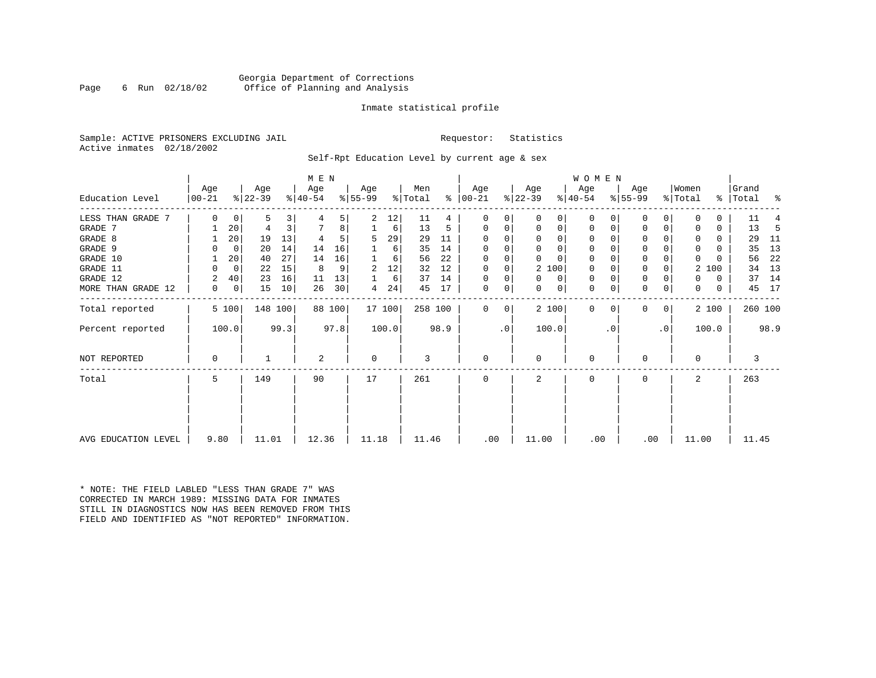#### Georgia Department of Corrections Page 6 Run 02/18/02 Office of Planning and Analysis

#### Inmate statistical profile

Sample: ACTIVE PRISONERS EXCLUDING JAIL **Requestor:** Statistics Active inmates 02/18/2002

Self-Rpt Education Level by current age & sex

|                     |           |             | M E N     |      |           |        |          |        |         |      |          |    | WOMEN     |          |             |          |           |           |              |       |           |         |
|---------------------|-----------|-------------|-----------|------|-----------|--------|----------|--------|---------|------|----------|----|-----------|----------|-------------|----------|-----------|-----------|--------------|-------|-----------|---------|
|                     | Age       |             | Age       |      | Age       |        | Age      |        | Men     | ⊱    | Age      |    | Age       |          | Age         |          | Age       |           | Women        |       | Grand     |         |
| Education Level     | $00 - 21$ |             | $ 22-39 $ |      | $ 40-54 $ |        | $ 55-99$ |        | % Total |      | $ 00-21$ |    | $ 22-39 $ |          | $ 40-54 $   |          | $8 55-99$ |           | % Total      |       | %   Total | ႜ       |
| LESS THAN GRADE 7   | 0         | 0           | 5         | 3    |           | 5      | 2        | 12     | 11      | 4    | 0        | 0  | $\Omega$  | 0        | $\mathbf 0$ | O        | 0         |           |              |       | 11        |         |
| GRADE 7             |           | 20          | 4         | 3    |           | 8      |          | 6      | 13      | 5    | $\Omega$ | 0  | 0         | 0        | 0           | 0        | $\Omega$  |           |              | 0     | 13        | -5      |
| GRADE 8             |           | 20          | 19        | 13   |           |        | 5        | 29     | 29      | 11   | $\Omega$ |    | $\Omega$  | 0        | $\Omega$    |          | $\Omega$  |           |              | 0     | 29        | -11     |
| GRADE 9             |           | 0           | 20        | 14   | 14        | 16     |          | 6      | 35      | 14   |          |    | $\Omega$  | 0        | 0           | O        | 0         |           | <sup>0</sup> | U     | 35        | 13      |
| GRADE 10            |           | 20          | 40        | 27   | 14        | 16     |          | 6      | 56      | 22   | $\Omega$ | 0  | $\Omega$  | $\Omega$ | $\mathbf 0$ | $\Omega$ | 0         |           | $\Omega$     |       | 56        | 22      |
| GRADE 11            | 0         | $\mathbf 0$ | 22        | 15   | 8         | 9      | 2        | 12     | 32      | 12   | $\Omega$ |    |           | 2 100    | 0           |          | $\Omega$  |           | 2            | 100   | 34        | 13      |
| GRADE 12            | 2         | 40          | 23        | 16   | 11        | 13     |          | 6      | 37      | 14   | $\Omega$ | 0  | $\Omega$  | 0        | 0           | $\Omega$ | 0         |           | 0            | 0     | 37        | 14      |
| MORE THAN GRADE 12  | 0         | 0           | 15        | 10   | 26        | 30     | 4        | 24     | 45      | 17   | 0        | 0  | 0         | 0        | 0           | 0        | 0         | 0         | $\mathbf 0$  | 0     | 45        | 17      |
| Total reported      |           | 5 100       | 148 100   |      |           | 88 100 |          | 17 100 | 258 100 |      | $\Omega$ | 0  |           | 2 100    | $\mathbf 0$ | $\Omega$ | 0         | 0         |              | 2 100 |           | 260 100 |
| Percent reported    |           | 100.0       |           | 99.3 |           | 97.8   |          | 100.0  |         | 98.9 |          | .0 | 100.0     |          |             | . 0      |           | $\cdot$ 0 |              | 100.0 |           | 98.9    |
| <b>NOT REPORTED</b> | $\Omega$  |             |           |      | 2         |        | 0        |        | 3       |      | $\Omega$ |    | $\Omega$  |          | $\mathbf 0$ |          | $\Omega$  |           | $\Omega$     |       | 3         |         |
| Total               | 5         |             | 149       |      | 90        |        | 17       |        | 261     |      | $\Omega$ |    | 2         |          | $\mathbf 0$ |          | $\Omega$  |           | 2            |       | 263       |         |
|                     |           |             |           |      |           |        |          |        |         |      |          |    |           |          |             |          |           |           |              |       |           |         |
| AVG EDUCATION LEVEL |           |             | 11.01     |      | 12.36     |        | 11.18    |        | 11.46   |      | .00      |    | 11.00     |          | .00         |          | .00       |           | 11.00        |       | 11.45     |         |
|                     | 9.80      |             |           |      |           |        |          |        |         |      |          |    |           |          |             |          |           |           |              |       |           |         |

\* NOTE: THE FIELD LABLED "LESS THAN GRADE 7" WAS CORRECTED IN MARCH 1989: MISSING DATA FOR INMATES STILL IN DIAGNOSTICS NOW HAS BEEN REMOVED FROM THIS FIELD AND IDENTIFIED AS "NOT REPORTED" INFORMATION.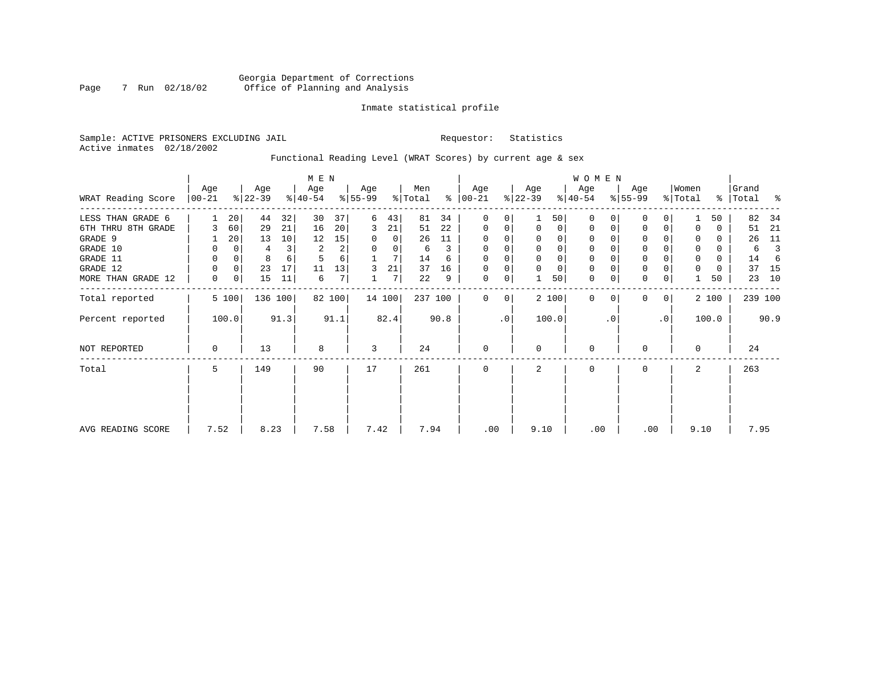### Georgia Department of Corrections Page 7 Run 02/18/02 Office of Planning and Analysis

#### Inmate statistical profile

Sample: ACTIVE PRISONERS EXCLUDING JAIL **Requestor:** Statistics Active inmates 02/18/2002

### Functional Reading Level (WRAT Scores) by current age & sex

|                    |                |          |                  |         | M E N            |        |                  |        |                |      |                  |                |                  |       | W O M E N        |          |                  |                |                  |       |                |         |
|--------------------|----------------|----------|------------------|---------|------------------|--------|------------------|--------|----------------|------|------------------|----------------|------------------|-------|------------------|----------|------------------|----------------|------------------|-------|----------------|---------|
| WRAT Reading Score | Age<br>  00-21 |          | Age<br>$ 22-39 $ |         | Age<br>$8 40-54$ |        | Age<br>$8 55-99$ |        | Men<br>% Total | ွေ   | Age<br>$ 00-21 $ |                | Age<br>$ 22-39 $ |       | Age<br>$ 40-54 $ |          | Age<br>$8 55-99$ |                | Women<br>% Total | %     | Grand<br>Total | း -     |
| LESS THAN GRADE 6  |                | 20       | 44               | 32      | 30               | 37     | 6                | 43     | 81             | 34   | $\mathbf 0$      | 0              |                  | 50    | $\mathbf{0}$     | $\Omega$ | 0                | 0              |                  | 50    | 82             | 34      |
| 6TH THRU 8TH GRADE |                | 60       | 29               | 21      | 16               | 20     | 3                | 21     | 51             | 22   | $\mathbf 0$      | 0              | $\mathbf 0$      | 0     | 0                | 0        | 0                | 0              | $\Omega$         | 0     | 51             | 21      |
| GRADE 9            |                | 20       | 13               | 10      | 12               | 15     | 0                | 0      | 26             | 11   |                  |                | 0                | 0     | 0                |          | 0                |                | 0                |       | 26             | 11      |
| GRADE 10           | 0              | 0        |                  | 3       | $\overline{2}$   | 2      | $\Omega$         | 0      | 6              | 3    | 0                |                | $\mathbf 0$      | 0     | 0                |          | 0                |                | 0                | 0     | 6              | 3       |
| GRADE 11           | $\Omega$       | $\Omega$ | 8                | 6       |                  | 6      |                  | 7      | 14             | 6    |                  |                |                  | 0     | $\Omega$         |          | $\Omega$         |                | $\Omega$         | 0     | 14             | -6      |
| GRADE 12           | 0              | 0        | 23               | 17      | 11               | 13     | 3                | 21     | 37             | 16   | $\Omega$         |                | $\Omega$         | 0     | 0                |          | $\mathbf 0$      |                | $\Omega$         | 0     | 37             | 15      |
| MORE THAN GRADE 12 | 0              | 0        | 15               | 11      | 6                | 7      |                  | 7      | 22             | 9    | 0                | $\overline{0}$ |                  | 50    | $\mathbf{0}$     | 0        | $\Omega$         | 0              |                  | 50    | 23             | 10      |
| Total reported     |                | 5 100    |                  | 136 100 |                  | 82 100 |                  | 14 100 | 237 100        |      | $\Omega$         | 0 <sup>1</sup> |                  | 2 100 | $\mathbf{0}$     | $\Omega$ | 0                | 0 <sup>1</sup> |                  | 2 100 |                | 239 100 |
| Percent reported   |                | 100.0    |                  | 91.3    |                  | 91.1   |                  | 82.4   |                | 90.8 |                  | $\cdot$ 0      |                  | 100.0 |                  | . 0      |                  | $\cdot$ 0      |                  | 100.0 |                | 90.9    |
| NOT REPORTED       | 0              |          | 13               |         | 8                |        | 3                |        | 24             |      | $\mathbf 0$      |                | $\mathbf 0$      |       | 0                |          | 0                |                | $\mathbf 0$      |       | 24             |         |
| Total              | 5              |          | 149              |         | 90               |        | 17               |        | 261            |      | $\Omega$         |                | 2                |       | 0                |          | 0                |                | 2                |       | 263            |         |
|                    |                |          |                  |         |                  |        |                  |        |                |      |                  |                |                  |       |                  |          |                  |                |                  |       |                |         |
|                    |                |          |                  |         |                  |        |                  |        |                |      |                  |                |                  |       |                  |          |                  |                |                  |       |                |         |
| AVG READING SCORE  | 7.52           |          | 8.23             |         | 7.58             |        | 7.42             |        | 7.94           |      | .00              |                | 9.10             |       | .00              |          | .00              |                | 9.10             |       | 7.95           |         |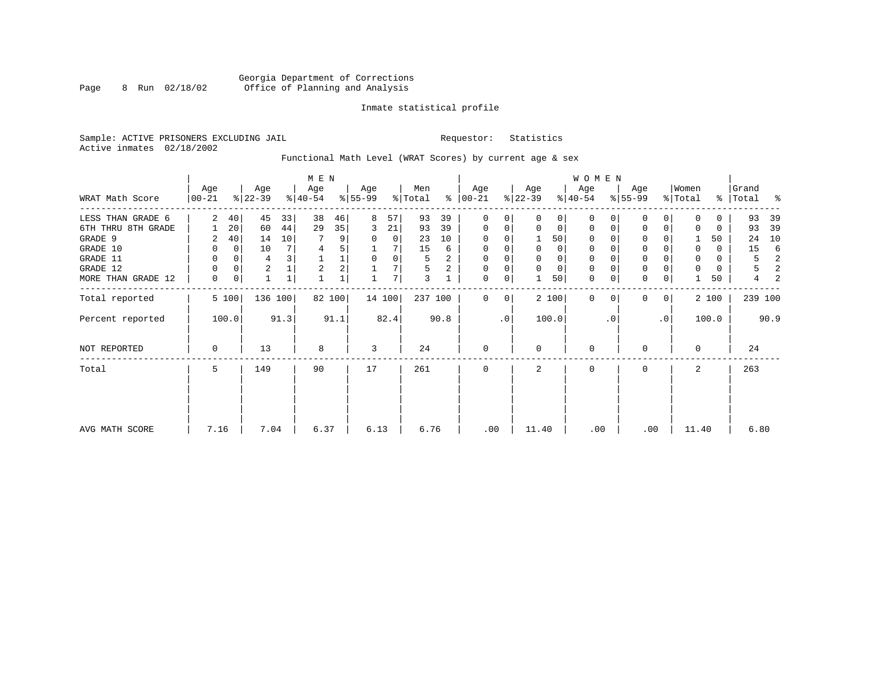### Georgia Department of Corrections Page 8 Run 02/18/02 Office of Planning and Analysis

#### Inmate statistical profile

Sample: ACTIVE PRISONERS EXCLUDING JAIL **Requestor:** Statistics Active inmates 02/18/2002

# Functional Math Level (WRAT Scores) by current age & sex

|                    |            |                 |                |              | M E N          |        |             |      |         |                |                |             |             |       | WOMEN       |             |             |              |          |          |           |      |
|--------------------|------------|-----------------|----------------|--------------|----------------|--------|-------------|------|---------|----------------|----------------|-------------|-------------|-------|-------------|-------------|-------------|--------------|----------|----------|-----------|------|
|                    | Age        |                 | Age            |              | Age            |        | Age         |      | Men     |                | Age            |             | Age         |       | Age         |             | Age         |              | Women    |          | Grand     |      |
| WRAT Math Score    | $ 00 - 21$ |                 | $ 22-39 $      |              | $ 40-54 $      |        | $8 55-99$   |      | % Total |                | $% 00-21$      |             | $ 22-39 $   |       | $ 40-54 $   |             | $8 55-99$   |              | % Total  |          | %   Total | ႜ    |
| LESS THAN GRADE 6  | 2          | 40 <sup>1</sup> | 45             | 33           | 38             | 46     | 8           | 57   | 93      | 39             | $\mathbf{0}$   | 0           | $\mathbf 0$ | 0     | $\Omega$    |             | $\Omega$    |              | $\Omega$ | 0        | 93        | 39   |
| 6TH THRU 8TH GRADE |            | 20 <sup>1</sup> | 60             | 44           | 29             | 35     | 3           | 21   | 93      | 39             | 0              | 0           | $\mathbf 0$ | 0     | 0           | 0           | $\Omega$    | 0            | $\Omega$ | 0        | 93        | 39   |
| GRADE 9            | 2          | 40              | 14             | 10           |                | 9      | 0           | 0    | 23      | 10             | $\Omega$       |             |             | 50    | $\Omega$    |             | 0           |              |          | 50       | 24        | 10   |
| GRADE 10           | 0          | $\overline{0}$  | 10             |              | $\overline{4}$ | 5      |             |      | 15      | 6              | 0              | $\Omega$    | $\Omega$    | 0     | $\mathbf 0$ | $\Omega$    | $\mathbf 0$ |              | $\Omega$ | $\Omega$ | 15        | 6    |
| GRADE 11           | 0          | $\Omega$        | 4              |              |                | 1      | $\mathbf 0$ | 0    | 5       | 2              | $\mathbf 0$    |             |             | 0     | 0           |             | $\mathbf 0$ |              | 0        | 0        | 5         | 2    |
| GRADE 12           | $\Omega$   | $\overline{0}$  | $\overline{2}$ |              | $\overline{a}$ | 2      |             | 7    | 5       | $\overline{2}$ | $\overline{0}$ | 0           | $\mathbf 0$ | 0     | 0           | $\Omega$    | $\mathbf 0$ |              |          | 0        | 5         | 2    |
| MORE THAN GRADE 12 | 0          | 0               | $\mathbf{1}$   | $\mathbf{1}$ |                |        |             | 7    | 3       |                | $\mathbf 0$    | 0           |             | 50    | $\mathbf 0$ | $\mathbf 0$ | $\mathbf 0$ | 0            |          | 50       | 4         |      |
| Total reported     |            | 5 100           | 136 100        |              |                | 82 100 | 14 100      |      | 237 100 |                | $\Omega$       | $\mathbf 0$ |             | 2 100 | $\Omega$    | $\Omega$    | $\Omega$    | $\mathbf{0}$ |          | 2 100    | 239 100   |      |
| Percent reported   |            | 100.0           |                | 91.3         |                | 91.1   |             | 82.4 |         | 90.8           |                | .0          |             | 100.0 |             | $\cdot$ 0   |             | $\cdot$ 0    |          | 100.0    |           | 90.9 |
| NOT REPORTED       | 0          |                 | 13             |              | 8              |        | 3           |      | 24      |                | $\mathbf{0}$   |             | 0           |       | $\mathbf 0$ |             | $\Omega$    |              | $\Omega$ |          | 24        |      |
| Total              | 5          |                 | 149            |              | 90             |        | 17          |      | 261     |                | 0              |             | 2           |       | 0           |             | $\Omega$    |              | 2        |          | 263       |      |
|                    |            |                 |                |              |                |        |             |      |         |                |                |             |             |       |             |             |             |              |          |          |           |      |
| AVG MATH SCORE     | 7.16       |                 | 7.04           |              | 6.37           |        | 6.13        |      | 6.76    |                | .00            |             | 11.40       |       | .00         |             | .00         |              | 11.40    |          | 6.80      |      |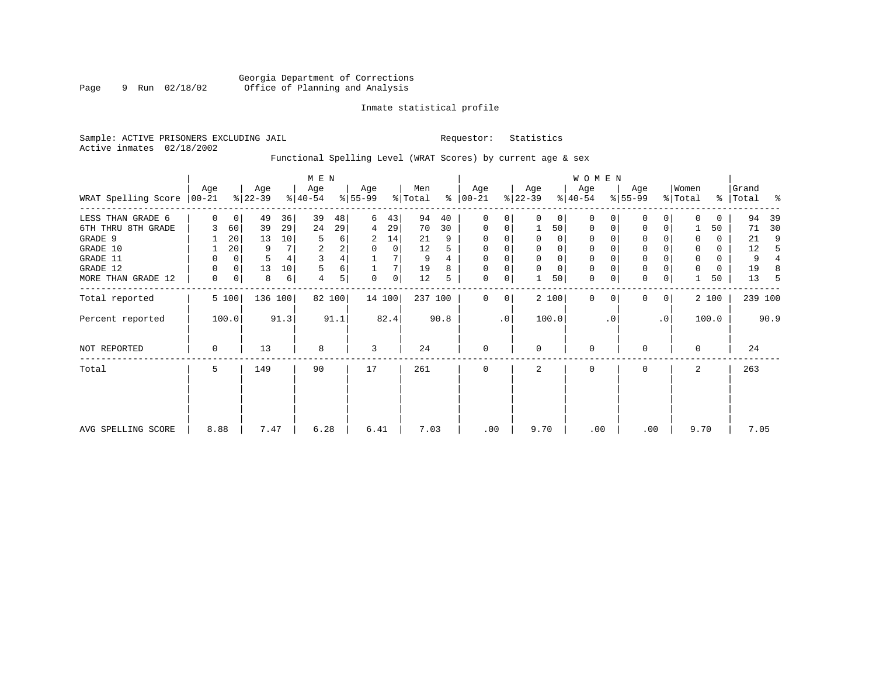#### Inmate statistical profile

Sample: ACTIVE PRISONERS EXCLUDING JAIL **Requestor:** Statistics Active inmates 02/18/2002

# Functional Spelling Level (WRAT Scores) by current age & sex

|                     |             |             |           |      | M E N     |        |             |             |         |      |               |           |           |             | <b>WOMEN</b> |          |             |                 |             |       |           |      |
|---------------------|-------------|-------------|-----------|------|-----------|--------|-------------|-------------|---------|------|---------------|-----------|-----------|-------------|--------------|----------|-------------|-----------------|-------------|-------|-----------|------|
|                     | Age         |             | Age       |      | Age       |        | Age         |             | Men     |      | Age           |           | Age       |             | Age          |          | Age         |                 | Women       |       | Grand     |      |
| WRAT Spelling Score | $ 00-21 $   |             | $ 22-39 $ |      | $ 40-54 $ |        | $ 55-99 $   |             | % Total |      | $8   00 - 21$ |           | $ 22-39 $ |             | $ 40-54 $    |          | $8 55-99$   |                 | % Total     |       | %   Total | နွ   |
| LESS THAN GRADE 6   | $\Omega$    | $\mathbf 0$ | 49        | 36   | 39        | 48     | 6           | 43          | 94      | 40   | 0             | 0         | $\Omega$  | $\mathbf 0$ | $\Omega$     | $\Omega$ | $\Omega$    | 0               | $\Omega$    | 0     | 94        | 39   |
| 6TH THRU 8TH GRADE  |             | 60          | 39        | 29   | 24        | 29     | 4           | 29          | 70      | 30   | $\mathbf 0$   | 0         |           | 50          | $\mathbf 0$  | $\Omega$ | 0           | 0               |             | 50    | 71        | 30   |
| GRADE 9             |             | 20          | 13        | 10   |           | 6      | 2           | 14          | 21      | 9    | $\Omega$      | 0         | $\Omega$  | 0           | $\Omega$     |          | 0           |                 | $\Omega$    | 0     | 21        | 9    |
| GRADE 10            |             | 20          | 9         |      | 2         | 2      | $\mathbf 0$ | 0           | 12      | 5    | $\mathbf 0$   | 0         | $\Omega$  | $\mathbf 0$ | $\mathbf 0$  |          | $\mathbf 0$ |                 | 0           | 0     | 12        | 5    |
| GRADE 11            | 0           | 0           | 5         |      | 3         | 4      |             |             | 9       |      | 0             |           |           | $\mathbf 0$ | 0            |          | $\mathbf 0$ |                 | 0           | 0     | 9         |      |
| GRADE 12            | 0           | 0           | 13        | 10   | 5         | 6      |             | 7           | 19      | 8    | $\mathbf 0$   | 0         |           | $\mathbf 0$ | 0            |          | $\mathsf 0$ |                 | $\mathbf 0$ | 0     | 19        | 8    |
| MORE THAN GRADE 12  | 0           | 0           | 8         | 6    | 4         | 5      | $\Omega$    | $\mathbf 0$ | 12      | 5    | $\mathbf 0$   | 0         |           | 50          | $\mathbf 0$  | 0        | $\mathbf 0$ | 0               |             | 50    | 13        | -5   |
| Total reported      |             | 5 100       | 136 100   |      |           | 82 100 | 14 100      |             | 237 100 |      | 0             | 0         |           | 2 100       | $\Omega$     | $\Omega$ | $\Omega$    | $\overline{0}$  |             | 2 100 | 239 100   |      |
| Percent reported    |             | 100.0       |           | 91.3 |           | 91.1   |             | 82.4        |         | 90.8 |               | $\cdot$ 0 |           | 100.0       |              | . 0      |             | .0 <sup>1</sup> |             | 100.0 |           | 90.9 |
| NOT REPORTED        | $\mathbf 0$ |             | 13        |      | 8         |        | 3           |             | 24      |      | $\mathbf{0}$  |           | $\Omega$  |             | $\mathbf 0$  |          | $\Omega$    |                 | $\Omega$    |       | 24        |      |
| Total               | 5           |             | 149       |      | 90        |        | 17          |             | 261     |      | $\mathbf 0$   |           | 2         |             | $\mathbf 0$  |          | $\Omega$    |                 | 2           |       | 263       |      |
|                     |             |             |           |      |           |        |             |             |         |      |               |           |           |             |              |          |             |                 |             |       |           |      |
|                     |             |             |           |      |           |        |             |             |         |      |               |           |           |             |              |          |             |                 |             |       |           |      |
| AVG SPELLING SCORE  | 8.88        |             | 7.47      |      | 6.28      |        | 6.41        |             | 7.03    |      | .00           |           | 9.70      |             | .00          |          | .00         |                 | 9.70        |       | 7.05      |      |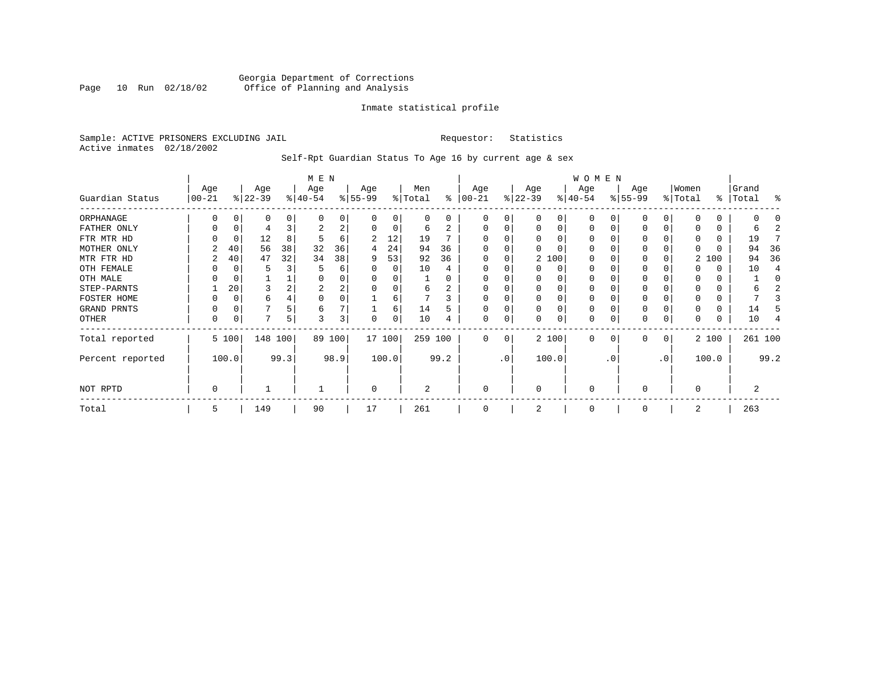#### Georgia Department of Corrections Page 10 Run 02/18/02 Office of Planning and Analysis

#### Inmate statistical profile

Sample: ACTIVE PRISONERS EXCLUDING JAIL **Requestor:** Statistics Active inmates 02/18/2002

### Self-Rpt Guardian Status To Age 16 by current age & sex

|                  | M E N     |          |           |      |           |          |          |        |         |      |          |           |           |          | W O M E N   |              |           |              |              |               |       |                |
|------------------|-----------|----------|-----------|------|-----------|----------|----------|--------|---------|------|----------|-----------|-----------|----------|-------------|--------------|-----------|--------------|--------------|---------------|-------|----------------|
|                  | Age       |          | Age       |      | Age       |          | Age      |        | Men     |      | Age      |           | Age       |          | Age         |              | Age       |              | Women        |               | Grand |                |
| Guardian Status  | $00 - 21$ |          | $ 22-39 $ |      | $ 40-54 $ |          | $ 55-99$ |        | % Total | ႜ    | $ 00-21$ |           | $ 22-39 $ |          | $ 40-54 $   |              | $ 55-99 $ |              | % Total      | $\frac{8}{6}$ | Total | ႜ              |
| ORPHANAGE        | O         | $\Omega$ | O         |      | $\Omega$  | $\Omega$ | $\Omega$ | 0      | 0       | 0    | $\Omega$ | 0         | $\Omega$  | $\Omega$ | $\Omega$    | <sup>0</sup> | $\Omega$  | <sup>0</sup> | <sup>0</sup> | 0             |       |                |
| FATHER ONLY      | 0         | 0        | 4         |      | 2         | 2        | 0        | 0      | 6       | 2    | $\Omega$ |           | $\Omega$  | 0        | $\Omega$    | $\Omega$     | $\Omega$  |              | $\left($     | 0             | b     | 2              |
| FTR MTR HD       | U         | $\Omega$ | 12        | 8    | 5         | 6        |          | 12     | 19      |      |          |           | $\Omega$  | O        | $\Omega$    |              | $\Omega$  |              | n            | 0             | 19    |                |
| MOTHER ONLY      |           | 40       | 56        | 38   | 32        | 36       | 4        | 24     | 94      | 36   |          |           | 0         |          | 0           |              | $\Omega$  |              | <sup>0</sup> | 0             | 94    | 36             |
| MTR FTR HD       | 2         | 40       | 47        | 32   | 34        | 38       | 9        | 53     | 92      | 36   | $\Omega$ |           |           | 2 100    | $\Omega$    |              | $\Omega$  |              |              | 2 100         | 94    | 36             |
| OTH FEMALE       |           |          | 5         |      |           | 6        |          | 0      | 10      | 4    |          |           | 0         | 0        | $\Omega$    |              | $\Omega$  |              |              | O             | 10    | $\overline{4}$ |
| OTH MALE         |           |          |           |      |           |          |          |        |         | U    |          |           |           |          | $\Omega$    |              | $\Omega$  |              | O            | 0             |       | C              |
| STEP-PARNTS      |           | 20       | 3         |      | 2         | 2        |          |        | 6       | 2    | $\Omega$ |           | 0         |          | 0           |              | 0         |              |              | 0             | 6     |                |
| FOSTER HOME      | 0         | $\Omega$ | 6         |      |           |          |          | 6      |         | 3    | $\Omega$ |           | 0         | $\Omega$ | $\mathbf 0$ |              | $\Omega$  |              | 0            | 0             |       |                |
| GRAND PRNTS      | 0         | 0        |           |      | 6         |          |          | 6      | 14      |      | $\Omega$ |           | 0         | $\Omega$ | 0           | C            | 0         |              | 0            | 0             | 14    |                |
| OTHER            | 0         | 0        | 7         | 5    | 3         | 3        | 0        | 0      | 10      |      | $\Omega$ | 0         | 0         | 0        | 0           | 0            | 0         | 0            | $\Omega$     | 0             | 10    |                |
| Total reported   |           | 5 100    | 148 100   |      |           | 89 100   |          | 17 100 | 259 100 |      | $\Omega$ | 0         |           | 2 100    | 0           | $\Omega$     | 0         | 0            |              | 2 100         |       | 261 100        |
| Percent reported |           | 100.0    |           | 99.3 |           | 98.9     |          | 100.0  |         | 99.2 |          | $\cdot$ 0 |           | 100.0    |             | . 0          |           | $\cdot$ 0    |              | 100.0         |       | 99.2           |
| NOT RPTD         | 0         |          |           |      |           |          | $\Omega$ |        | 2       |      | $\Omega$ |           | $\Omega$  |          | $\mathbf 0$ |              | $\Omega$  |              | $\Omega$     |               | 2     |                |
| Total            | 5         |          | 149       |      | 90        |          | 17       |        | 261     |      | $\Omega$ |           | 2         |          | $\mathbf 0$ |              | $\Omega$  |              | 2            |               | 263   |                |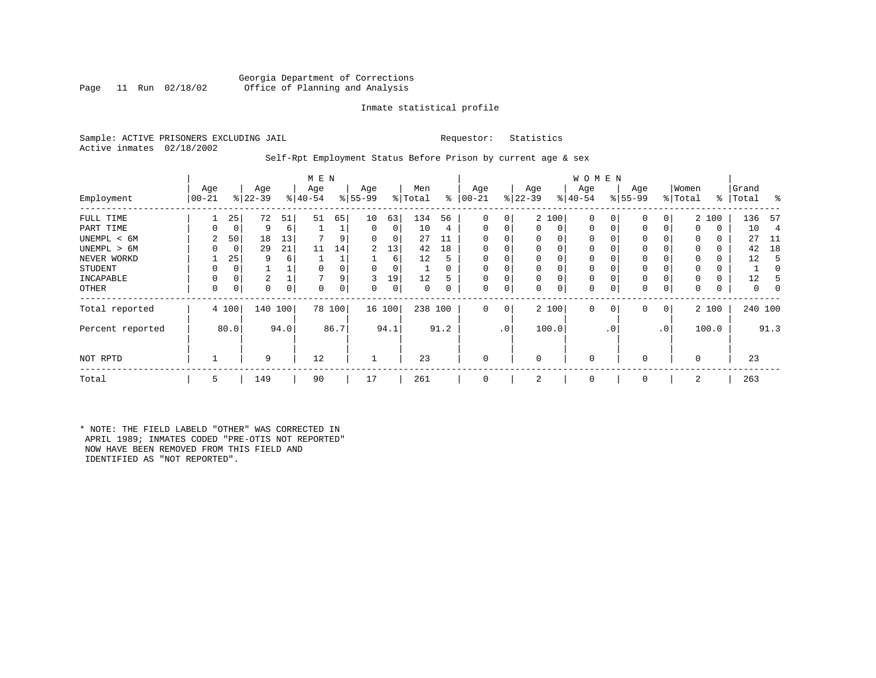#### Georgia Department of Corrections<br>Page 11 Run 02/18/02 Office of Planning and Analysis Office of Planning and Analysis

#### Inmate statistical profile

Sample: ACTIVE PRISONERS EXCLUDING JAIL **Requestor:** Statistics Active inmates 02/18/2002

#### Self-Rpt Employment Status Before Prison by current age & sex

|                  |                 |       |                  |      | M E N            |          |                 |        |                |          |                 |                |                  |             | <b>WOMEN</b>     |             |                    |              | Women    |       | Grand     |                |
|------------------|-----------------|-------|------------------|------|------------------|----------|-----------------|--------|----------------|----------|-----------------|----------------|------------------|-------------|------------------|-------------|--------------------|--------------|----------|-------|-----------|----------------|
| Employment       | Age<br>$ 00-21$ |       | Age<br>$ 22-39 $ |      | Age<br>$8 40-54$ |          | Age<br>$ 55-99$ |        | Men<br>% Total | ွေ       | Age<br>$ 00-21$ |                | Age<br>$ 22-39 $ |             | Age<br>$ 40-54 $ |             | Age<br>$8155 - 99$ |              | % Total  |       | %   Total | ႜ              |
| FULL TIME        |                 | 25    | 72               | 51   | 51               | 65       | 10              | 63     | 134            | 56       | 0               | 0              |                  | 2 100       | $\mathbf 0$      | $\Omega$    | 0                  | 0            |          | 2 100 | 136       | -57            |
| PART TIME        | 0               | 0     | 9                | 6    |                  |          | 0               | 0      | 10             | 4        | $\Omega$        | 0              | $\mathbf{0}$     | $\mathbf 0$ | $\mathbf{0}$     | $\mathbf 0$ | 0                  | 0            | $\Omega$ | 0     | 10        | $\overline{4}$ |
| UNEMPL < 6M      | 2               | 50    | 18               | 13   |                  |          | 0               | 0      | 27             |          |                 |                | 0                | 0           | 0                | $\Omega$    | 0                  |              | $\Omega$ | 0     | 27        | 11             |
| UNEMPL > 6M      | 0               | 0     | 29               | 21   | 11               | 14       | 2               | 13     | 42             | 18       | $\Omega$        |                | 0                | $\Omega$    | 0                | $\Omega$    | $\Omega$           |              | $\Omega$ | 0     | 42        | 18             |
| NEVER WORKD      |                 | 25    | 9                | 6    |                  |          |                 | 6      | 12             | 5        | $\Omega$        |                | 0                | 0           | 0                | C           | 0                  |              | $\Omega$ | 0     | 12        | 5              |
| <b>STUDENT</b>   | 0               | 0     |                  |      | $\Omega$         |          | 0               | 0      |                | $\Omega$ | $\Omega$        | 0              | $\mathbf 0$      | 0           | 0                | $\Omega$    | 0                  |              | $\Omega$ | 0     |           | 0              |
| INCAPABLE        | 0               | 0     | 2                |      |                  | 9        | 3               | 19     | 12             | 5        |                 |                | 0                | 0           | $\mathbf 0$      | C           | 0                  |              |          | 0     | 12        |                |
| <b>OTHER</b>     | 0               | 0     | 0                | 0    | $\Omega$         | $\Omega$ | 0               | 0      | 0              | 0        | $\Omega$        | 0              | 0                | 0           | $\mathbf 0$      | 0           | 0                  | 0            | $\Omega$ | 0     | 0         | 0              |
| Total reported   |                 | 4 100 | 140 100          |      |                  | 78 100   |                 | 16 100 | 238 100        |          | 0               | $\overline{0}$ |                  | 2 100       | $\mathbf{0}$     | $\mathbf 0$ | 0                  | $\mathbf{0}$ |          | 2 100 | 240 100   |                |
| Percent reported |                 | 80.0  |                  | 94.0 |                  | 86.7     |                 | 94.1   |                | 91.2     |                 | .0'            |                  | 100.0       |                  | . 0         |                    | $\cdot$ 0    |          | 100.0 |           | 91.3           |
| NOT RPTD         |                 |       | 9                |      | 12               |          |                 |        | 23             |          | $\Omega$        |                | $\mathbf 0$      |             | $\mathbf{0}$     |             | $\Omega$           |              | $\Omega$ |       | 23        |                |
| Total            | 5               |       | 149              |      | 90               |          | 17              |        | 261            |          | $\Omega$        |                | 2                |             | $\mathbf 0$      |             | $\Omega$           |              | 2        |       | 263       |                |

\* NOTE: THE FIELD LABELD "OTHER" WAS CORRECTED IN APRIL 1989; INMATES CODED "PRE-OTIS NOT REPORTED" NOW HAVE BEEN REMOVED FROM THIS FIELD AND IDENTIFIED AS "NOT REPORTED".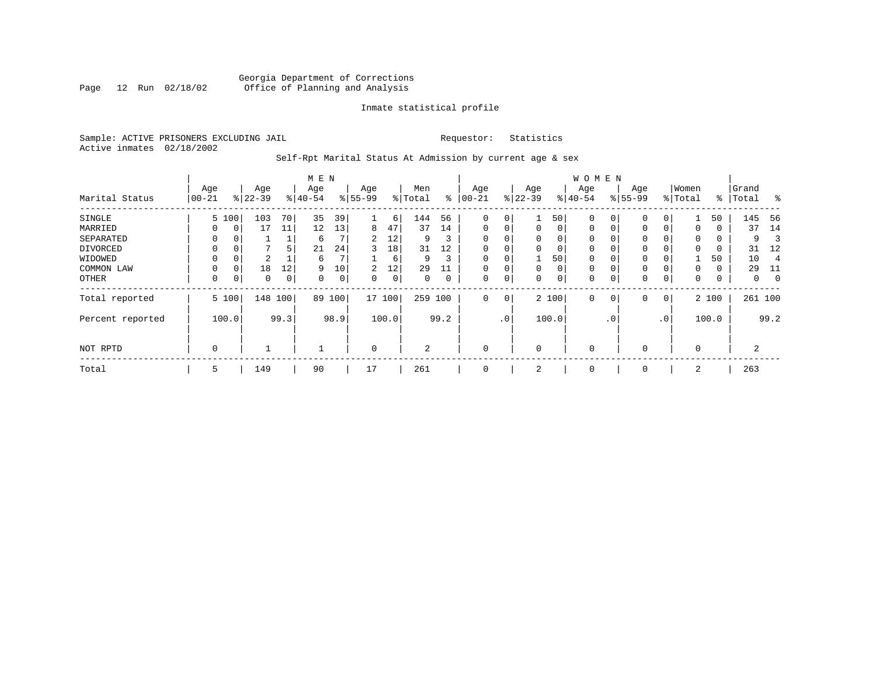#### Georgia Department of Corrections<br>Page 12 Run 02/18/02 Office of Planning and Analysis Page 12 Run 02/18/02 Office of Planning and Analysis

#### Inmate statistical profile

Sample: ACTIVE PRISONERS EXCLUDING JAIL **Requestor:** Statistics Active inmates 02/18/2002

# Self-Rpt Marital Status At Admission by current age & sex

|                  |           |          |           |      | M E N    |      |             |       |                |      |             |                 |              |       | <b>WOMEN</b> |             |           |              |          |       |           |                |
|------------------|-----------|----------|-----------|------|----------|------|-------------|-------|----------------|------|-------------|-----------------|--------------|-------|--------------|-------------|-----------|--------------|----------|-------|-----------|----------------|
|                  | Age       |          | Age       |      | Age      |      | Age         |       | Men            |      | Age         |                 | Age          |       | Age          |             | Age       |              | Women    |       | Grand     |                |
| Marital Status   | $00 - 21$ |          | $ 22-39 $ |      | $ 40-54$ |      | $8 55-99$   |       | % Total        | ⊱    | $ 00-21$    |                 | $ 22-39 $    |       | $ 40-54 $    |             | $8 55-99$ |              | % Total  |       | %   Total | $^{\circ}$     |
| SINGLE           |           | 5 100    | 103       | 70   | 35       | 39   |             | 6     | 144            | 56   | 0           | 0               | 1            | 50    | $\mathbf 0$  | 0           | 0         | 0            |          | 50    | 145       | 56             |
| MARRIED          | $\Omega$  | 0        | 17        | 11   | 12       | 13   | 8           | 47    | 37             | 14   | $\mathbf 0$ | 0               | 0            | 0     | $\mathbf 0$  | 0           | 0         | $\Omega$     | 0        | 0     | 37        | 14             |
| SEPARATED        | $\Omega$  | $\Omega$ |           |      | 6        |      | 2           | 12    | 9              | 3    | $\Omega$    |                 | $\mathbf{0}$ | 0     | $\mathbf 0$  | $\Omega$    | $\Omega$  |              | 0        | 0     | 9         | З              |
| DIVORCED         | 0         | 0        | -         | 5    | 21       | 24   | 3           | 18    | 31             | 12   | 0           | 0               | 0            | 0     | 0            | 0           | 0         |              | $\Omega$ | 0     | 31        | 12             |
| WIDOWED          | $\Omega$  | 0        | 2         |      | 6        |      |             | 6     | 9              | 3    | $\Omega$    | 0               |              | 50    | $\mathbf 0$  | $\Omega$    | 0         |              |          | 50    | 10        | $\overline{4}$ |
| COMMON LAW       | $\Omega$  | $\Omega$ | 18        | 12   | 9        | 10   | 2           | 12    | 29             | 11   | $\Omega$    |                 | $\mathbf{0}$ | 0     | $\mathbf 0$  | $\Omega$    | $\Omega$  |              | $\Omega$ | 0     | 29        | 11             |
| OTHER            | 0         | 0        | 0         | 0    | $\Omega$ | 0    | 0           | 0     | 0              | 0    | 0           | 0               | 0            | 0     | $\mathbf 0$  | 0           | 0         | 0            | 0        | 0     | 0         | $\mathbf 0$    |
| Total reported   |           | 5 100    | 148       | 100  | 89       | 100  | 17 100      |       | 259            | 100  | 0           | 0               |              | 2 100 | $\mathbf 0$  | $\mathbf 0$ | 0         | $\mathbf{0}$ |          | 2 100 | 261 100   |                |
| Percent reported |           | 100.0    |           | 99.3 |          | 98.9 |             | 100.0 |                | 99.2 |             | .0 <sup>1</sup> |              | 100.0 |              | . 0         |           | $\cdot$ 0    |          | 100.0 |           | 99.2           |
| NOT RPTD         | 0         |          |           |      |          |      | $\mathbf 0$ |       | $\overline{a}$ |      | $\Omega$    |                 | 0            |       | $\mathbf 0$  |             | $\Omega$  |              | $\Omega$ |       | 2         |                |
| Total            | 5         |          | 149       |      | 90       |      | 17          |       | 261            |      | 0           |                 | 2            |       | 0            |             | 0         |              | 2        |       | 263       |                |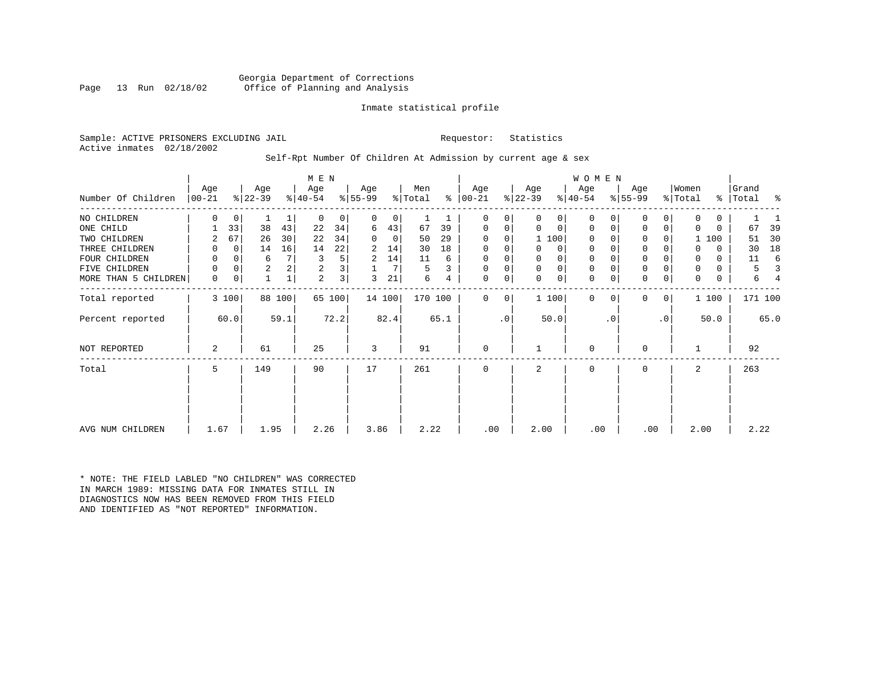Georgia Department of Corrections<br>Page 13 Run 02/18/02 office of Planning and Analysis Office of Planning and Analysis

#### Inmate statistical profile

Sample: ACTIVE PRISONERS EXCLUDING JAIL **Requestor:** Statistics Active inmates 02/18/2002

#### Self-Rpt Number Of Children At Admission by current age & sex

|                      |            |       |                |        | M E N       |              |           |        |         |      |               |             |             |             | WOMEN        |           |              |                 |             |          |       |         |
|----------------------|------------|-------|----------------|--------|-------------|--------------|-----------|--------|---------|------|---------------|-------------|-------------|-------------|--------------|-----------|--------------|-----------------|-------------|----------|-------|---------|
|                      | Age        |       | Age            |        | Age         |              | Age       |        | Men     |      | Age           |             | Age         |             | Age          |           | Age          |                 | Women       |          | Grand |         |
| Number Of Children   | $ 00 - 21$ |       | $ 22-39 $      |        | $ 40-54 $   |              | $8 55-99$ |        | % Total |      | $8   00 - 21$ |             | $ 22-39 $   |             | $ 40-54$     |           | $ 55-99 $    |                 | % Total     | ႜၟ       | Total | န္      |
| NO CHILDREN          | 0          | 0     |                | 1      | $\mathbf 0$ | 0            | 0         | 0      | 1       |      | 0             | 0           | 0           | 0           | $\mathbf 0$  |           | $\mathbf 0$  | 0               | 0           | $\Omega$ |       |         |
| ONE CHILD            |            | 33    | 38             | 43     | 22          | 34           | 6         | 43     | 67      | 39   | 0             | 0           | 0           | $\mathbf 0$ | $\mathbf 0$  | 0         | $\mathbf 0$  | 0               | $\Omega$    | $\Omega$ | 67    | 39      |
| TWO CHILDREN         | 2          | 67    | 26             | 30     | 22          | 34           | $\Omega$  | 0      | 50      | 29   | $\Omega$      | $\Omega$    |             | 1 100       | $\Omega$     |           | $\mathbf 0$  | 0               |             | 1 100    | 51    | 30      |
| THREE CHILDREN       |            | 0     | 14             | 16     | 14          | 22           | 2         | 14     | 30      | 18   | $\mathbf 0$   | $\mathbf 0$ | 0           | 0           | $\mathbf{0}$ |           | $\mathbf{0}$ | 0               | O           | $\Omega$ | 30    | 18      |
| FOUR CHILDREN        |            | 0     | 6              |        | 3           | 5            | 2         | 14     | 11      | 6    | 0             | 0           | 0           | $\mathbf 0$ | 0            |           | $\mathbf 0$  |                 | 0           | $\Omega$ | 11    | 6       |
| CHILDREN<br>FIVE     | 0          | 0     | $\overline{2}$ | 2      | 2           | 3            |           | 7      | 5       | 3    | 0             | 0           | $\mathbf 0$ | $\mathsf 0$ | $\mathbf 0$  |           | $\mathbf 0$  | 0               | 0           | $\Omega$ | 5     |         |
| MORE THAN 5 CHILDREN | 0          | 0     | $\mathbf{1}$   |        | 2           | $\mathbf{3}$ | 3         | 21     | 6       | 4    | $\mathbf 0$   | 0           | $\mathbf 0$ | $\mathbf 0$ | $\mathbf 0$  | 0         | $\mathbf 0$  | 0               | $\mathbf 0$ | 0        | 6     |         |
| Total reported       |            | 3 100 |                | 88 100 |             | 65 100       |           | 14 100 | 170 100 |      | $\Omega$      | 0           |             | 1 100       | $\Omega$     | $\Omega$  | $\Omega$     | 0               |             | 1 100    |       | 171 100 |
| Percent reported     |            | 60.0  |                | 59.1   |             | 72.2         |           | 82.4   |         | 65.1 |               | $\cdot$ 0   |             | 50.0        |              | $\cdot$ 0 |              | .0 <sup>1</sup> |             | 50.0     |       | 65.0    |
| NOT REPORTED         | 2          |       | 61             |        | 25          |              | 3         |        | 91      |      | $\mathbf 0$   |             |             |             | $\mathbf 0$  |           | $\mathbf 0$  |                 |             |          | 92    |         |
| Total                | 5          |       | 149            |        | 90          |              | 17        |        | 261     |      | 0             |             | 2           |             | $\mathbf 0$  |           | $\mathbf 0$  |                 | 2           |          | 263   |         |
| AVG NUM CHILDREN     | 1.67       |       | 1.95           |        | 2.26        |              | 3.86      |        | 2.22    |      | .00           |             | 2.00        |             | .00          |           | .00          |                 | 2.00        |          | 2.22  |         |

\* NOTE: THE FIELD LABLED "NO CHILDREN" WAS CORRECTED IN MARCH 1989: MISSING DATA FOR INMATES STILL IN DIAGNOSTICS NOW HAS BEEN REMOVED FROM THIS FIELD AND IDENTIFIED AS "NOT REPORTED" INFORMATION.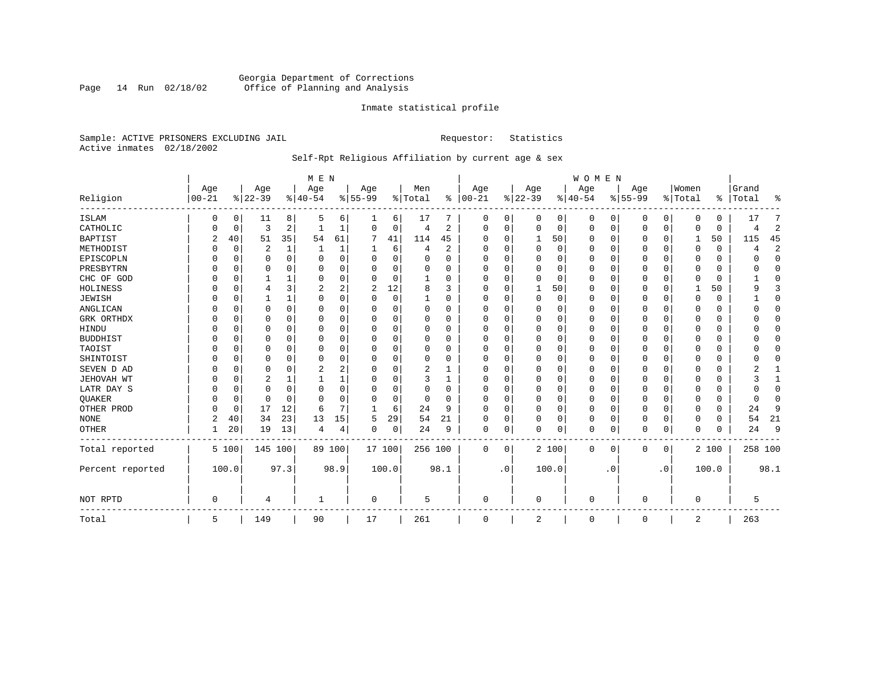### Georgia Department of Corrections<br>Page 14 Run 02/18/02 Office of Planning and Analysis Page 14 Run 02/18/02 Office of Planning and Analysis

#### Inmate statistical profile

Sample: ACTIVE PRISONERS EXCLUDING JAIL **Requestor:** Statistics Active inmates 02/18/2002

# Self-Rpt Religious Affiliation by current age & sex

|                  |                |             |           |              | M E N       |          |           |          |          |          |          |           |              |       | <b>WOMEN</b> |           |           |             |          |          |              |                |
|------------------|----------------|-------------|-----------|--------------|-------------|----------|-----------|----------|----------|----------|----------|-----------|--------------|-------|--------------|-----------|-----------|-------------|----------|----------|--------------|----------------|
|                  | Age            |             | Age       |              | Age         |          | Age       |          | Men      |          | Age      |           | Age          |       | Age          |           | Age       |             | Women    |          | Grand        |                |
| Religion         | $00 - 21$      |             | $8 22-39$ |              | $8 40-54$   |          | $8 55-99$ |          | % Total  | ွေ       | $ 00-21$ |           | $8 22-39$    |       | $8 40-54$    |           | $8 55-99$ |             | % Total  | ៖        | Total        | ႜ              |
| <b>ISLAM</b>     | 0              | 0           | 11        | 8            | 5           | 6        | 1         | 6        | 17       | 7        | 0        | 0         | $\Omega$     | 0     | $\Omega$     | 0         | 0         | 0           | $\Omega$ | $\Omega$ | 17           | 7              |
| CATHOLIC         |                | 0           | 3         | 2            |             | 1        | $\Omega$  | 0        | 4        | 2        | $\Omega$ | 0         | $\mathbf 0$  | 0     | $\Omega$     | 0         | 0         | 0           | $\Omega$ | $\Omega$ | 4            | $\overline{2}$ |
| <b>BAPTIST</b>   | $\overline{c}$ | 40          | 51        | 35           | 54          | 61       | 7         | 41       | 114      | 45       | O        | $\Omega$  | 1            | 50    | $\Omega$     | 0         | 0         | 0           | 1        | 50       | 115          | 45             |
| METHODIST        |                | 0           | 2         | 1            |             | 1        | 1         | 6        | 4        | 2        | $\Omega$ | $\Omega$  | $\Omega$     | 0     | $\Omega$     | 0         | 0         | $\Omega$    | $\Omega$ | $\Omega$ | 4            | $\overline{2}$ |
| EPISCOPLN        |                | $\Omega$    | 0         | $\Omega$     | $\Omega$    | $\Omega$ | 0         | $\Omega$ | 0        | $\Omega$ | $\Omega$ | $\Omega$  | 0            | 0     | $\Omega$     | $\Omega$  | 0         | $\Omega$    | $\Omega$ | $\Omega$ | U            | $\mathbf 0$    |
| PRESBYTRN        |                | $\Omega$    | 0         | <sup>0</sup> | $\Omega$    | $\Omega$ | U         | $\Omega$ | $\Omega$ | O        | $\Omega$ | $\Omega$  | 0            | 0     | $\Omega$     | $\Omega$  | 0         | $\Omega$    | $\Omega$ | $\Omega$ | O            | $\Omega$       |
| CHC OF GOD       |                | $\Omega$    |           | 1            | $\Omega$    | 0        | U         | 0        |          | O        | O        | $\Omega$  | <sup>0</sup> | 0     | $\Omega$     | 0         | 0         | $\Omega$    | $\Omega$ | $\Omega$ |              | 0              |
| HOLINESS         |                | $\mathbf 0$ | 4         | 3            | 2           | 2        | 2         | 12       | 8        | ζ        | $\Omega$ | $\Omega$  |              | 50    | $\Omega$     | 0         | 0         | 0           |          | 50       | q            | 3              |
| <b>JEWISH</b>    |                | $\mathbf 0$ |           | $\mathbf 1$  | $\Omega$    | 0        | U         | 0        |          | O        | $\Omega$ |           | 0            | 0     | $\Omega$     | $\Omega$  | 0         | $\Omega$    | $\Omega$ | $\Omega$ |              | $\mathbf 0$    |
| ANGLICAN         |                | $\mathbf 0$ | U         | $\Omega$     | $\mathbf 0$ | $\Omega$ | U         | 0        | $\Omega$ | 0        | $\Omega$ | $\Omega$  | 0            | 0     | $\Omega$     | 0         | 0         | $\Omega$    | $\Omega$ | 0        |              | 0              |
| GRK ORTHDX       |                | $\Omega$    | U         | $\Omega$     | $\Omega$    | 0        | U         | 0        | $\Omega$ | $\Omega$ | $\Omega$ | $\Omega$  | 0            | 0     | $\Omega$     | $\Omega$  | 0         | $\Omega$    | $\Omega$ | $\Omega$ |              | $\Omega$       |
| HINDU            |                | $\Omega$    | U         | $\Omega$     | $\Omega$    | 0        | U         | 0        | $\Omega$ | O        | ∩        | $\Omega$  | $\Omega$     | 0     | $\Omega$     | 0         | 0         | $\Omega$    | $\Omega$ | $\Omega$ |              | $\Omega$       |
| <b>BUDDHIST</b>  |                | $\Omega$    | 0         | $\Omega$     | $\Omega$    | 0        | U         | 0        | $\Omega$ | $\Omega$ | $\Omega$ | $\Omega$  | $\Omega$     | 0     | $\Omega$     | 0         | $\Omega$  | $\Omega$    | $\Omega$ | $\Omega$ |              | $\mathbf 0$    |
| TAOIST           |                | $\Omega$    | 0         | $\Omega$     | $\Omega$    | 0        | U         | O        | 0        | $\Omega$ | $\Omega$ | $\Omega$  | $\Omega$     | 0     | $\Omega$     | $\Omega$  | $\Omega$  | $\Omega$    | $\Omega$ | $\Omega$ |              | $\Omega$       |
| SHINTOIST        |                | $\Omega$    | 0         | 0            | $\Omega$    | 0        | 0         | 0        | $\Omega$ | 0        | $\Omega$ | $\Omega$  | 0            | 0     | $\Omega$     | $\Omega$  | 0         | $\Omega$    | $\Omega$ | $\Omega$ |              | $\Omega$       |
| SEVEN D AD       | U              | $\Omega$    | 0         | $\Omega$     | 2           | 2        | U         | O        | 2        | 1        | $\Omega$ | $\Omega$  | $\Omega$     | O     | $\Omega$     | $\Omega$  | $\Omega$  | $\Omega$    | $\Omega$ | $\Omega$ |              | 1              |
| JEHOVAH WT       |                | $\Omega$    | 2         | 1            |             | 1        | U         | 0        | 3        | 1        | $\Omega$ | $\Omega$  | $\Omega$     | 0     | $\Omega$     | $\Omega$  | 0         | $\Omega$    | $\Omega$ | $\Omega$ |              | 1              |
| LATR DAY S       |                | $\mathbf 0$ | 0         | 0            | $\mathbf 0$ | 0        | U         | 0        | 0        | 0        | $\Omega$ | $\Omega$  | 0            | 0     | $\Omega$     | 0         | 0         | 0           | $\Omega$ | 0        | ∩            | $\mathbf 0$    |
| <b>QUAKER</b>    |                | 0           | 0         | $\Omega$     | $\Omega$    | 0        | U         | 0        | 0        | $\Omega$ | $\Omega$ | $\Omega$  | $\Omega$     | 0     | $\Omega$     | 0         | 0         | 0           | $\Omega$ | $\Omega$ | <sup>0</sup> | $\mathbf 0$    |
| OTHER PROD       | O              | 0           | 17        | 12           | 6           | 7        | -1        | 6        | 24       | 9        | $\Omega$ | $\Omega$  | $\Omega$     | 0     | $\Omega$     | 0         | $\Omega$  | 0           | $\Omega$ | $\Omega$ | 24           | 9              |
| <b>NONE</b>      | 2              | 40          | 34        | 23           | 13          | 15       | 5         | 29       | 54       | 21       | $\Omega$ | $\Omega$  | 0            | 0     | $\Omega$     | 0         | 0         | $\Omega$    | $\Omega$ | $\Omega$ | 54           | 21             |
| OTHER            |                | 20          | 19        | 13           | 4           | 4        | 0         | 0        | 24       | 9        | 0        | 0         | $\Omega$     | 0     | 0            | 0         | $\Omega$  | 0           | $\Omega$ | $\Omega$ | 24           | 9              |
| Total reported   |                | 5 100       | 145 100   |              |             | 89 100   | 17 100    |          | 256 100  |          | 0        | 0         |              | 2 100 | 0            | 0         | 0         | $\mathbf 0$ |          | 2 100    | 258 100      |                |
| Percent reported |                | 100.0       |           | 97.3         |             | 98.9     |           | 100.0    |          | 98.1     |          | $\cdot$ 0 |              | 100.0 |              | $\cdot$ 0 |           | $\cdot$ 0   |          | 100.0    |              | 98.1           |
| NOT RPTD         | $\Omega$       |             | 4         |              | -1          |          | 0         |          | 5        |          | $\Omega$ |           | 0            |       | $\Omega$     |           | 0         |             | $\Omega$ |          | 5            |                |
| Total            | 5              |             | 149       |              | 90          |          | 17        |          | 261      |          | 0        |           | 2            |       | 0            |           | 0         |             | 2        |          | 263          |                |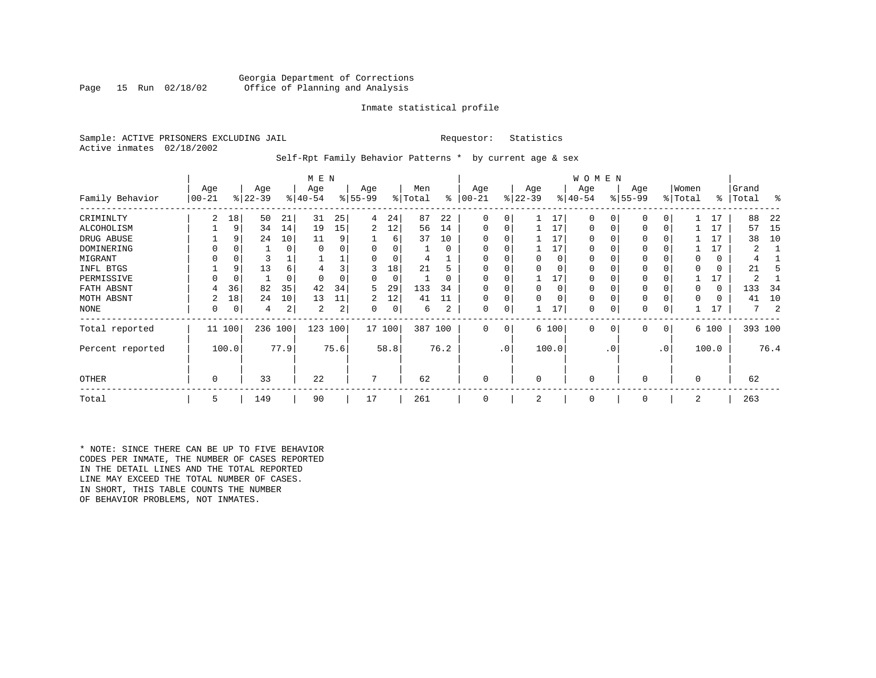#### Georgia Department of Corrections<br>Page 15 Run 02/18/02 Office of Planning and Analysis Office of Planning and Analysis

#### Inmate statistical profile

Sample: ACTIVE PRISONERS EXCLUDING JAIL **Requestor:** Statistics Active inmates 02/18/2002

Self-Rpt Family Behavior Patterns \* by current age & sex

|                  |                 |          |                  |      | M E N            |      |                 |        |                |          |                  |     |                  |          | W O M E N        |           |                    |                 |                  |          |                |      |
|------------------|-----------------|----------|------------------|------|------------------|------|-----------------|--------|----------------|----------|------------------|-----|------------------|----------|------------------|-----------|--------------------|-----------------|------------------|----------|----------------|------|
| Family Behavior  | Age<br>$ 00-21$ |          | Age<br>$ 22-39 $ |      | Age<br>$8 40-54$ |      | Age<br>$ 55-99$ |        | Men<br>% Total | ႜ        | Age<br>$00 - 21$ |     | Age<br>$ 22-39 $ |          | Age<br>$ 40-54 $ |           | Age<br>$8155 - 99$ |                 | Women<br>% Total | ∻        | Grand<br>Total | ႜ    |
| CRIMINLTY        | 2               | 18       | 50               | 21   | 31               | 25   | 4               | 24     | 87             | 22       | 0                | 0   |                  | 17       | $\Omega$         |           | $\mathbf 0$        |                 |                  | 17       | 88             | 22   |
| ALCOHOLISM       |                 | 9        | 34               | 14   | 19               | 15   | 2               | 12     | 56             | 14       | 0                | 0   |                  | 17       | 0                |           | $\mathbf 0$        |                 |                  | 17       | 57             | -15  |
| DRUG ABUSE       |                 | 9        | 24               | 10   | 11               | 9    |                 | 6      | 37             | 10       |                  |     |                  | 17       | 0                |           |                    |                 |                  | 17       | 38             | 10   |
| DOMINERING       |                 |          |                  | 0    |                  |      |                 |        |                | $\Omega$ |                  |     |                  | 17       | U                |           |                    |                 |                  | 17       |                |      |
| MIGRANT          |                 |          |                  |      |                  |      |                 |        | 4              |          |                  |     |                  | $\Omega$ |                  |           |                    |                 |                  | 0        |                |      |
| INFL BTGS        |                 | 9        | 13               | 6    |                  |      |                 | 18     | 21             |          |                  |     |                  | $\Omega$ |                  |           |                    |                 |                  | 0        | 21             |      |
| PERMISSIVE       |                 | $\Omega$ |                  | 0    |                  |      | 0               | 0      |                | 0        |                  |     |                  | 17       | 0                |           | $\Omega$           |                 |                  | 17       | 2              |      |
| FATH ABSNT       | 4               | 36       | 82               | 35   | 42               | 34   | 5               | 29     | 133            | 34       |                  |     | $\Omega$         | $\Omega$ | 0                |           |                    |                 |                  | $\Omega$ | 133            | 34   |
| MOTH ABSNT       |                 | 18       | 24               | 10   | 13               | 11   | 2               | 12     | 41             | 11       | 0                | 0   |                  | $\Omega$ | $\mathbf 0$      |           |                    |                 |                  | 0        | 41             | 10   |
| NONE             | 0               | 0        | 4                | 2    | 2                | 2    | $\Omega$        | 0      | 6              | 2        | 0                | 0   |                  | 17       | 0                |           | 0                  |                 |                  |          | 7              |      |
| Total reported   | 11 100          |          | 236              | 100  | 123              | 100  |                 | 17 100 | 387 100        |          | $\mathbf{0}$     | 0   |                  | 6 100    | $\mathbf{0}$     | 0         | $\mathbf 0$        | 0               |                  | 6 100    | 393 100        |      |
| Percent reported |                 | 100.0    |                  | 77.9 |                  | 75.6 |                 | 58.8   |                | 76.2     |                  | .0' |                  | 100.0    |                  | $\cdot$ 0 |                    | .0 <sup>′</sup> |                  | 100.0    |                | 76.4 |
| <b>OTHER</b>     | 0               |          | 33               |      | 22               |      |                 |        | 62             |          | 0                |     | $\Omega$         |          | $\mathbf 0$      |           | $\Omega$           |                 | $\Omega$         |          | 62             |      |
| Total            | 5               |          | 149              |      | 90               |      | 17              |        | 261            |          | 0                |     | 2                |          | $\mathbf 0$      |           | 0                  |                 | 2                |          | 263            |      |

\* NOTE: SINCE THERE CAN BE UP TO FIVE BEHAVIOR CODES PER INMATE, THE NUMBER OF CASES REPORTED IN THE DETAIL LINES AND THE TOTAL REPORTED LINE MAY EXCEED THE TOTAL NUMBER OF CASES. IN SHORT, THIS TABLE COUNTS THE NUMBER OF BEHAVIOR PROBLEMS, NOT INMATES.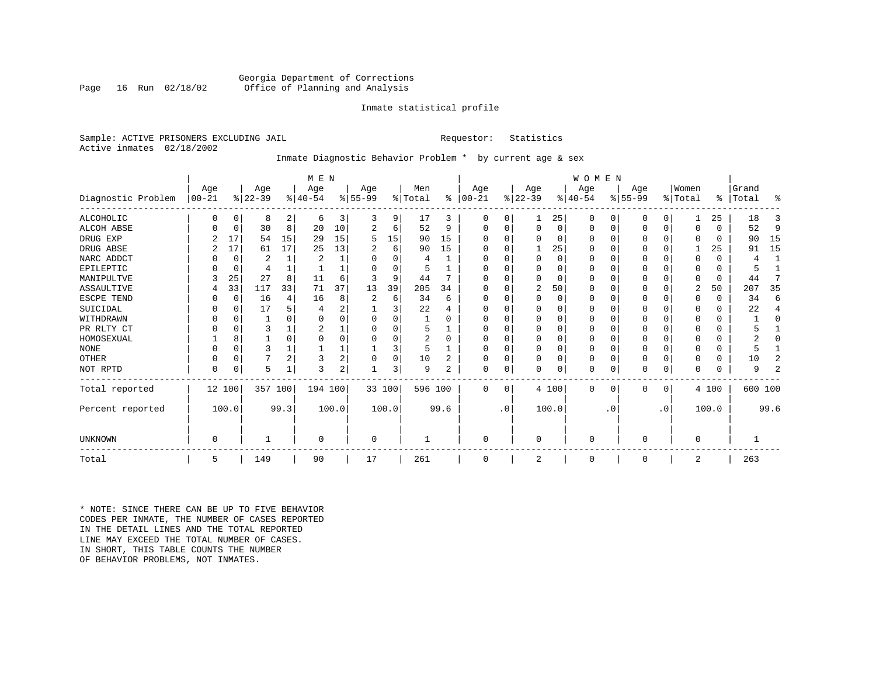#### Georgia Department of Corrections<br>Page 16 Run 02/18/02 Office of Planning and Analysis Office of Planning and Analysis

#### Inmate statistical profile

Sample: ACTIVE PRISONERS EXCLUDING JAIL **Requestor:** Statistics Active inmates 02/18/2002

### Inmate Diagnostic Behavior Problem \* by current age & sex

|                    |            |          |           |                | M E N          |                |          |          |                |          |           |           |             |          | <b>WOMEN</b> |           |           |             |             |          |           |                |
|--------------------|------------|----------|-----------|----------------|----------------|----------------|----------|----------|----------------|----------|-----------|-----------|-------------|----------|--------------|-----------|-----------|-------------|-------------|----------|-----------|----------------|
|                    | Age        |          | Age       |                | Age            |                | Age      |          | Men            |          | Age       |           | Age         |          | Age          |           | Age       |             | Women       |          | Grand     |                |
| Diagnostic Problem | $ 00 - 21$ |          | $ 22-39 $ |                | $8 40-54$      |                | $ 55-99$ |          | % Total        | ွေ       | $ 00-21 $ |           | $ 22-39 $   |          | $ 40-54 $    |           | $ 55-99 $ |             | % Total     |          | %   Total | ႜ              |
| ALCOHOLIC          | 0          | 0        | 8         | 2              | 6              | 3              | 3        | 9        | 17             | 3        | 0         | 0         |             | 25       | 0            | 0         | 0         | 0           |             | 25       | 18        | 3              |
| <b>ALCOH ABSE</b>  |            | 0        | 30        | 8              | 20             | 10             | 2        | 6        | 52             | 9        | 0         | 0         | $\mathbf 0$ | 0        | 0            | 0         | 0         | $\mathbf 0$ | $\Omega$    | $\Omega$ | 52        | 9              |
| DRUG EXP           |            | 17       | 54        | 15             | 29             | 15             | 5        | 15       | 90             | 15       |           |           | $\Omega$    | 0        | $\Omega$     | 0         | 0         | $\Omega$    | $\Omega$    | $\Omega$ | 90        | 15             |
| DRUG ABSE          |            | 17       | 61        | 17             | 25             | 13             | 2        | 6        | 90             | 15       | U         |           |             | 25       | $\Omega$     | 0         | 0         | $\Omega$    |             | 25       | 91        | 15             |
| NARC ADDCT         |            | 0        | 2         | $\mathbf{1}$   | $\overline{2}$ |                | O        | $\Omega$ | 4              |          | U         |           | $\Omega$    | $\Omega$ | $\Omega$     | $\Omega$  | U         | $\Omega$    | $\Omega$    | $\Omega$ | 4         | $\mathbf{1}$   |
| EPILEPTIC          |            | 0        | 4         |                |                |                | O        | $\Omega$ |                |          | U         |           | $\Omega$    | O        | $\Omega$     | $\Omega$  | U         | $\Omega$    | $\Omega$    | $\Omega$ |           |                |
| MANIPULTVE         |            | 25       | 27        | 8              | 11             | 6              |          | 9        | 44             |          |           |           | $\Omega$    | 0        | $\Omega$     | $\Omega$  | 0         | $\Omega$    | $\Omega$    | $\Omega$ | 44        | 7              |
| ASSAULTIVE         |            | 33       | 117       | 33             | 71             | 37             | 13       | 39       | 205            | 34       | U         |           | 2           | 50       | $\Omega$     | 0         | 0         | 0           | 2           | 50       | 207       | 35             |
| ESCPE TEND         |            | 0        | 16        | 4              | 16             | 8              |          | 6        | 34             | 6        | U         |           | $\Omega$    | 0        | $\Omega$     | $\Omega$  |           | O           | $\Omega$    | $\Omega$ | 34        | 6              |
| SUICIDAL           |            | 0        | 17        | 5              |                | 2              |          | 3        | 22             |          | ∩         |           | $\Omega$    | O        | $\Omega$     | $\Omega$  |           | O           | ∩           | $\Omega$ | 22        | 4              |
| WITHDRAWN          |            | $\Omega$ |           |                |                |                |          | U        |                |          |           |           | $\Omega$    | O        | 0            | $\Omega$  |           | O           |             | U        |           | O              |
| PR RLTY CT         |            | $\Omega$ | 3         |                |                |                |          | U        | 5              |          | $\Omega$  |           | $\Omega$    | O        | $\Omega$     | $\Omega$  |           | $\Omega$    | ∩           | $\Omega$ |           |                |
| HOMOSEXUAL         |            | 8        |           | $\Omega$       |                |                |          | 0        | $\overline{2}$ | $\Omega$ | ∩         |           | $\Omega$    | O        | $\Omega$     | $\Omega$  | 0         | $\Omega$    |             | U        |           | O              |
| <b>NONE</b>        |            | $\Omega$ | ζ         |                |                |                |          | 3        | 5              |          | ∩         |           | $\Omega$    | O        | $\Omega$     | $\Omega$  | ი         | $\Omega$    |             | 0        |           |                |
| OTHER              |            | $\Omega$ |           | $\overline{2}$ | 3              | $\overline{2}$ |          | 0        | 10             | 2        | U         |           | $\Omega$    | O        | 0            | $\Omega$  | 0         | $\Omega$    | $\Omega$    | $\Omega$ | 10        | 2              |
| NOT RPTD           | $\Omega$   | 0        | 5         |                | 3              | 2              |          | 3        | 9              | 2        | $\Omega$  | 0         | $\mathbf 0$ | 0        | 0            | 0         | U         | 0           | $\Omega$    | $\Omega$ | 9         | $\overline{2}$ |
| Total reported     | 12 100     |          | 357 100   |                | 194 100        |                |          | 33 100   | 596 100        |          | $\Omega$  | $\Omega$  |             | 4 100    | $\Omega$     | 0         | 0         | 0           |             | 4 100    | 600 100   |                |
| Percent reported   |            | 100.0    |           | 99.3           |                | 100.0          |          | 100.0    |                | 99.6     |           | $\cdot$ 0 |             | 100.0    |              | $\cdot$ 0 |           | $\cdot$ 0   |             | 100.0    |           | 99.6           |
| <b>UNKNOWN</b>     | $\Omega$   |          |           |                | $\Omega$       |                | $\Omega$ |          |                |          | $\Omega$  |           | $\mathbf 0$ |          | $\Omega$     |           | 0         |             | $\mathbf 0$ |          |           |                |
|                    |            |          |           |                |                |                |          |          |                |          |           |           |             |          |              |           |           |             |             |          |           |                |
| Total              | 5          |          | 149       |                | 90             |                | 17       |          | 261            |          | $\Omega$  |           | 2           |          | 0            |           | 0         |             | 2           |          | 263       |                |

\* NOTE: SINCE THERE CAN BE UP TO FIVE BEHAVIOR CODES PER INMATE, THE NUMBER OF CASES REPORTED IN THE DETAIL LINES AND THE TOTAL REPORTED LINE MAY EXCEED THE TOTAL NUMBER OF CASES.IN SHORT, THIS TABLE COUNTS THE NUMBER OF BEHAVIOR PROBLEMS, NOT INMATES.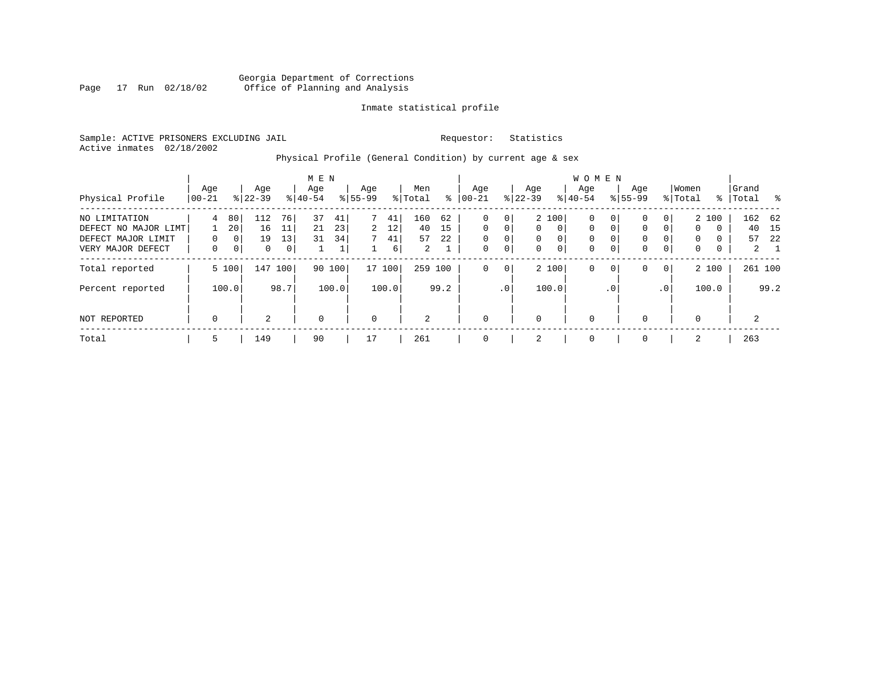#### Georgia Department of Corrections<br>Page 17 Run 02/18/02 Office of Planning and Analysis Page 17 Run 02/18/02 Office of Planning and Analysis

#### Inmate statistical profile

Sample: ACTIVE PRISONERS EXCLUDING JAIL **Requestor:** Statistics Active inmates 02/18/2002

# Physical Profile (General Condition) by current age & sex

|                                                                                  |                    |                               |                      |                                  | M E N            |                      |                    |                     |                      |                                |                         |                         |                                          |                                | <b>WOMEN</b>                                |                                   |                            |                                       |                                        |                      |                    |                                   |
|----------------------------------------------------------------------------------|--------------------|-------------------------------|----------------------|----------------------------------|------------------|----------------------|--------------------|---------------------|----------------------|--------------------------------|-------------------------|-------------------------|------------------------------------------|--------------------------------|---------------------------------------------|-----------------------------------|----------------------------|---------------------------------------|----------------------------------------|----------------------|--------------------|-----------------------------------|
| Physical Profile                                                                 | Age<br>$ 00-21$    |                               | Age<br>$8 22-39$     |                                  | Age<br>$8 40-54$ |                      | Age<br>$8155 - 99$ |                     | Men<br>% Total       | ⊱                              | Age<br>$ 00-21$         |                         | Age<br>$ 22-39 $                         |                                | Aqe<br>$8 40-54$                            |                                   | Age<br>$8155 - 99$         |                                       | Women<br>% Total                       |                      | Grand<br>%   Total | $^{\circ}$                        |
| NO LIMITATION<br>DEFECT NO MAJOR LIMT<br>DEFECT MAJOR LIMIT<br>VERY MAJOR DEFECT | 4<br>0<br>$\Omega$ | 80<br>20<br>0<br>$\mathbf{0}$ | 112<br>16<br>19<br>0 | 76<br>11<br>13<br>0 <sup>1</sup> | 37<br>21<br>31   | 41<br>23<br>34<br>Τ. | 7<br>2<br>7        | 41<br>12<br>41<br>6 | 160<br>40<br>57<br>2 | 62<br>15<br>22<br>$\mathbf{I}$ | 0<br>$\Omega$<br>0<br>0 | 0<br>$\Omega$<br>0<br>0 | $\mathbf{0}$<br>$\mathbf{0}$<br>$\Omega$ | 2 100<br>$\mathbf 0$<br>0<br>0 | $\mathbf 0$<br>$\mathbf 0$<br>0<br>$\Omega$ | 0<br>0<br>$\Omega$<br>$\mathbf 0$ | 0<br>0<br>0<br>$\mathbf 0$ | $\Omega$<br>$\Omega$<br>$\Omega$<br>0 | $\mathbf 0$<br>$\Omega$<br>$\mathbf 0$ | 2 100<br>0<br>0<br>0 | 40<br>57           | 162 62<br>15<br>22<br>$2^{\circ}$ |
| Total reported                                                                   |                    | 5 100                         | 147                  | 100                              |                  | 90 100               |                    | 17 100              | 259                  | 100                            | 0                       | 0                       |                                          | 2 100                          | $\mathbf 0$                                 | $\mathbf 0$                       | 0                          | $\overline{0}$                        |                                        | 2 100                |                    | 261 100                           |
| Percent reported                                                                 |                    | 100.0                         |                      | 98.7                             |                  | 100.0                |                    | 100.0               |                      | 99.2                           |                         | .0 <sup>1</sup>         |                                          | 100.0                          |                                             | . 0                               |                            | .0                                    |                                        | 100.0                |                    | 99.2                              |
| NOT REPORTED                                                                     | $\mathbf 0$        |                               | 2                    |                                  | $\mathbf 0$      |                      | 0                  |                     | 2                    |                                | 0                       |                         | 0                                        |                                | $\mathbf 0$                                 |                                   | $\Omega$                   |                                       | 0                                      |                      | 2                  |                                   |
| Total                                                                            | 5                  |                               | 149                  |                                  | 90               |                      | 17                 |                     | 261                  |                                | 0                       |                         | 2                                        |                                | 0                                           |                                   | $\Omega$                   |                                       | 2                                      |                      | 263                |                                   |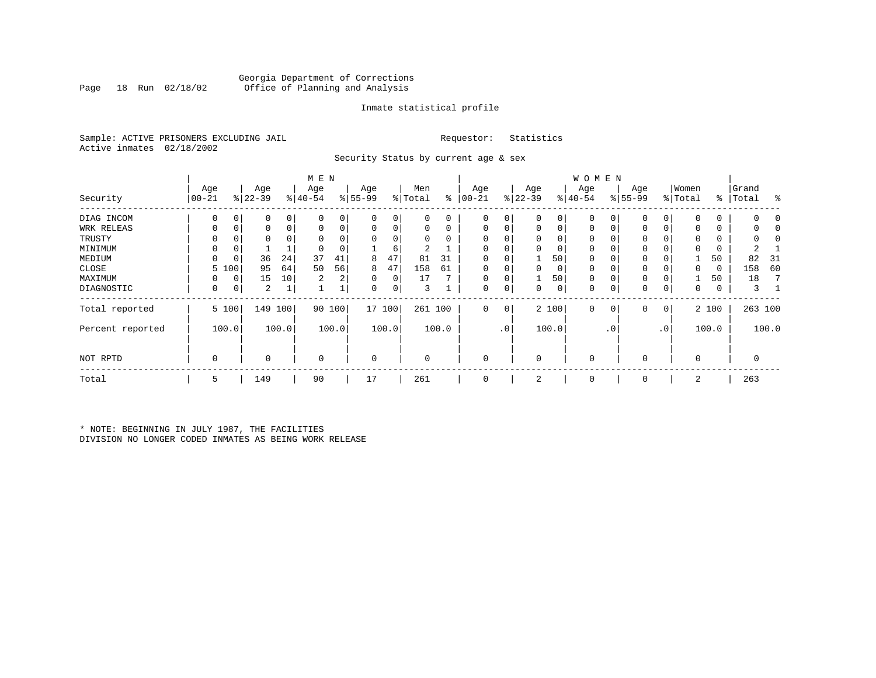#### Georgia Department of Corrections Office of Planning and Analysis

#### Inmate statistical profile

Sample: ACTIVE PRISONERS EXCLUDING JAIL **Requestor:** Statistics Active inmates 02/18/2002

Security Status by current age & sex

|                  |             |             |           |             | M E N     |       |           |        |          |       |              |                 |           |       | <b>WOMEN</b> |                |           |           |             |       |             |       |
|------------------|-------------|-------------|-----------|-------------|-----------|-------|-----------|--------|----------|-------|--------------|-----------------|-----------|-------|--------------|----------------|-----------|-----------|-------------|-------|-------------|-------|
|                  | Age         |             | Age       |             | Age       |       | Age       |        | Men      |       | Age          |                 | Age       |       | Age          |                | Age       |           | Women       |       | Grand       |       |
| Security         | $ 00 - 21 $ |             | $ 22-39 $ |             | $8 40-54$ |       | $8 55-99$ |        | % Total  | ွေ    | $ 00 - 21$   |                 | $ 22-39 $ |       | $ 40-54 $    |                | $8 55-99$ |           | % Total     |       | %   Total   | ႜ     |
| DIAG INCOM       | $\Omega$    | 0           | 0         | 0           |           |       | 0         | 0      |          | 0     | 0            |                 | $\Omega$  | 0     |              |                |           | 0         | $\Omega$    | 0     |             |       |
| WRK RELEAS       | 0           | 0           | 0         | $\mathbf 0$ |           | 0     | 0         | 0      |          | 0     | $\Omega$     |                 | 0         | 0     | $\mathbf 0$  | 0              |           | 0         | 0           | 0     |             |       |
| TRUSTY           |             |             | 0         |             |           |       |           |        |          |       | <sup>0</sup> |                 | $\Omega$  | 0     | $\Omega$     |                |           |           | $\Omega$    | 0     |             |       |
| MINIMUM          | 0           | 0           |           |             |           |       |           | 6      | 2        |       | $\Omega$     |                 | $\Omega$  | 0     | $\mathbf 0$  |                | 0         |           | $\mathbf 0$ | 0     |             |       |
| MEDIUM           | $\Omega$    | 0           | 36        | 24          | 37        | 41    | 8         | 47     | 81       | 31    | $\Omega$     |                 |           | 50    | $\mathbf 0$  |                | 0         |           |             | 50    | 82          | 31    |
| CLOSE            | 5           | 100         | 95        | 64          | 50        | 56    | 8         | 47     | 158      | 61    | $\Omega$     |                 | $\Omega$  | 0     | $\mathbf 0$  |                | 0         |           | 0           | 0     | 158         | 60    |
| MAXIMUM          |             | $\mathbf 0$ | 15        | 10          | 2         | 2     | 0         | 0      | 17       | ∍     | $\Omega$     |                 |           | 50    | $\mathbf 0$  |                | 0         |           |             | 50    | 18          |       |
| DIAGNOSTIC       | 0           | 0           | 2         |             |           |       | 0         | 0      | 3        |       | $\Omega$     | 0               | 0         | 0     | $\mathbf 0$  | 0              | 0         | 0         | $\mathbf 0$ | 0     | 3           |       |
| Total reported   |             | 5 100       | 149       | 100         | 90        | 100   |           | 17 100 | 261 100  |       | $\mathbf 0$  | $\mathbf 0$     |           | 2 100 | $\mathbf 0$  | $\overline{0}$ | 0         | 0         |             | 2 100 | 263 100     |       |
| Percent reported |             | 100.0       |           | 100.0       |           | 100.0 |           | 100.0  |          | 100.0 |              | .0 <sup>1</sup> |           | 100.0 |              | $\cdot$ 0      |           | $\cdot$ 0 |             | 100.0 |             | 100.0 |
| NOT RPTD         | 0           |             | 0         |             | $\Omega$  |       | 0         |        | $\Omega$ |       | $\Omega$     |                 | $\Omega$  |       | $\mathbf 0$  |                | 0         |           | $\mathbf 0$ |       | $\mathbf 0$ |       |
| Total            | 5           |             | 149       |             | 90        |       | 17        |        | 261      |       | $\Omega$     |                 | 2         |       | $\mathbf 0$  |                | 0         |           | 2           |       | 263         |       |

\* NOTE: BEGINNING IN JULY 1987, THE FACILITIES DIVISION NO LONGER CODED INMATES AS BEING WORK RELEASE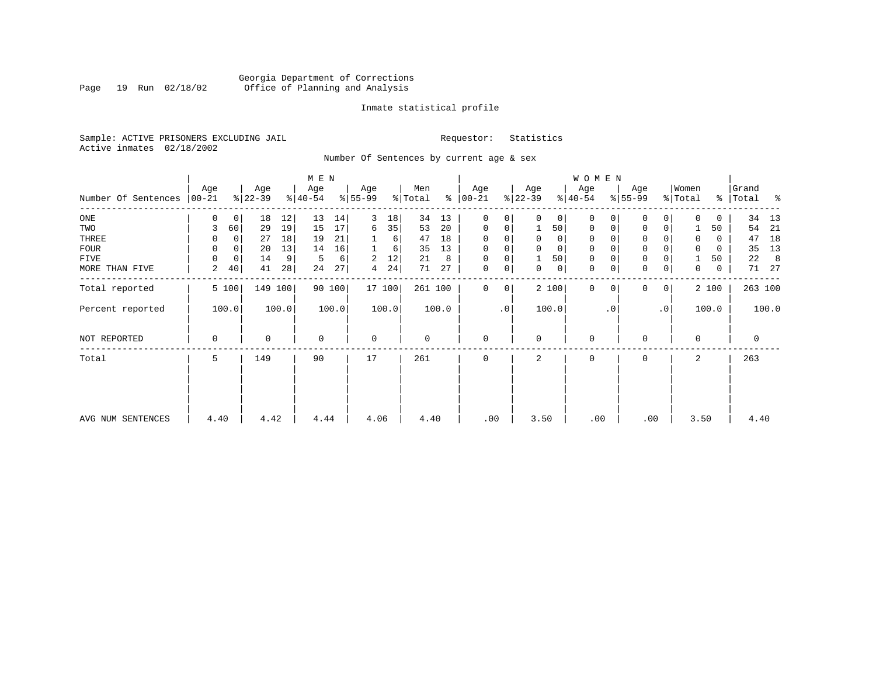### Georgia Department of Corrections<br>Page 19 Run 02/18/02 Office of Planning and Analysis Page 19 Run 02/18/02 Office of Planning and Analysis

#### Inmate statistical profile

Sample: ACTIVE PRISONERS EXCLUDING JAIL **Requestor:** Statistics Active inmates 02/18/2002

Number Of Sentences by current age & sex

|                             |          |             |           |       | M E N     |        |             |        |         |       |               |                |                |                | WOMEN       |           |                     |           |          |             |       |         |
|-----------------------------|----------|-------------|-----------|-------|-----------|--------|-------------|--------|---------|-------|---------------|----------------|----------------|----------------|-------------|-----------|---------------------|-----------|----------|-------------|-------|---------|
|                             | Age      |             | Age       |       | Age       |        | Age         |        | Men     |       | Age           |                | Age            |                | Age         |           | Age                 |           | Women    |             | Grand |         |
| Number Of Sentences   00-21 |          |             | $ 22-39 $ |       | $ 40-54 $ |        | $8 55-99$   |        | % Total |       | $8   00 - 21$ |                | $ 22-39 $      |                | $8 40-54$   |           | $8 55-99$           |           | % Total  | %           | Total | ႜ       |
| $_{\rm ONE}$                | 0        | 0           | 18        | 12    | 13        | 14     | 3           | 18     | 34      | 13    | 0             | 0              | $\Omega$       | 0 <sup>1</sup> | $\mathbf 0$ |           | $\mathbf 0$         | 0         | $\Omega$ | 0           | 34    | 13      |
| TWO                         | 3        | 60          | 29        | 19    | 15        | 17     | 6           | 35     | 53      | 20    | 0             | 0              | 1              | 50             | $\mathbf 0$ |           | $\mathbf 0$         | 0         |          | 50          | 54    | 21      |
| THREE                       | 0        | 0           | 27        | 18    | 19        | 21     |             | 6      | 47      | 18    | 0             | 0              | 0              | 0 <sup>1</sup> | 0           |           | 0                   |           | 0        | 0           | 47    | 18      |
| FOUR                        | $\Omega$ | 0           | 20        | 13    | 14        | 16     |             | 6      | 35      | 13    | $\Omega$      | 0              |                | $\mathbf 0$    | 0           |           | $\mathsf{O}\xspace$ |           | $\Omega$ | 0           | 35    | 13      |
| FIVE                        | $\Omega$ | $\mathbf 0$ | 14        | 9     | 5         | 6      | 2           | 12     | 21      | 8     | 0             | 0              |                | 50             | 0           |           | $\mathbf 0$         |           |          | 50          | 22    | 8       |
| MORE THAN FIVE              | 2        | 40          | 41        | 28    | 24        | 27     | 4           | 24     | 71      | 27    | 0             | 0 <sup>1</sup> | 0              | 0              | 0           |           | $\mathsf{O}\xspace$ | 0         | 0        | $\mathbf 0$ | 71    | 27      |
| Total reported              |          | 5 100       | 149       | 100   |           | 90 100 |             | 17 100 | 261 100 |       | $\Omega$      | 0              |                | 2 100          | $\Omega$    |           | $\Omega$            | 0         |          | 2 100       |       | 263 100 |
| Percent reported            |          | 100.0       |           | 100.0 |           | 100.0  |             | 100.0  |         | 100.0 |               | $\cdot$ 0      |                | 100.0          |             | $\cdot$ 0 |                     | $\cdot$ 0 |          | 100.0       |       | 100.0   |
| NOT REPORTED                | 0        |             | 0         |       | $\Omega$  |        | $\mathbf 0$ |        | 0       |       | 0             |                | $\Omega$       |                | 0           |           | 0                   |           | $\Omega$ |             | 0     |         |
| Total                       | 5        |             | 149       |       | 90        |        | 17          |        | 261     |       | $\Omega$      |                | $\mathfrak{D}$ |                | 0           |           | 0                   |           | 2        |             | 263   |         |
|                             |          |             |           |       |           |        |             |        |         |       |               |                |                |                |             |           |                     |           |          |             |       |         |
| AVG NUM SENTENCES           | 4.40     |             | 4.42      |       | 4.44      |        | 4.06        |        | 4.40    |       | .00           |                | 3.50           |                | .00         |           | .00                 |           | 3.50     |             | 4.40  |         |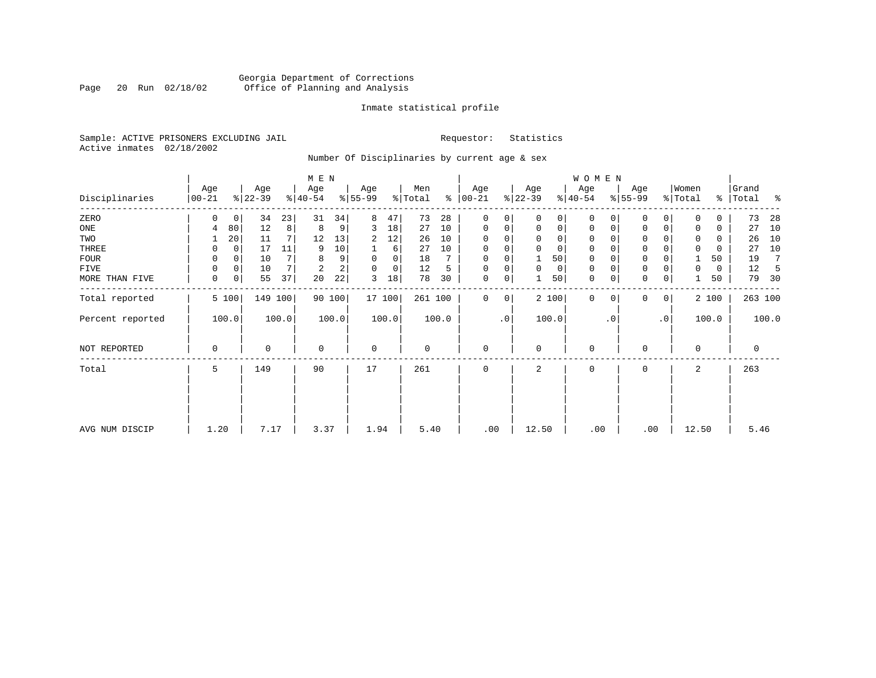### Georgia Department of Corrections<br>Page 20 Run 02/18/02 Office of Planning and Analysis Page 20 Run 02/18/02 Office of Planning and Analysis

#### Inmate statistical profile

Sample: ACTIVE PRISONERS EXCLUDING JAIL **Requestor:** Statistics Active inmates 02/18/2002

Number Of Disciplinaries by current age & sex

|                  |                   |             |                  |         | M E N            |        |                 |          |                |       |                 |           |                  |                | WOMEN            |           |                  |             |                  |       |                |       |
|------------------|-------------------|-------------|------------------|---------|------------------|--------|-----------------|----------|----------------|-------|-----------------|-----------|------------------|----------------|------------------|-----------|------------------|-------------|------------------|-------|----------------|-------|
| Disciplinaries   | Age<br>$ 00 - 21$ |             | Age<br>$ 22-39 $ |         | Age<br>$ 40-54 $ |        | Age<br>$ 55-99$ |          | Men<br>% Total | ႜ     | Age<br>$ 00-21$ |           | Age<br>$ 22-39 $ |                | Age<br>$ 40-54 $ |           | Age<br>$ 55-99 $ |             | Women<br>% Total | ⊱     | Grand<br>Total | ႜ     |
| ZERO             | 0                 | 0           | 34               | 23      | 31               | 34     | 8               | 47       | 73             | 28    | $\mathbf 0$     | 0         |                  |                | 0                |           | $\mathbf 0$      | 0           |                  | 0     | 73             | 28    |
| ONE              | 4                 | 80          | 12               | 8       | 8                | 9      | 3               | 18       | 27             | 10    | $\mathbf 0$     | 0         | $\mathbf 0$      | $\overline{0}$ | 0                | 0         | 0                | 0           | 0                | 0     | 27             | 10    |
| TWO              |                   | 20          | 11               | 7       | 12               | 13     | 2               | 12       | 26             | 10    | $\Omega$        |           |                  |                | 0                |           | 0                |             |                  | 0     | 26             | 10    |
| THREE            | 0                 | 0           | 17               | 11      | 9                | 10     |                 | 6        | 27             | 10    | $\Omega$        |           |                  | $\Omega$       | 0                |           | 0                |             |                  | 0     | 27             | 10    |
| FOUR             | $\Omega$          | $\Omega$    | 10               |         | 8                | 9      | $\Omega$        | $\Omega$ | 18             |       | $\Omega$        | $\Omega$  |                  | 50             | $\Omega$         |           | $\mathbf 0$      |             |                  | 50    | 19             | 7     |
| FIVE             | 0                 | $\mathbf 0$ | 10               | 7       | 2                | 2      | $\Omega$        | 0        | 12             | 5     | $\Omega$        | 0         | $\Omega$         | 0              | 0                |           | $\mathbf 0$      |             | 0                | 0     | 12             |       |
| MORE THAN FIVE   | 0                 | 0           | 55               | 37      | 20               | 22     | 3               | 18       | 78             | 30    | $\mathbf 0$     | 0         |                  | 50             | $\mathbf 0$      |           | $\mathbf{0}$     | 0           |                  | 50    | 79             | 30    |
| Total reported   |                   | 5 100       |                  | 149 100 |                  | 90 100 |                 | 17 100   | 261 100        |       | 0               | 0         |                  | 2 100          | $\mathbf 0$      | $\Omega$  | $\mathbf 0$      | $\mathbf 0$ |                  | 2 100 | 263 100        |       |
| Percent reported |                   | 100.0       |                  | 100.0   |                  | 100.0  |                 | 100.0    |                | 100.0 |                 | $\cdot$ 0 |                  | 100.0          |                  | $\cdot$ 0 |                  | $\cdot$ 0   |                  | 100.0 |                | 100.0 |
| NOT REPORTED     | 0                 |             | 0                |         | $\mathbf 0$      |        | $\mathbf 0$     |          | 0              |       | 0               |           | $\Omega$         |                | 0                |           | 0                |             | 0                |       | 0              |       |
| Total            | 5                 |             | 149              |         | 90               |        | 17              |          | 261            |       | $\mathbf 0$     |           | 2                |                | 0                |           | $\mathbf 0$      |             | 2                |       | 263            |       |
|                  |                   |             |                  |         |                  |        |                 |          |                |       |                 |           |                  |                |                  |           |                  |             |                  |       |                |       |
|                  |                   |             |                  |         |                  |        |                 |          |                |       |                 |           |                  |                |                  |           |                  |             |                  |       |                |       |
| AVG NUM DISCIP   | 1.20              |             | 7.17             |         | 3.37             |        | 1.94            |          | 5.40           |       | .00             |           | 12.50            |                | .00              |           | .00              |             | 12.50            |       | 5.46           |       |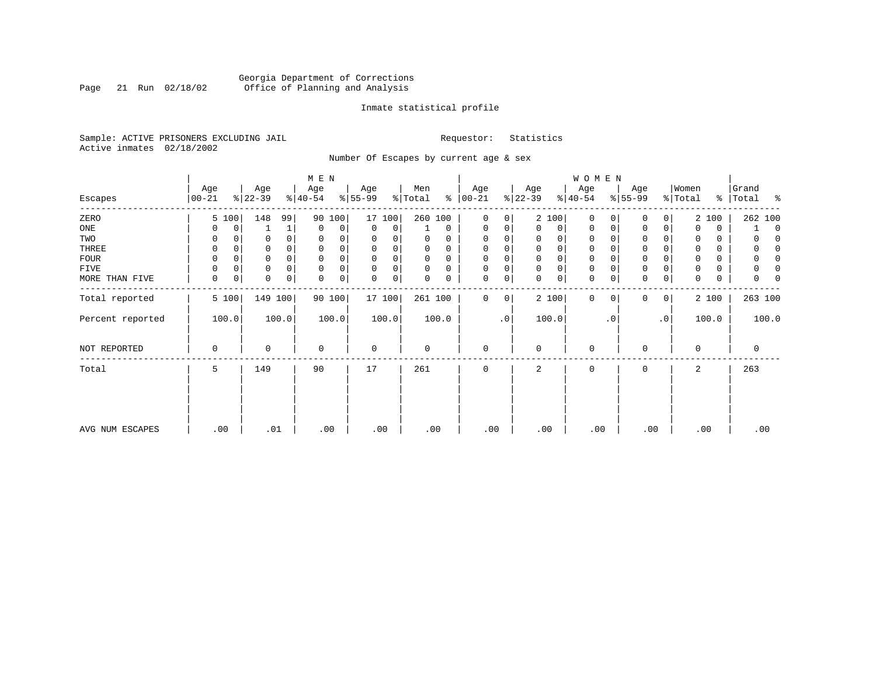### Georgia Department of Corrections<br>Page 21 Run 02/18/02 Office of Planning and Analysis Page 21 Run 02/18/02 Office of Planning and Analysis

#### Inmate statistical profile

Sample: ACTIVE PRISONERS EXCLUDING JAIL **Requestor:** Statistics Active inmates 02/18/2002

Number Of Escapes by current age & sex

|                  |                  |          |                  |                | M E N            |        |                 |          |                |          |                      |           |                 |                | WOMEN            |           |                  |           |                  |          |                     |
|------------------|------------------|----------|------------------|----------------|------------------|--------|-----------------|----------|----------------|----------|----------------------|-----------|-----------------|----------------|------------------|-----------|------------------|-----------|------------------|----------|---------------------|
| Escapes          | Age<br>$00 - 21$ |          | Age<br>$ 22-39 $ |                | Age<br>$ 40-54 $ |        | Age<br>$ 55-99$ |          | Men<br>% Total |          | Age<br>$8   00 - 21$ |           | Age<br>$ 22-39$ |                | Age<br>$ 40-54 $ |           | Age<br>$ 55-99 $ |           | Women<br>% Total | ⊱        | Grand<br>Total<br>ႜ |
| ZERO             |                  | 5 100    | 148              | 99             | 90               | 100    |                 | 17 100   | 260 100        |          | $\mathbf 0$          | 0         |                 | 2 100          | $\mathbf 0$      | $\Omega$  | $\mathbf 0$      | 0         |                  | 2 100    | 262 100             |
| ONE              | 0                | 0        |                  | 1              | $\mathbf 0$      | 0      | $\mathbf 0$     | 0        |                | 0        | 0                    | 0         | $\Omega$        | 0              | 0                | 0         | 0                | 0         | 0                | 0        | $\mathbf 0$         |
| TWO              | 0                |          | 0                |                | 0                | 0      | $\Omega$        |          | U              |          | $\Omega$             | 0         |                 | 0              | 0                |           | 0                |           | 0                | 0        |                     |
| THREE            | 0                |          | 0                |                | $\mathbf 0$      | 0      | $\Omega$        |          |                | 0        | 0                    |           | $\mathbf 0$     |                | 0                |           | 0                |           | 0                | 0        | 0                   |
| FOUR             | 0                | $\Omega$ | $\Omega$         |                | $\Omega$         | 0      | $\Omega$        | $\Omega$ | O              | $\Omega$ | $\Omega$             | $\Omega$  | $\Omega$        | $\Omega$       | $\Omega$         |           | $\mathbf 0$      |           |                  | $\Omega$ |                     |
| FIVE             | 0                | 0        | 0                | 0              | $\mathbf 0$      | 0      | 0               | 0        | 0              | 0        | 0                    | 0         | $\Omega$        | $\Omega$       | 0                |           | $\mathbf 0$      |           |                  | 0        |                     |
| MORE THAN FIVE   | 0                | 0        | 0                | $\overline{0}$ | $\mathbf 0$      | 0      | $\mathbf 0$     | 0        | 0              | 0        | 0                    | 0         | $\Omega$        | $\overline{0}$ | 0                | 0         | $\mathbf 0$      | 0         | $\Omega$         | 0        | 0                   |
| Total reported   |                  | 5 100    | 149 100          |                |                  | 90 100 |                 | 17 100   | 261 100        |          | 0                    | 0         |                 | 2 100          | $\mathbf 0$      | 0         | $\mathbf{0}$     | 0         |                  | 2 100    | 263 100             |
| Percent reported |                  | 100.0    |                  | 100.0          |                  | 100.0  |                 | 100.0    |                | 100.0    |                      | $\cdot$ 0 |                 | 100.0          |                  | $\cdot$ 0 |                  | $\cdot$ 0 |                  | 100.0    | 100.0               |
| NOT REPORTED     | $\mathbf 0$      |          | 0                |                | $\mathbf 0$      |        | $\mathbf 0$     |          | 0              |          | $\mathbf 0$          |           | $\Omega$        |                | $\mathbf 0$      |           | 0                |           | $\mathbf 0$      |          | 0                   |
| Total            | 5                |          | 149              |                | 90               |        | 17              |          | 261            |          | $\mathbf 0$          |           | 2               |                | $\mathbf 0$      |           | 0                |           | 2                |          | 263                 |
|                  |                  |          |                  |                |                  |        |                 |          |                |          |                      |           |                 |                |                  |           |                  |           |                  |          |                     |
|                  |                  |          |                  |                |                  |        |                 |          |                |          |                      |           |                 |                |                  |           |                  |           |                  |          |                     |
| AVG NUM ESCAPES  |                  | .00      | .01              |                | .00              |        | .00             |          | .00            |          | .00                  |           | .00             |                | .00              |           | .00              |           | .00              |          | .00                 |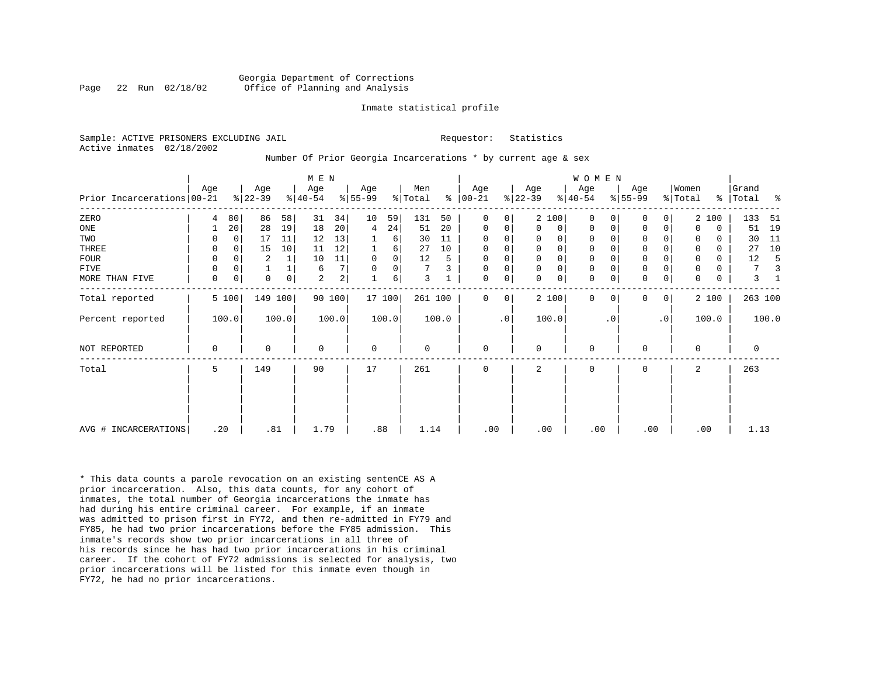#### Georgia Department of Corrections Page 22 Run 02/18/02 Office of Planning and Analysis

#### Inmate statistical profile

Sample: ACTIVE PRISONERS EXCLUDING JAIL **Requestor:** Statistics Active inmates 02/18/2002

#### Number Of Prior Georgia Incarcerations \* by current age & sex

|                            |             |             |                 |                | M E N            |                         |                  |             |                |       |                   |                        |                  |              | WOMEN            |           |                  |                |                  |             |                |       |
|----------------------------|-------------|-------------|-----------------|----------------|------------------|-------------------------|------------------|-------------|----------------|-------|-------------------|------------------------|------------------|--------------|------------------|-----------|------------------|----------------|------------------|-------------|----------------|-------|
| Prior Incarcerations 00-21 | Age         |             | Age<br>$ 22-39$ |                | Age<br>$ 40-54 $ |                         | Age<br>$ 55-99 $ |             | Men<br>% Total | ⊱     | Age<br>$ 00 - 21$ |                        | Age<br>$ 22-39 $ |              | Age<br>$8 40-54$ |           | Age<br>$ 55-99 $ |                | Women<br>% Total | ႜၟ          | Grand<br>Total | ႜ     |
| ZERO                       | 4           | 80          | 86              | 58             | 31               | 34                      | 10               | 59          | 131            | 50    | 0                 | 0                      |                  | 2 100        | $\Omega$         | $\Omega$  | $\Omega$         | 0              |                  | 2 100       | 133            | 51    |
| ONE                        |             | 20          | 28              | 19             | 18               | 20                      | 4                | 24          | 51             | 20    | 0                 | 0                      | $\Omega$         | 0            | 0                | 0         | $\mathbf 0$      | 0              | $\Omega$         | $\mathbf 0$ | 51             | 19    |
| TWO                        | 0           | $\Omega$    | 17              | 11             | 12               | 13                      |                  | 6           | 30             | 11    | 0                 | 0                      | 0                | 0            | 0                |           | 0                |                | 0                | 0           | 30             | 11    |
| THREE                      | 0           | $\Omega$    | 15              | 10             | 11               | 12                      |                  | 6           | 27             | 10    | 0                 | 0                      | $\mathbf 0$      | $\mathsf{O}$ | $\mathsf 0$      |           | $\mathbf 0$      | 0              | $\Omega$         | $\Omega$    | 27             | 10    |
| <b>FOUR</b>                | 0           | $\Omega$    | $\overline{2}$  |                | 10               | 11                      | $\mathbf 0$      | $\mathbf 0$ | 12             |       | $\mathbf 0$       | 0                      | $\mathbf 0$      | $\mathsf{O}$ | 0                |           | $\mathbf 0$      |                | 0                | 0           | 12             |       |
| FIVE                       | 0           | 0           |                 |                | 6                | 7                       | $\mathbf 0$      | 0           | 7              | 3     | $\mathbf 0$       | 0                      | $\mathbf 0$      | $\mathbf 0$  | $\mathbf 0$      |           | $\mathsf 0$      | 0              | 0                | 0           | 7              |       |
| MORE THAN FIVE             | $\mathbf 0$ | $\mathbf 0$ | $\Omega$        | $\overline{0}$ | $\overline{a}$   | $\overline{\mathbf{c}}$ |                  | 6           | 3              |       | 0                 | 0                      | $\Omega$         | $\mathsf{O}$ | $\mathbf 0$      | 0         | $\mathbf 0$      | $\mathbf 0$    | $\Omega$         | $\mathbf 0$ | 3              |       |
| Total reported             |             | 5 100       | 149 100         |                |                  | 90 100                  |                  | 17 100      | 261 100        |       | $\Omega$          | 0                      |                  | 2 100        | $\Omega$         | $\Omega$  | $\mathbf 0$      | $\overline{0}$ |                  | 2 100       | 263 100        |       |
| Percent reported           |             | 100.0       |                 | 100.0          |                  | 100.0                   |                  | 100.0       |                | 100.0 |                   | $\boldsymbol{\cdot}$ 0 |                  | 100.0        |                  | $\cdot$ 0 |                  | $\cdot$ 0      |                  | 100.0       |                | 100.0 |
| NOT REPORTED               | 0           |             | $\Omega$        |                | 0                |                         | $\mathbf 0$      |             | 0              |       | $\mathbf 0$       |                        | $\Omega$         |              | $\mathbf 0$      |           | $\mathbf 0$      |                | $\Omega$         |             | 0              |       |
| Total                      | 5           |             | 149             |                | 90               |                         | 17               |             | 261            |       | 0                 |                        | 2                |              | 0                |           | $\mathbf 0$      |                | 2                |             | 263            |       |
|                            |             |             |                 |                |                  |                         |                  |             |                |       |                   |                        |                  |              |                  |           |                  |                |                  |             |                |       |
| AVG # INCARCERATIONS       | .20         |             | .81             |                | 1.79             |                         | .88              |             | 1.14           |       | .00               |                        | .00              |              | .00              |           | .00              |                |                  | .00         | 1.13           |       |

\* This data counts a parole revocation on an existing sentenCE AS A prior incarceration. Also, this data counts, for any cohort of inmates, the total number of Georgia incarcerations the inmate has had during his entire criminal career. For example, if an inmate was admitted to prison first in FY72, and then re-admitted in FY79 and FY85, he had two prior incarcerations before the FY85 admission. This inmate's records show two prior incarcerations in all three of his records since he has had two prior incarcerations in his criminal career. If the cohort of FY72 admissions is selected for analysis, two prior incarcerations will be listed for this inmate even though in FY72, he had no prior incarcerations.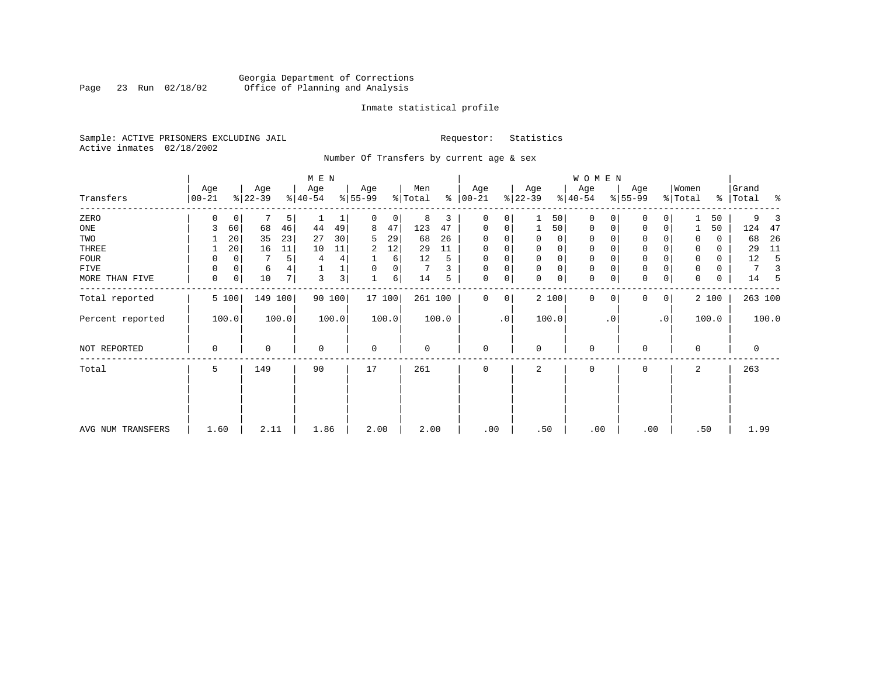### Georgia Department of Corrections<br>Page 23 Run 02/18/02 Office of Planning and Analysis Page 23 Run 02/18/02 Office of Planning and Analysis

#### Inmate statistical profile

Sample: ACTIVE PRISONERS EXCLUDING JAIL **Requestor:** Statistics Active inmates 02/18/2002

Number Of Transfers by current age & sex

| Transfers         | Age<br>$ 00-21$ |                | Age<br>$ 22-39 $ |       | M E N<br>Age<br>$8 40-54$ |                | Age<br>$ 55-99$ |       | Men<br>% Total |       | Age<br>$8   00 - 21$ |             | Age<br>$ 22-39 $ |       | WOMEN<br>Age<br>$ 40-54 $ |             | Age<br>$8 55-99$ |                | Women<br>% Total |       | Grand<br>%   Total | ಿ     |
|-------------------|-----------------|----------------|------------------|-------|---------------------------|----------------|-----------------|-------|----------------|-------|----------------------|-------------|------------------|-------|---------------------------|-------------|------------------|----------------|------------------|-------|--------------------|-------|
|                   |                 |                |                  |       |                           |                |                 |       |                |       |                      |             |                  |       |                           |             |                  |                |                  |       |                    |       |
| ZERO              |                 | 0              |                  | 5     |                           | 1              | 0               | 0     | 8              | 3     | $\mathbf 0$          | 0           |                  | 50    | $\mathbf 0$               | $\Omega$    | $\Omega$         | $\Omega$       |                  | 50    | 9                  |       |
| ONE               |                 | 60             | 68               | 46    | 44                        | 49             | 8               | 47    | 123            | 47    | 0                    | 0           | 1                | 50    | 0                         | 0           | 0                | 0              |                  | 50    | 124                | 47    |
| TWO               |                 | 20             | 35               | 23    | 27                        | 30             | 5.              | 29    | 68             | 26    | 0                    |             | $\Omega$         | 0     | 0                         | $\Omega$    | 0                |                | $\Omega$         | 0     | 68                 | 26    |
| THREE             |                 | 20             | 16               | 11    | 10                        | 11             | 2               | 12    | 29             | 11    | $\mathbf 0$          | 0           | $\mathbf 0$      | 0     | $\mathbf 0$               | 0           | $\mathbf 0$      |                | 0                | 0     | 29                 | 11    |
| FOUR              | 0               |                |                  | 5     | 4                         | 4              |                 | 6     | 12             | 5     | $\mathbf 0$          |             | $\mathbf 0$      | 0     | 0                         | $\Omega$    | $\mathbf 0$      |                | 0                | 0     | 12                 | 5     |
| FIVE              | 0               | 0              | 6                |       |                           | 1              | 0               | 0     |                |       | 0                    |             | $\mathbf 0$      | 0     | 0                         |             | $\mathbf 0$      |                | $\mathbf 0$      | 0     | 7                  |       |
| MORE THAN FIVE    | $\mathbf 0$     | $\overline{0}$ | 10               | 7     | 3                         | 3 <sub>1</sub> |                 | 6     | 14             | 5     | $\mathbf 0$          | 0           | $\Omega$         | 0     | $\mathbf 0$               | $\mathbf 0$ | $\mathbf 0$      | $\mathbf 0$    | 0                | 0     | 14                 | -5    |
| Total reported    |                 | 5 100          | 149 100          |       |                           | 90 100         | 17 100          |       | 261 100        |       | $\mathbf{0}$         | $\mathbf 0$ |                  | 2 100 | $\Omega$                  | $\Omega$    | $\Omega$         | $\overline{0}$ |                  | 2 100 | 263 100            |       |
| Percent reported  |                 | 100.0          |                  | 100.0 |                           | 100.0          |                 | 100.0 |                | 100.0 |                      | $\cdot$ 0   |                  | 100.0 |                           | $\cdot$ 0   |                  | $\cdot$ 0      |                  | 100.0 |                    | 100.0 |
| NOT REPORTED      | 0               |                | 0                |       | $\mathbf 0$               |                | 0               |       | 0              |       | $\mathbf{0}$         |             | $\mathbf 0$      |       | $\mathbf 0$               |             | $\Omega$         |                | $\Omega$         |       | $\mathbf 0$        |       |
| Total             | 5               |                | 149              |       | 90                        |                | 17              |       | 261            |       | 0                    |             | 2                |       | 0                         |             | 0                |                | 2                |       | 263                |       |
| AVG NUM TRANSFERS | 1.60            |                | 2.11             |       | 1.86                      |                | 2.00            |       | 2.00           |       | .00                  |             | .50              |       | .00                       |             | .00              |                | .50              |       | 1.99               |       |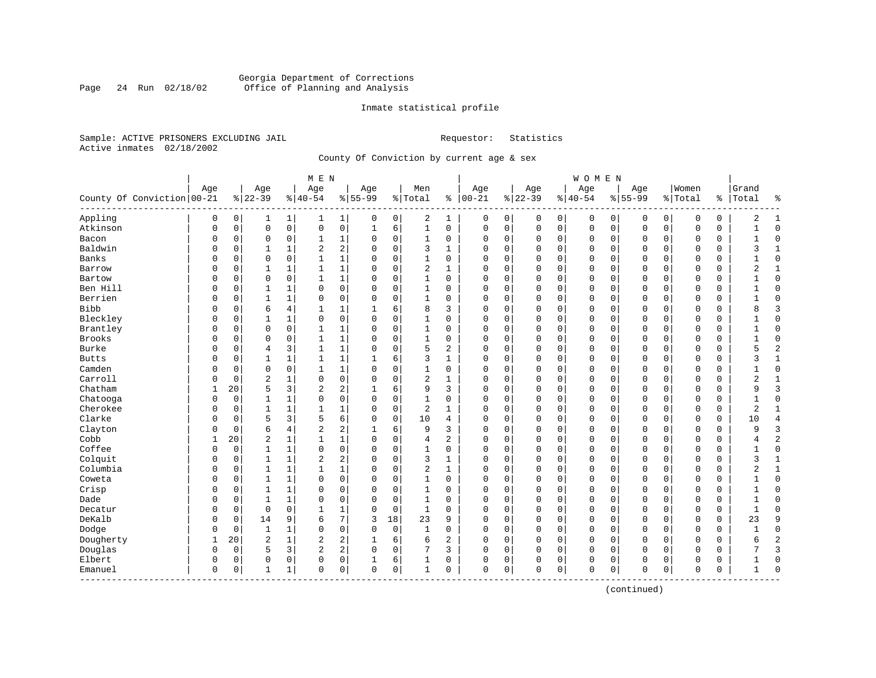#### Georgia Department of Corrections Page 24 Run 02/18/02 Office of Planning and Analysis

#### Inmate statistical profile

Sample: ACTIVE PRISONERS EXCLUDING JAIL **Requestor:** Statistics Active inmates 02/18/2002

County Of Conviction by current age & sex

| Age<br>Women<br>Age<br>Age<br>Age<br>Men<br>Age<br>Age<br>Age<br>Grand<br>Age<br>County Of Conviction   00-21<br>$ 00-21$<br>$ 22-39$<br>$8 22-39$<br>$8 40-54$<br>$8 55-99$<br>% Total<br>$ 40-54$<br>$8155 - 99$<br>နွ<br>% Total<br>ి<br>Total<br>ႜ<br>Appling<br>2<br>$\mathbf 0$<br>0<br>0<br>$\mathbf{1}$<br>0<br>1<br>0<br>0<br>0<br>0<br>2<br>$\mathbf{1}$<br>1<br>1  <br>0<br>0<br>0<br>0<br>0<br>0<br>1<br>$\mathbf 0$<br>$\mathsf{O}\xspace$<br>0<br>6<br>$\mathbf{1}$<br>$\mathbf 0$<br>Atkinson<br>$\mathbf 0$<br>$\mathsf 0$<br>$1\,$<br>$\mathbf 0$<br>0<br>$\mathbf 0$<br>$\Omega$<br>$\mathbf 0$<br>O<br>0<br>$\mathbf{1}$<br>0<br>0<br>0<br>0<br>0<br>1<br>$\mathbf 0$<br>Bacon<br>0<br>$\mathbf 0$<br>0<br>1<br>0<br>0<br>1<br>0<br>$\Omega$<br>0<br>0<br>0<br>$\mathbf 0$<br>$\Omega$<br>0<br>$\Omega$<br>0<br>0<br>$\Omega$<br>$\mathbf{1}$<br>2<br>Baldwin<br>2<br>1<br>$\mathbf 0$<br>3<br>$\Omega$<br>$\Omega$<br>3<br>$\mathbf{1}$<br>0<br>0<br>$\mathbf{1}$<br>$\Omega$<br>$\mathbf{1}$<br>$\Omega$<br>0<br>$\Omega$<br>$\Omega$<br>$\mathbf 0$<br>$\Omega$<br>$\mathbf 0$<br>0<br>Banks<br>$\mathbf 1$<br>$\Omega$<br>$\Omega$<br>$\mathbf{1}$<br>$\mathbf 0$<br>$\mathbf{1}$<br>$\Omega$<br>O<br>0<br>$\Omega$<br>$\Omega$<br>$\Omega$<br>0<br>$\Omega$<br>$\Omega$<br>$\Omega$<br>$\sqrt{ }$<br>$\Omega$<br>$\Omega$<br>$\Omega$<br>0<br>1<br>$\mathbf 0$<br>$\overline{2}$<br>0<br>$\mathbf 0$<br>2<br>0<br>1<br>1<br>$\mathbf{1}$<br>$\Omega$<br>$\mathbf{1}$<br>$\Omega$<br>$\Omega$<br>$\mathbf 0$<br>$\Omega$<br>0<br>$\Omega$<br>0<br>$\mathbf{1}$<br>Barrow<br>0<br>0<br>$\mathbf 1$<br>$\mathbf 0$<br>$\mathbf 0$<br>$\mathbf{1}$<br>$\mathbf 0$<br>$\mathbf{1}$<br>0<br>$\mathsf 0$<br>$\mathbf 0$<br>$\mathbf 0$<br>Bartow<br>0<br>$\Omega$<br>0<br>$\Omega$<br>0<br>$\Omega$<br>0<br>0<br>0<br>0<br>$\Omega$<br>Ben Hill<br>0<br>$\mathbf 0$<br>$\Omega$<br>0<br>$\mathbf{1}$<br>$\mathbf 0$<br>$\Omega$<br>$\mathbf{1}$<br>$\Omega$<br>$\mathbf 0$<br>$\mathbf 0$<br>$\mathbf 0$<br>$\Omega$<br>$\Omega$<br>0<br>$\mathbf 0$<br>$\mathbf{1}$<br>$\Omega$<br>$\Omega$<br>$\Omega$<br>$\Omega$<br>$\mathbf{1}$<br>Berrien<br>0<br>$\mathbf 0$<br>$\mathbf{1}$<br>$\mathbf{1}$<br>$\Omega$<br>$\Omega$<br>$\mathbf 0$<br>$\mathbf{1}$<br>$\Omega$<br>$\Omega$<br>0<br>$\mathbf 0$<br>$\Omega$<br>$\Omega$<br>$\Omega$<br>O<br>0<br>$\Omega$<br>$\Omega$<br>$\mathbf 0$<br>0<br>1<br><b>Bibb</b><br>3<br>6<br>4<br>1<br>6<br>8<br>3<br>$\mathbf 0$<br>8<br>O<br>0<br>$\mathbf{1}$<br>$\Omega$<br>0<br>0<br>$\mathbf 0$<br>$\Omega$<br>$\Omega$<br>$\Omega$<br>0<br>$\Omega$<br>Bleckley<br>$\mathbf 0$<br>0<br>$\mathbf 0$<br>$\mathbf 0$<br>O<br>0<br>$\mathbf{1}$<br>1<br>$\Omega$<br>$\mathbf{1}$<br>0<br>$\Omega$<br>0<br>$\Omega$<br>0<br>$\Omega$<br>$\mathsf{C}$<br>$\Omega$<br>$\Omega$<br>$\mathbf 0$<br>$\Omega$<br>Brantley<br>$\mathbf 0$<br>1<br>$\mathbf 0$<br>$\mathbf 0$<br>0<br>$\mathbf 0$<br>$\mathbf{1}$<br>$\Omega$<br>1<br>0<br>0<br>$\Omega$<br>0<br>$\mathbf 0$<br>$\Omega$<br>0<br>$\Omega$<br>0<br>$\mathbf 0$<br>0<br>$\Omega$<br>1<br>Brooks<br>0<br>1<br>$\mathbf 0$<br>0<br>$\mathbf 0$<br>$\mathbf 0$<br>$\mathbf 0$<br>1<br>0<br>1<br>0<br>$\mathbf 0$<br>0<br>0<br>0<br>C<br>$\Omega$<br>0<br>0<br>0<br>0<br>$\overline{c}$<br>Burke<br>1<br>$\mathbf 0$<br>5<br>3<br>$\mathbf{1}$<br>2<br>0<br>$\Omega$<br>5<br>0<br>0<br>$\overline{4}$<br>$\Omega$<br>$\Omega$<br>$\Omega$<br>$\Omega$<br>$\mathbf 0$<br>$\Omega$<br>$\Omega$<br>$\Omega$<br>0<br>1<br>6<br>3<br>0<br>$\mathbf 0$<br>$\mathbf{1}$<br><b>Butts</b><br>O<br>0<br>1<br>1<br>$\mathbf{1}$<br>$\mathbf{1}$<br>$\Omega$<br>$\Omega$<br>$\Omega$<br>$\mathbf 0$<br>$\Omega$<br>0<br>$\Omega$<br>0<br>3<br>1<br>Camden<br>0<br>1<br>$\mathbf 0$<br>0<br>1<br>$\Omega$<br>0<br>1<br>0<br>0<br>0<br>0<br>U<br>0<br>0<br>$\Omega$<br>0<br>0<br>0<br>0<br>0<br>Carroll<br>$\overline{c}$<br>0<br>2<br>O<br>0<br>1<br>0<br>$\Omega$<br>$\mathbf 0$<br>1<br>0<br>0<br>$\Omega$<br>0<br>$\Omega$<br>$\Omega$<br>2<br>$\mathbf{1}$<br>$\Omega$<br>$\Omega$<br>0<br>$\mathsf{C}$<br>Chatham<br>20<br>5<br>3<br>2<br>2<br>6<br>9<br>3<br>3<br>0<br>$\Omega$<br>$\Omega$<br>$\Omega$<br>$\Omega$<br>9<br>1<br>$\Omega$<br>$\Omega$<br>$\Omega$<br>$\Omega$<br>$\Omega$<br>1<br>0<br>0<br>1<br>$\mathbf 0$<br>$\Omega$<br>$\mathbf 0$<br>$\mathbf{1}$<br>0<br>$\mathbf 0$<br>$\Omega$<br>$\mathbf 0$<br>Chatooga<br>O<br>1<br>0<br>0<br>$\mathbf 0$<br>$\Omega$<br>$\Omega$<br>0<br>O<br>$\Omega$<br>1<br>Cherokee<br>$\mathsf 0$<br>$\mathbf{1}$<br>$\mathbf{1}$<br>$\mathbf{1}$<br>1<br>$\sqrt{2}$<br>$\mathbf{1}$<br>$\overline{2}$<br>$\mathbf{1}$<br>O<br>0<br>$\Omega$<br>$\Omega$<br>0<br>$\Omega$<br>0<br>0<br>$\mathbf 0$<br>$\Omega$<br>0<br>$\Omega$<br>0<br>Clarke<br>6<br>5<br>3<br>5<br>$\mathbf 0$<br>10<br>10<br>$\overline{4}$<br>O<br>0<br>$\Omega$<br>$\Omega$<br>0<br>$\Omega$<br>0<br>$\Omega$<br>$\mathbf 0$<br>$\Omega$<br>0<br>$\Omega$<br>0<br>4<br>2<br>Clayton<br>6<br>3<br>4<br>2<br>6<br>9<br>3<br>0<br>0<br>$\Omega$<br>9<br>O<br>0<br>$\Omega$<br>$\Omega$<br>$\Omega$<br>$\mathbf 0$<br>$\Omega$<br>$\Omega$<br>0<br>Cobb<br>$\overline{c}$<br>1<br>$\overline{2}$<br>20<br>$\mathbf{1}$<br>$\mathbf{1}$<br>$\Omega$<br>$\mathbf 0$<br>2<br>0<br>$\mathbf 0$<br>$\Omega$<br>4<br>$\Omega$<br>$\Omega$<br>$\Omega$<br>$\mathsf{C}$<br>$\Omega$<br>$\Omega$<br>$\Omega$<br>4<br>Coffee<br>$\mathbf 0$<br>0<br>$\mathbf 0$<br>$\mathbf{1}$<br>0<br>$\mathbf 0$<br>$\Omega$<br>$\Omega$<br>$\mathbf 0$<br>$\mathbf 0$<br>0<br>1<br>1<br>$\Omega$<br>0<br>$\Omega$<br>$\Omega$<br>$\Omega$<br>$\mathbf 0$<br>0<br>$\mathbf{1}$<br>U<br>Colquit<br>2<br>$1\,$<br>$\sqrt{2}$<br>$\mathbf 0$<br>3<br>0<br>$\mathbf 0$<br>$\mathbf 0$<br>$\mathbf{1}$<br>0<br>1<br>$\Omega$<br>1<br>$\mathbf 0$<br>0<br>0<br>0<br>3<br>0<br>O<br>$\Omega$<br>0<br>Columbia<br>$\mathbf{1}$<br>$\mathbf{1}$<br>$\mathbf 1$<br>$\mathbf 0$<br>$\overline{2}$<br>$\mathbf{1}$<br>2<br>$\mathbf{1}$<br>0<br>0<br>1<br>$\Omega$<br>0<br>0<br>0<br>0<br>$\Omega$<br>0<br>O<br>0<br>C<br>$\Omega$<br>Coweta<br>0<br>$\mathbf 0$<br>0<br>1<br>1<br>0<br>$\Omega$<br>0<br>1<br>0<br>$\Omega$<br>0<br>0<br>0<br>$\Omega$<br>$\Omega$<br>0<br>$\Omega$<br>0<br>$\Omega$<br>0<br>$\mathbf{1}$<br>Crisp<br>$\mathbf{1}$<br>0<br>$\mathbf 0$<br>$\mathbf 0$<br>O<br>0<br>$\mathbf{1}$<br>$\Omega$<br>$\Omega$<br>1<br>$\Omega$<br>$\Omega$<br>0<br>$\Omega$<br>0<br>0<br>$\Omega$<br>$\Omega$<br>0<br>$\Omega$<br>0<br>Dade<br>$\mathbf{1}$<br>0<br>$\mathbf 0$<br>$\mathbf{1}$<br>$\mathbf 0$<br>$\mathbf 0$<br>0<br>0<br>$\mathbf{1}$<br>$\Omega$<br>$\Omega$<br>$\Omega$<br>$\Omega$<br>0<br>$\Omega$<br>$\Omega$<br>$\mathbf 0$<br>$\Omega$<br>$\Omega$<br>$\Omega$<br>$\Omega$<br>$\mathbf 0$<br>1<br>$\mathbf{1}$<br>Decatur<br>0<br>0<br>-1<br>0<br>0<br>$\Omega$<br>0<br>0<br>$\Omega$<br>$\Omega$<br>$\Omega$<br>0<br>$\Omega$<br>0<br>$\Omega$<br>$\Omega$<br>0<br>0<br>1<br>7<br>DeKalb<br>9<br>18<br>9<br>0<br>14<br>6<br>3<br>23<br>9<br>0<br>0<br>0<br>0<br>23<br>0<br>0<br>$\Omega$<br>0<br>0<br>0<br>0<br>0<br>$\mathbf 0$<br>$\mathbf 0$<br>Dodge<br>0<br>0<br>$\mathbf{1}$<br>$\mathbf{1}$<br>$\mathbf 0$<br>$\Omega$<br>$\mathbf{1}$<br>$\Omega$<br>$\mathbf 0$<br>$\mathbf 0$<br>$\mathbf 0$<br>$\Omega$<br>$\Omega$<br>$\Omega$<br>0<br>$\Omega$<br>$\Omega$<br>$\Omega$<br>$\mathbf{1}$<br>$\overline{c}$<br>$\overline{2}$<br>$\sqrt{2}$<br>2<br>$\overline{c}$<br>Dougherty<br>20<br>$\mathbf{1}$<br>6<br>6<br>$\mathbf{1}$<br>1<br>$\Omega$<br>0<br>$\Omega$<br>0<br>$\Omega$<br>$\mathbf 0$<br>$\Omega$<br>$\Omega$<br>$\Omega$<br>0<br>б<br>Douglas<br>2<br>5<br>3<br>2<br>7<br>3<br>0<br>0<br>0<br>0<br>3<br>$\Omega$<br>0<br>0<br>0<br>0<br>$\Omega$<br>0<br>$\Omega$<br>$\Omega$<br>0<br>Elbert<br>0<br>6<br>0<br>0<br>0<br>0<br>0<br>0<br>0<br>0<br>0<br>0<br>1<br>0<br>0<br>$\Omega$<br>0<br>0<br>$\Omega$<br>$\Omega$<br>$\mathbf 0$<br>0<br>0<br>$\mathbf{1}$<br>0<br>0<br>0<br>1<br>0<br>0<br>0<br>$\Omega$<br>0<br>$\bigcap$<br>Emanuel<br>0<br>1<br>0<br>$\Omega$<br>0<br>$\Omega$<br>0<br>1<br>---------- |  |  | M E N |  |  |  |  | WOMEN |  |  |  |  |
|---------------------------------------------------------------------------------------------------------------------------------------------------------------------------------------------------------------------------------------------------------------------------------------------------------------------------------------------------------------------------------------------------------------------------------------------------------------------------------------------------------------------------------------------------------------------------------------------------------------------------------------------------------------------------------------------------------------------------------------------------------------------------------------------------------------------------------------------------------------------------------------------------------------------------------------------------------------------------------------------------------------------------------------------------------------------------------------------------------------------------------------------------------------------------------------------------------------------------------------------------------------------------------------------------------------------------------------------------------------------------------------------------------------------------------------------------------------------------------------------------------------------------------------------------------------------------------------------------------------------------------------------------------------------------------------------------------------------------------------------------------------------------------------------------------------------------------------------------------------------------------------------------------------------------------------------------------------------------------------------------------------------------------------------------------------------------------------------------------------------------------------------------------------------------------------------------------------------------------------------------------------------------------------------------------------------------------------------------------------------------------------------------------------------------------------------------------------------------------------------------------------------------------------------------------------------------------------------------------------------------------------------------------------------------------------------------------------------------------------------------------------------------------------------------------------------------------------------------------------------------------------------------------------------------------------------------------------------------------------------------------------------------------------------------------------------------------------------------------------------------------------------------------------------------------------------------------------------------------------------------------------------------------------------------------------------------------------------------------------------------------------------------------------------------------------------------------------------------------------------------------------------------------------------------------------------------------------------------------------------------------------------------------------------------------------------------------------------------------------------------------------------------------------------------------------------------------------------------------------------------------------------------------------------------------------------------------------------------------------------------------------------------------------------------------------------------------------------------------------------------------------------------------------------------------------------------------------------------------------------------------------------------------------------------------------------------------------------------------------------------------------------------------------------------------------------------------------------------------------------------------------------------------------------------------------------------------------------------------------------------------------------------------------------------------------------------------------------------------------------------------------------------------------------------------------------------------------------------------------------------------------------------------------------------------------------------------------------------------------------------------------------------------------------------------------------------------------------------------------------------------------------------------------------------------------------------------------------------------------------------------------------------------------------------------------------------------------------------------------------------------------------------------------------------------------------------------------------------------------------------------------------------------------------------------------------------------------------------------------------------------------------------------------------------------------------------------------------------------------------------------------------------------------------------------------------------------------------------------------------------------------------------------------------------------------------------------------------------------------------------------------------------------------------------------------------------------------------------------------------------------------------------------------------------------------------------------------------------------------------------------------------------------------------------------------------------------------------------------------------------------------------------------------------------------------------------------------------------------------------------------------------------------------------------------------------------------------------------------------------------------------------------------------------------------------------------------------------------------------------------------------------------------------------------------------------------------------------------------------------------------------------------------------------------------------------------------------------------------------------------------------------------------------------------------------------------------------------------------------------------------------------------------------------------------------------------------------------------------------------------------------------------------------------------------------------------------------------------------------------------------------------------------------------------------------------------------------------------------------------------------------------------------------------------------------------------------------------------------------------------------------------------------------------------------------------------------------------------------------------------------------------------------------------------------------------------------------------------------------------------------------------------------------------------------------------------------------------------------------------------------------------------------------------------------------------------------------------------------------------------------------------------------------|--|--|-------|--|--|--|--|-------|--|--|--|--|
|                                                                                                                                                                                                                                                                                                                                                                                                                                                                                                                                                                                                                                                                                                                                                                                                                                                                                                                                                                                                                                                                                                                                                                                                                                                                                                                                                                                                                                                                                                                                                                                                                                                                                                                                                                                                                                                                                                                                                                                                                                                                                                                                                                                                                                                                                                                                                                                                                                                                                                                                                                                                                                                                                                                                                                                                                                                                                                                                                                                                                                                                                                                                                                                                                                                                                                                                                                                                                                                                                                                                                                                                                                                                                                                                                                                                                                                                                                                                                                                                                                                                                                                                                                                                                                                                                                                                                                                                                                                                                                                                                                                                                                                                                                                                                                                                                                                                                                                                                                                                                                                                                                                                                                                                                                                                                                                                                                                                                                                                                                                                                                                                                                                                                                                                                                                                                                                                                                                                                                                                                                                                                                                                                                                                                                                                                                                                                                                                                                                                                                                                                                                                                                                                                                                                                                                                                                                                                                                                                                                                                                                                                                                                                                                                                                                                                                                                                                                                                                                                                                                                                                                                                                                                                                                                                                                                                                                                                                                                                                                                                                                                                                                                                               |  |  |       |  |  |  |  |       |  |  |  |  |
|                                                                                                                                                                                                                                                                                                                                                                                                                                                                                                                                                                                                                                                                                                                                                                                                                                                                                                                                                                                                                                                                                                                                                                                                                                                                                                                                                                                                                                                                                                                                                                                                                                                                                                                                                                                                                                                                                                                                                                                                                                                                                                                                                                                                                                                                                                                                                                                                                                                                                                                                                                                                                                                                                                                                                                                                                                                                                                                                                                                                                                                                                                                                                                                                                                                                                                                                                                                                                                                                                                                                                                                                                                                                                                                                                                                                                                                                                                                                                                                                                                                                                                                                                                                                                                                                                                                                                                                                                                                                                                                                                                                                                                                                                                                                                                                                                                                                                                                                                                                                                                                                                                                                                                                                                                                                                                                                                                                                                                                                                                                                                                                                                                                                                                                                                                                                                                                                                                                                                                                                                                                                                                                                                                                                                                                                                                                                                                                                                                                                                                                                                                                                                                                                                                                                                                                                                                                                                                                                                                                                                                                                                                                                                                                                                                                                                                                                                                                                                                                                                                                                                                                                                                                                                                                                                                                                                                                                                                                                                                                                                                                                                                                                                               |  |  |       |  |  |  |  |       |  |  |  |  |
|                                                                                                                                                                                                                                                                                                                                                                                                                                                                                                                                                                                                                                                                                                                                                                                                                                                                                                                                                                                                                                                                                                                                                                                                                                                                                                                                                                                                                                                                                                                                                                                                                                                                                                                                                                                                                                                                                                                                                                                                                                                                                                                                                                                                                                                                                                                                                                                                                                                                                                                                                                                                                                                                                                                                                                                                                                                                                                                                                                                                                                                                                                                                                                                                                                                                                                                                                                                                                                                                                                                                                                                                                                                                                                                                                                                                                                                                                                                                                                                                                                                                                                                                                                                                                                                                                                                                                                                                                                                                                                                                                                                                                                                                                                                                                                                                                                                                                                                                                                                                                                                                                                                                                                                                                                                                                                                                                                                                                                                                                                                                                                                                                                                                                                                                                                                                                                                                                                                                                                                                                                                                                                                                                                                                                                                                                                                                                                                                                                                                                                                                                                                                                                                                                                                                                                                                                                                                                                                                                                                                                                                                                                                                                                                                                                                                                                                                                                                                                                                                                                                                                                                                                                                                                                                                                                                                                                                                                                                                                                                                                                                                                                                                                               |  |  |       |  |  |  |  |       |  |  |  |  |
|                                                                                                                                                                                                                                                                                                                                                                                                                                                                                                                                                                                                                                                                                                                                                                                                                                                                                                                                                                                                                                                                                                                                                                                                                                                                                                                                                                                                                                                                                                                                                                                                                                                                                                                                                                                                                                                                                                                                                                                                                                                                                                                                                                                                                                                                                                                                                                                                                                                                                                                                                                                                                                                                                                                                                                                                                                                                                                                                                                                                                                                                                                                                                                                                                                                                                                                                                                                                                                                                                                                                                                                                                                                                                                                                                                                                                                                                                                                                                                                                                                                                                                                                                                                                                                                                                                                                                                                                                                                                                                                                                                                                                                                                                                                                                                                                                                                                                                                                                                                                                                                                                                                                                                                                                                                                                                                                                                                                                                                                                                                                                                                                                                                                                                                                                                                                                                                                                                                                                                                                                                                                                                                                                                                                                                                                                                                                                                                                                                                                                                                                                                                                                                                                                                                                                                                                                                                                                                                                                                                                                                                                                                                                                                                                                                                                                                                                                                                                                                                                                                                                                                                                                                                                                                                                                                                                                                                                                                                                                                                                                                                                                                                                                               |  |  |       |  |  |  |  |       |  |  |  |  |
|                                                                                                                                                                                                                                                                                                                                                                                                                                                                                                                                                                                                                                                                                                                                                                                                                                                                                                                                                                                                                                                                                                                                                                                                                                                                                                                                                                                                                                                                                                                                                                                                                                                                                                                                                                                                                                                                                                                                                                                                                                                                                                                                                                                                                                                                                                                                                                                                                                                                                                                                                                                                                                                                                                                                                                                                                                                                                                                                                                                                                                                                                                                                                                                                                                                                                                                                                                                                                                                                                                                                                                                                                                                                                                                                                                                                                                                                                                                                                                                                                                                                                                                                                                                                                                                                                                                                                                                                                                                                                                                                                                                                                                                                                                                                                                                                                                                                                                                                                                                                                                                                                                                                                                                                                                                                                                                                                                                                                                                                                                                                                                                                                                                                                                                                                                                                                                                                                                                                                                                                                                                                                                                                                                                                                                                                                                                                                                                                                                                                                                                                                                                                                                                                                                                                                                                                                                                                                                                                                                                                                                                                                                                                                                                                                                                                                                                                                                                                                                                                                                                                                                                                                                                                                                                                                                                                                                                                                                                                                                                                                                                                                                                                                               |  |  |       |  |  |  |  |       |  |  |  |  |
|                                                                                                                                                                                                                                                                                                                                                                                                                                                                                                                                                                                                                                                                                                                                                                                                                                                                                                                                                                                                                                                                                                                                                                                                                                                                                                                                                                                                                                                                                                                                                                                                                                                                                                                                                                                                                                                                                                                                                                                                                                                                                                                                                                                                                                                                                                                                                                                                                                                                                                                                                                                                                                                                                                                                                                                                                                                                                                                                                                                                                                                                                                                                                                                                                                                                                                                                                                                                                                                                                                                                                                                                                                                                                                                                                                                                                                                                                                                                                                                                                                                                                                                                                                                                                                                                                                                                                                                                                                                                                                                                                                                                                                                                                                                                                                                                                                                                                                                                                                                                                                                                                                                                                                                                                                                                                                                                                                                                                                                                                                                                                                                                                                                                                                                                                                                                                                                                                                                                                                                                                                                                                                                                                                                                                                                                                                                                                                                                                                                                                                                                                                                                                                                                                                                                                                                                                                                                                                                                                                                                                                                                                                                                                                                                                                                                                                                                                                                                                                                                                                                                                                                                                                                                                                                                                                                                                                                                                                                                                                                                                                                                                                                                                               |  |  |       |  |  |  |  |       |  |  |  |  |
|                                                                                                                                                                                                                                                                                                                                                                                                                                                                                                                                                                                                                                                                                                                                                                                                                                                                                                                                                                                                                                                                                                                                                                                                                                                                                                                                                                                                                                                                                                                                                                                                                                                                                                                                                                                                                                                                                                                                                                                                                                                                                                                                                                                                                                                                                                                                                                                                                                                                                                                                                                                                                                                                                                                                                                                                                                                                                                                                                                                                                                                                                                                                                                                                                                                                                                                                                                                                                                                                                                                                                                                                                                                                                                                                                                                                                                                                                                                                                                                                                                                                                                                                                                                                                                                                                                                                                                                                                                                                                                                                                                                                                                                                                                                                                                                                                                                                                                                                                                                                                                                                                                                                                                                                                                                                                                                                                                                                                                                                                                                                                                                                                                                                                                                                                                                                                                                                                                                                                                                                                                                                                                                                                                                                                                                                                                                                                                                                                                                                                                                                                                                                                                                                                                                                                                                                                                                                                                                                                                                                                                                                                                                                                                                                                                                                                                                                                                                                                                                                                                                                                                                                                                                                                                                                                                                                                                                                                                                                                                                                                                                                                                                                                               |  |  |       |  |  |  |  |       |  |  |  |  |
|                                                                                                                                                                                                                                                                                                                                                                                                                                                                                                                                                                                                                                                                                                                                                                                                                                                                                                                                                                                                                                                                                                                                                                                                                                                                                                                                                                                                                                                                                                                                                                                                                                                                                                                                                                                                                                                                                                                                                                                                                                                                                                                                                                                                                                                                                                                                                                                                                                                                                                                                                                                                                                                                                                                                                                                                                                                                                                                                                                                                                                                                                                                                                                                                                                                                                                                                                                                                                                                                                                                                                                                                                                                                                                                                                                                                                                                                                                                                                                                                                                                                                                                                                                                                                                                                                                                                                                                                                                                                                                                                                                                                                                                                                                                                                                                                                                                                                                                                                                                                                                                                                                                                                                                                                                                                                                                                                                                                                                                                                                                                                                                                                                                                                                                                                                                                                                                                                                                                                                                                                                                                                                                                                                                                                                                                                                                                                                                                                                                                                                                                                                                                                                                                                                                                                                                                                                                                                                                                                                                                                                                                                                                                                                                                                                                                                                                                                                                                                                                                                                                                                                                                                                                                                                                                                                                                                                                                                                                                                                                                                                                                                                                                                               |  |  |       |  |  |  |  |       |  |  |  |  |
|                                                                                                                                                                                                                                                                                                                                                                                                                                                                                                                                                                                                                                                                                                                                                                                                                                                                                                                                                                                                                                                                                                                                                                                                                                                                                                                                                                                                                                                                                                                                                                                                                                                                                                                                                                                                                                                                                                                                                                                                                                                                                                                                                                                                                                                                                                                                                                                                                                                                                                                                                                                                                                                                                                                                                                                                                                                                                                                                                                                                                                                                                                                                                                                                                                                                                                                                                                                                                                                                                                                                                                                                                                                                                                                                                                                                                                                                                                                                                                                                                                                                                                                                                                                                                                                                                                                                                                                                                                                                                                                                                                                                                                                                                                                                                                                                                                                                                                                                                                                                                                                                                                                                                                                                                                                                                                                                                                                                                                                                                                                                                                                                                                                                                                                                                                                                                                                                                                                                                                                                                                                                                                                                                                                                                                                                                                                                                                                                                                                                                                                                                                                                                                                                                                                                                                                                                                                                                                                                                                                                                                                                                                                                                                                                                                                                                                                                                                                                                                                                                                                                                                                                                                                                                                                                                                                                                                                                                                                                                                                                                                                                                                                                                               |  |  |       |  |  |  |  |       |  |  |  |  |
|                                                                                                                                                                                                                                                                                                                                                                                                                                                                                                                                                                                                                                                                                                                                                                                                                                                                                                                                                                                                                                                                                                                                                                                                                                                                                                                                                                                                                                                                                                                                                                                                                                                                                                                                                                                                                                                                                                                                                                                                                                                                                                                                                                                                                                                                                                                                                                                                                                                                                                                                                                                                                                                                                                                                                                                                                                                                                                                                                                                                                                                                                                                                                                                                                                                                                                                                                                                                                                                                                                                                                                                                                                                                                                                                                                                                                                                                                                                                                                                                                                                                                                                                                                                                                                                                                                                                                                                                                                                                                                                                                                                                                                                                                                                                                                                                                                                                                                                                                                                                                                                                                                                                                                                                                                                                                                                                                                                                                                                                                                                                                                                                                                                                                                                                                                                                                                                                                                                                                                                                                                                                                                                                                                                                                                                                                                                                                                                                                                                                                                                                                                                                                                                                                                                                                                                                                                                                                                                                                                                                                                                                                                                                                                                                                                                                                                                                                                                                                                                                                                                                                                                                                                                                                                                                                                                                                                                                                                                                                                                                                                                                                                                                                               |  |  |       |  |  |  |  |       |  |  |  |  |
|                                                                                                                                                                                                                                                                                                                                                                                                                                                                                                                                                                                                                                                                                                                                                                                                                                                                                                                                                                                                                                                                                                                                                                                                                                                                                                                                                                                                                                                                                                                                                                                                                                                                                                                                                                                                                                                                                                                                                                                                                                                                                                                                                                                                                                                                                                                                                                                                                                                                                                                                                                                                                                                                                                                                                                                                                                                                                                                                                                                                                                                                                                                                                                                                                                                                                                                                                                                                                                                                                                                                                                                                                                                                                                                                                                                                                                                                                                                                                                                                                                                                                                                                                                                                                                                                                                                                                                                                                                                                                                                                                                                                                                                                                                                                                                                                                                                                                                                                                                                                                                                                                                                                                                                                                                                                                                                                                                                                                                                                                                                                                                                                                                                                                                                                                                                                                                                                                                                                                                                                                                                                                                                                                                                                                                                                                                                                                                                                                                                                                                                                                                                                                                                                                                                                                                                                                                                                                                                                                                                                                                                                                                                                                                                                                                                                                                                                                                                                                                                                                                                                                                                                                                                                                                                                                                                                                                                                                                                                                                                                                                                                                                                                                               |  |  |       |  |  |  |  |       |  |  |  |  |
|                                                                                                                                                                                                                                                                                                                                                                                                                                                                                                                                                                                                                                                                                                                                                                                                                                                                                                                                                                                                                                                                                                                                                                                                                                                                                                                                                                                                                                                                                                                                                                                                                                                                                                                                                                                                                                                                                                                                                                                                                                                                                                                                                                                                                                                                                                                                                                                                                                                                                                                                                                                                                                                                                                                                                                                                                                                                                                                                                                                                                                                                                                                                                                                                                                                                                                                                                                                                                                                                                                                                                                                                                                                                                                                                                                                                                                                                                                                                                                                                                                                                                                                                                                                                                                                                                                                                                                                                                                                                                                                                                                                                                                                                                                                                                                                                                                                                                                                                                                                                                                                                                                                                                                                                                                                                                                                                                                                                                                                                                                                                                                                                                                                                                                                                                                                                                                                                                                                                                                                                                                                                                                                                                                                                                                                                                                                                                                                                                                                                                                                                                                                                                                                                                                                                                                                                                                                                                                                                                                                                                                                                                                                                                                                                                                                                                                                                                                                                                                                                                                                                                                                                                                                                                                                                                                                                                                                                                                                                                                                                                                                                                                                                                               |  |  |       |  |  |  |  |       |  |  |  |  |
|                                                                                                                                                                                                                                                                                                                                                                                                                                                                                                                                                                                                                                                                                                                                                                                                                                                                                                                                                                                                                                                                                                                                                                                                                                                                                                                                                                                                                                                                                                                                                                                                                                                                                                                                                                                                                                                                                                                                                                                                                                                                                                                                                                                                                                                                                                                                                                                                                                                                                                                                                                                                                                                                                                                                                                                                                                                                                                                                                                                                                                                                                                                                                                                                                                                                                                                                                                                                                                                                                                                                                                                                                                                                                                                                                                                                                                                                                                                                                                                                                                                                                                                                                                                                                                                                                                                                                                                                                                                                                                                                                                                                                                                                                                                                                                                                                                                                                                                                                                                                                                                                                                                                                                                                                                                                                                                                                                                                                                                                                                                                                                                                                                                                                                                                                                                                                                                                                                                                                                                                                                                                                                                                                                                                                                                                                                                                                                                                                                                                                                                                                                                                                                                                                                                                                                                                                                                                                                                                                                                                                                                                                                                                                                                                                                                                                                                                                                                                                                                                                                                                                                                                                                                                                                                                                                                                                                                                                                                                                                                                                                                                                                                                                               |  |  |       |  |  |  |  |       |  |  |  |  |
|                                                                                                                                                                                                                                                                                                                                                                                                                                                                                                                                                                                                                                                                                                                                                                                                                                                                                                                                                                                                                                                                                                                                                                                                                                                                                                                                                                                                                                                                                                                                                                                                                                                                                                                                                                                                                                                                                                                                                                                                                                                                                                                                                                                                                                                                                                                                                                                                                                                                                                                                                                                                                                                                                                                                                                                                                                                                                                                                                                                                                                                                                                                                                                                                                                                                                                                                                                                                                                                                                                                                                                                                                                                                                                                                                                                                                                                                                                                                                                                                                                                                                                                                                                                                                                                                                                                                                                                                                                                                                                                                                                                                                                                                                                                                                                                                                                                                                                                                                                                                                                                                                                                                                                                                                                                                                                                                                                                                                                                                                                                                                                                                                                                                                                                                                                                                                                                                                                                                                                                                                                                                                                                                                                                                                                                                                                                                                                                                                                                                                                                                                                                                                                                                                                                                                                                                                                                                                                                                                                                                                                                                                                                                                                                                                                                                                                                                                                                                                                                                                                                                                                                                                                                                                                                                                                                                                                                                                                                                                                                                                                                                                                                                                               |  |  |       |  |  |  |  |       |  |  |  |  |
|                                                                                                                                                                                                                                                                                                                                                                                                                                                                                                                                                                                                                                                                                                                                                                                                                                                                                                                                                                                                                                                                                                                                                                                                                                                                                                                                                                                                                                                                                                                                                                                                                                                                                                                                                                                                                                                                                                                                                                                                                                                                                                                                                                                                                                                                                                                                                                                                                                                                                                                                                                                                                                                                                                                                                                                                                                                                                                                                                                                                                                                                                                                                                                                                                                                                                                                                                                                                                                                                                                                                                                                                                                                                                                                                                                                                                                                                                                                                                                                                                                                                                                                                                                                                                                                                                                                                                                                                                                                                                                                                                                                                                                                                                                                                                                                                                                                                                                                                                                                                                                                                                                                                                                                                                                                                                                                                                                                                                                                                                                                                                                                                                                                                                                                                                                                                                                                                                                                                                                                                                                                                                                                                                                                                                                                                                                                                                                                                                                                                                                                                                                                                                                                                                                                                                                                                                                                                                                                                                                                                                                                                                                                                                                                                                                                                                                                                                                                                                                                                                                                                                                                                                                                                                                                                                                                                                                                                                                                                                                                                                                                                                                                                                               |  |  |       |  |  |  |  |       |  |  |  |  |
|                                                                                                                                                                                                                                                                                                                                                                                                                                                                                                                                                                                                                                                                                                                                                                                                                                                                                                                                                                                                                                                                                                                                                                                                                                                                                                                                                                                                                                                                                                                                                                                                                                                                                                                                                                                                                                                                                                                                                                                                                                                                                                                                                                                                                                                                                                                                                                                                                                                                                                                                                                                                                                                                                                                                                                                                                                                                                                                                                                                                                                                                                                                                                                                                                                                                                                                                                                                                                                                                                                                                                                                                                                                                                                                                                                                                                                                                                                                                                                                                                                                                                                                                                                                                                                                                                                                                                                                                                                                                                                                                                                                                                                                                                                                                                                                                                                                                                                                                                                                                                                                                                                                                                                                                                                                                                                                                                                                                                                                                                                                                                                                                                                                                                                                                                                                                                                                                                                                                                                                                                                                                                                                                                                                                                                                                                                                                                                                                                                                                                                                                                                                                                                                                                                                                                                                                                                                                                                                                                                                                                                                                                                                                                                                                                                                                                                                                                                                                                                                                                                                                                                                                                                                                                                                                                                                                                                                                                                                                                                                                                                                                                                                                                               |  |  |       |  |  |  |  |       |  |  |  |  |
|                                                                                                                                                                                                                                                                                                                                                                                                                                                                                                                                                                                                                                                                                                                                                                                                                                                                                                                                                                                                                                                                                                                                                                                                                                                                                                                                                                                                                                                                                                                                                                                                                                                                                                                                                                                                                                                                                                                                                                                                                                                                                                                                                                                                                                                                                                                                                                                                                                                                                                                                                                                                                                                                                                                                                                                                                                                                                                                                                                                                                                                                                                                                                                                                                                                                                                                                                                                                                                                                                                                                                                                                                                                                                                                                                                                                                                                                                                                                                                                                                                                                                                                                                                                                                                                                                                                                                                                                                                                                                                                                                                                                                                                                                                                                                                                                                                                                                                                                                                                                                                                                                                                                                                                                                                                                                                                                                                                                                                                                                                                                                                                                                                                                                                                                                                                                                                                                                                                                                                                                                                                                                                                                                                                                                                                                                                                                                                                                                                                                                                                                                                                                                                                                                                                                                                                                                                                                                                                                                                                                                                                                                                                                                                                                                                                                                                                                                                                                                                                                                                                                                                                                                                                                                                                                                                                                                                                                                                                                                                                                                                                                                                                                                               |  |  |       |  |  |  |  |       |  |  |  |  |
|                                                                                                                                                                                                                                                                                                                                                                                                                                                                                                                                                                                                                                                                                                                                                                                                                                                                                                                                                                                                                                                                                                                                                                                                                                                                                                                                                                                                                                                                                                                                                                                                                                                                                                                                                                                                                                                                                                                                                                                                                                                                                                                                                                                                                                                                                                                                                                                                                                                                                                                                                                                                                                                                                                                                                                                                                                                                                                                                                                                                                                                                                                                                                                                                                                                                                                                                                                                                                                                                                                                                                                                                                                                                                                                                                                                                                                                                                                                                                                                                                                                                                                                                                                                                                                                                                                                                                                                                                                                                                                                                                                                                                                                                                                                                                                                                                                                                                                                                                                                                                                                                                                                                                                                                                                                                                                                                                                                                                                                                                                                                                                                                                                                                                                                                                                                                                                                                                                                                                                                                                                                                                                                                                                                                                                                                                                                                                                                                                                                                                                                                                                                                                                                                                                                                                                                                                                                                                                                                                                                                                                                                                                                                                                                                                                                                                                                                                                                                                                                                                                                                                                                                                                                                                                                                                                                                                                                                                                                                                                                                                                                                                                                                                               |  |  |       |  |  |  |  |       |  |  |  |  |
|                                                                                                                                                                                                                                                                                                                                                                                                                                                                                                                                                                                                                                                                                                                                                                                                                                                                                                                                                                                                                                                                                                                                                                                                                                                                                                                                                                                                                                                                                                                                                                                                                                                                                                                                                                                                                                                                                                                                                                                                                                                                                                                                                                                                                                                                                                                                                                                                                                                                                                                                                                                                                                                                                                                                                                                                                                                                                                                                                                                                                                                                                                                                                                                                                                                                                                                                                                                                                                                                                                                                                                                                                                                                                                                                                                                                                                                                                                                                                                                                                                                                                                                                                                                                                                                                                                                                                                                                                                                                                                                                                                                                                                                                                                                                                                                                                                                                                                                                                                                                                                                                                                                                                                                                                                                                                                                                                                                                                                                                                                                                                                                                                                                                                                                                                                                                                                                                                                                                                                                                                                                                                                                                                                                                                                                                                                                                                                                                                                                                                                                                                                                                                                                                                                                                                                                                                                                                                                                                                                                                                                                                                                                                                                                                                                                                                                                                                                                                                                                                                                                                                                                                                                                                                                                                                                                                                                                                                                                                                                                                                                                                                                                                                               |  |  |       |  |  |  |  |       |  |  |  |  |
|                                                                                                                                                                                                                                                                                                                                                                                                                                                                                                                                                                                                                                                                                                                                                                                                                                                                                                                                                                                                                                                                                                                                                                                                                                                                                                                                                                                                                                                                                                                                                                                                                                                                                                                                                                                                                                                                                                                                                                                                                                                                                                                                                                                                                                                                                                                                                                                                                                                                                                                                                                                                                                                                                                                                                                                                                                                                                                                                                                                                                                                                                                                                                                                                                                                                                                                                                                                                                                                                                                                                                                                                                                                                                                                                                                                                                                                                                                                                                                                                                                                                                                                                                                                                                                                                                                                                                                                                                                                                                                                                                                                                                                                                                                                                                                                                                                                                                                                                                                                                                                                                                                                                                                                                                                                                                                                                                                                                                                                                                                                                                                                                                                                                                                                                                                                                                                                                                                                                                                                                                                                                                                                                                                                                                                                                                                                                                                                                                                                                                                                                                                                                                                                                                                                                                                                                                                                                                                                                                                                                                                                                                                                                                                                                                                                                                                                                                                                                                                                                                                                                                                                                                                                                                                                                                                                                                                                                                                                                                                                                                                                                                                                                                               |  |  |       |  |  |  |  |       |  |  |  |  |
|                                                                                                                                                                                                                                                                                                                                                                                                                                                                                                                                                                                                                                                                                                                                                                                                                                                                                                                                                                                                                                                                                                                                                                                                                                                                                                                                                                                                                                                                                                                                                                                                                                                                                                                                                                                                                                                                                                                                                                                                                                                                                                                                                                                                                                                                                                                                                                                                                                                                                                                                                                                                                                                                                                                                                                                                                                                                                                                                                                                                                                                                                                                                                                                                                                                                                                                                                                                                                                                                                                                                                                                                                                                                                                                                                                                                                                                                                                                                                                                                                                                                                                                                                                                                                                                                                                                                                                                                                                                                                                                                                                                                                                                                                                                                                                                                                                                                                                                                                                                                                                                                                                                                                                                                                                                                                                                                                                                                                                                                                                                                                                                                                                                                                                                                                                                                                                                                                                                                                                                                                                                                                                                                                                                                                                                                                                                                                                                                                                                                                                                                                                                                                                                                                                                                                                                                                                                                                                                                                                                                                                                                                                                                                                                                                                                                                                                                                                                                                                                                                                                                                                                                                                                                                                                                                                                                                                                                                                                                                                                                                                                                                                                                                               |  |  |       |  |  |  |  |       |  |  |  |  |
|                                                                                                                                                                                                                                                                                                                                                                                                                                                                                                                                                                                                                                                                                                                                                                                                                                                                                                                                                                                                                                                                                                                                                                                                                                                                                                                                                                                                                                                                                                                                                                                                                                                                                                                                                                                                                                                                                                                                                                                                                                                                                                                                                                                                                                                                                                                                                                                                                                                                                                                                                                                                                                                                                                                                                                                                                                                                                                                                                                                                                                                                                                                                                                                                                                                                                                                                                                                                                                                                                                                                                                                                                                                                                                                                                                                                                                                                                                                                                                                                                                                                                                                                                                                                                                                                                                                                                                                                                                                                                                                                                                                                                                                                                                                                                                                                                                                                                                                                                                                                                                                                                                                                                                                                                                                                                                                                                                                                                                                                                                                                                                                                                                                                                                                                                                                                                                                                                                                                                                                                                                                                                                                                                                                                                                                                                                                                                                                                                                                                                                                                                                                                                                                                                                                                                                                                                                                                                                                                                                                                                                                                                                                                                                                                                                                                                                                                                                                                                                                                                                                                                                                                                                                                                                                                                                                                                                                                                                                                                                                                                                                                                                                                                               |  |  |       |  |  |  |  |       |  |  |  |  |
|                                                                                                                                                                                                                                                                                                                                                                                                                                                                                                                                                                                                                                                                                                                                                                                                                                                                                                                                                                                                                                                                                                                                                                                                                                                                                                                                                                                                                                                                                                                                                                                                                                                                                                                                                                                                                                                                                                                                                                                                                                                                                                                                                                                                                                                                                                                                                                                                                                                                                                                                                                                                                                                                                                                                                                                                                                                                                                                                                                                                                                                                                                                                                                                                                                                                                                                                                                                                                                                                                                                                                                                                                                                                                                                                                                                                                                                                                                                                                                                                                                                                                                                                                                                                                                                                                                                                                                                                                                                                                                                                                                                                                                                                                                                                                                                                                                                                                                                                                                                                                                                                                                                                                                                                                                                                                                                                                                                                                                                                                                                                                                                                                                                                                                                                                                                                                                                                                                                                                                                                                                                                                                                                                                                                                                                                                                                                                                                                                                                                                                                                                                                                                                                                                                                                                                                                                                                                                                                                                                                                                                                                                                                                                                                                                                                                                                                                                                                                                                                                                                                                                                                                                                                                                                                                                                                                                                                                                                                                                                                                                                                                                                                                                               |  |  |       |  |  |  |  |       |  |  |  |  |
|                                                                                                                                                                                                                                                                                                                                                                                                                                                                                                                                                                                                                                                                                                                                                                                                                                                                                                                                                                                                                                                                                                                                                                                                                                                                                                                                                                                                                                                                                                                                                                                                                                                                                                                                                                                                                                                                                                                                                                                                                                                                                                                                                                                                                                                                                                                                                                                                                                                                                                                                                                                                                                                                                                                                                                                                                                                                                                                                                                                                                                                                                                                                                                                                                                                                                                                                                                                                                                                                                                                                                                                                                                                                                                                                                                                                                                                                                                                                                                                                                                                                                                                                                                                                                                                                                                                                                                                                                                                                                                                                                                                                                                                                                                                                                                                                                                                                                                                                                                                                                                                                                                                                                                                                                                                                                                                                                                                                                                                                                                                                                                                                                                                                                                                                                                                                                                                                                                                                                                                                                                                                                                                                                                                                                                                                                                                                                                                                                                                                                                                                                                                                                                                                                                                                                                                                                                                                                                                                                                                                                                                                                                                                                                                                                                                                                                                                                                                                                                                                                                                                                                                                                                                                                                                                                                                                                                                                                                                                                                                                                                                                                                                                                               |  |  |       |  |  |  |  |       |  |  |  |  |
|                                                                                                                                                                                                                                                                                                                                                                                                                                                                                                                                                                                                                                                                                                                                                                                                                                                                                                                                                                                                                                                                                                                                                                                                                                                                                                                                                                                                                                                                                                                                                                                                                                                                                                                                                                                                                                                                                                                                                                                                                                                                                                                                                                                                                                                                                                                                                                                                                                                                                                                                                                                                                                                                                                                                                                                                                                                                                                                                                                                                                                                                                                                                                                                                                                                                                                                                                                                                                                                                                                                                                                                                                                                                                                                                                                                                                                                                                                                                                                                                                                                                                                                                                                                                                                                                                                                                                                                                                                                                                                                                                                                                                                                                                                                                                                                                                                                                                                                                                                                                                                                                                                                                                                                                                                                                                                                                                                                                                                                                                                                                                                                                                                                                                                                                                                                                                                                                                                                                                                                                                                                                                                                                                                                                                                                                                                                                                                                                                                                                                                                                                                                                                                                                                                                                                                                                                                                                                                                                                                                                                                                                                                                                                                                                                                                                                                                                                                                                                                                                                                                                                                                                                                                                                                                                                                                                                                                                                                                                                                                                                                                                                                                                                               |  |  |       |  |  |  |  |       |  |  |  |  |
|                                                                                                                                                                                                                                                                                                                                                                                                                                                                                                                                                                                                                                                                                                                                                                                                                                                                                                                                                                                                                                                                                                                                                                                                                                                                                                                                                                                                                                                                                                                                                                                                                                                                                                                                                                                                                                                                                                                                                                                                                                                                                                                                                                                                                                                                                                                                                                                                                                                                                                                                                                                                                                                                                                                                                                                                                                                                                                                                                                                                                                                                                                                                                                                                                                                                                                                                                                                                                                                                                                                                                                                                                                                                                                                                                                                                                                                                                                                                                                                                                                                                                                                                                                                                                                                                                                                                                                                                                                                                                                                                                                                                                                                                                                                                                                                                                                                                                                                                                                                                                                                                                                                                                                                                                                                                                                                                                                                                                                                                                                                                                                                                                                                                                                                                                                                                                                                                                                                                                                                                                                                                                                                                                                                                                                                                                                                                                                                                                                                                                                                                                                                                                                                                                                                                                                                                                                                                                                                                                                                                                                                                                                                                                                                                                                                                                                                                                                                                                                                                                                                                                                                                                                                                                                                                                                                                                                                                                                                                                                                                                                                                                                                                                               |  |  |       |  |  |  |  |       |  |  |  |  |
|                                                                                                                                                                                                                                                                                                                                                                                                                                                                                                                                                                                                                                                                                                                                                                                                                                                                                                                                                                                                                                                                                                                                                                                                                                                                                                                                                                                                                                                                                                                                                                                                                                                                                                                                                                                                                                                                                                                                                                                                                                                                                                                                                                                                                                                                                                                                                                                                                                                                                                                                                                                                                                                                                                                                                                                                                                                                                                                                                                                                                                                                                                                                                                                                                                                                                                                                                                                                                                                                                                                                                                                                                                                                                                                                                                                                                                                                                                                                                                                                                                                                                                                                                                                                                                                                                                                                                                                                                                                                                                                                                                                                                                                                                                                                                                                                                                                                                                                                                                                                                                                                                                                                                                                                                                                                                                                                                                                                                                                                                                                                                                                                                                                                                                                                                                                                                                                                                                                                                                                                                                                                                                                                                                                                                                                                                                                                                                                                                                                                                                                                                                                                                                                                                                                                                                                                                                                                                                                                                                                                                                                                                                                                                                                                                                                                                                                                                                                                                                                                                                                                                                                                                                                                                                                                                                                                                                                                                                                                                                                                                                                                                                                                                               |  |  |       |  |  |  |  |       |  |  |  |  |
|                                                                                                                                                                                                                                                                                                                                                                                                                                                                                                                                                                                                                                                                                                                                                                                                                                                                                                                                                                                                                                                                                                                                                                                                                                                                                                                                                                                                                                                                                                                                                                                                                                                                                                                                                                                                                                                                                                                                                                                                                                                                                                                                                                                                                                                                                                                                                                                                                                                                                                                                                                                                                                                                                                                                                                                                                                                                                                                                                                                                                                                                                                                                                                                                                                                                                                                                                                                                                                                                                                                                                                                                                                                                                                                                                                                                                                                                                                                                                                                                                                                                                                                                                                                                                                                                                                                                                                                                                                                                                                                                                                                                                                                                                                                                                                                                                                                                                                                                                                                                                                                                                                                                                                                                                                                                                                                                                                                                                                                                                                                                                                                                                                                                                                                                                                                                                                                                                                                                                                                                                                                                                                                                                                                                                                                                                                                                                                                                                                                                                                                                                                                                                                                                                                                                                                                                                                                                                                                                                                                                                                                                                                                                                                                                                                                                                                                                                                                                                                                                                                                                                                                                                                                                                                                                                                                                                                                                                                                                                                                                                                                                                                                                                               |  |  |       |  |  |  |  |       |  |  |  |  |
|                                                                                                                                                                                                                                                                                                                                                                                                                                                                                                                                                                                                                                                                                                                                                                                                                                                                                                                                                                                                                                                                                                                                                                                                                                                                                                                                                                                                                                                                                                                                                                                                                                                                                                                                                                                                                                                                                                                                                                                                                                                                                                                                                                                                                                                                                                                                                                                                                                                                                                                                                                                                                                                                                                                                                                                                                                                                                                                                                                                                                                                                                                                                                                                                                                                                                                                                                                                                                                                                                                                                                                                                                                                                                                                                                                                                                                                                                                                                                                                                                                                                                                                                                                                                                                                                                                                                                                                                                                                                                                                                                                                                                                                                                                                                                                                                                                                                                                                                                                                                                                                                                                                                                                                                                                                                                                                                                                                                                                                                                                                                                                                                                                                                                                                                                                                                                                                                                                                                                                                                                                                                                                                                                                                                                                                                                                                                                                                                                                                                                                                                                                                                                                                                                                                                                                                                                                                                                                                                                                                                                                                                                                                                                                                                                                                                                                                                                                                                                                                                                                                                                                                                                                                                                                                                                                                                                                                                                                                                                                                                                                                                                                                                                               |  |  |       |  |  |  |  |       |  |  |  |  |
|                                                                                                                                                                                                                                                                                                                                                                                                                                                                                                                                                                                                                                                                                                                                                                                                                                                                                                                                                                                                                                                                                                                                                                                                                                                                                                                                                                                                                                                                                                                                                                                                                                                                                                                                                                                                                                                                                                                                                                                                                                                                                                                                                                                                                                                                                                                                                                                                                                                                                                                                                                                                                                                                                                                                                                                                                                                                                                                                                                                                                                                                                                                                                                                                                                                                                                                                                                                                                                                                                                                                                                                                                                                                                                                                                                                                                                                                                                                                                                                                                                                                                                                                                                                                                                                                                                                                                                                                                                                                                                                                                                                                                                                                                                                                                                                                                                                                                                                                                                                                                                                                                                                                                                                                                                                                                                                                                                                                                                                                                                                                                                                                                                                                                                                                                                                                                                                                                                                                                                                                                                                                                                                                                                                                                                                                                                                                                                                                                                                                                                                                                                                                                                                                                                                                                                                                                                                                                                                                                                                                                                                                                                                                                                                                                                                                                                                                                                                                                                                                                                                                                                                                                                                                                                                                                                                                                                                                                                                                                                                                                                                                                                                                                               |  |  |       |  |  |  |  |       |  |  |  |  |
|                                                                                                                                                                                                                                                                                                                                                                                                                                                                                                                                                                                                                                                                                                                                                                                                                                                                                                                                                                                                                                                                                                                                                                                                                                                                                                                                                                                                                                                                                                                                                                                                                                                                                                                                                                                                                                                                                                                                                                                                                                                                                                                                                                                                                                                                                                                                                                                                                                                                                                                                                                                                                                                                                                                                                                                                                                                                                                                                                                                                                                                                                                                                                                                                                                                                                                                                                                                                                                                                                                                                                                                                                                                                                                                                                                                                                                                                                                                                                                                                                                                                                                                                                                                                                                                                                                                                                                                                                                                                                                                                                                                                                                                                                                                                                                                                                                                                                                                                                                                                                                                                                                                                                                                                                                                                                                                                                                                                                                                                                                                                                                                                                                                                                                                                                                                                                                                                                                                                                                                                                                                                                                                                                                                                                                                                                                                                                                                                                                                                                                                                                                                                                                                                                                                                                                                                                                                                                                                                                                                                                                                                                                                                                                                                                                                                                                                                                                                                                                                                                                                                                                                                                                                                                                                                                                                                                                                                                                                                                                                                                                                                                                                                                               |  |  |       |  |  |  |  |       |  |  |  |  |
|                                                                                                                                                                                                                                                                                                                                                                                                                                                                                                                                                                                                                                                                                                                                                                                                                                                                                                                                                                                                                                                                                                                                                                                                                                                                                                                                                                                                                                                                                                                                                                                                                                                                                                                                                                                                                                                                                                                                                                                                                                                                                                                                                                                                                                                                                                                                                                                                                                                                                                                                                                                                                                                                                                                                                                                                                                                                                                                                                                                                                                                                                                                                                                                                                                                                                                                                                                                                                                                                                                                                                                                                                                                                                                                                                                                                                                                                                                                                                                                                                                                                                                                                                                                                                                                                                                                                                                                                                                                                                                                                                                                                                                                                                                                                                                                                                                                                                                                                                                                                                                                                                                                                                                                                                                                                                                                                                                                                                                                                                                                                                                                                                                                                                                                                                                                                                                                                                                                                                                                                                                                                                                                                                                                                                                                                                                                                                                                                                                                                                                                                                                                                                                                                                                                                                                                                                                                                                                                                                                                                                                                                                                                                                                                                                                                                                                                                                                                                                                                                                                                                                                                                                                                                                                                                                                                                                                                                                                                                                                                                                                                                                                                                                               |  |  |       |  |  |  |  |       |  |  |  |  |
|                                                                                                                                                                                                                                                                                                                                                                                                                                                                                                                                                                                                                                                                                                                                                                                                                                                                                                                                                                                                                                                                                                                                                                                                                                                                                                                                                                                                                                                                                                                                                                                                                                                                                                                                                                                                                                                                                                                                                                                                                                                                                                                                                                                                                                                                                                                                                                                                                                                                                                                                                                                                                                                                                                                                                                                                                                                                                                                                                                                                                                                                                                                                                                                                                                                                                                                                                                                                                                                                                                                                                                                                                                                                                                                                                                                                                                                                                                                                                                                                                                                                                                                                                                                                                                                                                                                                                                                                                                                                                                                                                                                                                                                                                                                                                                                                                                                                                                                                                                                                                                                                                                                                                                                                                                                                                                                                                                                                                                                                                                                                                                                                                                                                                                                                                                                                                                                                                                                                                                                                                                                                                                                                                                                                                                                                                                                                                                                                                                                                                                                                                                                                                                                                                                                                                                                                                                                                                                                                                                                                                                                                                                                                                                                                                                                                                                                                                                                                                                                                                                                                                                                                                                                                                                                                                                                                                                                                                                                                                                                                                                                                                                                                                               |  |  |       |  |  |  |  |       |  |  |  |  |
|                                                                                                                                                                                                                                                                                                                                                                                                                                                                                                                                                                                                                                                                                                                                                                                                                                                                                                                                                                                                                                                                                                                                                                                                                                                                                                                                                                                                                                                                                                                                                                                                                                                                                                                                                                                                                                                                                                                                                                                                                                                                                                                                                                                                                                                                                                                                                                                                                                                                                                                                                                                                                                                                                                                                                                                                                                                                                                                                                                                                                                                                                                                                                                                                                                                                                                                                                                                                                                                                                                                                                                                                                                                                                                                                                                                                                                                                                                                                                                                                                                                                                                                                                                                                                                                                                                                                                                                                                                                                                                                                                                                                                                                                                                                                                                                                                                                                                                                                                                                                                                                                                                                                                                                                                                                                                                                                                                                                                                                                                                                                                                                                                                                                                                                                                                                                                                                                                                                                                                                                                                                                                                                                                                                                                                                                                                                                                                                                                                                                                                                                                                                                                                                                                                                                                                                                                                                                                                                                                                                                                                                                                                                                                                                                                                                                                                                                                                                                                                                                                                                                                                                                                                                                                                                                                                                                                                                                                                                                                                                                                                                                                                                                                               |  |  |       |  |  |  |  |       |  |  |  |  |
|                                                                                                                                                                                                                                                                                                                                                                                                                                                                                                                                                                                                                                                                                                                                                                                                                                                                                                                                                                                                                                                                                                                                                                                                                                                                                                                                                                                                                                                                                                                                                                                                                                                                                                                                                                                                                                                                                                                                                                                                                                                                                                                                                                                                                                                                                                                                                                                                                                                                                                                                                                                                                                                                                                                                                                                                                                                                                                                                                                                                                                                                                                                                                                                                                                                                                                                                                                                                                                                                                                                                                                                                                                                                                                                                                                                                                                                                                                                                                                                                                                                                                                                                                                                                                                                                                                                                                                                                                                                                                                                                                                                                                                                                                                                                                                                                                                                                                                                                                                                                                                                                                                                                                                                                                                                                                                                                                                                                                                                                                                                                                                                                                                                                                                                                                                                                                                                                                                                                                                                                                                                                                                                                                                                                                                                                                                                                                                                                                                                                                                                                                                                                                                                                                                                                                                                                                                                                                                                                                                                                                                                                                                                                                                                                                                                                                                                                                                                                                                                                                                                                                                                                                                                                                                                                                                                                                                                                                                                                                                                                                                                                                                                                                               |  |  |       |  |  |  |  |       |  |  |  |  |
|                                                                                                                                                                                                                                                                                                                                                                                                                                                                                                                                                                                                                                                                                                                                                                                                                                                                                                                                                                                                                                                                                                                                                                                                                                                                                                                                                                                                                                                                                                                                                                                                                                                                                                                                                                                                                                                                                                                                                                                                                                                                                                                                                                                                                                                                                                                                                                                                                                                                                                                                                                                                                                                                                                                                                                                                                                                                                                                                                                                                                                                                                                                                                                                                                                                                                                                                                                                                                                                                                                                                                                                                                                                                                                                                                                                                                                                                                                                                                                                                                                                                                                                                                                                                                                                                                                                                                                                                                                                                                                                                                                                                                                                                                                                                                                                                                                                                                                                                                                                                                                                                                                                                                                                                                                                                                                                                                                                                                                                                                                                                                                                                                                                                                                                                                                                                                                                                                                                                                                                                                                                                                                                                                                                                                                                                                                                                                                                                                                                                                                                                                                                                                                                                                                                                                                                                                                                                                                                                                                                                                                                                                                                                                                                                                                                                                                                                                                                                                                                                                                                                                                                                                                                                                                                                                                                                                                                                                                                                                                                                                                                                                                                                                               |  |  |       |  |  |  |  |       |  |  |  |  |
|                                                                                                                                                                                                                                                                                                                                                                                                                                                                                                                                                                                                                                                                                                                                                                                                                                                                                                                                                                                                                                                                                                                                                                                                                                                                                                                                                                                                                                                                                                                                                                                                                                                                                                                                                                                                                                                                                                                                                                                                                                                                                                                                                                                                                                                                                                                                                                                                                                                                                                                                                                                                                                                                                                                                                                                                                                                                                                                                                                                                                                                                                                                                                                                                                                                                                                                                                                                                                                                                                                                                                                                                                                                                                                                                                                                                                                                                                                                                                                                                                                                                                                                                                                                                                                                                                                                                                                                                                                                                                                                                                                                                                                                                                                                                                                                                                                                                                                                                                                                                                                                                                                                                                                                                                                                                                                                                                                                                                                                                                                                                                                                                                                                                                                                                                                                                                                                                                                                                                                                                                                                                                                                                                                                                                                                                                                                                                                                                                                                                                                                                                                                                                                                                                                                                                                                                                                                                                                                                                                                                                                                                                                                                                                                                                                                                                                                                                                                                                                                                                                                                                                                                                                                                                                                                                                                                                                                                                                                                                                                                                                                                                                                                                               |  |  |       |  |  |  |  |       |  |  |  |  |
|                                                                                                                                                                                                                                                                                                                                                                                                                                                                                                                                                                                                                                                                                                                                                                                                                                                                                                                                                                                                                                                                                                                                                                                                                                                                                                                                                                                                                                                                                                                                                                                                                                                                                                                                                                                                                                                                                                                                                                                                                                                                                                                                                                                                                                                                                                                                                                                                                                                                                                                                                                                                                                                                                                                                                                                                                                                                                                                                                                                                                                                                                                                                                                                                                                                                                                                                                                                                                                                                                                                                                                                                                                                                                                                                                                                                                                                                                                                                                                                                                                                                                                                                                                                                                                                                                                                                                                                                                                                                                                                                                                                                                                                                                                                                                                                                                                                                                                                                                                                                                                                                                                                                                                                                                                                                                                                                                                                                                                                                                                                                                                                                                                                                                                                                                                                                                                                                                                                                                                                                                                                                                                                                                                                                                                                                                                                                                                                                                                                                                                                                                                                                                                                                                                                                                                                                                                                                                                                                                                                                                                                                                                                                                                                                                                                                                                                                                                                                                                                                                                                                                                                                                                                                                                                                                                                                                                                                                                                                                                                                                                                                                                                                                               |  |  |       |  |  |  |  |       |  |  |  |  |

(continued)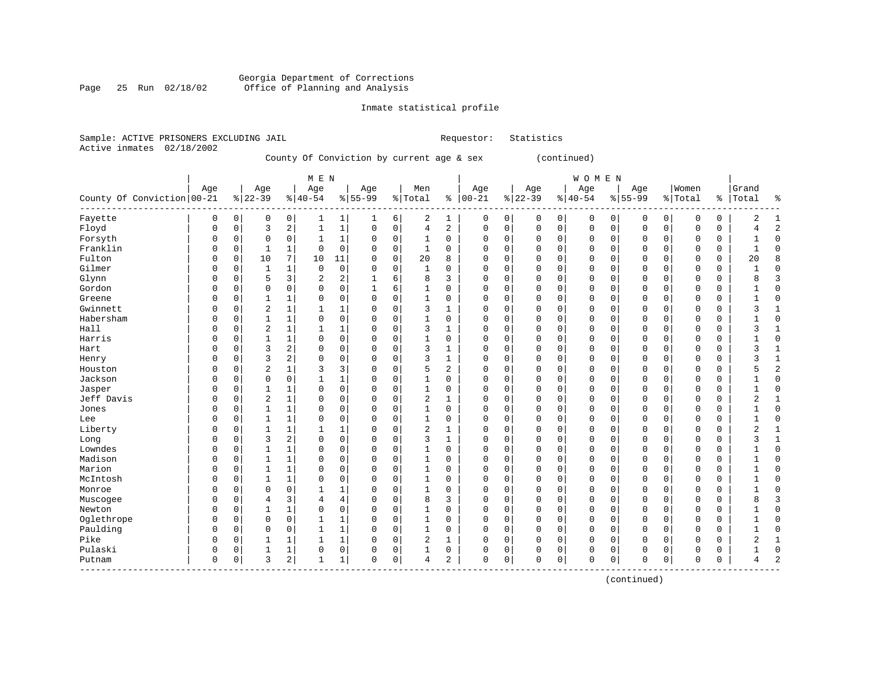#### Georgia Department of Corrections Page 25 Run 02/18/02 Office of Planning and Analysis

# Inmate statistical profile

(continued)

|                           | Sample: ACTIVE PRISONERS EXCLUDING JAIL |                                           | Requestor: Statistics |       |
|---------------------------|-----------------------------------------|-------------------------------------------|-----------------------|-------|
| Active inmates 02/18/2002 |                                         |                                           |                       |       |
|                           |                                         | County Of Conviction by current age & sex |                       | conti |
|                           |                                         |                                           |                       |       |

|                              |          |                |                |                | M E N          |              |             |             |                |              |            |             |          |             | <b>WOMEN</b> |             |             |              |             |    |                |                |
|------------------------------|----------|----------------|----------------|----------------|----------------|--------------|-------------|-------------|----------------|--------------|------------|-------------|----------|-------------|--------------|-------------|-------------|--------------|-------------|----|----------------|----------------|
|                              | Age      |                | Age            |                | Age            |              | Age         |             | Men            |              | Age        |             | Age      |             | Age          |             | Age         |              | Women       |    | Grand          |                |
| County Of Conviction   00-21 |          |                | $8 22-39$      |                | $8 40-54$      |              | $8155 - 99$ |             | % Total        |              | $% 100-21$ |             | $ 22-39$ |             | $8 40-54$    |             | $8 55-99$   |              | % Total     | ွေ | Total          | ႜ              |
| Fayette                      | 0        | $\overline{0}$ | 0              | 0              |                | 1            | 1           | 6           | 2              | 1            | 0          | 0           | 0        | 0           | 0            | 0           | 0           | 0            | $\Omega$    | 0  | 2              | $\mathbf{1}$   |
| Floyd                        | 0        | 0              | 3              | $\overline{2}$ | 1              | $\mathbf{1}$ | $\mathbf 0$ | $\mathbf 0$ | 4              | 2            | $\Omega$   | $\mathsf 0$ | 0        | $\mathbf 0$ | $\mathbf 0$  | 0           | $\mathbf 0$ | $\mathsf{O}$ | 0           | 0  | 4              | $\overline{2}$ |
| Forsyth                      | $\Omega$ | 0              | 0              | $\mathbf 0$    | $\mathbf{1}$   | $\mathbf{1}$ | $\Omega$    | $\mathbf 0$ | $\mathbf{1}$   | $\mathbf 0$  | $\Omega$   | $\mathbf 0$ | 0        | $\mathbf 0$ | $\mathbf 0$  | $\mathbf 0$ | $\mathbf 0$ | $\mathbf 0$  | $\Omega$    | 0  | 1              | $\mathbf 0$    |
| Franklin                     | 0        | 0              | 1              | 1              | $\Omega$       | $\mathbf 0$  | $\Omega$    | $\mathbf 0$ | $\mathbf 1$    | $\mathbf 0$  | $\Omega$   | $\mathbf 0$ | 0        | $\mathbf 0$ | $\mathbf 0$  | 0           | 0           | $\mathbf 0$  | $\mathbf 0$ | 0  | $\mathbf{1}$   | $\mathbf 0$    |
| Fulton                       | $\Omega$ | 0              | 10             | 7              | 10             | 11           | $\Omega$    | $\mathbf 0$ | 20             | 8            | $\Omega$   | $\mathbf 0$ | $\Omega$ | $\mathbf 0$ | $\mathbf 0$  | 0           | $\mathbf 0$ | $\mathbf 0$  | 0           | 0  | 20             | 8              |
| Gilmer                       | $\Omega$ | $\Omega$       | $\mathbf{1}$   | 1              | $\mathbf 0$    | $\mathbf 0$  | $\Omega$    | $\Omega$    | $\mathbf{1}$   | $\Omega$     | $\Omega$   | $\Omega$    | $\Omega$ | $\Omega$    | $\mathbf 0$  | $\Omega$    | $\mathbf 0$ | $\Omega$     | $\mathbf 0$ | 0  | $\mathbf{1}$   | $\mathbf 0$    |
| Glynn                        | $\Omega$ | 0              | 5              | 3              | $\overline{2}$ | 2            | 1           | 6           | 8              | 3            | $\Omega$   | $\mathbf 0$ | 0        | $\Omega$    | $\mathbf 0$  | 0           | $\mathbf 0$ | $\mathbf 0$  | 0           | 0  | 8              | 3              |
| Gordon                       | $\Omega$ | 0              | $\mathbf 0$    | $\mathbf 0$    | $\mathbf 0$    | $\mathbf 0$  |             | 6           | 1              | $\mathbf 0$  | $\Omega$   | $\mathbf 0$ | 0        | $\mathbf 0$ | $\mathbf 0$  | 0           | $\mathbf 0$ | $\mathbf 0$  | 0           | 0  |                | $\mathbf 0$    |
| Greene                       | $\Omega$ | $\Omega$       |                | $\mathbf{1}$   | $\Omega$       | 0            | $\Omega$    | $\Omega$    | $\mathbf{1}$   | 0            | $\Omega$   | $\mathbf 0$ | 0        | $\mathbf 0$ | $\mathbf{0}$ | 0           | $\mathbf 0$ | $\mathbf 0$  | $\Omega$    | 0  |                | $\mathbf 0$    |
| Gwinnett                     | $\Omega$ | $\Omega$       | $\overline{2}$ | $\mathbf{1}$   | 1              | $\mathbf{1}$ | $\Omega$    | $\Omega$    | 3              | $\mathbf{1}$ | $\Omega$   | $\mathbf 0$ | 0        | $\Omega$    | $\mathbf{0}$ | $\Omega$    | $\mathbf 0$ | 0            | $\Omega$    | 0  | 3              | $\mathbf{1}$   |
| Habersham                    | $\Omega$ | $\Omega$       | $\mathbf 1$    | $\mathbf{1}$   | $\Omega$       | $\Omega$     | $\Omega$    | $\Omega$    | $\mathbf{1}$   | $\Omega$     | $\Omega$   | $\Omega$    | $\Omega$ | $\Omega$    | $\mathbf{0}$ | $\Omega$    | $\mathbf 0$ | $\Omega$     | $\Omega$    | 0  |                | $\Omega$       |
| Hall                         | $\Omega$ | 0              | $\overline{2}$ | $\mathbf{1}$   | 1              | $\mathbf{1}$ | $\Omega$    | $\mathbf 0$ | 3              | 1            | $\Omega$   | $\mathbf 0$ | $\Omega$ | $\mathbf 0$ | $\mathbf{0}$ | 0           | $\mathbf 0$ | $\mathbf 0$  | $\mathbf 0$ | 0  | 3              | $\mathbf{1}$   |
| Harris                       | 0        | 0              | 1              | $\mathbf{1}$   | $\Omega$       | $\Omega$     | $\Omega$    | $\Omega$    | $\mathbf{1}$   | $\mathbf 0$  | $\Omega$   | $\mathbf 0$ | 0        | $\mathbf 0$ | $\mathbf{0}$ | $\Omega$    | $\mathbf 0$ | $\Omega$     | $\Omega$    | 0  |                | $\mathbf 0$    |
| Hart                         | 0        | 0              | 3              | $\overline{2}$ | $\Omega$       | $\mathbf 0$  | $\Omega$    | $\mathbf 0$ | 3              | $\mathbf{1}$ | $\Omega$   | $\mathbf 0$ | 0        | $\mathbf 0$ | $\mathbf 0$  | 0           | 0           | $\mathbf 0$  | $\Omega$    | 0  | 3              | $\mathbf{1}$   |
| Henry                        | 0        | 0              | 3              | $\overline{2}$ | $\Omega$       | $\Omega$     | $\Omega$    | $\mathbf 0$ | 3              | $\mathbf{1}$ | $\Omega$   | $\mathbf 0$ | $\Omega$ | $\mathbf 0$ | $\mathbf 0$  | 0           | $\mathbf 0$ | $\mathbf 0$  | $\mathbf 0$ | 0  | 3              | $\mathbf{1}$   |
| Houston                      | U        | 0              | $\overline{2}$ | $\mathbf 1$    | 3              | 3            | $\Omega$    | $\mathbf 0$ | 5              | 2            | $\Omega$   | $\mathbf 0$ | 0        | $\mathbf 0$ | $\mathbf 0$  | 0           | $\mathbf 0$ | $\mathbf 0$  | $\Omega$    | 0  | 5              | $\overline{c}$ |
| Jackson                      | $\Omega$ | 0              | 0              | $\mathbf 0$    | 1              | 1            | $\Omega$    | $\mathbf 0$ | $\mathbf 1$    | 0            | $\Omega$   | $\mathbf 0$ | 0        | 0           | $\mathbf 0$  | 0           | $\mathbf 0$ | 0            | 0           | 0  | 1              | $\mathbf 0$    |
| Jasper                       | 0        | 0              |                | 1              | 0              | $\mathbf 0$  | $\Omega$    | $\mathbf 0$ | $\mathbf{1}$   | 0            | $\Omega$   | $\mathbf 0$ | 0        | 0           | $\mathbf{0}$ | 0           | $\mathbf 0$ | $\mathbf 0$  | 0           | 0  |                | $\mathbf 0$    |
| Jeff Davis                   | $\Omega$ | 0              | $\overline{2}$ | 1              | $\Omega$       | $\mathbf 0$  | $\Omega$    | $\Omega$    | $\overline{2}$ | 1            | $\Omega$   | $\mathbf 0$ | 0        | $\mathbf 0$ | $\mathbf{0}$ | 0           | $\mathbf 0$ | $\mathbf 0$  | $\Omega$    | 0  | 2              | $\mathbf{1}$   |
| Jones                        | $\Omega$ | 0              | $\mathbf{1}$   | 1              | $\Omega$       | $\Omega$     | $\Omega$    | $\Omega$    | $\mathbf{1}$   | 0            | $\Omega$   | $\mathbf 0$ | 0        | $\Omega$    | $\mathbf{0}$ | 0           | $\mathbf 0$ | $\mathbf 0$  | $\Omega$    | 0  |                | $\mathbf 0$    |
| Lee                          | $\Omega$ | 0              | $\mathbf 1$    | $\mathbf{1}$   | $\Omega$       | $\mathbf 0$  | $\Omega$    | $\Omega$    | $\mathbf{1}$   | $\mathbf 0$  | $\Omega$   | $\mathbf 0$ | $\Omega$ | $\mathbf 0$ | $\mathbf 0$  | $\Omega$    | $\mathbf 0$ | $\mathbf 0$  | $\Omega$    | 0  | $\mathbf{1}$   | $\mathbf 0$    |
| Liberty                      | U        | $\Omega$       | 1              | 1              | 1              | $\mathbf{1}$ | $\Omega$    | $\Omega$    | $\overline{2}$ | 1            | $\Omega$   | $\Omega$    | 0        | $\Omega$    | $\Omega$     | $\Omega$    | $\mathbf 0$ | $\Omega$     | 0           | 0  | 2              | 1              |
| Long                         | $\Omega$ | 0              | 3              | $\overline{2}$ | $\Omega$       | $\mathbf 0$  | $\Omega$    | $\Omega$    | 3              | 1            | $\Omega$   | $\mathbf 0$ | 0        | $\mathbf 0$ | $\mathbf{0}$ | $\Omega$    | $\mathbf 0$ | $\mathbf 0$  | 0           | 0  | 3              | 1              |
| Lowndes                      | 0        | 0              | 1              | $\mathbf{1}$   | $\mathbf 0$    | $\mathbf 0$  | 0           | $\mathbf 0$ | $\mathbf{1}$   | $\mathbf 0$  | $\Omega$   | $\mathbf 0$ | 0        | $\mathbf 0$ | $\mathbf{0}$ | $\mathbf 0$ | $\mathbf 0$ | $\mathbf 0$  | $\mathbf 0$ | 0  |                | $\mathbf 0$    |
| Madison                      | $\Omega$ | 0              | $\mathbf{1}$   | $\mathbf{1}$   | $\Omega$       | $\mathbf 0$  | $\Omega$    | $\mathbf 0$ | $\mathbf{1}$   | $\mathbf 0$  | $\Omega$   | $\mathbf 0$ | 0        | $\mathbf 0$ | $\mathbf{0}$ | 0           | $\mathbf 0$ | $\mathbf 0$  | $\Omega$    | 0  |                | $\mathbf 0$    |
| Marion                       | 0        | 0              | 1              | $\mathbf 1$    | 0              | $\Omega$     | $\Omega$    | $\mathbf 0$ | $\mathbf 1$    | 0            | $\Omega$   | $\mathbf 0$ | 0        | $\mathbf 0$ | $\mathbf 0$  | 0           | 0           | $\mathbf 0$  | 0           | 0  | 1              | $\mathbf 0$    |
| McIntosh                     | $\Omega$ | $\Omega$       | 1              | $\mathbf{1}$   | $\mathbf 0$    | $\mathbf 0$  | $\Omega$    | $\mathbf 0$ | $\mathbf{1}$   | $\mathbf 0$  | $\Omega$   | $\mathbf 0$ | $\Omega$ | $\mathbf 0$ | $\mathbf{0}$ | 0           | $\mathbf 0$ | $\mathbf 0$  | $\mathbf 0$ | 0  | 1              | $\mathbf 0$    |
| Monroe                       | $\Omega$ | $\Omega$       | $\Omega$       | $\mathbf 0$    | 1              | $\mathbf{1}$ | $\Omega$    | $\Omega$    | $\mathbf{1}$   | 0            | $\Omega$   | $\mathbf 0$ | $\Omega$ | $\Omega$    | $\mathbf{0}$ | 0           | $\mathbf 0$ | $\mathbf 0$  | 0           | 0  | 1              | $\mathbf 0$    |
| Muscogee                     | 0        | 0              | 4              | 3              | 4              | 4            | $\Omega$    | $\mathbf 0$ | 8              | 3            | $\Omega$   | 0           | 0        | 0           | 0            | 0           | 0           | 0            | $\Omega$    | 0  | 8              | $\overline{3}$ |
| Newton                       | $\Omega$ | 0              |                | $\mathbf{1}$   | $\mathbf 0$    | $\mathbf 0$  | $\Omega$    | $\mathbf 0$ | $\mathbf{1}$   | $\mathbf 0$  | $\Omega$   | $\mathbf 0$ | 0        | $\mathbf 0$ | $\mathbf{0}$ | 0           | $\mathbf 0$ | $\mathbf 0$  | $\mathbf 0$ | 0  |                | $\mathbf 0$    |
| Oglethrope                   | $\Omega$ | $\Omega$       | $\Omega$       | $\mathbf 0$    | 1              | $\mathbf{1}$ | $\Omega$    | $\Omega$    | $\mathbf{1}$   | 0            | $\Omega$   | $\mathbf 0$ | 0        | $\Omega$    | $\mathbf 0$  | $\Omega$    | $\mathbf 0$ | $\mathbf 0$  | $\Omega$    | 0  |                | $\mathbf 0$    |
| Paulding                     | $\Omega$ | $\Omega$       | $\mathbf 0$    | $\Omega$       | 1              | $\mathbf{1}$ | $\Omega$    | $\Omega$    | $\mathbf{1}$   | 0            | $\Omega$   | $\Omega$    | $\Omega$ | $\Omega$    | $\Omega$     | $\Omega$    | $\mathbf 0$ | $\Omega$     | $\mathbf 0$ | 0  | 1              | $\Omega$       |
| Pike                         | 0        | 0              | 1              | 1              | 1              | $\mathbf{1}$ | $\Omega$    | $\Omega$    | $\overline{2}$ | 1            | $\Omega$   | $\mathbf 0$ | $\Omega$ | $\mathbf 0$ | $\mathbf 0$  | $\Omega$    | $\mathbf 0$ | $\Omega$     | $\Omega$    | 0  | $\overline{2}$ | 1              |
| Pulaski                      | 0        | 0              | 1              | 1              | $\Omega$       | $\mathbf 0$  | $\Omega$    | $\mathbf 0$ | $\mathbf{1}$   | 0            | $\Omega$   | $\mathbf 0$ | 0        | 0           | $\mathbf 0$  | 0           | 0           | $\mathbf 0$  | $\Omega$    | 0  |                | $\mathbf 0$    |
| Putnam                       | $\Omega$ | 0              | 3              | $\overline{2}$ | 1              | $\mathbf 1$  | $\Omega$    | 0           | 4              | 2            | $\Omega$   | $\mathbf 0$ | 0        | $\mathbf 0$ | $\mathbf{0}$ | 0           | $\mathbf 0$ | 0            | $\Omega$    | 0  | 4              | 2              |

------------------------------------------------------------------------------------------------------------------------------------

(continued)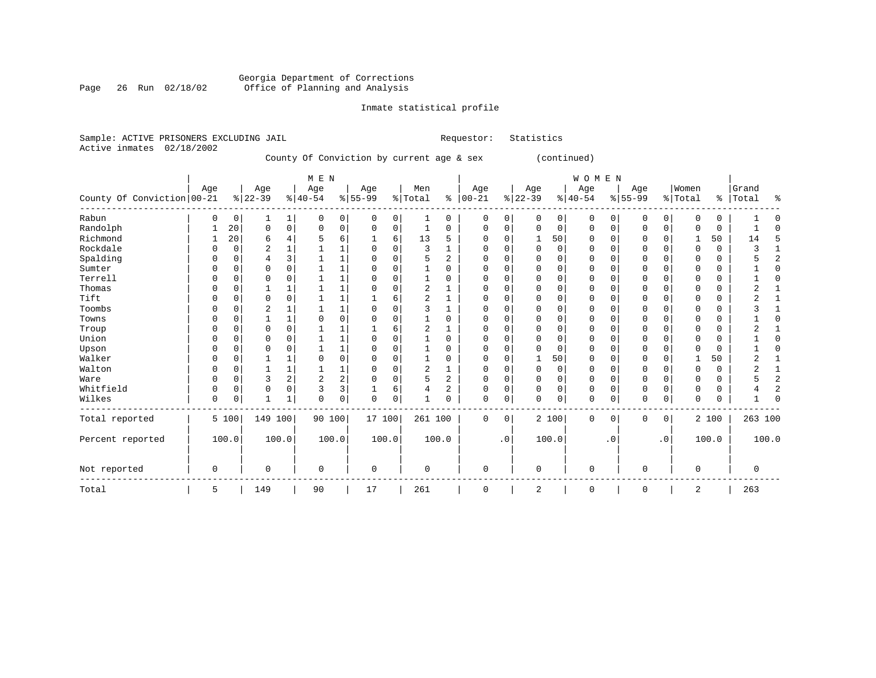#### Georgia Department of Corrections Page 26 Run 02/18/02 Office of Planning and Analysis

# Inmate statistical profile

|                | Sample: ACTIVE PRISONERS EXCLUDING JAIL |             |             |             |                                           | Requestor: | Statistics  |              |             |         |       |
|----------------|-----------------------------------------|-------------|-------------|-------------|-------------------------------------------|------------|-------------|--------------|-------------|---------|-------|
| Active inmates | 02/18/2002                              |             |             |             |                                           |            |             |              |             |         |       |
|                |                                         |             |             |             | County Of Conviction by current age & sex |            |             | (continued)  |             |         |       |
|                |                                         |             | M E N       |             |                                           |            |             | <b>WOMEN</b> |             |         |       |
|                | Aqe                                     | Aqe         | Aqe         | Aqe         | Men                                       | Age        | Age         | Age          | Aqe         | Women   | Grand |
|                | County Of Conviction 00-21              | $8122 - 39$ | $8140 - 54$ | $8155 - 99$ | % Total                                   | 00-21      | $8122 - 39$ | $8140 - 54$  | $8155 - 99$ | % Total | Total |

| County Of Conviction 00-21 |          |          | $ 22-39 $      |   | $ 40-54 $      |                | $ 55-99$ |   | % Total |          | $8   00 - 21$ |           | $ 22-39 $ |                          | $ 40-54 $ |          | $ 55-99 $ |             | % Total  | $\frac{8}{6}$ | Total    | ႜ              |
|----------------------------|----------|----------|----------------|---|----------------|----------------|----------|---|---------|----------|---------------|-----------|-----------|--------------------------|-----------|----------|-----------|-------------|----------|---------------|----------|----------------|
| Rabun                      | $\Omega$ | 0        | 1              | 1 |                | 0 <sup>1</sup> | 0        | 0 |         | 0        | 0             | 0         |           | 0                        | 0         | O        | 0         | 0           | 0        | 0             |          | 0              |
| Randolph                   |          | 20       | 0              | 0 | $\Omega$       | $\mathbf 0$    | 0        | 0 |         | 0        | 0             | 0         |           | $\Omega$<br>$\Omega$     | $\Omega$  | $\Omega$ | $\Omega$  | $\mathbf 0$ | $\Omega$ | 0             |          | $\Omega$       |
| Richmond                   |          | 20       | 6              |   |                | 6              |          | 6 | 13      | 5        |               | O         |           | 50                       | 0         |          |           |             |          | 50            | 14       | 5              |
| Rockdale                   | $\Omega$ | O        | $\overline{2}$ |   |                |                | U        | U | 3       |          | $\Omega$      | U         |           | $\Omega$<br><sup>0</sup> | O         | U        | $\Omega$  |             | $\Omega$ | $\Omega$      |          |                |
| Spalding                   | $\Omega$ | N        | 4              | 3 |                |                |          | O |         | 2        |               |           |           | $\Omega$                 | $\Omega$  | U        | $\Omega$  |             | $\Omega$ | $\Omega$      |          | $\overline{2}$ |
| Sumter                     |          |          | $\Omega$       |   |                |                | U        |   |         | $\Omega$ | $\Omega$      |           |           | $\Omega$                 | $\Omega$  | U        | $\Omega$  |             | $\Omega$ | 0             |          | $\Omega$       |
| Terrell                    |          |          | U              |   |                |                |          |   |         | 0        |               |           |           | O                        | 0         |          | $\Omega$  |             | 0        | 0             |          | $\Omega$       |
| Thomas                     | $\Omega$ |          |                |   |                |                |          | C |         |          | O             | U         |           | $\Omega$                 | O         |          | $\Omega$  |             | $\Omega$ | 0             |          |                |
| Tift                       | $\Omega$ | N        | 0              | O |                |                |          | 6 |         |          |               |           |           | $\Omega$                 | $\Omega$  | U        | $\Omega$  |             | $\Omega$ | $\Omega$      |          |                |
| Toombs                     | C        |          | 2              |   |                |                | N        |   |         |          | U             |           |           | $\Omega$                 | O         | U        | $\Omega$  |             | $\Omega$ | $\Omega$      |          |                |
| Towns                      |          |          |                |   |                |                |          |   |         | 0        |               |           |           | $\Omega$                 | O         |          | $\Omega$  |             | 0        | 0             |          | $\Omega$       |
| Troup                      | C        |          | $\Omega$       |   |                |                |          | 6 |         |          | U             |           |           | $\Omega$                 | O         |          | $\Omega$  |             | 0        | 0             |          |                |
| Union                      | $\Omega$ |          | O              |   |                |                |          |   |         | 0        | U             |           |           | $\Omega$                 | $\Omega$  |          | $\Omega$  |             | $\Omega$ | 0             |          | $\Omega$       |
| Upson                      | $\Omega$ |          | O              |   |                |                |          | U |         | $\Omega$ | U             | U         |           | $\Omega$                 | O         | $\cap$   | $\Omega$  |             | $\Omega$ | $\Omega$      |          | $\Omega$       |
| Walker                     |          |          |                |   |                |                |          |   |         | 0        | U             |           |           | 50                       | 0         |          | $\Omega$  |             |          | 50            |          |                |
| Walton                     | $\Omega$ |          |                |   |                |                | U        | O |         |          | O             | U         |           | $\Omega$<br><sup>0</sup> | O         | $\cap$   | $\Omega$  |             | $\Omega$ | 0             |          |                |
| Ware                       | $\Omega$ | 0        | 3              | 2 | $\overline{2}$ | $\overline{a}$ |          | O |         | 2        | $\Omega$      | U         |           | $\Omega$                 | $\Omega$  | $\cap$   | $\Omega$  |             | $\Omega$ | 0             |          | $\overline{2}$ |
| Whitfield                  | $\Omega$ | $\Omega$ | $\Omega$       | O | ζ              | 3              |          | 6 |         | 2        | $\Omega$      | 0         |           | $\Omega$<br>$\Omega$     | $\Omega$  | $\Omega$ | $\Omega$  | $\Omega$    | $\Omega$ | $\Omega$      |          | 2              |
| Wilkes                     | 0        | 0        |                |   | 0              | 0              | $\Omega$ | 0 |         | 0        | $\Omega$      | 0         |           | 0                        | $\Omega$  | 0        | 0         | 0           | 0        | 0             |          | $\Omega$       |
| Total reported             |          | 5 100    | 149 100        |   | 90 100         |                | 17 100   |   | 261 100 |          | 0             | 0         |           | 2 100                    | 0         | 0        | 0         | 0           |          | 2 100         | 263 100  |                |
| Percent reported           |          | 100.0    | 100.0          |   | 100.0          |                | 100.0    |   |         | 100.0    |               | $\cdot$ 0 |           | 100.0                    |           | . 0      |           | $\cdot$ 0   |          | 100.0         |          | 100.0          |
| Not reported               | 0        |          | 0              |   | $\Omega$       |                | 0        |   | 0       |          | 0             |           |           | $\Omega$                 | 0         |          | 0         |             | 0        |               | $\Omega$ |                |
| Total                      | 5        |          | 149            |   | 90             |                | 17       |   | 261     |          | 0             |           |           | 2                        | 0         |          | 0         |             | 2        |               | 263      |                |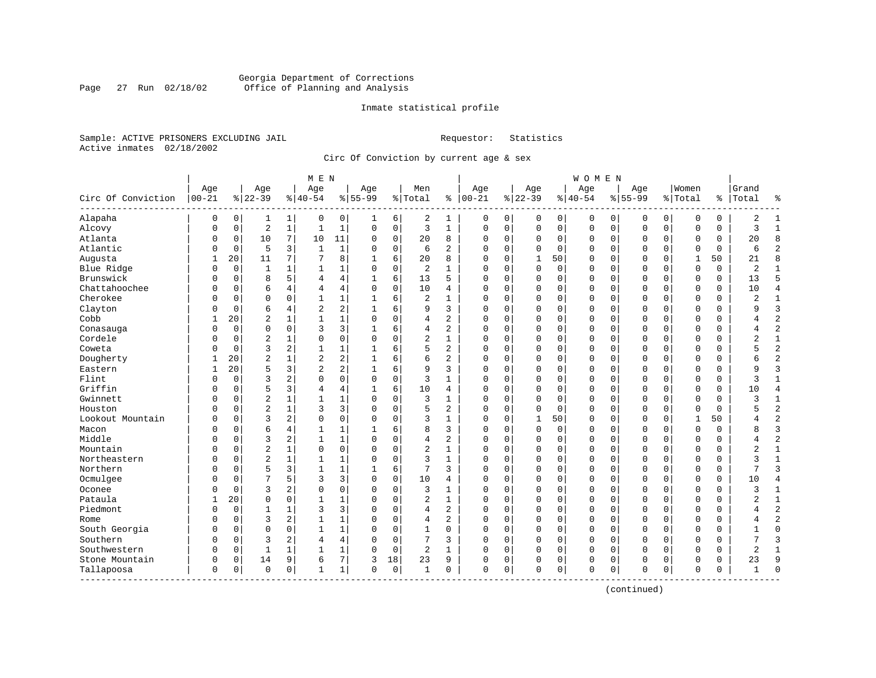#### Georgia Department of Corrections Page 27 Run 02/18/02 Office of Planning and Analysis

#### Inmate statistical profile

Sample: ACTIVE PRISONERS EXCLUDING JAIL **Requestor:** Statistics Active inmates 02/18/2002

Circ Of Conviction by current age & sex

| $00 - 21$<br>Circ Of Conviction<br>Alapaha | Age<br>0<br>$\Omega$ | 0              | Age<br>$8 22-39$ |              | Age<br>$8 40-54$ |              | Age<br>$8155 - 99$ | % Total     | Men            |                | Age         |             | Age          |             | Age         |             | Age          |             | Women        |           | Grand          |                |
|--------------------------------------------|----------------------|----------------|------------------|--------------|------------------|--------------|--------------------|-------------|----------------|----------------|-------------|-------------|--------------|-------------|-------------|-------------|--------------|-------------|--------------|-----------|----------------|----------------|
|                                            |                      |                |                  |              |                  |              |                    |             |                |                |             |             |              |             |             |             |              |             |              |           |                |                |
|                                            |                      |                |                  |              |                  |              |                    |             |                | ႜ              | $ 00-21$    |             | $8 22-39$    |             | $8 40-54$   |             | $8155 - 99$  |             | % Total      | <u> န</u> | Total          | နွ             |
|                                            |                      |                | 1                | 1            | 0                | 0            |                    | 6           | 2              | 1              | 0           | 0           | 0            | 0           | 0           | 0           | 0            | 0           | 0            | 0         | 2              | 1              |
| Alcovy                                     |                      | $\mathbf 0$    | $\sqrt{2}$       | $\mathbf{1}$ | $\mathbf{1}$     | $\mathbf 1$  | $\Omega$           | $\mathbf 0$ | 3              | $\mathbf{1}$   | $\mathbf 0$ | $\mathbf 0$ | $\mathsf 0$  | $\mathbf 0$ | $\mathbf 0$ | $\mathbf 0$ | $\mathbf 0$  | $\mathsf 0$ | $\mathbf 0$  | 0         | 3              | $\mathbf{1}$   |
| Atlanta                                    | 0                    | 0              | 10               | 7            | 10               | 11           | $\Omega$           | $\mathbf 0$ | 20             | 8              | $\Omega$    | 0           | 0            | $\mathbf 0$ | 0           | 0           | $\mathbf 0$  | $\mathbf 0$ | 0            | 0         | 20             | 8              |
| Atlantic                                   | 0                    | $\mathbf 0$    | 5                | 3            | 1                | $\mathbf{1}$ | $\Omega$           | $\mathbf 0$ | 6              | $\overline{a}$ | $\Omega$    | 0           | 0            | $\mathbf 0$ | 0           | $\mathbf 0$ | $\Omega$     | 0           | $\mathbf 0$  | $\Omega$  | 6              | $\overline{c}$ |
| Augusta                                    | 1                    | 20             | 11               | 7            | 7                | 8            | 1                  | 6           | 20             | 8              | $\Omega$    | $\Omega$    | $\mathbf{1}$ | 50          | 0           | $\mathbf 0$ | $\Omega$     | $\Omega$    | 1            | 50        | 21             | $\mathsf{R}$   |
| Blue Ridge                                 | $\Omega$             | $\overline{0}$ | 1                |              | $\mathbf{1}$     | 1            | 0                  | $\mathbf 0$ | $\overline{a}$ | $\mathbf{1}$   | $\Omega$    | 0           | 0            | 0           | 0           | $\mathbf 0$ | $\mathbf 0$  | $\Omega$    | $\mathbf 0$  | 0         | $\overline{2}$ | $\mathbf{1}$   |
| Brunswick                                  | 0                    | $\mathbf 0$    | 8                | 5            | 4                | 4            |                    | 6           | 13             | 5              | $\Omega$    | $\mathbf 0$ | $\mathbf 0$  | $\mathbf 0$ | $\Omega$    | $\mathbf 0$ | $\Omega$     | $\mathbf 0$ | $\mathbf 0$  | $\Omega$  | 13             | 5              |
| Chattahoochee                              | N                    | $\mathbf 0$    | 6                | 4            | 4                | 4            | $\Omega$           | $\mathbf 0$ | 10             | 4              | $\Omega$    | $\Omega$    | 0            | $\mathbf 0$ | $\Omega$    | $\mathbf 0$ | $\mathbf{0}$ | $\mathbf 0$ | $\Omega$     | $\Omega$  | 10             | $\overline{4}$ |
| Cherokee                                   | N                    | 0              | $\Omega$         | $\Omega$     | $\mathbf{1}$     | $\mathbf{1}$ | 1                  | 6           | $\overline{a}$ | $\mathbf{1}$   | $\Omega$    | $\mathbf 0$ | 0            | $\mathbf 0$ | 0           | $\mathbf 0$ | $\mathbf{0}$ | $\mathbf 0$ | $\Omega$     | 0         | $\overline{c}$ | $\mathbf{1}$   |
| Clayton                                    | N                    | $\mathbf 0$    | 6                | 4            | $\overline{2}$   | 2            |                    | 6           | 9              | 3              | $\Omega$    | 0           | 0            | $\mathbf 0$ | 0           | $\mathbf 0$ | $\mathbf{0}$ | 0           | $\Omega$     | $\Omega$  | q              | $\overline{3}$ |
| Cobb                                       |                      | 20             | $\overline{c}$   | $\mathbf{1}$ | $\mathbf{1}$     | $\mathbf 1$  | $\Omega$           | $\Omega$    | 4              | $\overline{c}$ | $\Omega$    | $\Omega$    | $\Omega$     | $\mathbf 0$ | $\Omega$    | $\mathbf 0$ | $\mathbf 0$  | $\Omega$    | $\mathbf 0$  | $\Omega$  | 4              | $\overline{2}$ |
| Conasauga                                  | 0                    | $\mathbf 0$    | $\mathbf 0$      | $\mathbf 0$  | 3                | 3            |                    | 6           | 4              | $\overline{a}$ | 0           | 0           | 0            | $\mathbf 0$ | 0           | $\mathbf 0$ | $\mathbf 0$  | $\Omega$    | $\mathbf 0$  | 0         | 4              | $\overline{2}$ |
| Cordele                                    | 0                    | $\mathbf 0$    | $\overline{c}$   |              | $\mathbf 0$      | 0            | $\Omega$           | $\mathbf 0$ | 2              | $\mathbf{1}$   | 0           | $\mathbf 0$ | 0            | $\mathbf 0$ | 0           | $\mathbf 0$ | 0            | 0           | $\mathbf 0$  | 0         | $\overline{2}$ | $\mathbf{1}$   |
| Coweta                                     | N                    | $\Omega$       | 3                | 2            | $\mathbf{1}$     | $\mathbf 1$  |                    | 6           | 5              | $\overline{a}$ | $\Omega$    | $\Omega$    | $\mathbf 0$  | $\Omega$    | $\Omega$    | $\mathbf 0$ | $\mathbf{0}$ | $\Omega$    | $\mathbf 0$  | 0         |                | $\overline{2}$ |
| Dougherty                                  |                      | 20             | $\overline{2}$   |              | $\overline{2}$   | 2            |                    | 6           | 6              | 2              | $\Omega$    | $\Omega$    | $\Omega$     | $\mathbf 0$ | $\Omega$    | $\mathbf 0$ | $\mathbf{0}$ | $\Omega$    | $\Omega$     | 0         | б              | $\overline{2}$ |
| Eastern                                    | -1                   | 20             | 5                | 3            | $\overline{a}$   | 2            |                    | 6           | 9              | 3              | $\Omega$    | 0           | 0            | $\mathbf 0$ | 0           | $\mathbf 0$ | $\Omega$     | 0           | $\Omega$     | $\Omega$  | q              | $\overline{3}$ |
| Flint                                      | O                    | $\Omega$       | 3                | 2            | $\Omega$         | 0            | $\Omega$           | $\Omega$    | 3              | $\mathbf{1}$   | $\Omega$    | $\Omega$    | $\Omega$     | $\Omega$    | $\Omega$    | $\mathbf 0$ | $\Omega$     | $\Omega$    | $\Omega$     | $\Omega$  | ζ              | $\mathbf 1$    |
| Griffin                                    | 0                    | $\mathbf 0$    | 5                | 3            | 4                | 4            |                    | 6           | 10             | 4              | $\Omega$    | 0           | 0            | $\mathbf 0$ | $\Omega$    | $\mathbf 0$ | $\mathbf 0$  | $\Omega$    | $\mathbf 0$  | 0         | 10             | $\overline{4}$ |
| Gwinnett                                   | 0                    | 0              | $\overline{2}$   |              | $\mathbf{1}$     | 1            | $\Omega$           | $\mathbf 0$ | 3              | $\mathbf{1}$   | 0           | $\mathbf 0$ | 0            | $\mathbf 0$ | 0           | $\mathbf 0$ | 0            | 0           | $\mathbf 0$  | 0         | 3              | $\mathbf{1}$   |
| Houston                                    | O                    | $\Omega$       | $\overline{2}$   | $\mathbf{1}$ | 3                | 3            | $\Omega$           | $\Omega$    | 5              | $\overline{a}$ | $\Omega$    | $\Omega$    | $\Omega$     | $\Omega$    | $\Omega$    | $\mathbf 0$ | $\mathbf{0}$ | $\Omega$    | $\mathbf 0$  | $\Omega$  |                | $\overline{2}$ |
| Lookout Mountain                           | N                    | 0              | 3                | 2            | $\Omega$         | 0            | $\Omega$           | $\mathbf 0$ | 3              | 1              | $\Omega$    | $\Omega$    | $\mathbf{1}$ | 50          | 0           | $\mathbf 0$ | $\mathbf{0}$ | $\Omega$    | $\mathbf{1}$ | 50        |                | $\overline{2}$ |
| Macon                                      | U                    | $\Omega$       | 6                | 4            | -1               | 1            |                    | 6           | 8              | 3              | $\Omega$    | 0           | 0            | $\mathbf 0$ | 0           | $\mathbf 0$ | $\Omega$     | $\Omega$    | $\mathbf 0$  | $\Omega$  |                | $\overline{3}$ |
| Middle                                     | N                    | $\Omega$       | 3                | 2            | $\mathbf{1}$     | $\mathbf 1$  | $\Omega$           | $\Omega$    | 4              | $\overline{c}$ | $\Omega$    | $\Omega$    | $\Omega$     | $\mathbf 0$ | 0           | $\mathbf 0$ | $\Omega$     | $\Omega$    | $\Omega$     | $\Omega$  | 4              | $\overline{2}$ |
| Mountain                                   | 0                    | $\mathbf 0$    | $\overline{2}$   | 1            | $\mathbf 0$      | 0            | $\Omega$           | $\mathbf 0$ | 2              | 1              | $\Omega$    | 0           | 0            | $\mathbf 0$ | $\Omega$    | $\mathbf 0$ | $\mathbf 0$  | $\Omega$    | $\mathbf 0$  | 0         | $\overline{2}$ | $\mathbf 1$    |
| Northeastern                               | 0                    | 0              | $\overline{2}$   | 1            | $\mathbf{1}$     | 1            | $\Omega$           | $\mathbf 0$ | 3              | $\mathbf{1}$   | 0           | $\mathbf 0$ | 0            | $\mathbf 0$ | 0           | $\mathbf 0$ | 0            | 0           | $\mathbf 0$  | 0         | 3              | $\mathbf{1}$   |
| Northern                                   | $\Omega$             | $\mathbf 0$    | 5                | 3            | $\mathbf{1}$     | $\mathbf 1$  | 1                  | 6           | 7              | 3              | $\Omega$    | 0           | 0            | 0           | $\Omega$    | $\mathbf 0$ | $\mathbf 0$  | 0           | $\mathbf 0$  | 0         | 7              | $\overline{3}$ |
| Ocmulgee                                   | 0                    | $\mathbf 0$    | 7                | 5            | 3                | 3            | $\Omega$           | $\mathbf 0$ | 10             | 4              | $\Omega$    | $\Omega$    | $\Omega$     | $\mathbf 0$ | $\Omega$    | $\mathbf 0$ | $\mathbf{0}$ | $\Omega$    | $\Omega$     | 0         | 10             | $\overline{4}$ |
| Oconee                                     | N                    | $\Omega$       | 3                | 2            | $\Omega$         | 0            | $\Omega$           | $\Omega$    | 3              | 1              | $\Omega$    | 0           | $\Omega$     | $\mathbf 0$ | 0           | $\mathbf 0$ | $\Omega$     | $\Omega$    | $\Omega$     | 0         | 3              | $\mathbf{1}$   |
| Pataula                                    | 1                    | 20             | $\Omega$         | $\Omega$     | $\mathbf{1}$     | $\mathbf 1$  | ∩                  | $\Omega$    | $\overline{c}$ | $\mathbf{1}$   | $\Omega$    | $\Omega$    | $\Omega$     | $\Omega$    | 0           | $\mathbf 0$ | $\Omega$     | $\Omega$    | $\Omega$     | $\Omega$  | 2              | $1\,$          |
| Piedmont                                   | 0                    | $\mathbf 0$    | 1                | 1            | 3                | 3            | $\Omega$           | $\mathbf 0$ | 4              | 2              | $\Omega$    | $\Omega$    | 0            | $\mathbf 0$ | $\Omega$    | $\mathbf 0$ | $\mathbf 0$  | $\Omega$    | $\mathbf 0$  | 0         | 4              | $\overline{2}$ |
| Rome                                       | 0                    | $\mathbf 0$    | 3                | 2            | $\mathbf{1}$     | 1            |                    | $\mathbf 0$ | 4              | 2              | $\Omega$    | 0           | 0            | 0           | 0           | 0           | $\mathbf 0$  | $\mathbf 0$ | $\mathbf 0$  | 0         |                | $\overline{2}$ |
| South Georgia                              | $\Omega$             | $\mathbf 0$    | $\Omega$         | 0            | $\mathbf{1}$     | $\mathbf 1$  | $\Omega$           | $\mathbf 0$ | $\mathbf{1}$   | $\Omega$       | $\mathbf 0$ | 0           | 0            | $\mathbf 0$ | 0           | $\mathbf 0$ | $\mathbf 0$  | 0           | $\mathbf 0$  | 0         | $\mathbf{1}$   | $\Omega$       |
| Southern                                   | $\Omega$             | $\mathbf 0$    | 3                | 2            | 4                | 4            | $\Omega$           | $\mathbf 0$ | 7              | 3              | $\mathbf 0$ | $\mathbf 0$ | 0            | $\mathbf 0$ | 0           | $\mathbf 0$ | $\mathbf 0$  | $\Omega$    | $\mathbf 0$  | 0         | 7              | 3              |
| Southwestern                               | O                    | $\Omega$       | 1                |              | -1               | $\mathbf 1$  | $\Omega$           | $\mathbf 0$ | $\overline{2}$ | $\mathbf{1}$   | $\Omega$    | $\mathbf 0$ | 0            | $\mathbf 0$ | 0           | 0           | $\mathbf 0$  | 0           | $\mathbf 0$  | 0         | $\overline{c}$ | $\mathbf{1}$   |
| Stone Mountain                             | 0                    | $\mathbf 0$    | 14               | 9            | 6                | 7            | 3                  | 18          | 23             | 9              | $\Omega$    | 0           | 0            | 0           | $\Omega$    | 0           | $\Omega$     | 0           | $\mathbf 0$  | 0         | 23             | 9              |
| Tallapoosa<br>-----------                  | $\Omega$             | 0              | $\Omega$         | $\mathsf 0$  | -1               | $\mathbf 1$  | $\Omega$           | $\mathbf 0$ | -1             | 0              | $\mathbf 0$ | 0           | $\Omega$     | 0           | $\mathbf 0$ | $\mathbf 0$ | $\mathbf 0$  | 0           | $\mathbf 0$  | 0         |                | $\Omega$       |

(continued)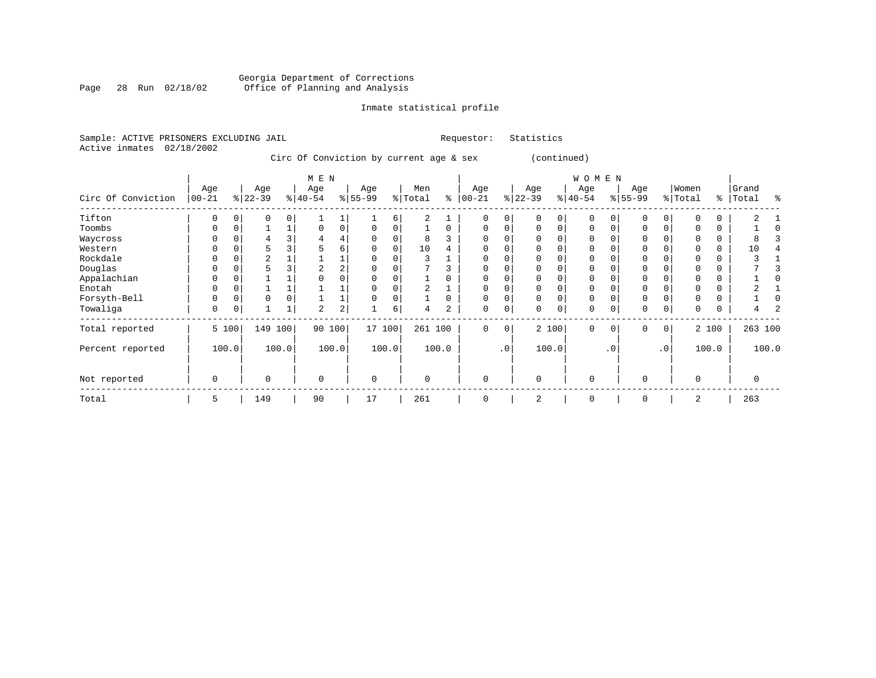#### Georgia Department of Corrections Page 28 Run 02/18/02 Office of Planning and Analysis

# Inmate statistical profile

|                           | Sample: ACTIVE PRISONERS EXCLUDING JAIL |     |            |                                         |     | Requestor: Statistics |  |
|---------------------------|-----------------------------------------|-----|------------|-----------------------------------------|-----|-----------------------|--|
| Active inmates 02/18/2002 |                                         |     |            |                                         |     |                       |  |
|                           |                                         |     |            | Circ Of Conviction by current age & sex |     | (continued)           |  |
|                           |                                         |     | M E N      |                                         |     | W O M                 |  |
|                           | Aae                                     | Aae | Aae<br>Aae | Men                                     | Aae | Aae<br>Aae            |  |

|                    |                    |       |                  |       | M E N            |                |                  |          |                |          |                  |                |                  |                | WOMEN           |           |                    |     |                  |          |                |       |
|--------------------|--------------------|-------|------------------|-------|------------------|----------------|------------------|----------|----------------|----------|------------------|----------------|------------------|----------------|-----------------|-----------|--------------------|-----|------------------|----------|----------------|-------|
| Circ Of Conviction | Age<br>$ 00 - 21 $ |       | Age<br>$8 22-39$ |       | Age<br>$ 40-54 $ |                | Age<br>$8 55-99$ |          | Men<br>% Total | နွ       | Age<br>$00 - 21$ |                | Age<br>$8 22-39$ |                | Age<br>$ 40-54$ |           | Age<br>$8155 - 99$ |     | Women<br>% Total | ွေ       | Grand<br>Total | န္    |
| Tifton             | $\Omega$           |       | 0                | 0     |                  |                |                  | 6        | $\overline{a}$ |          | $\Omega$         | 0              |                  | $\Omega$       | $\Omega$        |           | 0                  |     |                  | 0        | 2              |       |
| Toombs             | $\Omega$           |       |                  |       | 0                | 0              | $\Omega$         | 0        |                | $\Omega$ | $\mathbf 0$      | 0              | $\mathbf 0$      | $\Omega$       | 0               |           | 0                  |     | $\Omega$         | 0        |                |       |
| Waycross           |                    |       |                  |       | 4                | 4              |                  |          | 8              |          |                  |                |                  |                | O               |           | 0                  |     |                  | 0        |                |       |
| Western            |                    |       | 5                |       |                  | 6              |                  | $\Omega$ | 10             |          | $\Omega$         |                |                  |                | 0               |           | 0                  |     | $\Omega$         | 0        | 10             |       |
| Rockdale           |                    |       | $\overline{2}$   |       |                  | 1              | 0                |          | 3              |          |                  |                |                  |                | 0               |           | $\mathbf 0$        |     |                  | 0        |                |       |
| Douglas            |                    |       |                  |       | 2                | $\overline{2}$ |                  |          |                |          |                  |                |                  |                | 0               |           | 0                  |     |                  | $\Omega$ |                |       |
| Appalachian        | U                  |       |                  |       | $\Omega$         | 0              | $\Omega$         | $\Omega$ |                | $\Omega$ | $\Omega$         |                |                  |                | O               |           | 0                  |     | $\Omega$         | 0        |                |       |
| Enotah             |                    |       |                  |       |                  |                |                  |          |                |          |                  |                |                  |                | 0               |           | 0                  |     |                  | 0        |                |       |
| Forsyth-Bell       | 0                  |       | 0                |       |                  |                | 0                | $\Omega$ |                | 0        | 0                | 0              |                  | 0              | 0               |           | $\mathbf 0$        |     | $\Omega$         | 0        |                |       |
| Towaliga           | 0                  |       |                  | ⊥     | 2                | 2              |                  | 6        | 4              | 2        | 0                | 0              | 0                | 0 <sup>1</sup> | 0               | 0         | $\mathbf 0$        | 0   | 0                | 0        | 4              |       |
| Total reported     |                    | 5 100 | 149              | 100   | 90               | 100            | 17 100           |          | 261 100        |          | $\Omega$         | 0 <sup>1</sup> |                  | 2 100          | $\mathbf 0$     | $\Omega$  | $\mathbf{0}$       | 0   |                  | 2 100    | 263 100        |       |
| Percent reported   |                    | 100.0 |                  | 100.0 |                  | 100.0          |                  | 100.0    |                | 100.0    |                  | .0'            |                  | 100.0          |                 | $\cdot$ 0 |                    | .0' |                  | 100.0    |                | 100.0 |
| Not reported       | 0                  |       | $\Omega$         |       | 0                |                | $\mathbf 0$      |          | $\Omega$       |          | $\Omega$         |                | $\Omega$         |                | 0               |           | $\mathbf 0$        |     | $\Omega$         |          | 0              |       |
| Total              | 5                  |       | 149              |       | 90               |                | 17               |          | 261            |          |                  |                | $\overline{2}$   |                | 0               |           | $\mathbf 0$        |     | 2                |          | 263            |       |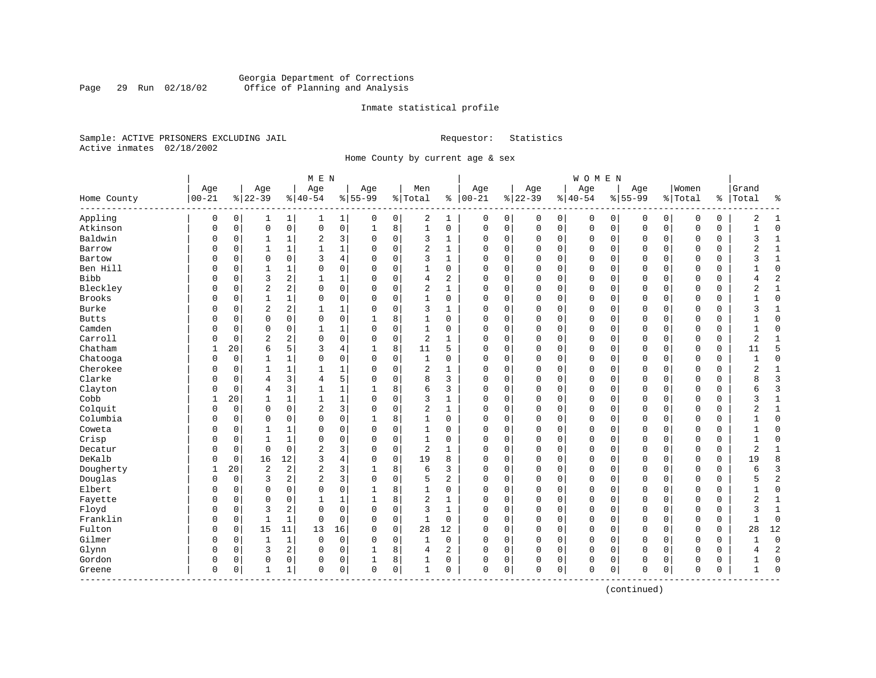#### Georgia Department of Corrections<br>Page 29 Run 02/18/02 Office of Planning and Analysis Page 29 Run 02/18/02 Office of Planning and Analysis

#### Inmate statistical profile

Sample: ACTIVE PRISONERS EXCLUDING JAIL **Requestor:** Statistics Active inmates 02/18/2002

Home County by current age & sex

| Women<br>Grand<br>Age<br>Age<br>Age<br>Men<br>Age<br>Age<br>Age<br>$00 - 21$<br>$ 22-39$<br>$% 100-21$<br>$ 22-39$<br>$8155 - 99$<br>$ 40-54$<br>$8 55-99$<br>% Total<br>$8 40-54$<br>% Total<br>Total<br>Home County<br>$\frac{8}{6}$<br>៖<br>Appling<br>0<br>2<br>0<br>0<br>0<br>0<br>$\mathbf{1}$<br>$\mathbf{1}$<br>0<br>1<br>0<br>0<br>0<br>0<br>0<br>0<br>2<br>1<br>1<br>0<br>0<br>1<br>Atkinson<br>$\mathbf 0$<br>$\mathsf{O}\xspace$<br>0<br>0<br>8<br>$\mathbf{1}$<br>$\mathbf 0$<br>0<br>$\mathsf 0$<br>$\mathbf 0$<br>$\mathbf 0$<br>$\Omega$<br>0<br>0<br>$\mathbf 1$<br>0<br>$\mathbf 0$<br>0<br>$\mathbf 0$<br>$\mathbf 0$<br>0<br>$\mathbf{1}$<br>Baldwin<br>3<br>2<br>$\Omega$<br>0<br>3<br>0<br>0<br>0<br>0<br>$\mathbf 0$<br>$\mathbf 0$<br>0<br>0<br>ς<br>1<br>0<br>0<br>$\mathbf{1}$<br>1<br>1<br>$\mathbf 0$<br>0<br>$\mathbf{1}$<br>$\overline{2}$<br>$\Omega$<br>$\mathbf{1}$<br>$\mathbf{1}$<br>$\Omega$<br>$\Omega$<br>0<br>0<br>$\Omega$<br>$\mathbf 0$<br>$\Omega$<br>$\Omega$<br>0<br>2<br>$\mathbf{1}$<br>Barrow<br>O<br>$\mathbf{1}$<br>$\Omega$<br>$\mathbf{1}$<br>$\mathbf 0$<br>$\Omega$<br>Bartow<br>$\Omega$<br>$\Omega$<br>3<br>4<br>$\Omega$<br>3<br>$\Omega$<br>$\Omega$<br>$\Omega$<br>$\mathbf 1$<br>$\Omega$<br>1<br>$\Omega$<br>0<br>$\Omega$<br>$\Omega$<br>$\Omega$<br>$\Omega$<br>$\Omega$<br>ζ<br>U<br>O<br>Ben Hill<br>0<br>$\mathbf 0$<br>0<br>0<br>$\Omega$<br>$\mathbf 0$<br>$\mathbf{0}$<br>0<br>1<br>0<br>1<br>0<br>$\Omega$<br>$\mathbf 0$<br>$\mathbf{0}$<br>$\mathbf 0$<br>$\Omega$<br>0<br>0<br>1<br>0<br>2<br>$\overline{c}$<br><b>Bibb</b><br>3<br>$\mathbf{1}$<br>$\mathbf 1$<br>0<br>2<br>0<br>0<br>$\mathbf 0$<br>0<br>0<br>4<br>0<br>0<br>0<br>0<br>0<br>0<br>0<br>0<br>4<br>Bleckley<br>$\overline{2}$<br>2<br>2<br>$\mathbf 1$<br>0<br>0<br>$\mathbf 0$<br>$\mathbf{1}$<br>$\Omega$<br>0<br>0<br>$\Omega$<br>$\mathbf 0$<br>$\Omega$<br>$\Omega$<br>$\Omega$<br>$\overline{2}$<br>O<br>0<br>$\Omega$<br>$\Omega$<br>0<br><b>Brooks</b><br>0<br>$\mathbf 0$<br>$\mathbf{1}$<br>$\Omega$<br>0<br>$\mathbf 0$<br>$\Omega$<br>$\mathbf 0$<br>$\Omega$<br>$\Omega$<br>$\mathbf 0$<br>O<br>0<br>$\mathbf{1}$<br>1<br>0<br>$\Omega$<br>0<br>$\mathbf 0$<br>$\mathbf 0$<br>0<br>$\overline{2}$<br>2<br>Burke<br>1<br>$\mathbf 0$<br>0<br>$\Omega$<br>$\Omega$<br>$\Omega$<br>0<br>1<br>$\Omega$<br>3<br>$\Omega$<br>0<br>$\mathbf 0$<br>0<br>0<br>$\Omega$<br>3<br>1<br>U<br>1<br>0<br>0<br>8<br>$\mathbf{1}$<br>0<br>$\mathbf 0$<br>$\Omega$<br><b>Butts</b><br>0<br>$\mathbf 0$<br>0<br>0<br>0<br>0<br>$\mathbf 0$<br>$\Omega$<br>$\mathbf 0$<br>$\Omega$<br>$\Omega$<br>0<br>O<br>$\mathbf{1}$<br>Camden<br>$\mathbf 0$<br>$\Omega$<br>$\mathbf{1}$<br>$\mathbf 1$<br>$\Omega$<br>$\Omega$<br>$\mathbf{1}$<br>$\Omega$<br>0<br>0<br>$\Omega$<br>$\mathbf 0$<br>$\Omega$<br>$\Omega$<br>$\mathbf 0$<br>$\Omega$<br>0<br>$\Omega$<br>0<br>$\Omega$<br>0<br>Carroll<br>$\overline{2}$<br>2<br>0<br>0<br>2<br>$\overline{2}$<br>0<br>$\Omega$<br>$\Omega$<br>$\mathbf{1}$<br>0<br>0<br>$\Omega$<br>$\mathbf 0$<br>$\Omega$<br>0<br>$\mathbf 0$<br>0<br>$\mathbf{1}$<br>O<br>$\Omega$<br>$\Omega$<br>Chatham<br>5<br>5<br>6<br>3<br>8<br>11<br>5<br>$\mathbf 0$<br>0<br>$\mathbf{0}$<br>$\mathbf 0$<br>1<br>20<br>4<br>0<br>$\Omega$<br>0<br>0<br>0<br>0<br>11<br>Chatooga<br>$\mathbf{0}$<br>0<br>0<br>$\mathbf{1}$<br>1<br>0<br>0<br>$\Omega$<br>0<br>1<br>0<br>$\Omega$<br>0<br>$\mathbf 0$<br>0<br>0<br>0<br>0<br>$\mathbf 0$<br>0<br>0<br>Cherokee<br>$\mathbf{1}$<br>1<br>$\Omega$<br>2<br>0<br>0<br>$\Omega$<br>$\Omega$<br>$\Omega$<br>$\mathbf{1}$<br>O<br>$\Omega$<br>$\mathbf{1}$<br>1<br>$\Omega$<br>1<br>$\Omega$<br>$\Omega$<br>$\mathbf 0$<br>$\Omega$<br>$\Omega$<br>2<br>Clarke<br>$\overline{3}$<br>3<br>5<br>$\Omega$<br>8<br>3<br>$\Omega$<br>$\Omega$<br>$\Omega$<br>$\Omega$<br>$\mathbf 0$<br>$\Omega$<br>$\mathbf 0$<br>$\Omega$<br>O<br>0<br>4<br>4<br>$\Omega$<br>$\Omega$<br>$\Omega$<br>3<br>$\overline{3}$<br>Clayton<br>1<br>8<br>6<br>3<br>0<br>0<br>$\mathbf 0$<br>$\Omega$<br>$\overline{4}$<br>$\mathbf{1}$<br>$\Omega$<br>$\mathbf 0$<br>0<br>$\mathbf 0$<br>$\Omega$<br>$\Omega$<br>0<br>6<br>0<br>1<br>Cobb<br>20<br>$\mathbf{1}$<br>$\mathbf 1$<br>0<br>3<br>0<br>$\mathbf 0$<br>$\mathbf 0$<br>0<br>$\mathbf 0$<br>$\mathbf{1}$<br>1<br>$\Omega$<br>1<br>0<br>0<br>0<br>0<br>0<br>3<br>1<br>1<br>$\overline{\mathbf{c}}$<br>3<br>Colquit<br>$\mathbf 0$<br>$\mathbf 0$<br>2<br>$\mathbf{1}$<br>$\mathbf{1}$<br>0<br>0<br>0<br>0<br>0<br>0<br>0<br>0<br>0<br>$\mathbf 0$<br>0<br>0<br>0<br>0<br>2<br>Columbia<br>$\Omega$<br>$\mathbf 0$<br>$\Omega$<br>0<br>8<br>$\Omega$<br>0<br>$\mathbf 0$<br>$\Omega$<br>$\mathbf 0$<br>$\mathbf 0$<br>$\Omega$<br>$\Omega$<br>$\Omega$<br>0<br>0<br>1<br>$\Omega$<br>$\mathbf 0$<br>0<br>1<br>Coweta<br>0<br>0<br>1<br>$\Omega$<br>$\Omega$<br>0<br>0<br>0<br>$\mathbf 0$<br>0<br>0<br>0<br>0<br>0<br>0<br>0<br>$\Omega$<br>U<br>1<br>1<br>0<br>Crisp<br>0<br>$\mathbf 0$<br>$\mathbf 0$<br>O<br>0<br>$\mathbf{1}$<br>1<br>0<br>$\Omega$<br>1<br>0<br>0<br>0<br>$\mathbf 0$<br>0<br>0<br>0<br>$\Omega$<br>0<br>0<br>$\Omega$<br>$\mathbf 0$<br>$\mathbf 0$<br>$\overline{2}$<br>3<br>$\mathbf 0$<br>2<br>$\overline{2}$<br>Decatur<br>$\Omega$<br>0<br>0<br>$\mathbf 0$<br>0<br>0<br>$\mathbf 0$<br>0<br>$\mathbf 0$<br>$\mathbf 0$<br>0<br>0<br>0<br>1<br>$\mathbf{1}$<br>DeKalb<br>12<br>4<br>$\mathbf 0$<br>19<br>8<br>0<br>16<br>3<br>$\Omega$<br>8<br>0<br>0<br>$\mathbf 0$<br>0<br>$\Omega$<br>$\mathbf 0$<br>0<br>0<br>$\mathbf 0$<br>0<br>0<br>19<br>$\overline{2}$<br>Dougherty<br>3<br>3<br>20<br>$\overline{c}$<br>2<br>8<br>6<br>3<br>0<br>0<br>$\Omega$<br>$\mathbf 0$<br>1<br>$\Omega$<br>$\Omega$<br>0<br>0<br>0<br>0<br>1<br>б<br>Douglas<br>3<br>$\overline{2}$<br>3<br>2<br>2<br>5<br>$\overline{a}$<br>$\Omega$<br>0<br>$\mathbf 0$<br>0<br>0<br>$\Omega$<br>0<br>$\mathbf 0$<br>0<br>0<br>0<br>$\mathbf 0$<br>0<br>0<br>5<br>Elbert<br>$\mathbf 0$<br>$\Omega$<br>0<br>0<br>8<br>$\Omega$<br>0<br>0<br>$\Omega$<br>$\mathbf 0$<br>$\Omega$<br>$\Omega$<br>$\mathbf 0$<br>O<br>$\Omega$<br>1<br>$\Omega$<br>$\mathbf 0$<br>$\Omega$<br>0<br>2<br>Fayette<br>$\mathbf 0$<br>0<br>$\mathbf{1}$<br>1<br>8<br>$\Omega$<br>0<br>$\Omega$<br>$\Omega$<br>$\mathbf 0$<br>0<br>2<br>$\mathbf{1}$<br>O<br>0<br>1<br>$\Omega$<br>$\mathbf 0$<br>$\mathbf 0$<br>$\Omega$<br>Floyd<br>3<br>2<br>$\Omega$<br>0<br>$\Omega$<br>3<br>0<br>$\Omega$<br>$\mathbf 0$<br>$\Omega$<br>$\Omega$<br>1<br>$\Omega$<br>0<br>$\mathbf 0$<br>$\Omega$<br>$\mathbf 0$<br>$\Omega$<br>0<br>ζ<br>$\mathbf{1}$<br>U<br>Franklin<br>$\mathbf{1}$<br>$\mathbf 1$<br>0<br>$\mathbf 0$<br>$\mathbf{1}$<br>0<br>$\mathbf 0$<br>0<br>0<br>$\Omega$<br>0<br>0<br>$\mathbf 0$<br>0<br>0<br>0<br>0<br>0<br>0<br>$\Omega$<br>U<br>Fulton<br>15<br>11<br>13<br>$\mathbf 0$<br>28<br>12<br>$\mathbf 0$<br>12<br>O<br>0<br>16<br>$\Omega$<br>0<br>0<br>0<br>0<br>0<br>$\mathbf 0$<br>0<br>0<br>0<br>28<br>Gilmer<br>$\mathbf{1}$<br>$\Omega$<br>$\mathbf{1}$<br>0<br>0<br>$\mathbf 0$<br>$\mathbf{1}$<br>0<br>$\Omega$<br>0<br>$\mathbf 0$<br>$\Omega$<br>$\mathbf 0$<br>$\Omega$<br>$\mathbf 0$<br>O<br>0<br>$\Omega$<br>$\mathbf 0$<br>$\mathbf 0$<br>0<br>$\overline{a}$<br>Glynn<br>3<br>2<br>0<br>8<br>2<br>0<br>$\mathbf 0$<br>0<br>0<br>0<br>$\mathbf 0$<br>$\mathbf 0$<br>0<br>0<br>0<br>$\mathbf 0$<br>0<br>0<br>4<br>4<br>Gordon<br>8<br>$\Omega$<br>0<br>0<br>0<br>0<br>0<br>0<br>0<br>0<br>0<br>0<br>0<br>1<br>0<br>0<br>0<br>0<br>0<br>0<br>0<br>0<br>$\mathbf 0$<br>0<br>$\mathbf 0$<br>$\Omega$<br>$\mathbf 1$<br>0<br>$\mathbf 0$<br>0<br>1<br>0<br>$\mathbf 0$<br>$\mathbf 0$<br>$\mathbf 0$<br>0<br>$\mathbf 0$<br>0<br>$\Omega$<br>Greene<br>0<br>1<br>1 |  |  | M E N |  |  |  |  | WOMEN |  |  |  |  |
|---------------------------------------------------------------------------------------------------------------------------------------------------------------------------------------------------------------------------------------------------------------------------------------------------------------------------------------------------------------------------------------------------------------------------------------------------------------------------------------------------------------------------------------------------------------------------------------------------------------------------------------------------------------------------------------------------------------------------------------------------------------------------------------------------------------------------------------------------------------------------------------------------------------------------------------------------------------------------------------------------------------------------------------------------------------------------------------------------------------------------------------------------------------------------------------------------------------------------------------------------------------------------------------------------------------------------------------------------------------------------------------------------------------------------------------------------------------------------------------------------------------------------------------------------------------------------------------------------------------------------------------------------------------------------------------------------------------------------------------------------------------------------------------------------------------------------------------------------------------------------------------------------------------------------------------------------------------------------------------------------------------------------------------------------------------------------------------------------------------------------------------------------------------------------------------------------------------------------------------------------------------------------------------------------------------------------------------------------------------------------------------------------------------------------------------------------------------------------------------------------------------------------------------------------------------------------------------------------------------------------------------------------------------------------------------------------------------------------------------------------------------------------------------------------------------------------------------------------------------------------------------------------------------------------------------------------------------------------------------------------------------------------------------------------------------------------------------------------------------------------------------------------------------------------------------------------------------------------------------------------------------------------------------------------------------------------------------------------------------------------------------------------------------------------------------------------------------------------------------------------------------------------------------------------------------------------------------------------------------------------------------------------------------------------------------------------------------------------------------------------------------------------------------------------------------------------------------------------------------------------------------------------------------------------------------------------------------------------------------------------------------------------------------------------------------------------------------------------------------------------------------------------------------------------------------------------------------------------------------------------------------------------------------------------------------------------------------------------------------------------------------------------------------------------------------------------------------------------------------------------------------------------------------------------------------------------------------------------------------------------------------------------------------------------------------------------------------------------------------------------------------------------------------------------------------------------------------------------------------------------------------------------------------------------------------------------------------------------------------------------------------------------------------------------------------------------------------------------------------------------------------------------------------------------------------------------------------------------------------------------------------------------------------------------------------------------------------------------------------------------------------------------------------------------------------------------------------------------------------------------------------------------------------------------------------------------------------------------------------------------------------------------------------------------------------------------------------------------------------------------------------------------------------------------------------------------------------------------------------------------------------------------------------------------------------------------------------------------------------------------------------------------------------------------------------------------------------------------------------------------------------------------------------------------------------------------------------------------------------------------------------------------------------------------------------------------------------------------------------------------------------------------------------------------------------------------------------------------------------------------------------------------------------------------------------------------------------------------------------------------------------------------------------------------------------------------------------------------------------------------------------------------------------------------------------------------------------------------------------------------------------------------------------------------------------------------------------------------------------------------------------------------------------------------------------------------------------------------------------------------------------------------------------------------------------------------------------------------------------------------------------------------------------------------------------------------------------------------------------------------------------------------------------------------------------------------------------------------------------------------------------------------------------------------------------------------------------------------------------------------------------------------------------------------------------------------------------------------------------------------------------------------------------|--|--|-------|--|--|--|--|-------|--|--|--|--|
|                                                                                                                                                                                                                                                                                                                                                                                                                                                                                                                                                                                                                                                                                                                                                                                                                                                                                                                                                                                                                                                                                                                                                                                                                                                                                                                                                                                                                                                                                                                                                                                                                                                                                                                                                                                                                                                                                                                                                                                                                                                                                                                                                                                                                                                                                                                                                                                                                                                                                                                                                                                                                                                                                                                                                                                                                                                                                                                                                                                                                                                                                                                                                                                                                                                                                                                                                                                                                                                                                                                                                                                                                                                                                                                                                                                                                                                                                                                                                                                                                                                                                                                                                                                                                                                                                                                                                                                                                                                                                                                                                                                                                                                                                                                                                                                                                                                                                                                                                                                                                                                                                                                                                                                                                                                                                                                                                                                                                                                                                                                                                                                                                                                                                                                                                                                                                                                                                                                                                                                                                                                                                                                                                                                                                                                                                                                                                                                                                                                                                                                                                                                                                                                                                                                                                                                                                                                                                                                                                                                                                                                                                                                                                                                                                                                                                                                                                                                                                                                                                                                                                                                                                                                                                                                                                                                       |  |  | Age   |  |  |  |  | Age   |  |  |  |  |
|                                                                                                                                                                                                                                                                                                                                                                                                                                                                                                                                                                                                                                                                                                                                                                                                                                                                                                                                                                                                                                                                                                                                                                                                                                                                                                                                                                                                                                                                                                                                                                                                                                                                                                                                                                                                                                                                                                                                                                                                                                                                                                                                                                                                                                                                                                                                                                                                                                                                                                                                                                                                                                                                                                                                                                                                                                                                                                                                                                                                                                                                                                                                                                                                                                                                                                                                                                                                                                                                                                                                                                                                                                                                                                                                                                                                                                                                                                                                                                                                                                                                                                                                                                                                                                                                                                                                                                                                                                                                                                                                                                                                                                                                                                                                                                                                                                                                                                                                                                                                                                                                                                                                                                                                                                                                                                                                                                                                                                                                                                                                                                                                                                                                                                                                                                                                                                                                                                                                                                                                                                                                                                                                                                                                                                                                                                                                                                                                                                                                                                                                                                                                                                                                                                                                                                                                                                                                                                                                                                                                                                                                                                                                                                                                                                                                                                                                                                                                                                                                                                                                                                                                                                                                                                                                                                                       |  |  |       |  |  |  |  |       |  |  |  |  |
|                                                                                                                                                                                                                                                                                                                                                                                                                                                                                                                                                                                                                                                                                                                                                                                                                                                                                                                                                                                                                                                                                                                                                                                                                                                                                                                                                                                                                                                                                                                                                                                                                                                                                                                                                                                                                                                                                                                                                                                                                                                                                                                                                                                                                                                                                                                                                                                                                                                                                                                                                                                                                                                                                                                                                                                                                                                                                                                                                                                                                                                                                                                                                                                                                                                                                                                                                                                                                                                                                                                                                                                                                                                                                                                                                                                                                                                                                                                                                                                                                                                                                                                                                                                                                                                                                                                                                                                                                                                                                                                                                                                                                                                                                                                                                                                                                                                                                                                                                                                                                                                                                                                                                                                                                                                                                                                                                                                                                                                                                                                                                                                                                                                                                                                                                                                                                                                                                                                                                                                                                                                                                                                                                                                                                                                                                                                                                                                                                                                                                                                                                                                                                                                                                                                                                                                                                                                                                                                                                                                                                                                                                                                                                                                                                                                                                                                                                                                                                                                                                                                                                                                                                                                                                                                                                                                       |  |  |       |  |  |  |  |       |  |  |  |  |
|                                                                                                                                                                                                                                                                                                                                                                                                                                                                                                                                                                                                                                                                                                                                                                                                                                                                                                                                                                                                                                                                                                                                                                                                                                                                                                                                                                                                                                                                                                                                                                                                                                                                                                                                                                                                                                                                                                                                                                                                                                                                                                                                                                                                                                                                                                                                                                                                                                                                                                                                                                                                                                                                                                                                                                                                                                                                                                                                                                                                                                                                                                                                                                                                                                                                                                                                                                                                                                                                                                                                                                                                                                                                                                                                                                                                                                                                                                                                                                                                                                                                                                                                                                                                                                                                                                                                                                                                                                                                                                                                                                                                                                                                                                                                                                                                                                                                                                                                                                                                                                                                                                                                                                                                                                                                                                                                                                                                                                                                                                                                                                                                                                                                                                                                                                                                                                                                                                                                                                                                                                                                                                                                                                                                                                                                                                                                                                                                                                                                                                                                                                                                                                                                                                                                                                                                                                                                                                                                                                                                                                                                                                                                                                                                                                                                                                                                                                                                                                                                                                                                                                                                                                                                                                                                                                                       |  |  |       |  |  |  |  |       |  |  |  |  |
|                                                                                                                                                                                                                                                                                                                                                                                                                                                                                                                                                                                                                                                                                                                                                                                                                                                                                                                                                                                                                                                                                                                                                                                                                                                                                                                                                                                                                                                                                                                                                                                                                                                                                                                                                                                                                                                                                                                                                                                                                                                                                                                                                                                                                                                                                                                                                                                                                                                                                                                                                                                                                                                                                                                                                                                                                                                                                                                                                                                                                                                                                                                                                                                                                                                                                                                                                                                                                                                                                                                                                                                                                                                                                                                                                                                                                                                                                                                                                                                                                                                                                                                                                                                                                                                                                                                                                                                                                                                                                                                                                                                                                                                                                                                                                                                                                                                                                                                                                                                                                                                                                                                                                                                                                                                                                                                                                                                                                                                                                                                                                                                                                                                                                                                                                                                                                                                                                                                                                                                                                                                                                                                                                                                                                                                                                                                                                                                                                                                                                                                                                                                                                                                                                                                                                                                                                                                                                                                                                                                                                                                                                                                                                                                                                                                                                                                                                                                                                                                                                                                                                                                                                                                                                                                                                                                       |  |  |       |  |  |  |  |       |  |  |  |  |
|                                                                                                                                                                                                                                                                                                                                                                                                                                                                                                                                                                                                                                                                                                                                                                                                                                                                                                                                                                                                                                                                                                                                                                                                                                                                                                                                                                                                                                                                                                                                                                                                                                                                                                                                                                                                                                                                                                                                                                                                                                                                                                                                                                                                                                                                                                                                                                                                                                                                                                                                                                                                                                                                                                                                                                                                                                                                                                                                                                                                                                                                                                                                                                                                                                                                                                                                                                                                                                                                                                                                                                                                                                                                                                                                                                                                                                                                                                                                                                                                                                                                                                                                                                                                                                                                                                                                                                                                                                                                                                                                                                                                                                                                                                                                                                                                                                                                                                                                                                                                                                                                                                                                                                                                                                                                                                                                                                                                                                                                                                                                                                                                                                                                                                                                                                                                                                                                                                                                                                                                                                                                                                                                                                                                                                                                                                                                                                                                                                                                                                                                                                                                                                                                                                                                                                                                                                                                                                                                                                                                                                                                                                                                                                                                                                                                                                                                                                                                                                                                                                                                                                                                                                                                                                                                                                                       |  |  |       |  |  |  |  |       |  |  |  |  |
|                                                                                                                                                                                                                                                                                                                                                                                                                                                                                                                                                                                                                                                                                                                                                                                                                                                                                                                                                                                                                                                                                                                                                                                                                                                                                                                                                                                                                                                                                                                                                                                                                                                                                                                                                                                                                                                                                                                                                                                                                                                                                                                                                                                                                                                                                                                                                                                                                                                                                                                                                                                                                                                                                                                                                                                                                                                                                                                                                                                                                                                                                                                                                                                                                                                                                                                                                                                                                                                                                                                                                                                                                                                                                                                                                                                                                                                                                                                                                                                                                                                                                                                                                                                                                                                                                                                                                                                                                                                                                                                                                                                                                                                                                                                                                                                                                                                                                                                                                                                                                                                                                                                                                                                                                                                                                                                                                                                                                                                                                                                                                                                                                                                                                                                                                                                                                                                                                                                                                                                                                                                                                                                                                                                                                                                                                                                                                                                                                                                                                                                                                                                                                                                                                                                                                                                                                                                                                                                                                                                                                                                                                                                                                                                                                                                                                                                                                                                                                                                                                                                                                                                                                                                                                                                                                                                       |  |  |       |  |  |  |  |       |  |  |  |  |
|                                                                                                                                                                                                                                                                                                                                                                                                                                                                                                                                                                                                                                                                                                                                                                                                                                                                                                                                                                                                                                                                                                                                                                                                                                                                                                                                                                                                                                                                                                                                                                                                                                                                                                                                                                                                                                                                                                                                                                                                                                                                                                                                                                                                                                                                                                                                                                                                                                                                                                                                                                                                                                                                                                                                                                                                                                                                                                                                                                                                                                                                                                                                                                                                                                                                                                                                                                                                                                                                                                                                                                                                                                                                                                                                                                                                                                                                                                                                                                                                                                                                                                                                                                                                                                                                                                                                                                                                                                                                                                                                                                                                                                                                                                                                                                                                                                                                                                                                                                                                                                                                                                                                                                                                                                                                                                                                                                                                                                                                                                                                                                                                                                                                                                                                                                                                                                                                                                                                                                                                                                                                                                                                                                                                                                                                                                                                                                                                                                                                                                                                                                                                                                                                                                                                                                                                                                                                                                                                                                                                                                                                                                                                                                                                                                                                                                                                                                                                                                                                                                                                                                                                                                                                                                                                                                                       |  |  |       |  |  |  |  |       |  |  |  |  |
|                                                                                                                                                                                                                                                                                                                                                                                                                                                                                                                                                                                                                                                                                                                                                                                                                                                                                                                                                                                                                                                                                                                                                                                                                                                                                                                                                                                                                                                                                                                                                                                                                                                                                                                                                                                                                                                                                                                                                                                                                                                                                                                                                                                                                                                                                                                                                                                                                                                                                                                                                                                                                                                                                                                                                                                                                                                                                                                                                                                                                                                                                                                                                                                                                                                                                                                                                                                                                                                                                                                                                                                                                                                                                                                                                                                                                                                                                                                                                                                                                                                                                                                                                                                                                                                                                                                                                                                                                                                                                                                                                                                                                                                                                                                                                                                                                                                                                                                                                                                                                                                                                                                                                                                                                                                                                                                                                                                                                                                                                                                                                                                                                                                                                                                                                                                                                                                                                                                                                                                                                                                                                                                                                                                                                                                                                                                                                                                                                                                                                                                                                                                                                                                                                                                                                                                                                                                                                                                                                                                                                                                                                                                                                                                                                                                                                                                                                                                                                                                                                                                                                                                                                                                                                                                                                                                       |  |  |       |  |  |  |  |       |  |  |  |  |
|                                                                                                                                                                                                                                                                                                                                                                                                                                                                                                                                                                                                                                                                                                                                                                                                                                                                                                                                                                                                                                                                                                                                                                                                                                                                                                                                                                                                                                                                                                                                                                                                                                                                                                                                                                                                                                                                                                                                                                                                                                                                                                                                                                                                                                                                                                                                                                                                                                                                                                                                                                                                                                                                                                                                                                                                                                                                                                                                                                                                                                                                                                                                                                                                                                                                                                                                                                                                                                                                                                                                                                                                                                                                                                                                                                                                                                                                                                                                                                                                                                                                                                                                                                                                                                                                                                                                                                                                                                                                                                                                                                                                                                                                                                                                                                                                                                                                                                                                                                                                                                                                                                                                                                                                                                                                                                                                                                                                                                                                                                                                                                                                                                                                                                                                                                                                                                                                                                                                                                                                                                                                                                                                                                                                                                                                                                                                                                                                                                                                                                                                                                                                                                                                                                                                                                                                                                                                                                                                                                                                                                                                                                                                                                                                                                                                                                                                                                                                                                                                                                                                                                                                                                                                                                                                                                                       |  |  |       |  |  |  |  |       |  |  |  |  |
|                                                                                                                                                                                                                                                                                                                                                                                                                                                                                                                                                                                                                                                                                                                                                                                                                                                                                                                                                                                                                                                                                                                                                                                                                                                                                                                                                                                                                                                                                                                                                                                                                                                                                                                                                                                                                                                                                                                                                                                                                                                                                                                                                                                                                                                                                                                                                                                                                                                                                                                                                                                                                                                                                                                                                                                                                                                                                                                                                                                                                                                                                                                                                                                                                                                                                                                                                                                                                                                                                                                                                                                                                                                                                                                                                                                                                                                                                                                                                                                                                                                                                                                                                                                                                                                                                                                                                                                                                                                                                                                                                                                                                                                                                                                                                                                                                                                                                                                                                                                                                                                                                                                                                                                                                                                                                                                                                                                                                                                                                                                                                                                                                                                                                                                                                                                                                                                                                                                                                                                                                                                                                                                                                                                                                                                                                                                                                                                                                                                                                                                                                                                                                                                                                                                                                                                                                                                                                                                                                                                                                                                                                                                                                                                                                                                                                                                                                                                                                                                                                                                                                                                                                                                                                                                                                                                       |  |  |       |  |  |  |  |       |  |  |  |  |
|                                                                                                                                                                                                                                                                                                                                                                                                                                                                                                                                                                                                                                                                                                                                                                                                                                                                                                                                                                                                                                                                                                                                                                                                                                                                                                                                                                                                                                                                                                                                                                                                                                                                                                                                                                                                                                                                                                                                                                                                                                                                                                                                                                                                                                                                                                                                                                                                                                                                                                                                                                                                                                                                                                                                                                                                                                                                                                                                                                                                                                                                                                                                                                                                                                                                                                                                                                                                                                                                                                                                                                                                                                                                                                                                                                                                                                                                                                                                                                                                                                                                                                                                                                                                                                                                                                                                                                                                                                                                                                                                                                                                                                                                                                                                                                                                                                                                                                                                                                                                                                                                                                                                                                                                                                                                                                                                                                                                                                                                                                                                                                                                                                                                                                                                                                                                                                                                                                                                                                                                                                                                                                                                                                                                                                                                                                                                                                                                                                                                                                                                                                                                                                                                                                                                                                                                                                                                                                                                                                                                                                                                                                                                                                                                                                                                                                                                                                                                                                                                                                                                                                                                                                                                                                                                                                                       |  |  |       |  |  |  |  |       |  |  |  |  |
|                                                                                                                                                                                                                                                                                                                                                                                                                                                                                                                                                                                                                                                                                                                                                                                                                                                                                                                                                                                                                                                                                                                                                                                                                                                                                                                                                                                                                                                                                                                                                                                                                                                                                                                                                                                                                                                                                                                                                                                                                                                                                                                                                                                                                                                                                                                                                                                                                                                                                                                                                                                                                                                                                                                                                                                                                                                                                                                                                                                                                                                                                                                                                                                                                                                                                                                                                                                                                                                                                                                                                                                                                                                                                                                                                                                                                                                                                                                                                                                                                                                                                                                                                                                                                                                                                                                                                                                                                                                                                                                                                                                                                                                                                                                                                                                                                                                                                                                                                                                                                                                                                                                                                                                                                                                                                                                                                                                                                                                                                                                                                                                                                                                                                                                                                                                                                                                                                                                                                                                                                                                                                                                                                                                                                                                                                                                                                                                                                                                                                                                                                                                                                                                                                                                                                                                                                                                                                                                                                                                                                                                                                                                                                                                                                                                                                                                                                                                                                                                                                                                                                                                                                                                                                                                                                                                       |  |  |       |  |  |  |  |       |  |  |  |  |
|                                                                                                                                                                                                                                                                                                                                                                                                                                                                                                                                                                                                                                                                                                                                                                                                                                                                                                                                                                                                                                                                                                                                                                                                                                                                                                                                                                                                                                                                                                                                                                                                                                                                                                                                                                                                                                                                                                                                                                                                                                                                                                                                                                                                                                                                                                                                                                                                                                                                                                                                                                                                                                                                                                                                                                                                                                                                                                                                                                                                                                                                                                                                                                                                                                                                                                                                                                                                                                                                                                                                                                                                                                                                                                                                                                                                                                                                                                                                                                                                                                                                                                                                                                                                                                                                                                                                                                                                                                                                                                                                                                                                                                                                                                                                                                                                                                                                                                                                                                                                                                                                                                                                                                                                                                                                                                                                                                                                                                                                                                                                                                                                                                                                                                                                                                                                                                                                                                                                                                                                                                                                                                                                                                                                                                                                                                                                                                                                                                                                                                                                                                                                                                                                                                                                                                                                                                                                                                                                                                                                                                                                                                                                                                                                                                                                                                                                                                                                                                                                                                                                                                                                                                                                                                                                                                                       |  |  |       |  |  |  |  |       |  |  |  |  |
|                                                                                                                                                                                                                                                                                                                                                                                                                                                                                                                                                                                                                                                                                                                                                                                                                                                                                                                                                                                                                                                                                                                                                                                                                                                                                                                                                                                                                                                                                                                                                                                                                                                                                                                                                                                                                                                                                                                                                                                                                                                                                                                                                                                                                                                                                                                                                                                                                                                                                                                                                                                                                                                                                                                                                                                                                                                                                                                                                                                                                                                                                                                                                                                                                                                                                                                                                                                                                                                                                                                                                                                                                                                                                                                                                                                                                                                                                                                                                                                                                                                                                                                                                                                                                                                                                                                                                                                                                                                                                                                                                                                                                                                                                                                                                                                                                                                                                                                                                                                                                                                                                                                                                                                                                                                                                                                                                                                                                                                                                                                                                                                                                                                                                                                                                                                                                                                                                                                                                                                                                                                                                                                                                                                                                                                                                                                                                                                                                                                                                                                                                                                                                                                                                                                                                                                                                                                                                                                                                                                                                                                                                                                                                                                                                                                                                                                                                                                                                                                                                                                                                                                                                                                                                                                                                                                       |  |  |       |  |  |  |  |       |  |  |  |  |
|                                                                                                                                                                                                                                                                                                                                                                                                                                                                                                                                                                                                                                                                                                                                                                                                                                                                                                                                                                                                                                                                                                                                                                                                                                                                                                                                                                                                                                                                                                                                                                                                                                                                                                                                                                                                                                                                                                                                                                                                                                                                                                                                                                                                                                                                                                                                                                                                                                                                                                                                                                                                                                                                                                                                                                                                                                                                                                                                                                                                                                                                                                                                                                                                                                                                                                                                                                                                                                                                                                                                                                                                                                                                                                                                                                                                                                                                                                                                                                                                                                                                                                                                                                                                                                                                                                                                                                                                                                                                                                                                                                                                                                                                                                                                                                                                                                                                                                                                                                                                                                                                                                                                                                                                                                                                                                                                                                                                                                                                                                                                                                                                                                                                                                                                                                                                                                                                                                                                                                                                                                                                                                                                                                                                                                                                                                                                                                                                                                                                                                                                                                                                                                                                                                                                                                                                                                                                                                                                                                                                                                                                                                                                                                                                                                                                                                                                                                                                                                                                                                                                                                                                                                                                                                                                                                                       |  |  |       |  |  |  |  |       |  |  |  |  |
|                                                                                                                                                                                                                                                                                                                                                                                                                                                                                                                                                                                                                                                                                                                                                                                                                                                                                                                                                                                                                                                                                                                                                                                                                                                                                                                                                                                                                                                                                                                                                                                                                                                                                                                                                                                                                                                                                                                                                                                                                                                                                                                                                                                                                                                                                                                                                                                                                                                                                                                                                                                                                                                                                                                                                                                                                                                                                                                                                                                                                                                                                                                                                                                                                                                                                                                                                                                                                                                                                                                                                                                                                                                                                                                                                                                                                                                                                                                                                                                                                                                                                                                                                                                                                                                                                                                                                                                                                                                                                                                                                                                                                                                                                                                                                                                                                                                                                                                                                                                                                                                                                                                                                                                                                                                                                                                                                                                                                                                                                                                                                                                                                                                                                                                                                                                                                                                                                                                                                                                                                                                                                                                                                                                                                                                                                                                                                                                                                                                                                                                                                                                                                                                                                                                                                                                                                                                                                                                                                                                                                                                                                                                                                                                                                                                                                                                                                                                                                                                                                                                                                                                                                                                                                                                                                                                       |  |  |       |  |  |  |  |       |  |  |  |  |
|                                                                                                                                                                                                                                                                                                                                                                                                                                                                                                                                                                                                                                                                                                                                                                                                                                                                                                                                                                                                                                                                                                                                                                                                                                                                                                                                                                                                                                                                                                                                                                                                                                                                                                                                                                                                                                                                                                                                                                                                                                                                                                                                                                                                                                                                                                                                                                                                                                                                                                                                                                                                                                                                                                                                                                                                                                                                                                                                                                                                                                                                                                                                                                                                                                                                                                                                                                                                                                                                                                                                                                                                                                                                                                                                                                                                                                                                                                                                                                                                                                                                                                                                                                                                                                                                                                                                                                                                                                                                                                                                                                                                                                                                                                                                                                                                                                                                                                                                                                                                                                                                                                                                                                                                                                                                                                                                                                                                                                                                                                                                                                                                                                                                                                                                                                                                                                                                                                                                                                                                                                                                                                                                                                                                                                                                                                                                                                                                                                                                                                                                                                                                                                                                                                                                                                                                                                                                                                                                                                                                                                                                                                                                                                                                                                                                                                                                                                                                                                                                                                                                                                                                                                                                                                                                                                                       |  |  |       |  |  |  |  |       |  |  |  |  |
|                                                                                                                                                                                                                                                                                                                                                                                                                                                                                                                                                                                                                                                                                                                                                                                                                                                                                                                                                                                                                                                                                                                                                                                                                                                                                                                                                                                                                                                                                                                                                                                                                                                                                                                                                                                                                                                                                                                                                                                                                                                                                                                                                                                                                                                                                                                                                                                                                                                                                                                                                                                                                                                                                                                                                                                                                                                                                                                                                                                                                                                                                                                                                                                                                                                                                                                                                                                                                                                                                                                                                                                                                                                                                                                                                                                                                                                                                                                                                                                                                                                                                                                                                                                                                                                                                                                                                                                                                                                                                                                                                                                                                                                                                                                                                                                                                                                                                                                                                                                                                                                                                                                                                                                                                                                                                                                                                                                                                                                                                                                                                                                                                                                                                                                                                                                                                                                                                                                                                                                                                                                                                                                                                                                                                                                                                                                                                                                                                                                                                                                                                                                                                                                                                                                                                                                                                                                                                                                                                                                                                                                                                                                                                                                                                                                                                                                                                                                                                                                                                                                                                                                                                                                                                                                                                                                       |  |  |       |  |  |  |  |       |  |  |  |  |
|                                                                                                                                                                                                                                                                                                                                                                                                                                                                                                                                                                                                                                                                                                                                                                                                                                                                                                                                                                                                                                                                                                                                                                                                                                                                                                                                                                                                                                                                                                                                                                                                                                                                                                                                                                                                                                                                                                                                                                                                                                                                                                                                                                                                                                                                                                                                                                                                                                                                                                                                                                                                                                                                                                                                                                                                                                                                                                                                                                                                                                                                                                                                                                                                                                                                                                                                                                                                                                                                                                                                                                                                                                                                                                                                                                                                                                                                                                                                                                                                                                                                                                                                                                                                                                                                                                                                                                                                                                                                                                                                                                                                                                                                                                                                                                                                                                                                                                                                                                                                                                                                                                                                                                                                                                                                                                                                                                                                                                                                                                                                                                                                                                                                                                                                                                                                                                                                                                                                                                                                                                                                                                                                                                                                                                                                                                                                                                                                                                                                                                                                                                                                                                                                                                                                                                                                                                                                                                                                                                                                                                                                                                                                                                                                                                                                                                                                                                                                                                                                                                                                                                                                                                                                                                                                                                                       |  |  |       |  |  |  |  |       |  |  |  |  |
|                                                                                                                                                                                                                                                                                                                                                                                                                                                                                                                                                                                                                                                                                                                                                                                                                                                                                                                                                                                                                                                                                                                                                                                                                                                                                                                                                                                                                                                                                                                                                                                                                                                                                                                                                                                                                                                                                                                                                                                                                                                                                                                                                                                                                                                                                                                                                                                                                                                                                                                                                                                                                                                                                                                                                                                                                                                                                                                                                                                                                                                                                                                                                                                                                                                                                                                                                                                                                                                                                                                                                                                                                                                                                                                                                                                                                                                                                                                                                                                                                                                                                                                                                                                                                                                                                                                                                                                                                                                                                                                                                                                                                                                                                                                                                                                                                                                                                                                                                                                                                                                                                                                                                                                                                                                                                                                                                                                                                                                                                                                                                                                                                                                                                                                                                                                                                                                                                                                                                                                                                                                                                                                                                                                                                                                                                                                                                                                                                                                                                                                                                                                                                                                                                                                                                                                                                                                                                                                                                                                                                                                                                                                                                                                                                                                                                                                                                                                                                                                                                                                                                                                                                                                                                                                                                                                       |  |  |       |  |  |  |  |       |  |  |  |  |
|                                                                                                                                                                                                                                                                                                                                                                                                                                                                                                                                                                                                                                                                                                                                                                                                                                                                                                                                                                                                                                                                                                                                                                                                                                                                                                                                                                                                                                                                                                                                                                                                                                                                                                                                                                                                                                                                                                                                                                                                                                                                                                                                                                                                                                                                                                                                                                                                                                                                                                                                                                                                                                                                                                                                                                                                                                                                                                                                                                                                                                                                                                                                                                                                                                                                                                                                                                                                                                                                                                                                                                                                                                                                                                                                                                                                                                                                                                                                                                                                                                                                                                                                                                                                                                                                                                                                                                                                                                                                                                                                                                                                                                                                                                                                                                                                                                                                                                                                                                                                                                                                                                                                                                                                                                                                                                                                                                                                                                                                                                                                                                                                                                                                                                                                                                                                                                                                                                                                                                                                                                                                                                                                                                                                                                                                                                                                                                                                                                                                                                                                                                                                                                                                                                                                                                                                                                                                                                                                                                                                                                                                                                                                                                                                                                                                                                                                                                                                                                                                                                                                                                                                                                                                                                                                                                                       |  |  |       |  |  |  |  |       |  |  |  |  |
|                                                                                                                                                                                                                                                                                                                                                                                                                                                                                                                                                                                                                                                                                                                                                                                                                                                                                                                                                                                                                                                                                                                                                                                                                                                                                                                                                                                                                                                                                                                                                                                                                                                                                                                                                                                                                                                                                                                                                                                                                                                                                                                                                                                                                                                                                                                                                                                                                                                                                                                                                                                                                                                                                                                                                                                                                                                                                                                                                                                                                                                                                                                                                                                                                                                                                                                                                                                                                                                                                                                                                                                                                                                                                                                                                                                                                                                                                                                                                                                                                                                                                                                                                                                                                                                                                                                                                                                                                                                                                                                                                                                                                                                                                                                                                                                                                                                                                                                                                                                                                                                                                                                                                                                                                                                                                                                                                                                                                                                                                                                                                                                                                                                                                                                                                                                                                                                                                                                                                                                                                                                                                                                                                                                                                                                                                                                                                                                                                                                                                                                                                                                                                                                                                                                                                                                                                                                                                                                                                                                                                                                                                                                                                                                                                                                                                                                                                                                                                                                                                                                                                                                                                                                                                                                                                                                       |  |  |       |  |  |  |  |       |  |  |  |  |
|                                                                                                                                                                                                                                                                                                                                                                                                                                                                                                                                                                                                                                                                                                                                                                                                                                                                                                                                                                                                                                                                                                                                                                                                                                                                                                                                                                                                                                                                                                                                                                                                                                                                                                                                                                                                                                                                                                                                                                                                                                                                                                                                                                                                                                                                                                                                                                                                                                                                                                                                                                                                                                                                                                                                                                                                                                                                                                                                                                                                                                                                                                                                                                                                                                                                                                                                                                                                                                                                                                                                                                                                                                                                                                                                                                                                                                                                                                                                                                                                                                                                                                                                                                                                                                                                                                                                                                                                                                                                                                                                                                                                                                                                                                                                                                                                                                                                                                                                                                                                                                                                                                                                                                                                                                                                                                                                                                                                                                                                                                                                                                                                                                                                                                                                                                                                                                                                                                                                                                                                                                                                                                                                                                                                                                                                                                                                                                                                                                                                                                                                                                                                                                                                                                                                                                                                                                                                                                                                                                                                                                                                                                                                                                                                                                                                                                                                                                                                                                                                                                                                                                                                                                                                                                                                                                                       |  |  |       |  |  |  |  |       |  |  |  |  |
|                                                                                                                                                                                                                                                                                                                                                                                                                                                                                                                                                                                                                                                                                                                                                                                                                                                                                                                                                                                                                                                                                                                                                                                                                                                                                                                                                                                                                                                                                                                                                                                                                                                                                                                                                                                                                                                                                                                                                                                                                                                                                                                                                                                                                                                                                                                                                                                                                                                                                                                                                                                                                                                                                                                                                                                                                                                                                                                                                                                                                                                                                                                                                                                                                                                                                                                                                                                                                                                                                                                                                                                                                                                                                                                                                                                                                                                                                                                                                                                                                                                                                                                                                                                                                                                                                                                                                                                                                                                                                                                                                                                                                                                                                                                                                                                                                                                                                                                                                                                                                                                                                                                                                                                                                                                                                                                                                                                                                                                                                                                                                                                                                                                                                                                                                                                                                                                                                                                                                                                                                                                                                                                                                                                                                                                                                                                                                                                                                                                                                                                                                                                                                                                                                                                                                                                                                                                                                                                                                                                                                                                                                                                                                                                                                                                                                                                                                                                                                                                                                                                                                                                                                                                                                                                                                                                       |  |  |       |  |  |  |  |       |  |  |  |  |
|                                                                                                                                                                                                                                                                                                                                                                                                                                                                                                                                                                                                                                                                                                                                                                                                                                                                                                                                                                                                                                                                                                                                                                                                                                                                                                                                                                                                                                                                                                                                                                                                                                                                                                                                                                                                                                                                                                                                                                                                                                                                                                                                                                                                                                                                                                                                                                                                                                                                                                                                                                                                                                                                                                                                                                                                                                                                                                                                                                                                                                                                                                                                                                                                                                                                                                                                                                                                                                                                                                                                                                                                                                                                                                                                                                                                                                                                                                                                                                                                                                                                                                                                                                                                                                                                                                                                                                                                                                                                                                                                                                                                                                                                                                                                                                                                                                                                                                                                                                                                                                                                                                                                                                                                                                                                                                                                                                                                                                                                                                                                                                                                                                                                                                                                                                                                                                                                                                                                                                                                                                                                                                                                                                                                                                                                                                                                                                                                                                                                                                                                                                                                                                                                                                                                                                                                                                                                                                                                                                                                                                                                                                                                                                                                                                                                                                                                                                                                                                                                                                                                                                                                                                                                                                                                                                                       |  |  |       |  |  |  |  |       |  |  |  |  |
|                                                                                                                                                                                                                                                                                                                                                                                                                                                                                                                                                                                                                                                                                                                                                                                                                                                                                                                                                                                                                                                                                                                                                                                                                                                                                                                                                                                                                                                                                                                                                                                                                                                                                                                                                                                                                                                                                                                                                                                                                                                                                                                                                                                                                                                                                                                                                                                                                                                                                                                                                                                                                                                                                                                                                                                                                                                                                                                                                                                                                                                                                                                                                                                                                                                                                                                                                                                                                                                                                                                                                                                                                                                                                                                                                                                                                                                                                                                                                                                                                                                                                                                                                                                                                                                                                                                                                                                                                                                                                                                                                                                                                                                                                                                                                                                                                                                                                                                                                                                                                                                                                                                                                                                                                                                                                                                                                                                                                                                                                                                                                                                                                                                                                                                                                                                                                                                                                                                                                                                                                                                                                                                                                                                                                                                                                                                                                                                                                                                                                                                                                                                                                                                                                                                                                                                                                                                                                                                                                                                                                                                                                                                                                                                                                                                                                                                                                                                                                                                                                                                                                                                                                                                                                                                                                                                       |  |  |       |  |  |  |  |       |  |  |  |  |
|                                                                                                                                                                                                                                                                                                                                                                                                                                                                                                                                                                                                                                                                                                                                                                                                                                                                                                                                                                                                                                                                                                                                                                                                                                                                                                                                                                                                                                                                                                                                                                                                                                                                                                                                                                                                                                                                                                                                                                                                                                                                                                                                                                                                                                                                                                                                                                                                                                                                                                                                                                                                                                                                                                                                                                                                                                                                                                                                                                                                                                                                                                                                                                                                                                                                                                                                                                                                                                                                                                                                                                                                                                                                                                                                                                                                                                                                                                                                                                                                                                                                                                                                                                                                                                                                                                                                                                                                                                                                                                                                                                                                                                                                                                                                                                                                                                                                                                                                                                                                                                                                                                                                                                                                                                                                                                                                                                                                                                                                                                                                                                                                                                                                                                                                                                                                                                                                                                                                                                                                                                                                                                                                                                                                                                                                                                                                                                                                                                                                                                                                                                                                                                                                                                                                                                                                                                                                                                                                                                                                                                                                                                                                                                                                                                                                                                                                                                                                                                                                                                                                                                                                                                                                                                                                                                                       |  |  |       |  |  |  |  |       |  |  |  |  |
|                                                                                                                                                                                                                                                                                                                                                                                                                                                                                                                                                                                                                                                                                                                                                                                                                                                                                                                                                                                                                                                                                                                                                                                                                                                                                                                                                                                                                                                                                                                                                                                                                                                                                                                                                                                                                                                                                                                                                                                                                                                                                                                                                                                                                                                                                                                                                                                                                                                                                                                                                                                                                                                                                                                                                                                                                                                                                                                                                                                                                                                                                                                                                                                                                                                                                                                                                                                                                                                                                                                                                                                                                                                                                                                                                                                                                                                                                                                                                                                                                                                                                                                                                                                                                                                                                                                                                                                                                                                                                                                                                                                                                                                                                                                                                                                                                                                                                                                                                                                                                                                                                                                                                                                                                                                                                                                                                                                                                                                                                                                                                                                                                                                                                                                                                                                                                                                                                                                                                                                                                                                                                                                                                                                                                                                                                                                                                                                                                                                                                                                                                                                                                                                                                                                                                                                                                                                                                                                                                                                                                                                                                                                                                                                                                                                                                                                                                                                                                                                                                                                                                                                                                                                                                                                                                                                       |  |  |       |  |  |  |  |       |  |  |  |  |
|                                                                                                                                                                                                                                                                                                                                                                                                                                                                                                                                                                                                                                                                                                                                                                                                                                                                                                                                                                                                                                                                                                                                                                                                                                                                                                                                                                                                                                                                                                                                                                                                                                                                                                                                                                                                                                                                                                                                                                                                                                                                                                                                                                                                                                                                                                                                                                                                                                                                                                                                                                                                                                                                                                                                                                                                                                                                                                                                                                                                                                                                                                                                                                                                                                                                                                                                                                                                                                                                                                                                                                                                                                                                                                                                                                                                                                                                                                                                                                                                                                                                                                                                                                                                                                                                                                                                                                                                                                                                                                                                                                                                                                                                                                                                                                                                                                                                                                                                                                                                                                                                                                                                                                                                                                                                                                                                                                                                                                                                                                                                                                                                                                                                                                                                                                                                                                                                                                                                                                                                                                                                                                                                                                                                                                                                                                                                                                                                                                                                                                                                                                                                                                                                                                                                                                                                                                                                                                                                                                                                                                                                                                                                                                                                                                                                                                                                                                                                                                                                                                                                                                                                                                                                                                                                                                                       |  |  |       |  |  |  |  |       |  |  |  |  |
|                                                                                                                                                                                                                                                                                                                                                                                                                                                                                                                                                                                                                                                                                                                                                                                                                                                                                                                                                                                                                                                                                                                                                                                                                                                                                                                                                                                                                                                                                                                                                                                                                                                                                                                                                                                                                                                                                                                                                                                                                                                                                                                                                                                                                                                                                                                                                                                                                                                                                                                                                                                                                                                                                                                                                                                                                                                                                                                                                                                                                                                                                                                                                                                                                                                                                                                                                                                                                                                                                                                                                                                                                                                                                                                                                                                                                                                                                                                                                                                                                                                                                                                                                                                                                                                                                                                                                                                                                                                                                                                                                                                                                                                                                                                                                                                                                                                                                                                                                                                                                                                                                                                                                                                                                                                                                                                                                                                                                                                                                                                                                                                                                                                                                                                                                                                                                                                                                                                                                                                                                                                                                                                                                                                                                                                                                                                                                                                                                                                                                                                                                                                                                                                                                                                                                                                                                                                                                                                                                                                                                                                                                                                                                                                                                                                                                                                                                                                                                                                                                                                                                                                                                                                                                                                                                                                       |  |  |       |  |  |  |  |       |  |  |  |  |
|                                                                                                                                                                                                                                                                                                                                                                                                                                                                                                                                                                                                                                                                                                                                                                                                                                                                                                                                                                                                                                                                                                                                                                                                                                                                                                                                                                                                                                                                                                                                                                                                                                                                                                                                                                                                                                                                                                                                                                                                                                                                                                                                                                                                                                                                                                                                                                                                                                                                                                                                                                                                                                                                                                                                                                                                                                                                                                                                                                                                                                                                                                                                                                                                                                                                                                                                                                                                                                                                                                                                                                                                                                                                                                                                                                                                                                                                                                                                                                                                                                                                                                                                                                                                                                                                                                                                                                                                                                                                                                                                                                                                                                                                                                                                                                                                                                                                                                                                                                                                                                                                                                                                                                                                                                                                                                                                                                                                                                                                                                                                                                                                                                                                                                                                                                                                                                                                                                                                                                                                                                                                                                                                                                                                                                                                                                                                                                                                                                                                                                                                                                                                                                                                                                                                                                                                                                                                                                                                                                                                                                                                                                                                                                                                                                                                                                                                                                                                                                                                                                                                                                                                                                                                                                                                                                                       |  |  |       |  |  |  |  |       |  |  |  |  |
|                                                                                                                                                                                                                                                                                                                                                                                                                                                                                                                                                                                                                                                                                                                                                                                                                                                                                                                                                                                                                                                                                                                                                                                                                                                                                                                                                                                                                                                                                                                                                                                                                                                                                                                                                                                                                                                                                                                                                                                                                                                                                                                                                                                                                                                                                                                                                                                                                                                                                                                                                                                                                                                                                                                                                                                                                                                                                                                                                                                                                                                                                                                                                                                                                                                                                                                                                                                                                                                                                                                                                                                                                                                                                                                                                                                                                                                                                                                                                                                                                                                                                                                                                                                                                                                                                                                                                                                                                                                                                                                                                                                                                                                                                                                                                                                                                                                                                                                                                                                                                                                                                                                                                                                                                                                                                                                                                                                                                                                                                                                                                                                                                                                                                                                                                                                                                                                                                                                                                                                                                                                                                                                                                                                                                                                                                                                                                                                                                                                                                                                                                                                                                                                                                                                                                                                                                                                                                                                                                                                                                                                                                                                                                                                                                                                                                                                                                                                                                                                                                                                                                                                                                                                                                                                                                                                       |  |  |       |  |  |  |  |       |  |  |  |  |
|                                                                                                                                                                                                                                                                                                                                                                                                                                                                                                                                                                                                                                                                                                                                                                                                                                                                                                                                                                                                                                                                                                                                                                                                                                                                                                                                                                                                                                                                                                                                                                                                                                                                                                                                                                                                                                                                                                                                                                                                                                                                                                                                                                                                                                                                                                                                                                                                                                                                                                                                                                                                                                                                                                                                                                                                                                                                                                                                                                                                                                                                                                                                                                                                                                                                                                                                                                                                                                                                                                                                                                                                                                                                                                                                                                                                                                                                                                                                                                                                                                                                                                                                                                                                                                                                                                                                                                                                                                                                                                                                                                                                                                                                                                                                                                                                                                                                                                                                                                                                                                                                                                                                                                                                                                                                                                                                                                                                                                                                                                                                                                                                                                                                                                                                                                                                                                                                                                                                                                                                                                                                                                                                                                                                                                                                                                                                                                                                                                                                                                                                                                                                                                                                                                                                                                                                                                                                                                                                                                                                                                                                                                                                                                                                                                                                                                                                                                                                                                                                                                                                                                                                                                                                                                                                                                                       |  |  |       |  |  |  |  |       |  |  |  |  |
|                                                                                                                                                                                                                                                                                                                                                                                                                                                                                                                                                                                                                                                                                                                                                                                                                                                                                                                                                                                                                                                                                                                                                                                                                                                                                                                                                                                                                                                                                                                                                                                                                                                                                                                                                                                                                                                                                                                                                                                                                                                                                                                                                                                                                                                                                                                                                                                                                                                                                                                                                                                                                                                                                                                                                                                                                                                                                                                                                                                                                                                                                                                                                                                                                                                                                                                                                                                                                                                                                                                                                                                                                                                                                                                                                                                                                                                                                                                                                                                                                                                                                                                                                                                                                                                                                                                                                                                                                                                                                                                                                                                                                                                                                                                                                                                                                                                                                                                                                                                                                                                                                                                                                                                                                                                                                                                                                                                                                                                                                                                                                                                                                                                                                                                                                                                                                                                                                                                                                                                                                                                                                                                                                                                                                                                                                                                                                                                                                                                                                                                                                                                                                                                                                                                                                                                                                                                                                                                                                                                                                                                                                                                                                                                                                                                                                                                                                                                                                                                                                                                                                                                                                                                                                                                                                                                       |  |  |       |  |  |  |  |       |  |  |  |  |
|                                                                                                                                                                                                                                                                                                                                                                                                                                                                                                                                                                                                                                                                                                                                                                                                                                                                                                                                                                                                                                                                                                                                                                                                                                                                                                                                                                                                                                                                                                                                                                                                                                                                                                                                                                                                                                                                                                                                                                                                                                                                                                                                                                                                                                                                                                                                                                                                                                                                                                                                                                                                                                                                                                                                                                                                                                                                                                                                                                                                                                                                                                                                                                                                                                                                                                                                                                                                                                                                                                                                                                                                                                                                                                                                                                                                                                                                                                                                                                                                                                                                                                                                                                                                                                                                                                                                                                                                                                                                                                                                                                                                                                                                                                                                                                                                                                                                                                                                                                                                                                                                                                                                                                                                                                                                                                                                                                                                                                                                                                                                                                                                                                                                                                                                                                                                                                                                                                                                                                                                                                                                                                                                                                                                                                                                                                                                                                                                                                                                                                                                                                                                                                                                                                                                                                                                                                                                                                                                                                                                                                                                                                                                                                                                                                                                                                                                                                                                                                                                                                                                                                                                                                                                                                                                                                                       |  |  |       |  |  |  |  |       |  |  |  |  |
|                                                                                                                                                                                                                                                                                                                                                                                                                                                                                                                                                                                                                                                                                                                                                                                                                                                                                                                                                                                                                                                                                                                                                                                                                                                                                                                                                                                                                                                                                                                                                                                                                                                                                                                                                                                                                                                                                                                                                                                                                                                                                                                                                                                                                                                                                                                                                                                                                                                                                                                                                                                                                                                                                                                                                                                                                                                                                                                                                                                                                                                                                                                                                                                                                                                                                                                                                                                                                                                                                                                                                                                                                                                                                                                                                                                                                                                                                                                                                                                                                                                                                                                                                                                                                                                                                                                                                                                                                                                                                                                                                                                                                                                                                                                                                                                                                                                                                                                                                                                                                                                                                                                                                                                                                                                                                                                                                                                                                                                                                                                                                                                                                                                                                                                                                                                                                                                                                                                                                                                                                                                                                                                                                                                                                                                                                                                                                                                                                                                                                                                                                                                                                                                                                                                                                                                                                                                                                                                                                                                                                                                                                                                                                                                                                                                                                                                                                                                                                                                                                                                                                                                                                                                                                                                                                                                       |  |  |       |  |  |  |  |       |  |  |  |  |

(continued)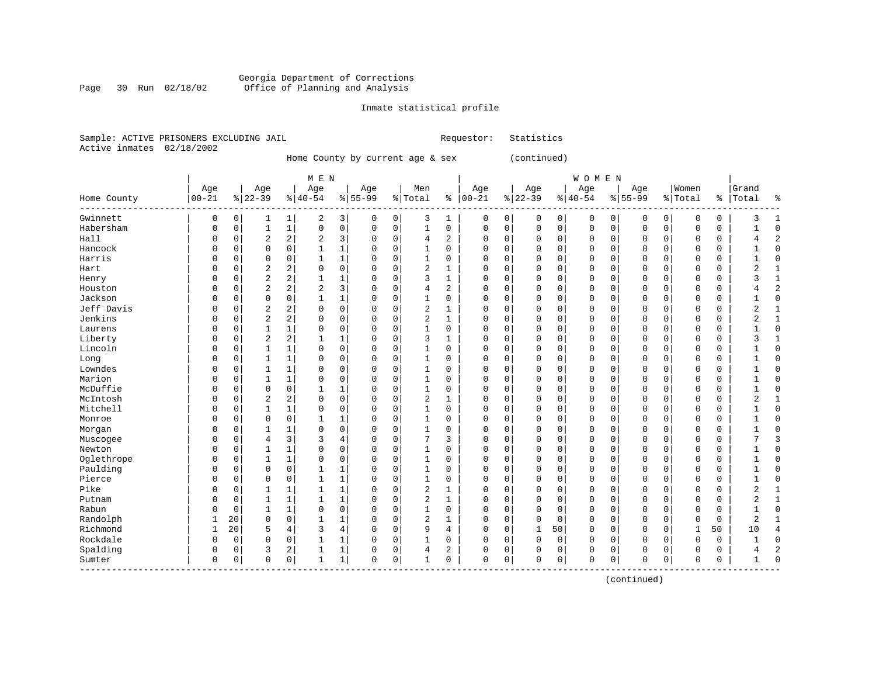#### Georgia Department of Corrections Page 30 Run 02/18/02 Office of Planning and Analysis

#### Inmate statistical profile

|                           |  | Sample: ACTIVE PRISONERS EXCLUDING JAIL |  | Requestor: Statistics |  |
|---------------------------|--|-----------------------------------------|--|-----------------------|--|
| Active inmates 02/18/2002 |  |                                         |  |                       |  |

Home County by current age & sex (continued)

|             |           |          |                |                | M E N        |                |             |             |                |             |             |             |          |             | <b>WOMEN</b> |             |             |          |             |             |                |    |
|-------------|-----------|----------|----------------|----------------|--------------|----------------|-------------|-------------|----------------|-------------|-------------|-------------|----------|-------------|--------------|-------------|-------------|----------|-------------|-------------|----------------|----|
|             | Age       |          | Age            |                | Age          |                | Age         |             | Men            |             | Age         |             | Age      |             | Age          |             | Age         |          | Women       |             | Grand          |    |
| Home County | $00 - 21$ |          | $8 22-39$      |                | $8140 - 54$  |                | $8155 - 99$ |             | % Total        |             | $% 100-21$  |             | $ 22-39$ |             | $8 40-54$    |             | $8155 - 99$ |          | % Total     | ႜ           | Total          |    |
| Gwinnett    | 0         | 0        | 1              | 1              | 2            | 3              | 0           | $\mathbf 0$ | 3              | 1           | 0           | 0           | 0        | 0           | 0            | 0           | 0           | 0        | 0           | $\mathbf 0$ | 3              |    |
| Habersham   | 0         | 0        | $\mathbf{1}$   | $\mathbf{1}$   | $\mathbf 0$  | $\mathbf 0$    | 0           | $\mathbf 0$ | $\mathbf{1}$   | $\mathbf 0$ | 0           | $\mathbf 0$ | 0        | $\mathbf 0$ | $\mathbf 0$  | $\mathbf 0$ | 0           | 0        | $\Omega$    | $\mathbf 0$ |                |    |
| Hall        | 0         | 0        | $\overline{c}$ | $\overline{a}$ | 2            | 3              | 0           | 0           | 4              | 2           | $\Omega$    | $\mathbf 0$ | 0        | 0           | 0            | 0           | 0           | 0        | $\mathbf 0$ | 0           | 4              |    |
| Hancock     | O         | 0        | 0              | $\mathbf 0$    | 1            | $\mathbf 1$    | 0           | $\mathbf 0$ | 1              | $\mathbf 0$ | $\Omega$    | 0           | 0        | 0           | $\Omega$     | 0           | $\Omega$    | 0        | $\Omega$    | 0           |                |    |
| Harris      | O         | 0        | $\mathbf 0$    | $\mathbf 0$    | $\mathbf 1$  | 1              | $\Omega$    | $\mathbf 0$ | $\mathbf{1}$   | 0           | $\Omega$    | 0           | 0        | $\Omega$    | $\Omega$     | $\Omega$    | $\Omega$    | 0        | $\Omega$    | $\Omega$    | 1              |    |
| Hart        | O         | 0        | $\overline{c}$ | 2              | $\mathbf 0$  | 0              | 0           | $\mathbf 0$ | $\overline{2}$ | 1           | $\Omega$    | 0           | $\Omega$ | $\Omega$    | $\Omega$     | $\Omega$    | $\Omega$    | 0        | $\mathbf 0$ | $\mathbf 0$ | 2              | -1 |
| Henry       | 0         | 0        | $\overline{2}$ | 2              | 1            | 1              | $\Omega$    | $\mathbf 0$ | 3              | 1           | $\mathbf 0$ | $\mathbf 0$ | 0        | 0           | $\Omega$     | $\Omega$    | 0           | 0        | $\mathbf 0$ | 0           | $\mathbf{3}$   |    |
| Houston     | 0         | 0        | $\overline{c}$ | 2              | 2            | 3              | 0           | 0           | $\overline{4}$ | 2           | $\Omega$    | 0           | 0        | 0           | $\Omega$     | $\Omega$    | 0           | 0        | 0           | 0           |                |    |
| Jackson     | O         | $\Omega$ | 0              | 0              | 1            | 1              | 0           | $\mathbf 0$ | $\mathbf{1}$   | $\Omega$    | $\Omega$    | $\mathbf 0$ | 0        | $\Omega$    | $\Omega$     | $\Omega$    | $\Omega$    | 0        | $\Omega$    | $\mathbf 0$ |                |    |
| Jeff Davis  | O         | $\Omega$ | $\overline{2}$ | 2              | $\Omega$     | $\mathbf 0$    | 0           | $\mathbf 0$ | 2              |             | $\Omega$    | 0           | 0        | $\Omega$    | $\Omega$     | $\Omega$    | $\Omega$    | $\Omega$ | $\Omega$    | $\Omega$    | 2              |    |
| Jenkins     | U         | $\Omega$ | $\overline{c}$ | 2              | $\Omega$     | $\mathbf 0$    | $\Omega$    | $\mathbf 0$ | $\overline{2}$ | 1           | 0           | $\mathbf 0$ | 0        | 0           | $\Omega$     | $\Omega$    | $\Omega$    | $\Omega$ | $\Omega$    | $\Omega$    | 2              |    |
| Laurens     | 0         | 0        | $\mathbf{1}$   | 1              | 0            | 0              | 0           | $\mathbf 0$ | 1              | 0           | 0           | $\mathbf 0$ | 0        | 0           | $\Omega$     | $\Omega$    | 0           | $\Omega$ | $\Omega$    | 0           |                |    |
| Liberty     | 0         | 0        | $\overline{2}$ | $\overline{a}$ | 1            | 1              | 0           | $\mathbf 0$ | 3              | 1           | $\Omega$    | $\mathbf 0$ | 0        | 0           | $\mathbf 0$  | $\Omega$    | 0           | 0        | $\Omega$    | $\mathbf 0$ | 3              |    |
| Lincoln     | 0         | 0        | $\mathbf{1}$   | $\mathbf{1}$   | $\Omega$     | $\mathbf 0$    | 0           | $\mathbf 0$ | $\mathbf{1}$   | 0           | $\Omega$    | $\mathbf 0$ | 0        | 0           | $\mathbf 0$  | $\Omega$    | $\Omega$    | 0        | $\Omega$    | $\mathbf 0$ | 1              |    |
| Long        | 0         | 0        | $\mathbf{1}$   | $\mathbf{1}$   | $\Omega$     | $\mathbf 0$    | 0           | $\mathbf 0$ | 1              | $\Omega$    | $\Omega$    | $\mathbf 0$ | $\Omega$ | $\Omega$    | $\Omega$     | $\Omega$    | $\Omega$    | $\Omega$ | $\Omega$    | $\Omega$    | 1              |    |
| Lowndes     | O         | 0        | 1              | $\mathbf 1$    | 0            | 0              | 0           | $\mathbf 0$ | 1              | 0           | $\Omega$    | 0           | $\Omega$ | 0           | $\Omega$     | $\Omega$    | $\Omega$    | 0        | $\mathbf 0$ | 0           | 1              | n  |
| Marion      | 0         | 0        | 1              | 1              | 0            | 0              | $\Omega$    | $\mathbf 0$ | $\mathbf{1}$   | 0           | 0           | 0           | 0        | 0           | $\mathbf 0$  | 0           | $\Omega$    | 0        | $\mathbf 0$ | 0           |                | n  |
| McDuffie    | O         | 0        | $\mathbf 0$    | 0              |              | 1              | 0           | $\mathbf 0$ | 1              | 0           | 0           | 0           | 0        | 0           | $\Omega$     | $\Omega$    | $\Omega$    | 0        | $\Omega$    | $\mathbf 0$ |                |    |
| McIntosh    | O         | 0        | $\overline{c}$ | 2              | $\mathbf 0$  | $\mathbf 0$    | 0           | $\mathbf 0$ | $\overline{c}$ | 1           | 0           | $\mathbf 0$ | 0        | $\Omega$    | $\Omega$     | $\Omega$    | $\Omega$    | 0        | $\Omega$    | $\mathbf 0$ | $\overline{2}$ |    |
| Mitchell    | U         | 0        | 1              | 1              | 0            | $\mathbf 0$    | 0           | $\mathbf 0$ | 1              | 0           | 0           | $\mathbf 0$ | 0        | 0           | $\Omega$     | $\Omega$    | 0           | 0        | $\Omega$    | $\Omega$    |                |    |
| Monroe      | 0         | $\Omega$ | $\mathbf 0$    | $\mathbf 0$    | 1            | 1              | 0           | $\mathbf 0$ | 1              | 0           | $\Omega$    | $\mathbf 0$ | 0        | $\Omega$    | $\Omega$     | $\Omega$    | 0           | $\Omega$ | $\Omega$    | $\Omega$    |                |    |
| Morgan      | 0         | 0        | 1              | 1              | 0            | $\mathbf 0$    | 0           | 0           | 1              | 0           | $\Omega$    | $\mathbf 0$ | 0        | 0           | $\Omega$     | $\Omega$    | 0           | 0        | $\Omega$    | 0           |                |    |
| Muscogee    | 0         | 0        | $\overline{4}$ | 3              | 3            | 4              | $\Omega$    | $\mathbf 0$ | 7              | 3           | $\Omega$    | 0           | 0        | 0           | $\Omega$     | $\Omega$    | $\Omega$    | 0        | $\Omega$    | $\mathbf 0$ | 7              |    |
| Newton      | 0         | 0        | $\mathbf{1}$   | $\mathbf{1}$   | $\Omega$     | $\mathbf 0$    | $\Omega$    | $\mathbf 0$ | $\mathbf{1}$   | $\mathbf 0$ | $\Omega$    | $\mathbf 0$ | 0        | $\Omega$    | $\Omega$     | $\Omega$    | $\Omega$    | 0        | $\Omega$    | $\mathbf 0$ |                |    |
| Oglethrope  | 0         | 0        | $\mathbf{1}$   | $\mathbf{1}$   | $\mathbf 0$  | $\mathbf 0$    | $\Omega$    | $\mathbf 0$ | 1              | 0           | $\mathbf 0$ | $\mathbf 0$ | 0        | $\Omega$    | $\Omega$     | $\Omega$    | $\Omega$    | 0        | $\mathbf 0$ | 0           | 1              | n  |
| Paulding    | 0         | 0        | $\mathbf 0$    | $\mathbf 0$    | 1            | 1              | 0           | 0           | $\mathbf{1}$   | 0           | 0           | $\mathbf 0$ | 0        | 0           | 0            | $\Omega$    | 0           | 0        | 0           | 0           |                | n  |
| Pierce      | 0         | 0        | $\mathbf 0$    | 0              | 1            | 1              | 0           | 0           | 1              | $\Omega$    | $\Omega$    | $\mathbf 0$ | 0        | 0           | $\Omega$     | $\Omega$    | 0           | 0        | 0           | $\mathbf 0$ |                |    |
| Pike        | O         | $\Omega$ | 1              | 1              | 1            | 1              | 0           | $\mathbf 0$ | $\overline{c}$ | 1           | $\Omega$    | 0           | 0        | $\Omega$    | $\Omega$     | $\Omega$    | $\Omega$    | 0        | $\Omega$    | $\mathbf 0$ | $\overline{2}$ |    |
| Putnam      | U         | $\Omega$ | $\mathbf{1}$   | $\mathbf{1}$   | $\mathbf{1}$ | $\mathbf 1$    | $\Omega$    | $\mathbf 0$ | $\overline{c}$ | 1           | $\Omega$    | $\mathbf 0$ | 0        | $\Omega$    | $\Omega$     | $\Omega$    | $\Omega$    | $\Omega$ | $\Omega$    | $\mathbf 0$ | $\overline{2}$ |    |
| Rabun       | O         | $\Omega$ | $\mathbf{1}$   | $\mathbf{1}$   | $\mathbf 0$  | $\mathbf 0$    | $\Omega$    | $\mathbf 0$ | 1              | 0           | 0           | $\mathbf 0$ | $\Omega$ | $\mathbf 0$ | $\Omega$     | $\Omega$    | $\Omega$    | $\Omega$ | $\Omega$    | $\mathbf 0$ | 1              |    |
| Randolph    | 1         | 20       | $\mathbf 0$    | $\mathbf 0$    | 1            | $\mathbf 1$    | 0           | $\mathbf 0$ | $\overline{2}$ | 1           | 0           | $\mathbf 0$ | 0        | $\mathbf 0$ | $\Omega$     | 0           | 0           | 0        | $\Omega$    | $\mathbf 0$ | 2              |    |
| Richmond    | 1         | 20       | 5              | 4              | 3            | $\overline{4}$ | 0           | $\mathbf 0$ | 9              | 4           | $\Omega$    | $\mathbf 0$ | 1        | 50          | $\Omega$     | $\Omega$    | 0           | $\Omega$ |             | 50          | 10             |    |
| Rockdale    | 0         | 0        | 0              | 0              | 1            | 1              | 0           | 0           |                | 0           | $\Omega$    | 0           | 0        | 0           | $\Omega$     | $\Omega$    | $\Omega$    | 0        | $\Omega$    | 0           |                |    |
| Spalding    | 0         | 0        | 3              | 2              | 1            | 1              | 0           | 0           | $\overline{4}$ | 2           | $\Omega$    | 0           | 0        | 0           | $\Omega$     | 0           | 0           | 0        | $\cap$      | $\mathbf 0$ | 4              |    |
| Sumter      | 0         | 0        | $\mathbf 0$    | 0              | $\mathbf 1$  | $\mathbf 1$    | 0           | $\mathbf 0$ | 1              | 0           | $\Omega$    | 0           | $\Omega$ | $\mathbf 0$ | $\Omega$     | 0           | $\Omega$    | 0        | U           | $\mathbf 0$ | $\mathbf{1}$   |    |

(continued)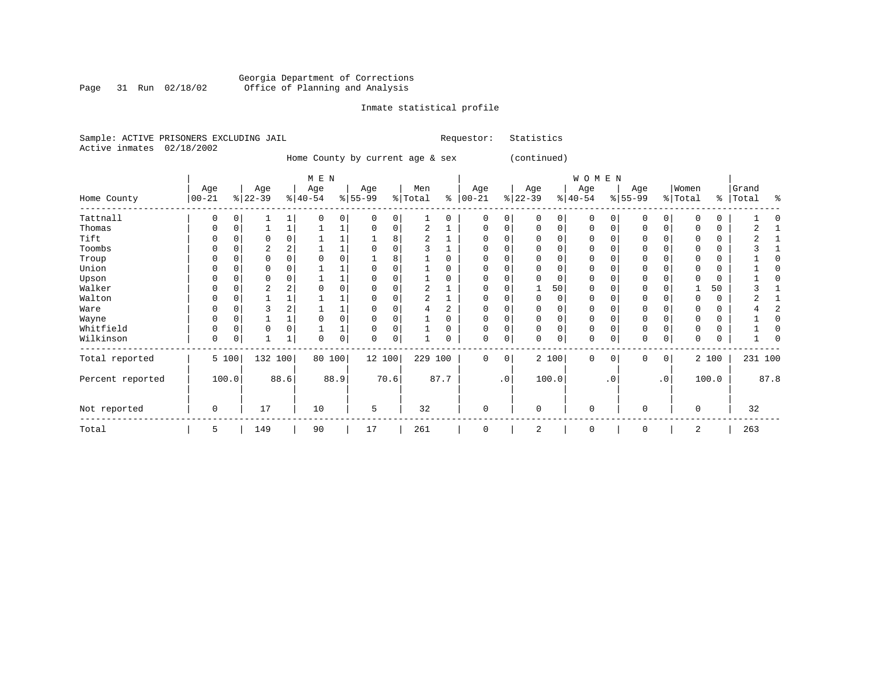#### Georgia Department of Corrections Page 31 Run 02/18/02 Office of Planning and Analysis

# Inmate statistical profile

|  |                           | Sample: ACTIVE PRISONERS EXCLUDING JAIL |  | Requestor: Statistics |  |
|--|---------------------------|-----------------------------------------|--|-----------------------|--|
|  | Active inmates 02/18/2002 |                                         |  |                       |  |

Home County by current age & sex (continued)

|                  |                  |             |                  |          | $M$ E $N$        |      |                  |          |                |          |                   |             |                 |          | WOMEN            |          |                 |                 |                  |       |                    |      |
|------------------|------------------|-------------|------------------|----------|------------------|------|------------------|----------|----------------|----------|-------------------|-------------|-----------------|----------|------------------|----------|-----------------|-----------------|------------------|-------|--------------------|------|
| Home County      | Age<br>$00 - 21$ |             | Age<br>$ 22-39 $ |          | Age<br>$ 40-54 $ |      | Age<br>$8 55-99$ |          | Men<br>% Total | နွ       | Age<br>$ 00 - 21$ |             | Age<br>$ 22-39$ |          | Age<br>$ 40-54 $ |          | Age<br>$ 55-99$ |                 | Women<br>% Total |       | Grand<br>%   Total | ႜ    |
| Tattnall         | $\Omega$         | $\mathbf 0$ |                  |          | $\Omega$         | 0    | $\Omega$         | 0        |                | $\Omega$ | 0                 | 0           | $\Omega$        | $\Omega$ | $\Omega$         | $\Omega$ | $\Omega$        | $\Omega$        | $\Omega$         | 0     |                    |      |
| Thomas           | 0                | 0           |                  |          |                  |      | $\Omega$         | 0        | $\overline{c}$ |          | 0                 | 0           | $\Omega$        | $\Omega$ | $\Omega$         | $\Omega$ | 0               | $\Omega$        |                  | 0     |                    |      |
| Tift             |                  |             |                  |          |                  |      |                  | 8        |                |          |                   |             |                 |          | O                |          |                 |                 |                  | 0     |                    |      |
| Toombs           | 0                | C           |                  |          |                  |      |                  | 0        |                |          |                   |             |                 | $\Omega$ | 0                |          |                 |                 |                  | 0     |                    |      |
| Troup            |                  |             |                  |          |                  | 0    |                  |          |                |          |                   |             |                 | $\Omega$ | 0                |          |                 |                 |                  | 0     |                    |      |
| Union            |                  |             | O                |          |                  |      |                  |          |                |          |                   |             |                 |          | O                |          | <sup>0</sup>    |                 |                  | 0     |                    |      |
| Upson            |                  |             |                  |          |                  |      |                  |          |                |          |                   |             |                 |          | O                |          | ∩               |                 |                  | 0     |                    |      |
| Walker           |                  |             |                  |          |                  |      |                  |          | 2              |          |                   |             |                 | 50       | O                |          | $\Omega$        |                 |                  | 50    |                    |      |
| Walton           |                  |             |                  |          |                  |      |                  |          | 2              |          | 0                 |             | $\Omega$        | $\Omega$ | O                |          | O               |                 |                  | 0     |                    |      |
| Ware             |                  |             |                  |          |                  |      |                  | $\Omega$ |                | 2        |                   |             |                 |          | 0                |          |                 |                 |                  | 0     |                    |      |
| Wayne            | 0                | 0           |                  |          |                  | 0    |                  | $\Omega$ |                | 0        |                   | O           |                 | $\Omega$ | 0                |          |                 |                 |                  | 0     |                    |      |
| Whitfield        | 0                | 0           | 0                | $\Omega$ |                  | ┻    |                  | 0        |                | 0        | 0                 |             |                 | 0        | 0                |          | 0               |                 |                  | 0     |                    |      |
| Wilkinson        | 0                | 0           |                  |          | 0                | 0    | $\Omega$         | 0        |                |          | 0                 | 0           | $\Omega$        | 0        | 0                | C        | $\Omega$        | 0               |                  | 0     |                    |      |
| Total reported   |                  | 5 100       | 132 100          |          | 80 100           |      | 12 100           |          | 229 100        |          | $\Omega$          | $\mathbf 0$ |                 | 2 100    | $\Omega$         | $\Omega$ | $\Omega$        | 0               |                  | 2 100 | 231 100            |      |
| Percent reported |                  | 100.0       |                  | 88.6     |                  | 88.9 |                  | 70.6     |                | 87.7     |                   | $\cdot$ 0   |                 | 100.0    |                  | . 0      |                 | .0 <sup>1</sup> |                  | 100.0 |                    | 87.8 |
| Not reported     | 0                |             | 17               |          | 10               |      | 5                |          | 32             |          | $\mathbf 0$       |             | 0               |          | 0                |          | $\Omega$        |                 | $\mathbf 0$      |       | 32                 |      |
| Total            | 5                |             | 149              |          | 90               |      | 17               |          | 261            |          | 0                 |             | 2               |          | 0                |          | 0               |                 | 2                |       | 263                |      |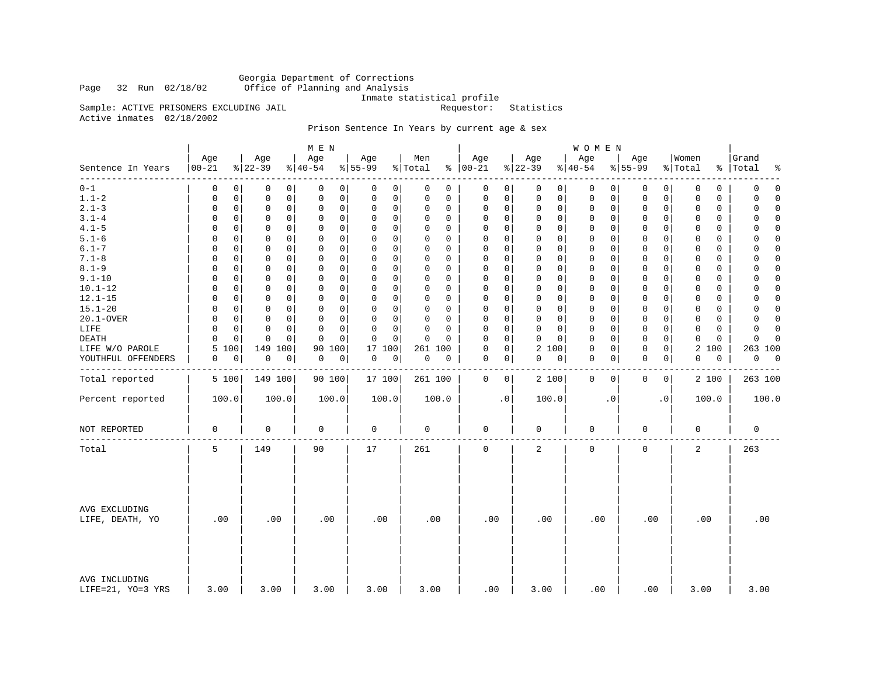Georgia Department of Corrections Office of Planning and Analysis

Inmate statistical profile<br>Requestor: Statistics

Active inmates 02/18/2002

Sample: ACTIVE PRISONERS EXCLUDING JAIL

### Prison Sentence In Years by current age & sex

|                                    |                            |                            | M E N                        |                            |                         |                      |                                   | WOMEN            |                             |                            |                          |
|------------------------------------|----------------------------|----------------------------|------------------------------|----------------------------|-------------------------|----------------------|-----------------------------------|------------------|-----------------------------|----------------------------|--------------------------|
| Sentence In Years                  | Age<br>$ 00 - 21$          | Age<br>$ 22-39 $           | Age<br>$\frac{1}{6}$   40-54 | Age<br>$ 55-99 $           | Men<br>% Total          | Age<br>$8   00 - 21$ | Age<br>$ 22-39$                   | Age<br>$ 40-54$  | Age<br>$8 55-99$            | Women<br>% Total           | Grand<br>%   Total<br>နွ |
| ------<br>$0 - 1$                  | 0<br>0                     | 0<br>0                     | 0<br>0                       | 0<br>0                     | 0<br>$\mathbf 0$        | 0                    | 0<br>$\mathbf 0$<br>$\circ$       | 0<br>0           | 0<br>0                      | 0<br>0                     | $\mathbf 0$<br>0         |
| $1.1 - 2$                          | $\mathbf 0$<br>$\mathbf 0$ | 0<br>0                     | $\mathbf 0$<br>0             | 0<br>0                     | $\Omega$<br>$\Omega$    | 0                    | 0<br>$\mathsf{O}$<br>$\mathbf{0}$ | 0<br>0           | $\mathsf{O}$<br>$\mathbf 0$ | $\mathbf 0$<br>$\Omega$    | 0<br>$\Omega$            |
| $2.1 - 3$                          | $\mathbf 0$<br>$\mathbf 0$ | $\mathbf 0$<br>0           | $\mathbf 0$<br>0             | 0<br>$\mathbf 0$           | $\Omega$<br>$\mathbf 0$ | $\mathbf 0$          | 0<br>$\mathbf 0$<br>$\mathsf{O}$  | 0<br>0           | $\mathbf 0$<br>$\mathbf 0$  | $\mathbf 0$<br>$\mathbf 0$ | 0<br>$\mathbf 0$         |
| $3.1 - 4$                          | $\mathbf 0$<br>0           | $\mathbf 0$<br>0           | $\mathbf 0$<br>$\mathbf 0$   | 0<br>$\mathbf 0$           | $\Omega$<br>0           | 0                    | 0<br>$\mathbf 0$<br>$\mathbf 0$   | 0<br>0           | $\mathbf 0$<br>0            | 0<br>0                     | $\mathbf 0$<br>0         |
| $4.1 - 5$                          | $\Omega$<br>0              | $\mathbf 0$<br>0           | $\mathbf 0$<br>$\mathbf 0$   | 0<br>$\Omega$              | $\Omega$<br>$\Omega$    | 0                    | 0<br>$\mathbf 0$<br>$\mathbf 0$   | $\mathbf 0$<br>0 | $\mathbf 0$<br>$\mathbf 0$  | $\Omega$<br>0              | $\Omega$<br>$\Omega$     |
| $5.1 - 6$                          | $\Omega$<br>0              | $\mathbf 0$<br>0           | $\mathbf 0$<br>$\mathbf 0$   | 0<br>0                     | $\Omega$<br>0           | 0                    | 0<br>$\mathbf 0$<br>$\mathbf 0$   | $\mathbf 0$<br>0 | $\mathbf 0$<br>$\mathbf{0}$ | 0<br>0                     | 0<br>0                   |
| $6.1 - 7$                          | $\mathbf 0$<br>$\Omega$    | $\mathbf 0$<br>0           | $\mathbf 0$<br>0             | 0<br>$\mathbf 0$           | $\Omega$<br>$\Omega$    | 0                    | 0<br>$\Omega$<br>$\Omega$         | 0<br>0           | $\mathbf 0$<br>0            | 0<br>$\Omega$              | $\Omega$<br>0            |
| $7.1 - 8$                          | $\mathbf 0$<br>$\mathbf 0$ | $\mathbf 0$<br>$\mathbf 0$ | $\mathsf 0$<br>$\mathbf 0$   | $\mathbf 0$<br>$\mathbf 0$ | $\Omega$<br>$\Omega$    | $\mathbf 0$          | 0<br>$\mathsf{O}$<br>$\mathbf 0$  | 0<br>0           | $\mathbf 0$<br>$\mathbf 0$  | 0<br>$\mathbf 0$           | 0<br>$\Omega$            |
| $8.1 - 9$                          | $\Omega$<br>0              | 0<br>0                     | $\mathbf 0$<br>0             | $\Omega$<br>0              | $\Omega$<br>$\Omega$    | $\Omega$             | 0<br>$\mathbf 0$<br>0             | 0<br>0           | $\mathbf 0$<br>$\mathbf{0}$ | 0<br>$\Omega$              | 0<br>0                   |
| $9.1 - 10$                         | 0<br>0                     | 0<br>0                     | $\mathbf 0$<br>$\mathbf 0$   | $\Omega$<br>$\mathbf 0$    | $\Omega$<br>0           | 0                    | 0<br>$\mathbf 0$<br>$\mathbf 0$   | $\mathbf 0$<br>0 | $\mathbf 0$<br>$\mathbf 0$  | $\mathbf 0$<br>$\mathbf 0$ | $\Omega$<br>0            |
| $10.1 - 12$                        | $\Omega$<br>0              | $\Omega$<br>0              | $\mathbf 0$<br>0             | $\Omega$<br>$\mathbf 0$    | $\Omega$<br>$\Omega$    | $\Omega$             | 0<br>$\mathbf{0}$<br>$\mathbf 0$  | $\mathbf 0$<br>0 | $\Omega$<br>$\mathbf 0$     | $\Omega$<br>0              | $\Omega$<br>$\Omega$     |
| $12.1 - 15$                        | $\Omega$<br>0              | $\mathbf 0$<br>0           | 0<br>$\mathbf 0$             | 0<br>0                     | $\Omega$<br>0           | $\mathbf 0$          | 0<br>$\mathbf 0$<br>0             | $\mathbf 0$<br>0 | $\mathbf 0$<br>$\mathbf 0$  | $\mathbf 0$<br>0           | $\mathbf 0$<br>0         |
| $15.1 - 20$                        | $\Omega$<br>$\Omega$       | $\mathbf 0$<br>0           | $\Omega$<br>0                | 0<br>$\mathbf 0$           | $\Omega$<br>$\Omega$    | 0                    | 0<br>$\mathbf 0$<br>$\Omega$      | 0<br>0           | $\mathbf 0$<br>$\mathbf{0}$ | 0<br>$\Omega$              | $\Omega$<br>0            |
| 20.1-OVER                          | $\Omega$<br>$\mathbf 0$    | $\mathbf 0$<br>$\mathbf 0$ | $\mathbf 0$<br>$\mathbf 0$   | 0<br>$\mathbf 0$           | $\Omega$<br>$\Omega$    | $\mathbf 0$          | 0<br>$\mathbf 0$<br>$\mathbf 0$   | $\mathsf 0$<br>0 | $\mathbf 0$<br>$\mathbf 0$  | $\mathbf 0$<br>$\mathbf 0$ | $\Omega$<br>0            |
| LIFE                               | $\Omega$<br>$\Omega$       | $\Omega$<br>0              | $\Omega$<br>$\Omega$         | 0<br>$\mathbf 0$           | $\Omega$<br>$\Omega$    | $\Omega$             | 0<br>$\Omega$<br>$\Omega$         | $\mathbf 0$<br>0 | $\mathbf 0$<br>$\Omega$     | $\Omega$<br>$\Omega$       | $\Omega$<br>$\Omega$     |
| DEATH                              | $\mathbf 0$<br>$\Omega$    | $\mathbf 0$<br>$\mathbf 0$ | $\mathbf 0$<br>$\Omega$      | 0<br>$\mathbf 0$           | $\mathbf 0$<br>$\Omega$ | $\Omega$             | 0<br>$\Omega$<br>$\Omega$         | $\mathbf 0$<br>0 | $\mathbf 0$<br>$\mathbf 0$  | $\mathbf 0$<br>$\mathbf 0$ | $\Omega$<br>$\Omega$     |
| LIFE W/O PAROLE                    | 5<br>100                   | 149 100                    | 90<br>100                    | 17<br>100                  | 261 100                 | $\mathbf 0$          | 0<br>2 100                        | $\mathbf 0$<br>0 | $\mathbf 0$<br>$\mathbf 0$  | 2<br>100                   | 263 100                  |
| YOUTHFUL OFFENDERS                 | 0<br>0                     | 0<br>0                     | 0<br>0                       | 0<br>0                     | 0<br>0                  | 0                    | $\overline{0}$<br>0<br> 0         | 0<br>0           | 0<br>0                      | 0<br>0                     | 0<br>0                   |
| Total reported                     | 5 100                      | 149 100                    | 90 100                       | 17 100                     | 261 100                 | $\mathbf 0$          | $\overline{0}$<br>2 100           | $\mathbf 0$<br>0 | $\mathbf 0$<br>0            | 2 100                      | 263 100                  |
| Percent reported                   | 100.0                      | 100.0                      | 100.0                        | 100.0                      | 100.0                   | $\cdot$ 0            | 100.0                             | $\cdot$ 0        | $\cdot$ 0                   | 100.0                      | 100.0                    |
| NOT REPORTED                       | 0                          | 0                          | 0                            | 0                          | 0                       | 0                    | 0                                 | 0                | 0                           | 0                          | 0                        |
| Total                              | 5                          | 149                        | 90                           | 17                         | 261                     | $\mathbf 0$          | 2                                 | $\mathbf 0$      | $\mathbf 0$                 | $\overline{a}$             | 263                      |
| AVG EXCLUDING<br>LIFE, DEATH, YO   | .00                        | .00                        | .00                          | .00                        | .00                     | .00                  | .00                               | .00              | .00                         | .00                        | .00                      |
| AVG INCLUDING<br>LIFE=21, YO=3 YRS | 3.00                       | 3.00                       | 3.00                         | 3.00                       | 3.00                    | .00                  | 3.00                              | .00              | .00                         | 3.00                       | 3.00                     |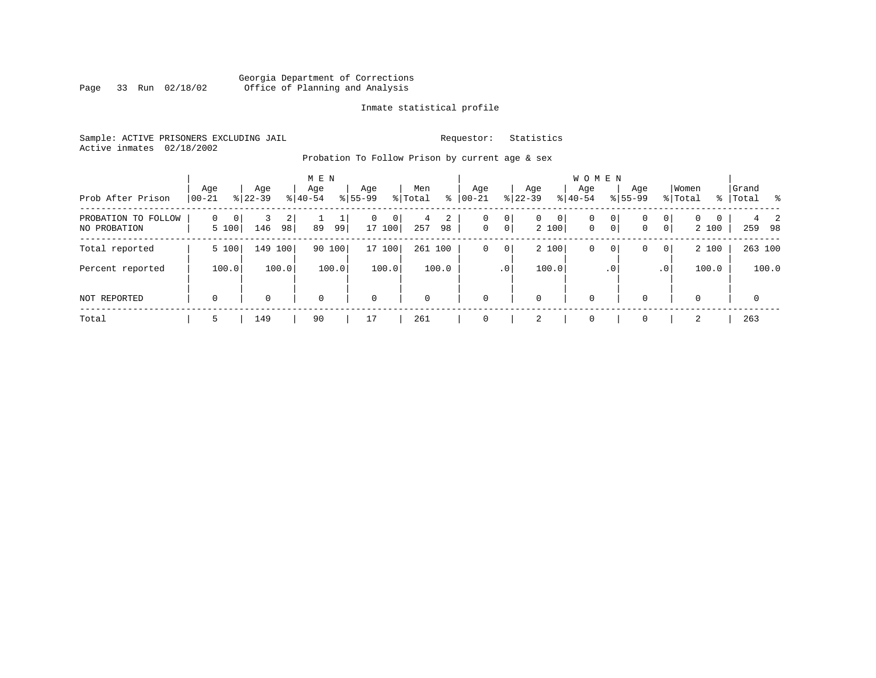### Georgia Department of Corrections<br>Page 33 Run 02/18/02 Office of Planning and Analysis Page 33 Run 02/18/02 Office of Planning and Analysis

#### Inmate statistical profile

Sample: ACTIVE PRISONERS EXCLUDING JAIL **Requestor:** Statistics Active inmates 02/18/2002

Probation To Follow Prison by current age & sex

| Prob After Prison                   | Age<br>$ 00-21 $ | Age<br>$ 22-39 $ | M E N<br>Age<br>$8 40-54$ | Age<br>$8 55-99$                     | Men<br>% Total<br>∻ | Age<br>$ 00 - 21 $ | Aqe<br>$ 22-39 $                                | <b>WOMEN</b><br>Aqe<br>$8 40-54$      | Age<br>$8155 - 99$                     | Women<br>% Total<br>$\frac{1}{6}$                   | Grand<br> Total %     |
|-------------------------------------|------------------|------------------|---------------------------|--------------------------------------|---------------------|--------------------|-------------------------------------------------|---------------------------------------|----------------------------------------|-----------------------------------------------------|-----------------------|
| PROBATION TO FOLLOW<br>NO PROBATION | 0<br>0<br>5 100  | 2<br>146<br>98   | 89<br>99                  | $\Omega$<br>0 <sup>1</sup><br>17 100 | 2<br>4<br>257<br>98 | 0<br>$\mathbf 0$   | 0 <br>$\overline{0}$<br>0 <sup>1</sup><br>2 100 | $\circ$<br>$\mathbf 0$<br>$\mathbf 0$ | $\circ$<br>0<br>$\circ$<br>$\mathbf 0$ | $\overline{0}$<br>$\mathbf{0}$<br>0<br> 0 <br>2 100 | 4<br>2<br>259<br>- 98 |
| Total reported                      | 5 100            | 149 100          | 100<br>90                 | 17 100                               | 261<br>100          | 0                  | 2 100<br> 0                                     | 0                                     | $\circ$<br>0                           | 2 100<br> 0                                         | 263 100               |
| Percent reported                    | 100.0            | 100.0            | 100.0                     | 100.0                                | 100.0               | .0 <sup>1</sup>    | 100.0                                           | . 0                                   | .0 <sup>1</sup>                        | 100.0                                               | 100.0                 |
| NOT REPORTED                        | $\mathbf 0$      | $\Omega$         | 0                         | $\mathbf 0$                          | $\Omega$            | $\Omega$           | $\Omega$                                        | $\Omega$                              | $\Omega$                               | $\mathbf 0$                                         | $\mathbf 0$           |
| Total                               | 5                | 149              | 90                        | 17                                   | 261                 |                    | 2                                               | $\Omega$                              | 0                                      | $\overline{a}$                                      | 263                   |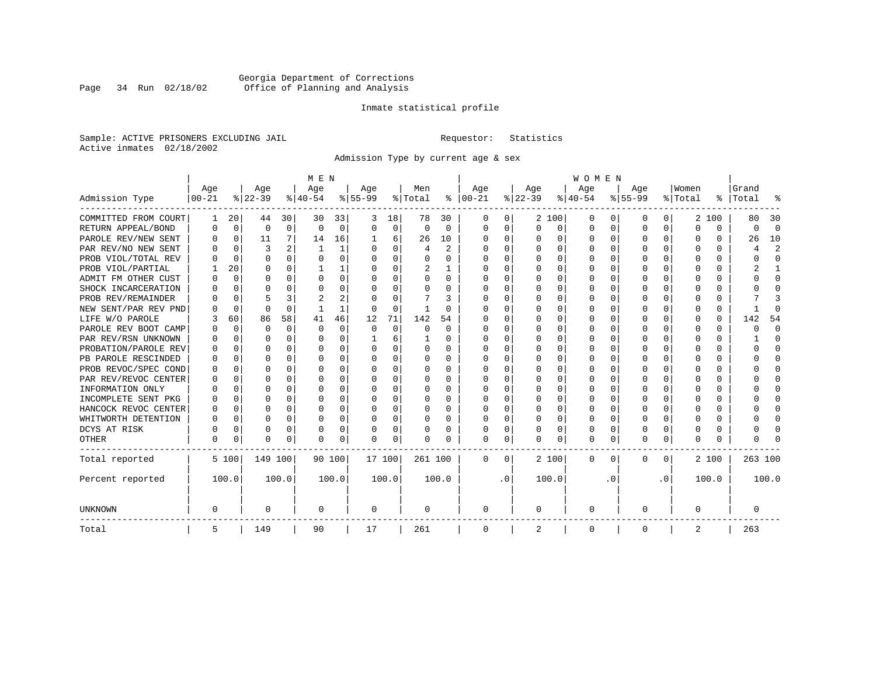### Georgia Department of Corrections<br>Page 34 Run 02/18/02 Office of Planning and Analysis Page 34 Run 02/18/02 Office of Planning and Analysis

#### Inmate statistical profile

Sample: ACTIVE PRISONERS EXCLUDING JAIL **Requestor:** Statistics Active inmates 02/18/2002

Admission Type by current age & sex

|                      |           |             |          |              | M E N        |       |           |             |          |                |          |           |          |          | <b>WOMEN</b> |                  |              |              |         |          |         |                |
|----------------------|-----------|-------------|----------|--------------|--------------|-------|-----------|-------------|----------|----------------|----------|-----------|----------|----------|--------------|------------------|--------------|--------------|---------|----------|---------|----------------|
|                      | Age       |             | Age      |              | Age          |       | Age       |             | Men      |                | Age      |           | Age      |          | Age          |                  | Age          |              | Women   |          | Grand   |                |
| Admission Type       | $00 - 21$ |             | $ 22-39$ |              | $ 40-54 $    |       | $8 55-99$ |             | % Total  | ႜ              | $ 00-21$ |           | $ 22-39$ |          | $ 40-54$     |                  | $8 55-99$    |              | % Total | ွေ       | Total   |                |
| COMMITTED FROM COURT | 1         | 20          | 44       | 30           | 30           | 33    | 3         | 18          | 78       | 30             | 0        | 0         |          | 2 100    | 0            | $\left( \right)$ | 0            | 0            | 2       | 100      | 80      | 30             |
| RETURN APPEAL/BOND   | 0         | 0           | 0        | $\mathbf 0$  | $\Omega$     | 0     | $\Omega$  | 0           | $\Omega$ | $\Omega$       | $\Omega$ | 0         | $\Omega$ | 0        | 0            | $\Omega$         | <sup>0</sup> | $\Omega$     | U       | $\Omega$ | O       | $\Omega$       |
| PAROLE REV/NEW SENT  | O         | 0           | 11       | 7            | 14           | 16    |           | 6           | 26       | 10             | $\Omega$ | 0         | $\Omega$ | $\Omega$ | 0            | $\Omega$         | $\Omega$     | $\Omega$     | O       | $\Omega$ | 26      | 10             |
| PAR REV/NO NEW SENT  |           | $\Omega$    | 3        |              | $\mathbf{1}$ | 1     |           | $\Omega$    | 4        | $\mathfrak{D}$ | n        | 0         | $\Omega$ | $\Omega$ | U            | C                | <sup>0</sup> | 0            | Ω       | O        |         | $\overline{c}$ |
| PROB VIOL/TOTAL REV  |           | $\Omega$    | $\Omega$ | 0            | $\Omega$     | 0     |           | $\Omega$    | 0        | O              | n        | 0         | O        | $\Omega$ | 0            | C                |              |              |         | 0        |         | $\Omega$       |
| PROB VIOL/PARTIAL    |           | 20          | O        | 0            |              |       |           | $\Omega$    | 2        |                | $\Omega$ | 0         | O        | $\Omega$ | O            | O                | O            |              | O       | U        |         |                |
| ADMIT FM OTHER CUST  | O         | 0           | O        | 0            | $\Omega$     | 0     | O         | $\Omega$    | O        | 0              | $\Omega$ | 0         | O        | $\Omega$ | O            | O                | O            | 0            | O       | U        |         | $\Omega$       |
| SHOCK INCARCERATION  |           | $\Omega$    | U        | <sup>n</sup> | O            | 0     |           | $\Omega$    | 0        | 0              | $\Omega$ | 0         | $\Omega$ | $\Omega$ | 0            | $\Omega$         | ∩            | 0            | U       | 0        |         | ∩              |
| PROB REV/REMAINDER   |           | 0           |          | 3            |              | 2     |           | $\Omega$    |          | 3              | $\Omega$ | 0         | $\Omega$ | $\Omega$ | 0            | C                | ∩            | <sup>n</sup> |         | 0        |         |                |
| NEW SENT/PAR REV PND |           | 0           | $\Omega$ | $\Omega$     |              | 1     |           | 0           |          | U              |          | 0         |          | 0        | U            | $\Omega$         |              | 0            | Ω       | 0        |         | ſ              |
| LIFE W/O PAROLE      |           | 60          | 86       | 58           | 41           | 46    | 12        | 71          | 142      | 54             |          | O         |          | 0        | O            | $\Omega$         |              | $\Omega$     |         | 0        | 142     | 54             |
| PAROLE REV BOOT CAMP |           | $\mathbf 0$ | O        | $\Omega$     | $\Omega$     | 0     | $\Omega$  | $\mathbf 0$ | $\Omega$ | $\Omega$       | O        | O         |          | 0        | 0            | $\Omega$         |              | $\Omega$     | O       | 0        | Ω       | $\Omega$       |
| PAR REV/RSN UNKNOWN  |           | 0           | U        | $\cap$       | O            | 0     |           | 6           |          | 0              | O        | 0         | ∩        | $\Omega$ | O            | ∩                |              | $\cap$       | O       | 0        |         | ∩              |
| PROBATION/PAROLE REV |           | $\Omega$    | U        | $\Omega$     | O            | 0     | $\Omega$  | $\Omega$    | 0        | 0              | O        | 0         | O        | $\Omega$ | O            | ∩                | n            | <sup>n</sup> | U       | U        | O       | ∩              |
| PB PAROLE RESCINDED  |           | $\Omega$    | U        | $\cap$       | O            | 0     | ∩         | $\Omega$    | 0        | 0              | n        | 0         | ∩        | $\Omega$ | O            | C                | ∩            | $\Omega$     | n       | U        |         | ∩              |
| PROB REVOC/SPEC COND | O         | 0           | U        | 0            | O            | U     |           | $\Omega$    | 0        | 0              | n        | U         | O        | $\Omega$ | O            | C                | n            | 0            | O       | U        |         | n              |
| PAR REV/REVOC CENTER |           | 0           | U        | 0            | O            | 0     |           | $\Omega$    | U        | 0              | n        | U         |          | $\Omega$ | O            | C                |              | 0            |         | U        |         | n              |
| INFORMATION ONLY     |           | 0           | O        | 0            | O            | 0     |           | $\Omega$    | 0        | O              | n        | U         |          | $\Omega$ | O            | O                |              |              |         | 0        |         | O              |
| INCOMPLETE SENT PKG  | O         | 0           | O        | 0            | O            | 0     |           | $\Omega$    | 0        | 0              | n        | 0         | O        | $\Omega$ | 0            | O                | O            |              |         | 0        |         | O              |
| HANCOCK REVOC CENTER | 0         | 0           | U        | $\Omega$     | O            | 0     |           | $\Omega$    | 0        | 0              | $\Omega$ | 0         | $\Omega$ | $\Omega$ | O            | $\Omega$         | <sup>0</sup> | 0            | O       | 0        |         | ∩              |
| WHITWORTH DETENTION  | O         | 0           | O        | $\Omega$     | O            | 0     | ∩         | $\Omega$    | O        | 0              | $\Omega$ | 0         | $\Omega$ | $\Omega$ | O            | $\Omega$         | <sup>0</sup> | $\Omega$     | O       | 0        |         | ∩              |
| DCYS AT RISK         | O         | $\mathbf 0$ | $\Omega$ | $\Omega$     | 0            | 0     |           | 0           | 0        | 0              | $\Omega$ | 0         | $\Omega$ | 0        | 0            | 0                | $\Omega$     | $\Omega$     |         | 0        |         | ſ              |
| OTHER                | 0         | 0           | $\Omega$ | 0            | O            | 0     | ∩         | 0           | N        | O              | $\Omega$ | 0         | $\Omega$ | 0        | $\Omega$     | 0                | $\Omega$     | 0            | O       | 0        |         |                |
| Total reported       |           | 5 100       | 149 100  |              | 90 100       |       | 17 100    |             | 261 100  |                | $\Omega$ | 0         |          | 2 100    | 0            | $\Omega$         | $\Omega$     | $\Omega$     |         | 2 100    | 263 100 |                |
| Percent reported     |           | 100.0       |          | 100.0        |              | 100.0 |           | 100.0       |          | 100.0          |          | $\cdot$ 0 |          | 100.0    |              | . 0              |              | $\cdot$ 0    |         | 100.0    |         | 100.0          |
| <b>UNKNOWN</b>       | 0         |             | 0        |              | 0            |       | 0         |             | 0        |                | 0        |           | 0        |          | 0            |                  | 0            |              | O       |          | 0       |                |
| Total                | 5         |             | 149      |              | 90           |       | 17        |             | 261      |                | 0        |           | 2        |          | 0            |                  | 0            |              | 2       |          | 263     |                |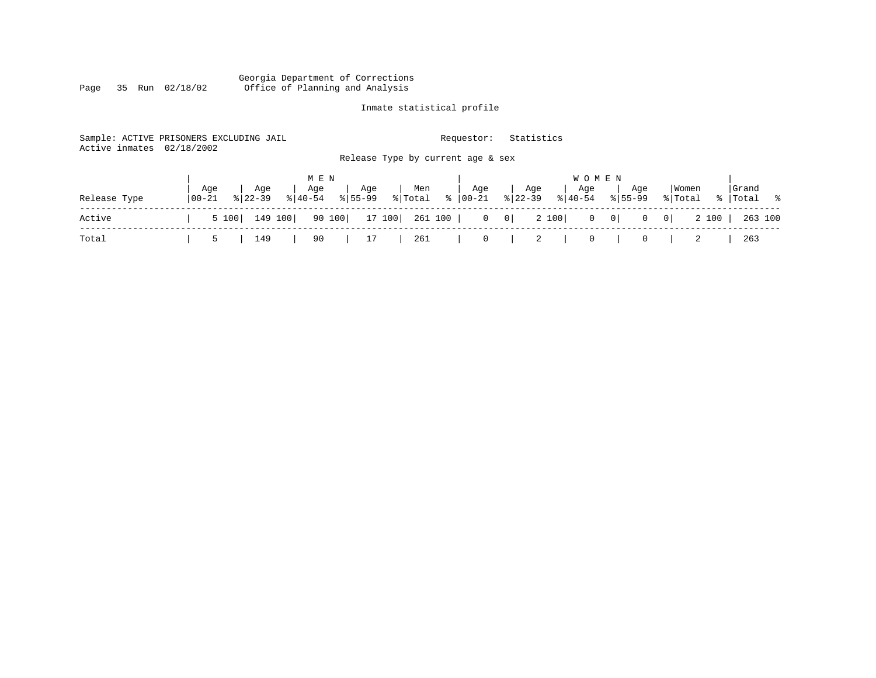#### Georgia Department of Corrections Page 35 Run 02/18/02 Office of Planning and Analysis

# Inmate statistical profile

| Active inmates | Sample: ACTIVE PRISONERS EXCLUDING JAIL<br>02/18/2002 |       |                    |         |                    |        |                    |                |               | Requestor:                        |   | Statistics       |       |                  |                   |                |                  |       |                      |         |
|----------------|-------------------------------------------------------|-------|--------------------|---------|--------------------|--------|--------------------|----------------|---------------|-----------------------------------|---|------------------|-------|------------------|-------------------|----------------|------------------|-------|----------------------|---------|
|                |                                                       |       |                    |         |                    |        |                    |                |               | Release Type by current age & sex |   |                  |       |                  |                   |                |                  |       |                      |         |
|                |                                                       |       |                    |         | M E N              |        |                    |                |               |                                   |   |                  |       | <b>WOMEN</b>     |                   |                |                  |       |                      |         |
| Release Type   | 00-21                                                 | Age   | Age<br>$8122 - 39$ |         | Age<br>$8140 - 54$ |        | Age<br>$8155 - 99$ | Men<br>% Total | $\frac{1}{6}$ | Age<br>00-21                      |   | Age<br>$8 22-39$ |       | Aqe<br>$8 40-54$ | $8155 - 99$       | Age            | Women<br>% Total |       | Grand<br>%   Total % |         |
| Active         |                                                       | 5 100 |                    | 149 100 |                    | 90 100 |                    |                |               | $\overline{0}$                    | 0 |                  | 2 100 |                  | $0 \qquad 0 \mid$ | $\overline{0}$ | 0                | 2 100 |                      | 263 100 |
| Total          |                                                       | 5     | 149                |         | 90                 |        | 17                 | 261            |               | $\mathbf{0}$                      |   | $\overline{2}$   |       | 0                |                   | 0              |                  |       | 263                  |         |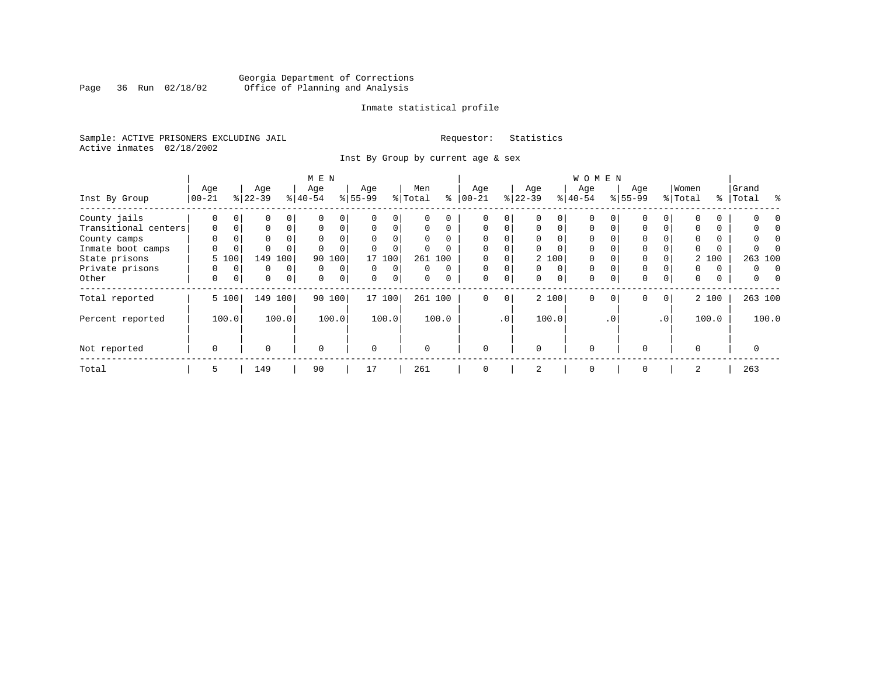### Georgia Department of Corrections<br>Page 36 Run 02/18/02 Office of Planning and Analysis Page 36 Run 02/18/02 Office of Planning and Analysis

#### Inmate statistical profile

Sample: ACTIVE PRISONERS EXCLUDING JAIL **Requestor:** Statistics Active inmates 02/18/2002

Inst By Group by current age & sex

|                      |             |             |             |                | M E N     |             |           |             |          |          |             |          |          |             | <b>WOMEN</b> |             |             |                 |          |       |           |       |
|----------------------|-------------|-------------|-------------|----------------|-----------|-------------|-----------|-------------|----------|----------|-------------|----------|----------|-------------|--------------|-------------|-------------|-----------------|----------|-------|-----------|-------|
|                      | Age         |             | Age         |                | Age       |             | Age       |             | Men      |          | Age         |          | Age      |             | Age          |             | Age         |                 | Women    |       | Grand     |       |
| Inst By Group        | $00 - 21$   |             | $ 22-39 $   |                | $8 40-54$ |             | $8 55-99$ |             | % Total  | ႜ        | $ 00-21 $   |          | $ 22-39$ |             | $ 40-54 $    |             | $8155 - 99$ |                 | % Total  |       | %   Total | ႜ     |
| County jails         | 0           | $\mathbf 0$ | 0           | 0              |           | 0           |           | 0           | U        |          |             | 0        |          |             | $\Omega$     |             |             |                 |          |       |           |       |
| Transitional centers | $\mathbf 0$ | 0           | 0           | $\Omega$       | $\Omega$  | 0           | $\Omega$  | $\Omega$    | $\Omega$ | $\Omega$ | 0           | $\Omega$ | 0        | $\Omega$    | $\Omega$     | $\Omega$    | $\Omega$    |                 | $\Omega$ |       |           |       |
| County camps         | $\Omega$    |             | 0           |                | $\Omega$  | 0           |           |             | $\Omega$ | $\Omega$ | $\Omega$    |          |          |             | $\Omega$     |             | $\Omega$    |                 |          |       |           |       |
| Inmate boot camps    | U           | 0           | $\Omega$    |                |           |             |           | $\Omega$    | 0        |          | $\Omega$    |          |          |             | $\Omega$     |             | $\Omega$    |                 |          |       |           |       |
| State prisons        |             | 5 100       | 149         | 100            | 90        | 100         | 17        | 100         |          | 261 100  |             |          |          | 2 100       | $\Omega$     |             | $\Omega$    |                 |          | 2 100 | 263 100   |       |
| Private prisons      | 0           | $\Omega$    | 0           | 0              | $\Omega$  | 0           | $\Omega$  | $\Omega$    | 0        | $\Omega$ | $\Omega$    | $\Omega$ | $\Omega$ | $\Omega$    | $\Omega$     |             | $\Omega$    |                 | 0        | 0     | 0         | n     |
| Other                | 0           | 0           | $\mathbf 0$ | $\overline{0}$ | $\Omega$  | $\mathbf 0$ | $\Omega$  | $\mathbf 0$ | $\Omega$ |          | $\mathbf 0$ | 0        | $\Omega$ | $\mathbf 0$ | $\mathbf 0$  | $\Omega$    | $\Omega$    | $\Omega$        | 0        | 0     | 0         |       |
| Total reported       |             | 5 100       |             | 149 100        |           | 90 100      |           | 17 100      |          | 261 100  | 0           | 0        |          | 2 100       | $\Omega$     | $\mathbf 0$ | 0           | 0 <sup>1</sup>  |          | 2 100 | 263 100   |       |
| Percent reported     |             | 100.0       |             | 100.0          |           | 100.0       |           | 100.0       |          | 100.0    |             | .0'      |          | 100.0       |              | $\cdot$ 0   |             | .0 <sup>1</sup> |          | 100.0 |           | 100.0 |
| Not reported         | $\mathbf 0$ |             | $\Omega$    |                | $\Omega$  |             | $\Omega$  |             | $\Omega$ |          | $\Omega$    |          | $\Omega$ |             | $\Omega$     |             | $\cap$      |                 | $\cap$   |       | O         |       |
| Total                | 5           |             | 149         |                | 90        |             | 17        |             | 261      |          | $\mathbf 0$ |          | 2        |             | $\mathbf 0$  |             | $\Omega$    |                 | 2        |       | 263       |       |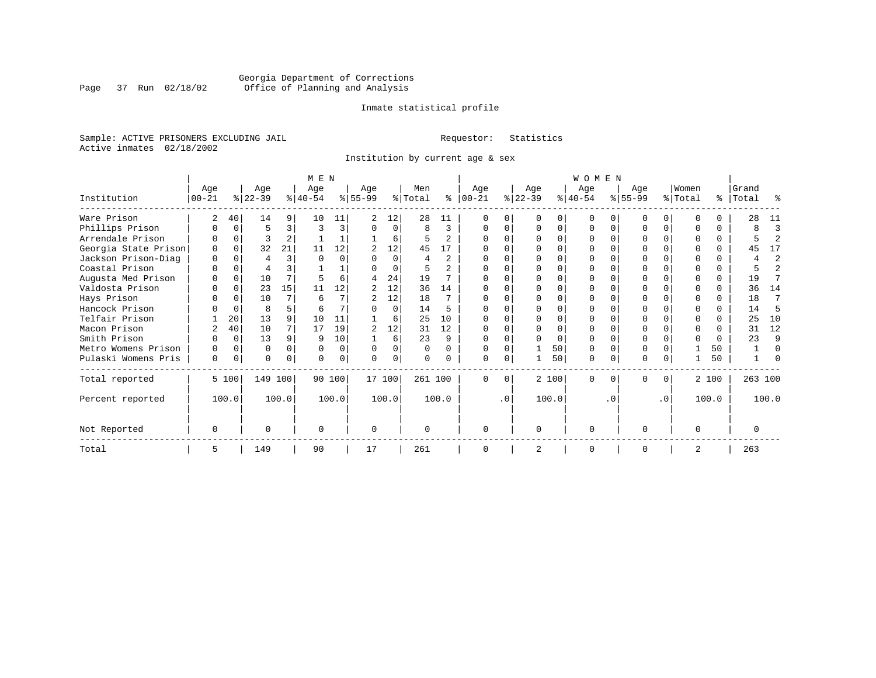### Georgia Department of Corrections<br>Page 37 Run 02/18/02 Office of Planning and Analysis Page 37 Run 02/18/02 Office of Planning and Analysis

#### Inmate statistical profile

Sample: ACTIVE PRISONERS EXCLUDING JAIL **Requestor:** Statistics Active inmates 02/18/2002

Institution by current age & sex

|                      |            |          |           |          | M E N     |          |           |          |          |                |              |           |           |       | <b>WOMEN</b> |          |           |           |          |          |           |       |
|----------------------|------------|----------|-----------|----------|-----------|----------|-----------|----------|----------|----------------|--------------|-----------|-----------|-------|--------------|----------|-----------|-----------|----------|----------|-----------|-------|
|                      | Age        |          | Age       |          | Age       |          | Age       |          | Men      |                | Age          |           | Age       |       | Age          |          | Aqe       |           | Women    |          | Grand     |       |
| Institution          | $ 00 - 21$ |          | $ 22-39 $ |          | $8 40-54$ |          | $ 55-99 $ |          | % Total  | ి              | $ 00 - 21$   |           | $ 22-39 $ |       | $ 40-54 $    |          | $8 55-99$ |           | % Total  |          | %   Total | ႜ     |
| Ware Prison          |            | 40       | 14        | 9        | 10        | 11       |           | 12       | 28       | 11             |              |           |           |       |              |          |           |           |          |          | 28        | 11    |
| Phillips Prison      |            |          | 5         | 3        |           | 3        |           | $\Omega$ | 8        | 3              |              |           |           |       |              |          |           | 0         |          | 0        |           | 3     |
| Arrendale Prison     |            |          |           |          |           |          |           | 6        |          | 2              |              |           |           |       |              |          |           |           |          | 0        |           |       |
| Georgia State Prison |            |          | 32        | 21       | 11        | 12       |           | 12       | 45       | 17             |              |           |           |       |              |          |           |           |          | $\Omega$ | 45        | 17    |
| Jackson Prison-Diag  |            |          |           | ς        |           |          |           | O        | 4        | $\overline{2}$ |              |           |           |       |              |          |           |           |          | 0        |           | 2     |
| Coastal Prison       |            |          |           |          |           |          |           | $\Omega$ |          |                |              |           |           |       |              |          |           |           |          | 0        |           | 2     |
| Augusta Med Prison   |            | $\Omega$ | 10        | 7        |           | 6        | 4         | 24       | 19       |                |              |           |           |       |              |          |           |           |          | $\Omega$ | 19        |       |
| Valdosta Prison      |            |          | 23        | 15       | 11        | 12       | 2         | 12       | 36       | 14             |              |           |           |       |              |          |           |           |          |          | 36        | 14    |
| Hays Prison          |            |          | 10        |          | 6         |          |           | 12       | 18       |                |              |           |           |       |              |          | O         |           | ∩        | 0        | 18        | 7     |
| Hancock Prison       |            |          | 8         | 5.       | 6         |          |           | $\Omega$ | 14       | 5              |              |           |           |       |              |          |           |           | $\Omega$ | 0        | 14        | 5     |
| Telfair Prison       |            | 20       | 13        | 9        | 10        | 11       |           | 6        | 25       | 10             |              |           |           |       |              |          |           |           |          |          | 25        | 10    |
| Macon Prison         |            | 40       | 10        |          | 17        | 19       | 2         | 12       | 31       | 12             |              |           |           |       |              |          |           |           |          | 0        | 31        | 12    |
| Smith Prison         |            | $\Omega$ | 13        | 9        | q         | 10       |           | 6        | 23       | 9              |              |           |           | O     |              |          |           |           | $\Omega$ | $\Omega$ | 23        | 9     |
| Metro Womens Prison  | O          |          | O         | $\Omega$ |           | $\Omega$ | U         | O        | $\Omega$ | $\Omega$       |              |           |           | 50    |              |          |           |           |          | 50       |           | U     |
| Pulaski Womens Pris  | $\Omega$   | $\Omega$ | U         |          |           | 0        |           | O        |          |                |              |           |           | 50    | $\Omega$     |          | O         |           |          | 50       |           |       |
| Total reported       |            | 5 100    | 149 100   |          |           | 90 100   |           | 17 100   | 261 100  |                | <sup>0</sup> | $\Omega$  |           | 2 100 | $\Omega$     | $\Omega$ | $\Omega$  | 0         |          | 2 100    | 263 100   |       |
| Percent reported     |            | 100.0    |           | 100.0    |           | 100.0    |           | 100.0    |          | 100.0          |              | $\cdot$ 0 |           | 100.0 |              | . 0      |           | $\cdot$ 0 |          | 100.0    |           | 100.0 |
| Not Reported         | O          |          |           |          | $\Omega$  |          | $\Omega$  |          | $\Omega$ |                | ∩            |           | $\Omega$  |       | $\Omega$     |          | $\Omega$  |           | $\Omega$ |          |           |       |
| Total                | 5          |          | 149       |          | 90        |          | 17        |          | 261      |                |              |           |           |       | $\cap$       |          | $\Omega$  |           | 2        |          | 263       |       |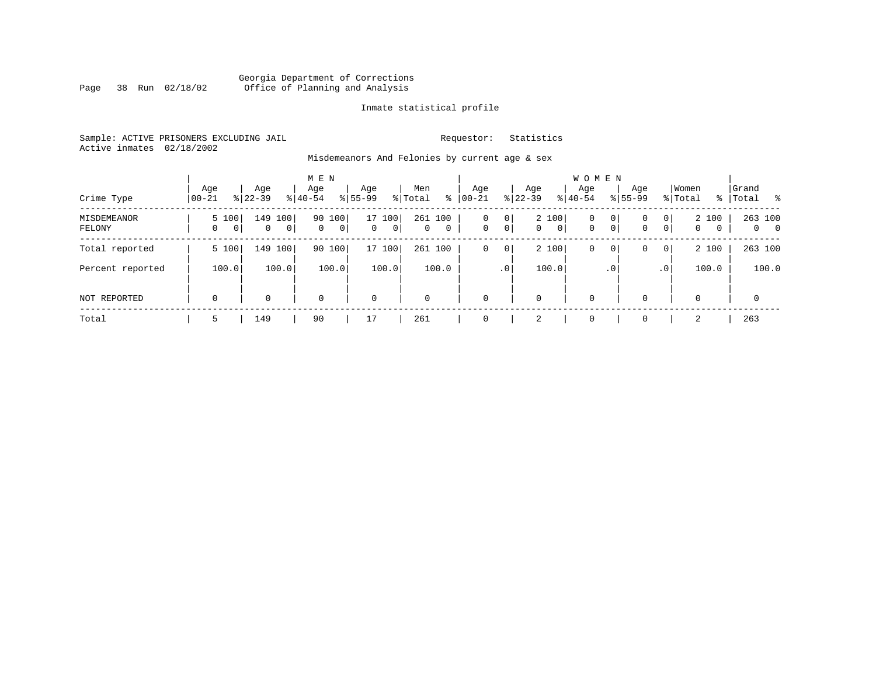#### Georgia Department of Corrections Page 38 Run 02/18/02 Office of Planning and Analysis

#### Inmate statistical profile

Sample: ACTIVE PRISONERS EXCLUDING JAIL **Requestor:** Statistics Active inmates 02/18/2002

Misdemeanors And Felonies by current age & sex

| Crime Type            | Age<br>$00 - 21$ | Age<br>$8 22-39$                                                 | M E N<br>Age<br>$8 40-54$ | Age<br>$8155 - 99$              | Men<br>ွေ<br>% Total                           | Age<br>$00 - 21$ | Age<br>$ 22 - 39 $                                      | <b>WOMEN</b><br>Aqe<br>$8 40-54$ | Age<br>$8155 - 99$                       | Women<br>% Total                                                            | Grand<br>%   Total<br>း ေ |
|-----------------------|------------------|------------------------------------------------------------------|---------------------------|---------------------------------|------------------------------------------------|------------------|---------------------------------------------------------|----------------------------------|------------------------------------------|-----------------------------------------------------------------------------|---------------------------|
|                       |                  |                                                                  |                           |                                 |                                                |                  |                                                         |                                  |                                          |                                                                             |                           |
| MISDEMEANOR<br>FELONY | 5 100<br>0       | 149<br>100 <sup>1</sup><br>$\overline{0}$<br>0<br>0 <sup>1</sup> | 100<br>90<br>0<br>0       | 17 100<br> 0 <br>$\overline{0}$ | 261<br>100<br>$\overline{0}$<br>$\overline{0}$ | 0<br>$\mathbf 0$ | 2 100<br>0<br>$\overline{0}$<br>$\circ$<br>$\mathbf{0}$ | $\mathbf 0$<br>$\mathbf{0}$      | $\mathbf{0}$<br>0<br>0 <sup>1</sup><br>0 | 2 100<br>$\overline{0}$<br>$\overline{0}$<br>$\mathbf{0}$<br>$\overline{0}$ | 263 100<br>$0\qquad 0$    |
| Total reported        | 5 100            | 149<br>100                                                       | 90 100                    | 17 100                          | 261 100                                        | 0                | 2 100<br>0                                              | 0                                | 0<br>0                                   | 2 100<br>$\overline{0}$                                                     | 263 100                   |
| Percent reported      | 100.0            | 100.0                                                            | 100.0                     | 100.0                           | 100.0                                          | .0 <sup>1</sup>  | 100.0                                                   |                                  | . 0                                      | 100.0<br>.0 <sup>1</sup>                                                    | 100.0                     |
| <b>NOT REPORTED</b>   | $\mathbf 0$      | 0                                                                | $\Omega$                  | $\mathbf 0$                     | $\mathbf 0$                                    | $\mathbf 0$      | 0                                                       | $\mathbf 0$                      | $\Omega$                                 | $\Omega$                                                                    | $\mathbf 0$               |
| Total                 | 5                | 149                                                              | 90                        | 17                              | 261                                            | $\Omega$         | 2                                                       | $\mathbf 0$                      | $\Omega$                                 | 2                                                                           | 263                       |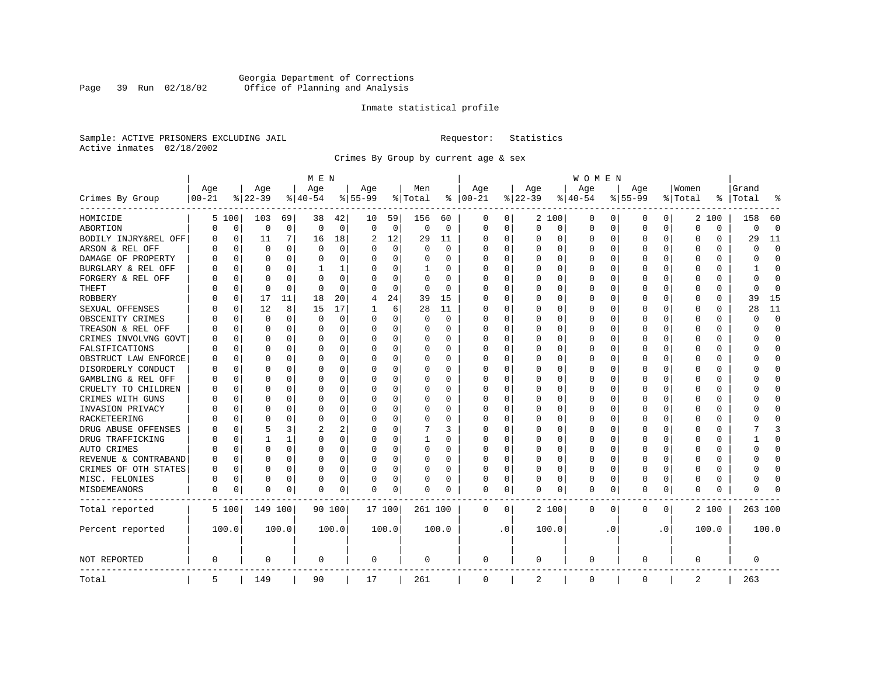### Georgia Department of Corrections<br>Page 39 Run 02/18/02 Office of Planning and Analysis Page 39 Run 02/18/02 Office of Planning and Analysis

#### Inmate statistical profile

Sample: ACTIVE PRISONERS EXCLUDING JAIL **Requestor:** Statistics Active inmates 02/18/2002

Crimes By Group by current age & sex

|                      |                   |          |                    |          | M E N           |          |                  |             |                |          |                 |          |                    |          | W O M E N        |           |                  |              |                  |          |                |              |
|----------------------|-------------------|----------|--------------------|----------|-----------------|----------|------------------|-------------|----------------|----------|-----------------|----------|--------------------|----------|------------------|-----------|------------------|--------------|------------------|----------|----------------|--------------|
| Crimes By Group      | Age<br>$ 00 - 21$ |          | Age<br>$8$   22-39 |          | Age<br>$ 40-54$ |          | Age<br>$8 55-99$ |             | Men<br>% Total | ႜ        | Age<br>$ 00-21$ |          | Age<br>$8$   22-39 |          | Age<br>$8 40-54$ |           | Age<br>$8 55-99$ |              | Women<br>% Total | ⊱        | Grand<br>Total |              |
| HOMICIDE             | 5                 | 100      | 103                | 69       | 38              | 42       | 10               | 59          | 156            | 60       | 0               | 0        |                    | 2 100    | 0                | 0         | 0                | $\circ$      |                  | 2 100    | 158            | 60           |
| ABORTION             | N                 | 0        | $\mathbf 0$        | 0        | 0               | 0        | $\mathbf 0$      | $\mathbf 0$ | $\mathsf 0$    | 0        | $\Omega$        | 0        | $\Omega$           | 0        | 0                | 0         | $\mathbf 0$      | 0            | 0                | 0        | 0              | $\mathbf 0$  |
| BODILY INJRY&REL OFF | U                 | 0        | 11                 | 7        | 16              | 18       | 2                | 12          | 29             | 11       | 0               | 0        | 0                  | 0        | 0                | 0         | $\Omega$         | 0            | 0                | 0        | 29             | 11           |
| ARSON & REL OFF      |                   | 0        | $\Omega$           | $\Omega$ | $\Omega$        | 0        | U                | $\mathbf 0$ | $\Omega$       | $\Omega$ | C               | $\Omega$ |                    | $\Omega$ | 0                | O         |                  | $\Omega$     | $\Omega$         | $\Omega$ | U              | $\Omega$     |
| DAMAGE OF PROPERTY   |                   | O        | $\Omega$           | 0        | O               | $\Omega$ | O                | $\Omega$    | 0              | U        | 0               | $\Omega$ | <sup>0</sup>       | $\Omega$ | 0                | O         | U                | 0            | U                | 0        | U              | $\Omega$     |
| BURGLARY & REL OFF   |                   | 0        | $\Omega$           | $\Omega$ | 1               | 1        |                  | 0           | 1              | 0        | C               | $\Omega$ |                    | $\Omega$ | 0                | 0         | O                | $\Omega$     | 0                | $\Omega$ |                | <sup>0</sup> |
| FORGERY & REL OFF    |                   | 0        | $\Omega$           | $\Omega$ | $\Omega$        | $\Omega$ |                  | $\mathbf 0$ | $\Omega$       | O        |                 | $\Omega$ |                    | $\Omega$ | 0                | 0         | $\Omega$         | $\Omega$     | $\Omega$         | $\Omega$ | U              | $\Omega$     |
| THEFT                |                   | 0        | $\Omega$           | $\Omega$ | U               | $\Omega$ | U                | 0           | $\Omega$       | $\Omega$ | C               | 0        |                    | $\Omega$ | O                | O         | ∩                | 0            | U                | 0        | U              | $\Omega$     |
| ROBBERY              |                   | 0        | 17                 | 11       | 18              | 20       | 4                | 24          | 39             | 15       | C               | 0        |                    | $\Omega$ | 0                | O         | U                | 0            | U                | 0        | 39             | 15           |
| SEXUAL OFFENSES      |                   | 0        | 12                 | 8        | 15              | 17       |                  | 6           | 28             | 11       | C               | 0        |                    | $\Omega$ | O                | O         | U                | <sup>0</sup> | U                | 0        | 28             | 11           |
| OBSCENITY CRIMES     |                   | O        | $\Omega$           | $\Omega$ | $\Omega$        | 0        | O                | 0           | 0              | $\Omega$ | 0               | 0        | ∩                  | $\Omega$ | 0                | O         | ∩                | 0            | U                | 0        | U              | $\Omega$     |
| TREASON & REL OFF    |                   | 0        | $\Omega$           | 0        | 0               | 0        | U                | 0           | 0              | $\Omega$ | C               | 0        |                    | 0        | 0                | 0         |                  | 0            | 0                | 0        | U              | <sup>0</sup> |
| CRIMES INVOLVNG GOVT |                   | $\Omega$ | $\Omega$           | $\Omega$ | $\Omega$        | 0        | O                | 0           | 0              | O        | C               | 0        |                    | $\Omega$ | 0                | O         |                  | $\Omega$     | 0                | 0        | በ              | $\Omega$     |
| FALSIFICATIONS       |                   | O        | $\Omega$           | $\Omega$ | 0               | 0        | O                | 0           | 0              | $\Omega$ | C               | 0        |                    | $\Omega$ | 0                | O         | $\Omega$         | $\Omega$     | 0                | 0        | U              | $\Omega$     |
| OBSTRUCT LAW ENFORCE |                   | 0        |                    | $\Omega$ | $\Omega$        | 0        | U                | $\mathbf 0$ | 0              | 0        | C               | 0        |                    | $\Omega$ | 0                | U         |                  | $\Omega$     | 0                | 0        |                | <sup>0</sup> |
| DISORDERLY CONDUCT   |                   | O        | O                  | $\Omega$ | $\Omega$        | $\Omega$ | O                | $\Omega$    | 0              | U        | C               | $\Omega$ |                    | $\Omega$ | 0                | O         | O                | $\Omega$     | U                | 0        |                | ∩            |
| GAMBLING & REL OFF   |                   | O        | O                  | $\Omega$ | O               | $\Omega$ | O                | $\Omega$    | 0              | $\Omega$ | O               | $\Omega$ | <sup>0</sup>       | $\Omega$ | O                | O         | O                | $\Omega$     | U                | 0        |                | ∩            |
| CRUELTY TO CHILDREN  |                   | O        | O                  | $\Omega$ | O               | 0        |                  | $\mathbf 0$ | 0              | U        | C               | 0        |                    | $\Omega$ | U                | O         | O                | $\Omega$     | U                | O        |                | Ω            |
| CRIMES WITH GUNS     |                   | O        | O                  | 0        | U               | 0        |                  | $\mathbf 0$ | U              | O        | C               | $\Omega$ |                    | $\Omega$ | O                | O         | O                | 0            | U                | $\Omega$ |                | $\Omega$     |
| INVASION PRIVACY     |                   | O        | n                  | 0        | U               | 0        | U                | 0           | 0              | U        | O               | 0        | O                  | $\Omega$ | 0                | O         | n                | 0            | ∩                | 0        |                | ∩            |
| RACKETEERING         |                   | O        |                    | O        | O               | 0        | U                | 0           | 0              | U        | C               | 0        |                    | $\Omega$ | 0                | O         |                  | 0            | O                | 0        |                | ſ            |
| DRUG ABUSE OFFENSES  |                   | $\Omega$ |                    | 3        | 2               | 2        | $\Omega$         | $\mathbf 0$ |                | 3        | O               | $\Omega$ |                    | $\Omega$ | $\Omega$         | $\Omega$  | O                | $\Omega$     | $\Omega$         | 0        |                | κ            |
| DRUG TRAFFICKING     |                   | O        |                    | 1        | $\Omega$        | 0        | $\Omega$         | 0           | $\mathbf{1}$   | 0        | C               | 0        | <sup>0</sup>       | $\Omega$ | 0                | O         | O                | $\Omega$     | 0                | 0        |                | $\Omega$     |
| AUTO CRIMES          |                   | 0        | $\Omega$           | 0        | $\Omega$        | 0        | 0                | 0           | 0              | 0        | C               | 0        |                    | 0        | 0                | 0         | 0                | 0            | 0                | 0        | በ              | O            |
| REVENUE & CONTRABAND | N                 | 0        | $\Omega$           | 0        | $\Omega$        | 0        | $\Omega$         | 0           | 0              | $\Omega$ | O               | 0        |                    | $\Omega$ | 0                | 0         | $\Omega$         | 0            | $\Omega$         | 0        | በ              | $\Omega$     |
| CRIMES OF OTH STATES | N                 | 0        | O                  | $\Omega$ | 0               | 0        | $\Omega$         | 0           | 0              | 0        | 0               | 0        | 0                  | $\Omega$ | 0                | O         | $\Omega$         | $\Omega$     | U                | 0        | U              | 0            |
| MISC. FELONIES       | 0                 | 0        | $\Omega$           | $\Omega$ | 0               | 0        | 0                | $\mathbf 0$ | 0              | 0        | 0               | 0        |                    | $\Omega$ | $\Omega$         | 0         | $\Omega$         | $\Omega$     | $\Omega$         | 0        |                | ſ            |
| MISDEMEANORS         | 0                 | 0        | $\Omega$           | 0        | O               | 0        | O                | 0           | 0              | U        | $\Omega$        | 0        | O                  | 0        | 0                | 0         | $\Omega$         | 0            | U                | 0        | ი              |              |
| Total reported       |                   | 5 100    | 149 100            |          |                 | 90 100   |                  | 17 100      | 261 100        |          | 0               | 0        |                    | 2 100    | $\mathbf 0$      | 0         | 0                | 0            |                  | 2 100    | 263 100        |              |
| Percent reported     |                   | 100.0    |                    | 100.0    |                 | 100.0    |                  | 100.0       |                | 100.0    |                 | . 0      |                    | 100.0    |                  | $\cdot$ 0 |                  | $\cdot$ 0    |                  | 100.0    |                | 100.0        |
| NOT REPORTED         | 0                 |          | $\mathbf 0$        |          | 0               |          | $\mathbf 0$      |             | 0              |          | 0               |          | 0                  |          | 0                |           | $\Omega$         |              | $\Omega$         |          | 0              |              |
| Total                | 5                 |          | 149                |          | 90              |          | 17               |             | 261            |          | 0               |          | 2                  |          | 0                |           | $\mathbf 0$      |              | 2                |          | 263            |              |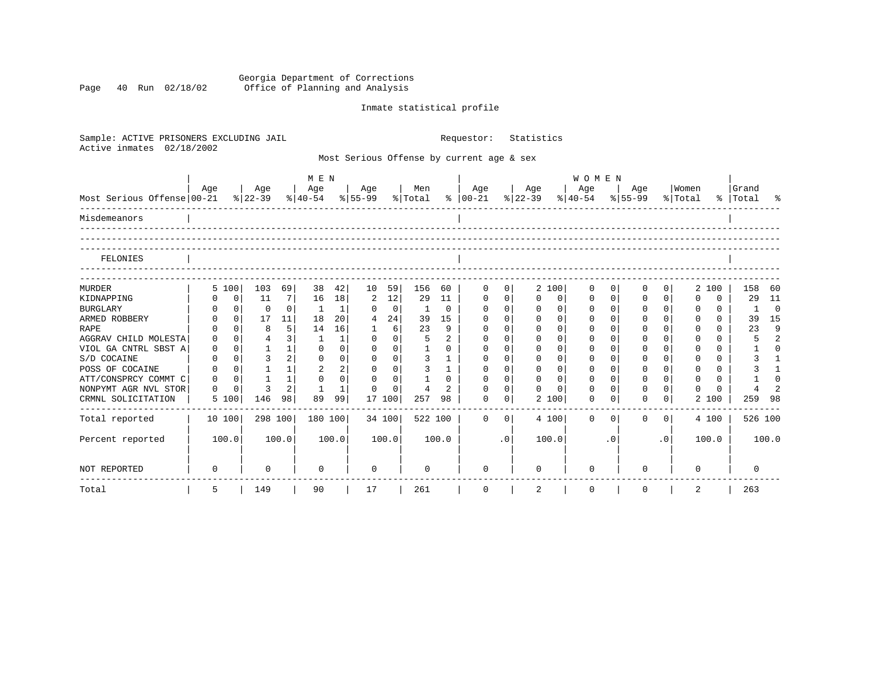Georgia Department of Corrections Page 40 Run 02/18/02 Office of Planning and Analysis

# Inmate statistical profile

| Sample: ACTIVE PRISONERS EXCLUDING JAIL<br>Active inmates<br>02/18/2002 |          |                   |                                |                              | Requestor:     |              | Statistics  |              |                |                                           |              |                         |                                     |              |          |           |                          |           |                |
|-------------------------------------------------------------------------|----------|-------------------|--------------------------------|------------------------------|----------------|--------------|-------------|--------------|----------------|-------------------------------------------|--------------|-------------------------|-------------------------------------|--------------|----------|-----------|--------------------------|-----------|----------------|
|                                                                         |          |                   |                                |                              |                |              |             |              |                | Most Serious Offense by current age & sex |              |                         |                                     |              |          |           |                          |           |                |
|                                                                         | Age      | Age               |                                | M E N<br>Age                 |                | Age          |             | Men          |                | Age                                       |              | Age                     | WOMEN<br>Age                        |              | Age      |           | Women                    | Grand     |                |
| Most Serious Offense 00-21                                              |          | $8 22-39$         |                                | $ 40-54 \t  55-99 \t  Total$ |                |              |             |              |                | $8   00-21$                               |              | $ 22-39 $               | $\frac{8}{40-54}$ $\frac{8}{55-99}$ |              |          |           | % Total                  | %   Total | ႜ              |
| Misdemeanors                                                            |          |                   |                                |                              |                |              |             |              |                |                                           |              |                         |                                     |              |          |           |                          |           |                |
| FELONIES                                                                |          |                   |                                |                              |                |              |             |              |                |                                           |              |                         |                                     |              |          |           |                          |           |                |
| <b>MURDER</b>                                                           | 5 100    | 103               | 69                             | 38                           | 42             | 10           | 59          | 156          | 60             | 0                                         | 0            | 2 100                   | 0                                   | 0            | 0        | 0         | 2 100                    | 158       | 60             |
| KIDNAPPING                                                              |          | $\mathbf 0$<br>11 | 7                              | 16                           | 18             | 2            | 12          | 29           | 11             | $\mathbf 0$                               | $\mathsf{O}$ | $\Omega$<br>$\mathbf 0$ | 0                                   | $\mathbf{0}$ | 0        | $\Omega$  | $\Omega$<br><sup>0</sup> | 29        | 11             |
| <b>BURGLARY</b>                                                         |          | $\mathbf{0}$      | $\Omega$<br>$\Omega$           | -1                           | $\mathbf 1$    | $\Omega$     | $\mathbf 0$ | 1            | 0              | $\mathbf 0$                               | $\mathbf 0$  | $\Omega$<br>$\Omega$    | 0                                   | $\Omega$     | $\Omega$ | $\Omega$  | $\Omega$<br>$\Omega$     | 1         | $\Omega$       |
| ARMED ROBBERY                                                           |          | $\mathbf 0$<br>17 | 11                             | 18                           | 20             | 4            | 24          | 39           | 15             | $\mathbf 0$                               | $\Omega$     | $\Omega$<br>$\Omega$    | 0                                   | $\Omega$     | 0        | $\Omega$  | $\Omega$<br>$\Omega$     | 39        | 15             |
| <b>RAPE</b>                                                             |          | $\Omega$          | 5 <br>8                        | 14                           | 16             | $\mathbf{1}$ | 6           | 23           | 9              | $\Omega$                                  | $\Omega$     | $\Omega$<br>$\Omega$    | $\Omega$                            | $\Omega$     | $\Omega$ | $\Omega$  | $\Omega$<br>$\Omega$     | 23        | 9              |
| AGGRAV CHILD MOLESTA                                                    | $\Omega$ | $\Omega$          | 3 <br>4                        | 1                            | $\mathbf{1}$   | $\Omega$     | $\Omega$    | 5            | $\overline{2}$ | $\Omega$                                  | $\Omega$     | $\Omega$<br>$\Omega$    | $\Omega$                            | $\Omega$     | $\Omega$ | $\Omega$  | $\Omega$<br>$\Omega$     | 5         | $\mathfrak{D}$ |
| VIOL GA CNTRL SBST A                                                    | 0        | $\Omega$          | $\mathbf{1}$<br>1              | $\Omega$                     | $\Omega$       | $\Omega$     | $\Omega$    | $\mathbf{1}$ | $\Omega$       | $\Omega$                                  | $\Omega$     | $\Omega$<br>$\Omega$    | $\Omega$                            | $\cap$       | $\Omega$ | $\Omega$  | $\cap$<br>$\Omega$       |           | $\cap$         |
| S/D COCAINE                                                             | $\Omega$ | $\Omega$          | $\mathbf{z}$<br>2 <sup>1</sup> | $\Omega$                     | $\Omega$       | $\Omega$     | $\Omega$    | 3            | $\mathbf{1}$   | $\Omega$                                  | $\Omega$     | $\Omega$<br>$\Omega$    | $\Omega$                            | $\Omega$     | $\Omega$ | $\Omega$  | $\cap$<br>$\Omega$       | 3         |                |
| POSS OF COCAINE                                                         | $\Omega$ | $\Omega$          | $\mathbf{1}$<br>1              | 2                            | $\overline{a}$ | $\Omega$     | $\Omega$    | 3            | $\mathbf{1}$   | $\Omega$                                  | $\Omega$     | $\Omega$<br>$\Omega$    | $\Omega$                            | $\Omega$     | $\Omega$ | $\Omega$  | $\Omega$<br>$\Omega$     |           |                |
| ATT/CONSPRCY COMMT C                                                    | $\Omega$ | $\Omega$          | $\mathbf{1}$<br>1              | $\Omega$                     | $\Omega$       | $\Omega$     | $\Omega$    |              | $\Omega$       | $\Omega$                                  | $\Omega$     | $\Omega$<br>$\Omega$    | $\Omega$                            | $\Omega$     | $\Omega$ | $\Omega$  | $\Omega$<br>$\Omega$     |           | $\cap$         |
| NONPYMT AGR NVL STOR                                                    | $\Omega$ | 0                 | 2 <sup>1</sup><br>3            |                              | 1              | $\Omega$     | $\Omega$    | 4            | $\overline{2}$ | $\Omega$                                  | $\mathbf 0$  | $\Omega$<br>$\cap$      | $\Omega$                            | $\Omega$     | $\Omega$ | $\Omega$  | $\Omega$                 |           |                |
| CRMNL SOLICITATION                                                      | 5 100    | 146               | 98                             | 89                           | 99             | 17 100       |             | 257          | 98             | $\Omega$                                  | 0            | 2 100                   | 0                                   | 0            | $\Omega$ | 0         | 2 100                    | 259       | - 98           |
| Total reported                                                          | 10 100   |                   | 298 100                        | 180 100                      |                | 34 100       |             | 522 100      |                | $\Omega$                                  | $\Omega$     | 4 100                   | $\Omega$                            | $\Omega$     | $\Omega$ | $\Omega$  | 4 100                    |           | 526 100        |
| Percent reported                                                        | 100.0    |                   | 100.0                          |                              | 100.0          |              | 100.0       |              | 100.0          |                                           | $\cdot$ 0    | 100.0                   |                                     | $\cdot$ 0    |          | $\cdot$ 0 | 100.0                    |           | 100.0          |
| <b>NOT REPORTED</b>                                                     | $\Omega$ |                   | 0                              | $\Omega$                     |                | $\Omega$     |             | $\Omega$     |                | $\Omega$                                  |              | U                       | $\Omega$                            |              | ∩        |           | <sup>0</sup>             | $\Omega$  |                |
| Total                                                                   | 5        | 149               |                                | 90                           |                | 17           |             | 261          |                | 0                                         |              | 2                       | 0                                   |              | 0        |           | 2                        | 263       |                |